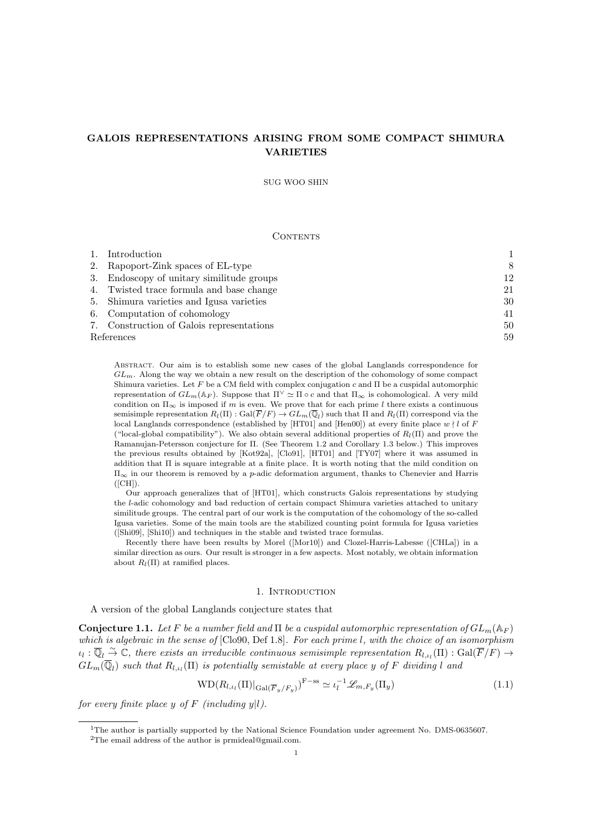# GALOIS REPRESENTATIONS ARISING FROM SOME COMPACT SHIMURA VARIETIES

SUG WOO SHIN

## CONTENTS

| $1_{\cdot}$ | Introduction                              |    |
|-------------|-------------------------------------------|----|
|             | 2. Rapoport-Zink spaces of EL-type        | 8  |
|             | 3. Endoscopy of unitary similitude groups | 12 |
|             | 4. Twisted trace formula and base change  | 21 |
|             | 5. Shimura varieties and Igusa varieties  | 30 |
|             | 6. Computation of cohomology              | 41 |
|             | 7. Construction of Galois representations | 50 |
| References  |                                           |    |

Abstract. Our aim is to establish some new cases of the global Langlands correspondence for  $GL_m$ . Along the way we obtain a new result on the description of the cohomology of some compact Shimura varieties. Let F be a CM field with complex conjugation c and  $\Pi$  be a cuspidal automorphic representation of  $GL_m(\mathbb{A}_F)$ . Suppose that  $\Pi^{\vee} \simeq \Pi \circ c$  and that  $\Pi_{\infty}$  is cohomological. A very mild condition on  $\Pi_{\infty}$  is imposed if m is even. We prove that for each prime l there exists a continuous semisimple representation  $R_l(\Pi)$ : Gal $(\overline{F}/F) \to GL_m(\overline{\mathbb{Q}}_l)$  such that  $\Pi$  and  $R_l(\Pi)$  correspond via the local Langlands correspondence (established by [HT01] and [Hen00]) at every finite place  $w \nmid l$  of F ("local-global compatibility"). We also obtain several additional properties of  $R_l(\Pi)$  and prove the Ramanujan-Petersson conjecture for Π. (See Theorem 1.2 and Corollary 1.3 below.) This improves the previous results obtained by [Kot92a], [Clo91], [HT01] and [TY07] where it was assumed in addition that  $\Pi$  is square integrable at a finite place. It is worth noting that the mild condition on  $\Pi_{\infty}$  in our theorem is removed by a p-adic deformation argument, thanks to Chenevier and Harris  $([CH])$ .

Our approach generalizes that of [HT01], which constructs Galois representations by studying the l-adic cohomology and bad reduction of certain compact Shimura varieties attached to unitary similitude groups. The central part of our work is the computation of the cohomology of the so-called Igusa varieties. Some of the main tools are the stabilized counting point formula for Igusa varieties ([Shi09], [Shi10]) and techniques in the stable and twisted trace formulas.

Recently there have been results by Morel ([Mor10]) and Clozel-Harris-Labesse ([CHLa]) in a similar direction as ours. Our result is stronger in a few aspects. Most notably, we obtain information about  $R_l(\Pi)$  at ramified places.

## 1. INTRODUCTION

A version of the global Langlands conjecture states that

**Conjecture 1.1.** Let F be a number field and  $\Pi$  be a cuspidal automorphic representation of  $GL_m(\mathbb{A}_F)$ which is algebraic in the sense of  $[C\text{lo}90, \text{Def }1.8]$ . For each prime l, with the choice of an isomorphism  $\iota_l: \overline{\mathbb{Q}}_l \overset{\sim}{\to} \mathbb{C},$  there exists an irreducible continuous semisimple representation  $R_{l,\iota_l}(\Pi): \mathrm{Gal}(\overline{F}/F) \to$  $GL_m(\overline{\mathbb{Q}}_l)$  such that  $R_{l,\iota_l}(\Pi)$  is potentially semistable at every place y of F dividing l and

$$
WD(R_{l,\iota_l}(\Pi)|_{Gal(\overline{F}_y/F_y)})^{F-ss} \simeq \iota_l^{-1}\mathscr{L}_{m,F_y}(\Pi_y)
$$
\n(1.1)

for every finite place y of F (including  $y|l$ ).

<sup>&</sup>lt;sup>1</sup>The author is partially supported by the National Science Foundation under agreement No. DMS-0635607.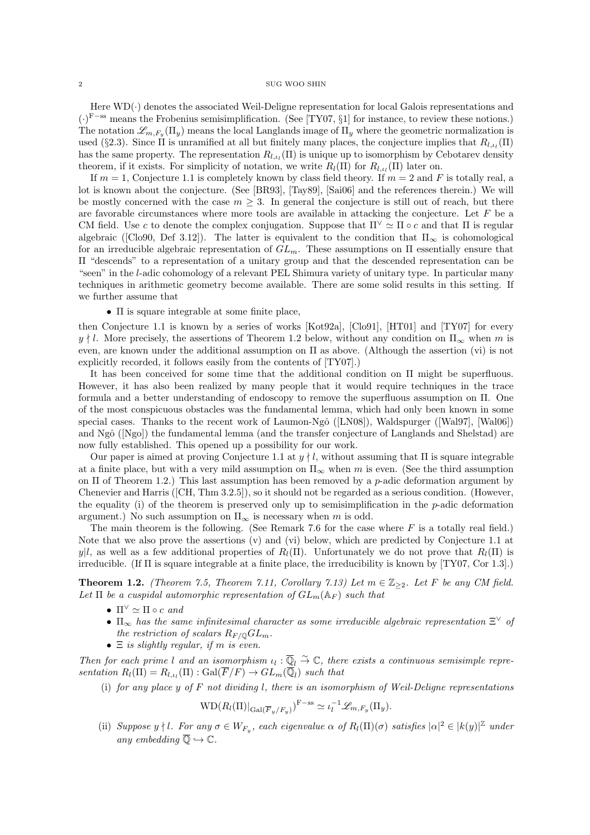Here  $WD(\cdot)$  denotes the associated Weil-Deligne representation for local Galois representations and (·) <sup>F</sup>−ss means the Frobenius semisimplification. (See [TY07, §1] for instance, to review these notions.) The notation  $\mathscr{L}_{m,F_y}(\Pi_y)$  means the local Langlands image of  $\Pi_y$  where the geometric normalization is used (§2.3). Since  $\Pi$  is unramified at all but finitely many places, the conjecture implies that  $R_{l,\iota_l}(\Pi)$ has the same property. The representation  $R_{l,\iota_l}(\Pi)$  is unique up to isomorphism by Cebotarev density theorem, if it exists. For simplicity of notation, we write  $R_l(\Pi)$  for  $R_{l,\iota_l}(\Pi)$  later on.

If  $m = 1$ , Conjecture 1.1 is completely known by class field theory. If  $m = 2$  and F is totally real, a lot is known about the conjecture. (See [BR93], [Tay89], [Sai06] and the references therein.) We will be mostly concerned with the case  $m \geq 3$ . In general the conjecture is still out of reach, but there are favorable circumstances where more tools are available in attacking the conjecture. Let  $F$  be a CM field. Use c to denote the complex conjugation. Suppose that  $\Pi^{\vee} \simeq \Pi \circ c$  and that  $\Pi$  is regular algebraic ([Clo90, Def 3.12]). The latter is equivalent to the condition that  $\Pi_{\infty}$  is cohomological for an irreducible algebraic representation of  $GL_m$ . These assumptions on  $\Pi$  essentially ensure that Π "descends" to a representation of a unitary group and that the descended representation can be "seen" in the l-adic cohomology of a relevant PEL Shimura variety of unitary type. In particular many techniques in arithmetic geometry become available. There are some solid results in this setting. If we further assume that

## $\bullet$   $\Pi$  is square integrable at some finite place.

then Conjecture 1.1 is known by a series of works [Kot92a], [Clo91], [HT01] and [TY07] for every  $y \nmid l$ . More precisely, the assertions of Theorem 1.2 below, without any condition on  $\Pi_{\infty}$  when m is even, are known under the additional assumption on Π as above. (Although the assertion (vi) is not explicitly recorded, it follows easily from the contents of [TY07].)

It has been conceived for some time that the additional condition on Π might be superfluous. However, it has also been realized by many people that it would require techniques in the trace formula and a better understanding of endoscopy to remove the superfluous assumption on Π. One of the most conspicuous obstacles was the fundamental lemma, which had only been known in some special cases. Thanks to the recent work of Laumon-Ngô ([LN08]), Waldspurger ([Wal97], [Wal06]) and Ngô ([Ngo]) the fundamental lemma (and the transfer conjecture of Langlands and Shelstad) are now fully established. This opened up a possibility for our work.

Our paper is aimed at proving Conjecture 1.1 at  $y \nmid l$ , without assuming that  $\Pi$  is square integrable at a finite place, but with a very mild assumption on  $\Pi_{\infty}$  when m is even. (See the third assumption on  $\Pi$  of Theorem 1.2.) This last assumption has been removed by a p-adic deformation argument by Chenevier and Harris ([CH, Thm 3.2.5]), so it should not be regarded as a serious condition. (However, the equality (i) of the theorem is preserved only up to semisimplification in the  $p$ -adic deformation argument.) No such assumption on  $\Pi_{\infty}$  is necessary when m is odd.

The main theorem is the following. (See Remark 7.6 for the case where  $F$  is a totally real field.) Note that we also prove the assertions (v) and (vi) below, which are predicted by Conjecture 1.1 at y|l, as well as a few additional properties of  $R_l(\Pi)$ . Unfortunately we do not prove that  $R_l(\Pi)$  is irreducible. (If Π is square integrable at a finite place, the irreducibility is known by [TY07, Cor 1.3].)

**Theorem 1.2.** (Theorem 7.5, Theorem 7.11, Corollary 7.13) Let  $m \in \mathbb{Z}_{\geq 2}$ . Let F be any CM field. Let  $\Pi$  be a cuspidal automorphic representation of  $GL_m(\mathbb{A}_F)$  such that

- $\Pi^{\vee} \simeq \Pi \circ c$  and
- $\Pi_{\infty}$  has the same infinitesimal character as some irreducible algebraic representation  $\Xi^{\vee}$  of the restriction of scalars  $R_{F/\mathbb{Q}}GL_m$ .
- $\Xi$  is slightly regular, if m is even.

Then for each prime l and an isomorphism  $u_l : \overline{\mathbb{Q}}_l \overset{\sim}{\to} \mathbb{C}$ , there exists a continuous semisimple representation  $R_l(\Pi) = R_{l, \iota_l}(\Pi) : \text{Gal}(\overline{F}/F) \to GL_m(\overline{\mathbb{Q}}_l)$  such that

(i) for any place y of  $F$  not dividing l, there is an isomorphism of Weil-Deligne representations

$$
WD(R_l(\Pi)|_{Gal(\overline{F}_y/F_y)})^{F-ss} \simeq \iota_l^{-1}\mathscr{L}_{m,F_y}(\Pi_y).
$$

(ii) Suppose y | l. For any  $\sigma \in W_{F_y}$ , each eigenvalue  $\alpha$  of  $R_l(\Pi)(\sigma)$  satisfies  $|\alpha|^2 \in |k(y)|^{\mathbb{Z}}$  under any embedding  $\overline{\mathbb{Q}} \hookrightarrow \mathbb{C}$ .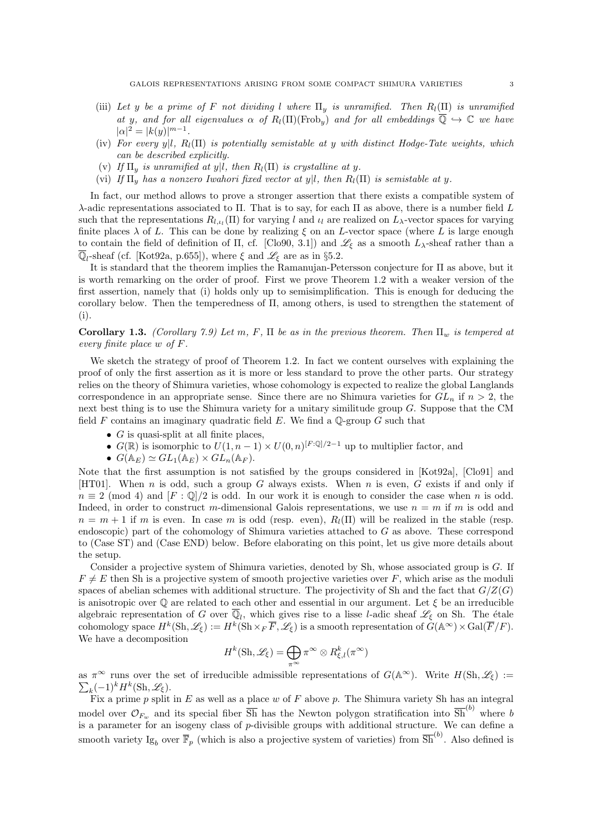- (iii) Let y be a prime of F not dividing l where  $\Pi_u$  is unramified. Then  $R_l(\Pi)$  is unramified at y, and for all eigenvalues  $\alpha$  of  $R_l(\Pi)(\text{Frob}_v)$  and for all embeddings  $\overline{\mathbb{Q}} \hookrightarrow \mathbb{C}$  we have  $|\alpha|^2 = |k(y)|^{m-1}.$
- (iv) For every y|l,  $R_l(\Pi)$  is potentially semistable at y with distinct Hodge-Tate weights, which can be described explicitly.
- (v) If  $\Pi_y$  is unramified at y|l, then  $R_l(\Pi)$  is crystalline at y.
- (vi) If  $\Pi_u$  has a nonzero Iwahori fixed vector at y|l, then  $R_l(\Pi)$  is semistable at y.

In fact, our method allows to prove a stronger assertion that there exists a compatible system of λ-adic representations associated to Π. That is to say, for each Π as above, there is a number field L such that the representations  $R_{l,\iota_l}(\Pi)$  for varying l and  $\iota_l$  are realized on  $L_\lambda$ -vector spaces for varying finite places  $\lambda$  of L. This can be done by realizing  $\xi$  on an L-vector space (where L is large enough to contain the field of definition of  $\Pi$ , cf. [Clo90, 3.1]) and  $\mathscr{L}_{\xi}$  as a smooth  $L_{\lambda}$ -sheaf rather than a  $\overline{\mathbb{Q}}_l$ -sheaf (cf. [Kot92a, p.655]), where  $\xi$  and  $\mathscr{L}_{\xi}$  are as in §5.2.

It is standard that the theorem implies the Ramanujan-Petersson conjecture for Π as above, but it is worth remarking on the order of proof. First we prove Theorem 1.2 with a weaker version of the first assertion, namely that (i) holds only up to semisimplification. This is enough for deducing the corollary below. Then the temperedness of Π, among others, is used to strengthen the statement of (i).

## **Corollary 1.3.** (Corollary 7.9) Let m, F,  $\Pi$  be as in the previous theorem. Then  $\Pi_w$  is tempered at every finite place w of F.

We sketch the strategy of proof of Theorem 1.2. In fact we content ourselves with explaining the proof of only the first assertion as it is more or less standard to prove the other parts. Our strategy relies on the theory of Shimura varieties, whose cohomology is expected to realize the global Langlands correspondence in an appropriate sense. Since there are no Shimura varieties for  $GL_n$  if  $n > 2$ , the next best thing is to use the Shimura variety for a unitary similitude group G. Suppose that the CM field  $F$  contains an imaginary quadratic field  $E$ . We find a  $\mathbb{Q}$ -group  $G$  such that

- $G$  is quasi-split at all finite places,
- $G(\mathbb{R})$  is isomorphic to  $U(1, n-1) \times U(0, n)^{[F:\mathbb{Q}]/2-1}$  up to multiplier factor, and
- $G(\mathbb{A}_E) \simeq GL_1(\mathbb{A}_E) \times GL_n(\mathbb{A}_F)$ .

Note that the first assumption is not satisfied by the groups considered in [Kot92a], [Clo91] and [HT01]. When n is odd, such a group G always exists. When n is even, G exists if and only if  $n \equiv 2 \pmod{4}$  and  $[F: \mathbb{Q}]/2$  is odd. In our work it is enough to consider the case when n is odd. Indeed, in order to construct m-dimensional Galois representations, we use  $n = m$  if m is odd and  $n = m + 1$  if m is even. In case m is odd (resp. even),  $R_l(\Pi)$  will be realized in the stable (resp. endoscopic) part of the cohomology of Shimura varieties attached to G as above. These correspond to (Case ST) and (Case END) below. Before elaborating on this point, let us give more details about the setup.

Consider a projective system of Shimura varieties, denoted by Sh, whose associated group is G. If  $F \neq E$  then Sh is a projective system of smooth projective varieties over F, which arise as the moduli spaces of abelian schemes with additional structure. The projectivity of Sh and the fact that  $G/Z(G)$ is anisotropic over  $\mathbb Q$  are related to each other and essential in our argument. Let  $\xi$  be an irreducible algebraic representation of G over  $\overline{\mathbb{Q}}_l$ , which gives rise to a lisse l-adic sheaf  $\mathscr{L}_\xi$  on Sh. The étale cohomology space  $H^k(\mathrm{Sh},\mathscr{L}_\xi) := H^k(\mathrm{Sh}\times_F \overline{F},\mathscr{L}_\xi)$  is a smooth representation of  $G(\mathbb{A}^\infty)\times \mathrm{Gal}(\overline{F}/F)$ . We have a decomposition

$$
H^k(\mathrm{Sh},\mathscr{L}_\xi)=\bigoplus_{\pi^\infty}\pi^\infty\otimes R_{\xi,l}^k(\pi^\infty)
$$

as  $\pi^{\infty}$  runs over the set of irreducible admissible representations of  $G(\mathbb{A}^{\infty})$ . Write  $H(\mathrm{Sh}, \mathscr{L}_{\xi}) := \sum_{k} (-1)^{k} H^{k}(\mathrm{Sh}, \mathscr{L}_{\xi})$ .  $_{k}(-1)^{k}H^{k}(\mathrm{Sh},\mathscr{L}_{\xi}).$ 

Fix a prime p split in E as well as a place w of F above p. The Shimura variety Sh has an integral model over  $\mathcal{O}_{F_w}$  and its special fiber  $\overline{Sh}$  has the Newton polygon stratification into  $\overline{Sh}^{(b)}$  where b is a parameter for an isogeny class of p-divisible groups with additional structure. We can define a smooth variety Ig<sub>b</sub> over  $\overline{\mathbb{F}}_p$  (which is also a projective system of varieties) from  $\overline{Sh}^{(b)}$ . Also defined is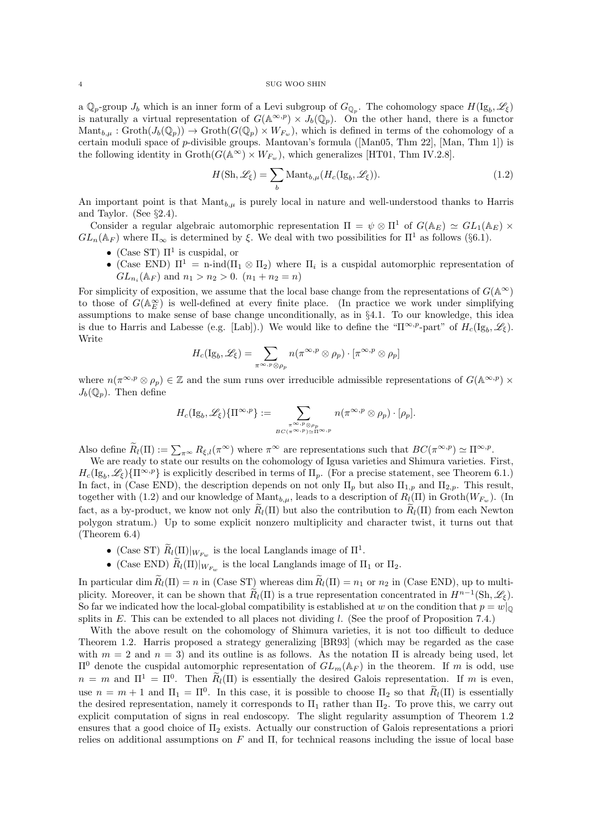a  $\mathbb{Q}_p$ -group  $J_b$  which is an inner form of a Levi subgroup of  $G_{\mathbb{Q}_p}$ . The cohomology space  $H(\mathrm{Ig}_b, \mathscr{L}_\xi)$ is naturally a virtual representation of  $G(\mathbb{A}^{\infty,p}) \times J_b(\mathbb{Q}_p)$ . On the other hand, there is a functor  $\mathrm{Mant}_{b,\mu} : \mathrm{Groth}(J_b(\mathbb{Q}_p)) \to \mathrm{Groth}(G(\mathbb{Q}_p) \times W_{F_w}),$  which is defined in terms of the cohomology of a certain moduli space of  $p$ -divisible groups. Mantovan's formula ([Man05, Thm 22], [Man, Thm 1]) is the following identity in  $\operatorname{Groth}(G(\mathbb{A}^{\infty}) \times W_{F_w})$ , which generalizes [HT01, Thm IV.2.8].

$$
H(\mathrm{Sh}, \mathcal{L}_{\xi}) = \sum_{b} \mathrm{Mant}_{b,\mu}(H_c(\mathrm{Ig}_b, \mathcal{L}_{\xi})).
$$
 (1.2)

An important point is that  $\text{Mant}_{b,\mu}$  is purely local in nature and well-understood thanks to Harris and Taylor. (See §2.4).

Consider a regular algebraic automorphic representation  $\Pi = \psi \otimes \Pi^1$  of  $G(\mathbb{A}_E) \simeq GL_1(\mathbb{A}_E) \times$  $GL_n(\mathbb{A}_F)$  where  $\Pi_{\infty}$  is determined by  $\xi$ . We deal with two possibilities for  $\Pi^1$  as follows (§6.1).

- (Case ST)  $\Pi^1$  is cuspidal, or
- (Case END)  $\Pi^1 = \text{n-ind}(\Pi_1 \otimes \Pi_2)$  where  $\Pi_i$  is a cuspidal automorphic representation of  $GL_{n_i}(\mathbb{A}_F)$  and  $n_1 > n_2 > 0$ .  $(n_1 + n_2 = n)$

For simplicity of exposition, we assume that the local base change from the representations of  $G(\mathbb{A}^{\infty})$ to those of  $G(\mathbb{A}_{E}^{\infty})$  is well-defined at every finite place. (In practice we work under simplifying assumptions to make sense of base change unconditionally, as in §4.1. To our knowledge, this idea is due to Harris and Labesse (e.g. [Lab]).) We would like to define the " $\Pi^{\infty,p}$ -part" of  $H_c(\mathrm{Ig}_b, \mathscr{L}_{\xi})$ . Write

$$
H_c(\mathrm{Ig}_b,\mathscr{L}_\xi)=\sum_{\pi^{\infty,p}\otimes\rho_p}n(\pi^{\infty,p}\otimes\rho_p)\cdot[\pi^{\infty,p}\otimes\rho_p]
$$

where  $n(\pi^{\infty,p} \otimes \rho_p) \in \mathbb{Z}$  and the sum runs over irreducible admissible representations of  $G(\mathbb{A}^{\infty,p}) \times$  $J_b(\mathbb{Q}_p)$ . Then define

$$
H_c(\mathrm{Ig}_b,\mathscr{L}_\xi)\{\Pi^{\infty,p}\}:=\sum_{\pi^{\infty,p}\otimes\rho_p \atop BC(\pi^{\infty,p})\simeq\Pi^{\infty,p}}n(\pi^{\infty,p}\otimes\rho_p)\cdot[\rho_p].
$$

Also define  $\widetilde{R}_l(\Pi) := \sum_{\pi \infty} R_{\xi,l}(\pi^{\infty})$  where  $\pi^{\infty}$  are representations such that  $BC(\pi^{\infty,p}) \simeq \Pi^{\infty,p}$ .

We are ready to state our results on the cohomology of Igusa varieties and Shimura varieties. First,  $H_c(\mathrm{Ig}_b, \mathscr{L}_{\xi})\{\Pi^{\infty,p}\}\$ is explicitly described in terms of  $\Pi_p$ . (For a precise statement, see Theorem 6.1.) In fact, in (Case END), the description depends on not only  $\Pi_p$  but also  $\Pi_{1,p}$  and  $\Pi_{2,p}$ . This result, together with (1.2) and our knowledge of Mant<sub>b,µ</sub>, leads to a description of  $R_l(\Pi)$  in Groth( $W_{F_w}$ ). (In fact, as a by-product, we know not only  $\tilde{R}_l(\Pi)$  but also the contribution to  $\tilde{R}_l(\Pi)$  from each Newton polygon stratum.) Up to some explicit nonzero multiplicity and character twist, it turns out that (Theorem 6.4)

- (Case ST)  $\widetilde{R}_l(\Pi)|_{W_{F_w}}$  is the local Langlands image of  $\Pi^1$ .
- (Case END)  $R_l(\Pi)|_{W_{F_w}}$  is the local Langlands image of  $\Pi_1$  or  $\Pi_2$ .

In particular dim  $\widetilde{R}_l(\Pi) = n$  in (Case ST) whereas dim  $\widetilde{R}_l(\Pi) = n_1$  or  $n_2$  in (Case END), up to multiplicity. Moreover, it can be shown that  $\widetilde{R}_l(\Pi)$  is a true representation concentrated in  $H^{n-1}(\text{Sh}, \mathscr{L}_{\xi})$ . So far we indicated how the local-global compatibility is established at w on the condition that  $p = w|_{\mathbb{Q}}$ splits in  $E$ . This can be extended to all places not dividing  $l$ . (See the proof of Proposition 7.4.)

With the above result on the cohomology of Shimura varieties, it is not too difficult to deduce Theorem 1.2. Harris proposed a strategy generalizing [BR93] (which may be regarded as the case with  $m = 2$  and  $n = 3$ ) and its outline is as follows. As the notation  $\Pi$  is already being used, let  $\Pi^0$  denote the cuspidal automorphic representation of  $GL_m(\mathbb{A}_F)$  in the theorem. If m is odd, use  $n = m$  and  $\Pi^1 = \Pi^0$ . Then  $R_l(\Pi)$  is essentially the desired Galois representation. If m is even, use  $n = m + 1$  and  $\Pi_1 = \Pi^0$ . In this case, it is possible to choose  $\Pi_2$  so that  $R_l(\Pi)$  is essentially the desired representation, namely it corresponds to  $\Pi_1$  rather than  $\Pi_2$ . To prove this, we carry out explicit computation of signs in real endoscopy. The slight regularity assumption of Theorem 1.2 ensures that a good choice of  $\Pi_2$  exists. Actually our construction of Galois representations a priori relies on additional assumptions on F and  $\Pi$ , for technical reasons including the issue of local base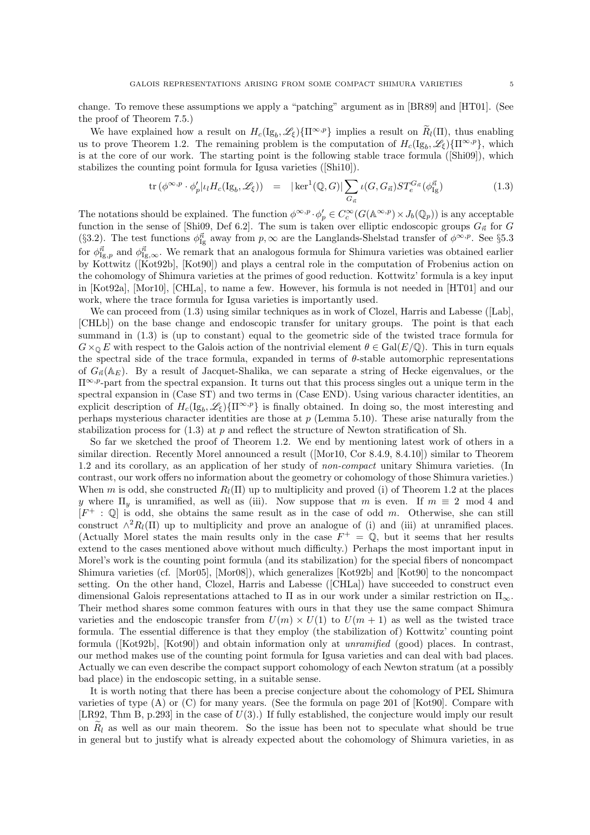change. To remove these assumptions we apply a "patching" argument as in [BR89] and [HT01]. (See the proof of Theorem 7.5.)

We have explained how a result on  $H_c(\mathrm{Ig}_b, \mathscr{L}_{\xi})\{\Pi^{\infty, p}\}\$  implies a result on  $\widetilde{R}_l(\Pi)$ , thus enabling us to prove Theorem 1.2. The remaining problem is the computation of  $H_c(\mathrm{Ig}_b, \mathscr{L}_\xi)\{\Pi^{\infty,p}\},\$  which is at the core of our work. The starting point is the following stable trace formula ([Shi09]), which stabilizes the counting point formula for Igusa varieties ([Shi10]).

$$
\operatorname{tr}\left(\phi^{\infty,p} \cdot \phi_p'|_{\mathcal{U}} H_c(\mathrm{Ig}_b,\mathscr{L}_\xi)\right) = |\ker^1(\mathbb{Q}, G)| \sum_{G_{\vec{n}}} \iota(G, G_{\vec{n}}) ST_e^{G_{\vec{n}}}(\phi_{\mathrm{Ig}}^{\vec{n}})
$$
(1.3)

The notations should be explained. The function  $\phi^{\infty,p} \cdot \phi'_p \in C_c^{\infty}(G(\mathbb{A}^{\infty,p}) \times J_b(\mathbb{Q}_p))$  is any acceptable function in the sense of [Shi09, Def 6.2]. The sum is taken over elliptic endoscopic groups  $G_{\vec{n}}$  for G (§3.2). The test functions  $\phi_{\text{Ig}}^{\vec{n}}$  away from  $p, \infty$  are the Langlands-Shelstad transfer of  $\phi^{\infty, p}$ . See §5.3 for  $\phi_{\text{Ig},p}^{\vec{n}}$  and  $\phi_{\text{Ig},\infty}^{\vec{n}}$ . We remark that an analogous formula for Shimura varieties was obtained earlier by Kottwitz ([Kot92b], [Kot90]) and plays a central role in the computation of Frobenius action on the cohomology of Shimura varieties at the primes of good reduction. Kottwitz' formula is a key input in [Kot92a], [Mor10], [CHLa], to name a few. However, his formula is not needed in [HT01] and our work, where the trace formula for Igusa varieties is importantly used.

We can proceed from  $(1.3)$  using similar techniques as in work of Clozel, Harris and Labesse ([Lab], [CHLb]) on the base change and endoscopic transfer for unitary groups. The point is that each summand in (1.3) is (up to constant) equal to the geometric side of the twisted trace formula for  $G\times_{\mathbb{Q}} E$  with respect to the Galois action of the nontrivial element  $\theta \in \text{Gal}(E/\mathbb{Q})$ . This in turn equals the spectral side of the trace formula, expanded in terms of  $\theta$ -stable automorphic representations of  $G_{\vec{n}}(\mathbb{A}_E)$ . By a result of Jacquet-Shalika, we can separate a string of Hecke eigenvalues, or the  $\Pi^{\infty,p}$ -part from the spectral expansion. It turns out that this process singles out a unique term in the spectral expansion in (Case ST) and two terms in (Case END). Using various character identities, an explicit description of  $H_c(\mathrm{Ig}_b, \mathscr{L}_{\xi})\{\Pi^{\infty,p}\}\$ is finally obtained. In doing so, the most interesting and perhaps mysterious character identities are those at  $p$  (Lemma 5.10). These arise naturally from the stabilization process for  $(1.3)$  at p and reflect the structure of Newton stratification of Sh.

So far we sketched the proof of Theorem 1.2. We end by mentioning latest work of others in a similar direction. Recently Morel announced a result ([Mor10, Cor 8.4.9, 8.4.10]) similar to Theorem 1.2 and its corollary, as an application of her study of non-compact unitary Shimura varieties. (In contrast, our work offers no information about the geometry or cohomology of those Shimura varieties.) When m is odd, she constructed  $R_l(\Pi)$  up to multiplicity and proved (i) of Theorem 1.2 at the places y where  $\Pi_y$  is unramified, as well as (iii). Now suppose that m is even. If  $m \equiv 2 \mod 4$  and  $[F^+ : \mathbb{Q}]$  is odd, she obtains the same result as in the case of odd m. Otherwise, she can still construct  $\wedge^2 R_l(\Pi)$  up to multiplicity and prove an analogue of (i) and (iii) at unramified places. (Actually Morel states the main results only in the case  $F^+ = \mathbb{Q}$ , but it seems that her results extend to the cases mentioned above without much difficulty.) Perhaps the most important input in Morel's work is the counting point formula (and its stabilization) for the special fibers of noncompact Shimura varieties (cf. [Mor05], [Mor08]), which generalizes [Kot92b] and [Kot90] to the noncompact setting. On the other hand, Clozel, Harris and Labesse ([CHLa]) have succeeded to construct even dimensional Galois representations attached to  $\Pi$  as in our work under a similar restriction on  $\Pi_{\infty}$ . Their method shares some common features with ours in that they use the same compact Shimura varieties and the endoscopic transfer from  $U(m) \times U(1)$  to  $U(m + 1)$  as well as the twisted trace formula. The essential difference is that they employ (the stabilization of) Kottwitz' counting point formula ([Kot92b], [Kot90]) and obtain information only at *unramified* (good) places. In contrast, our method makes use of the counting point formula for Igusa varieties and can deal with bad places. Actually we can even describe the compact support cohomology of each Newton stratum (at a possibly bad place) in the endoscopic setting, in a suitable sense.

It is worth noting that there has been a precise conjecture about the cohomology of PEL Shimura varieties of type (A) or (C) for many years. (See the formula on page 201 of [Kot90]. Compare with [LR92, Thm B, p.293] in the case of  $U(3)$ .) If fully established, the conjecture would imply our result on  $\tilde{R}_l$  as well as our main theorem. So the issue has been not to speculate what should be true in general but to justify what is already expected about the cohomology of Shimura varieties, in as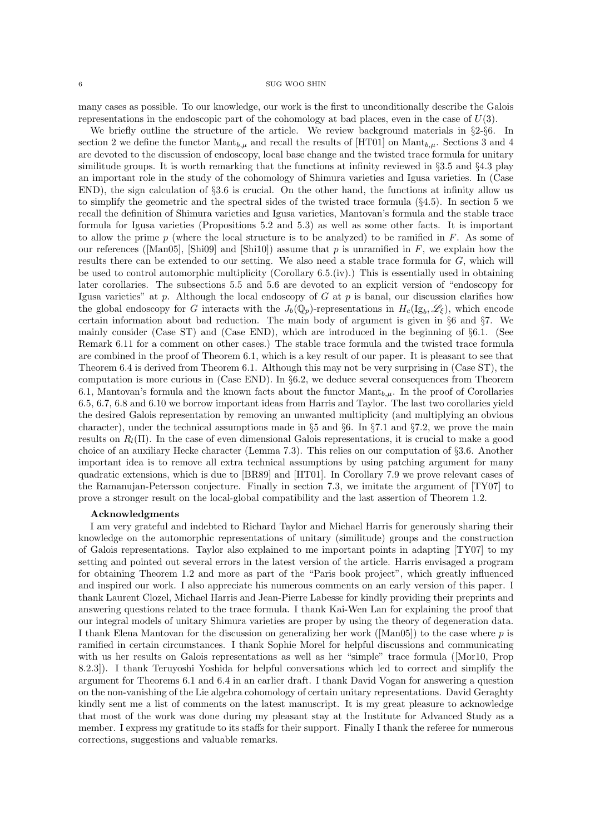many cases as possible. To our knowledge, our work is the first to unconditionally describe the Galois representations in the endoscopic part of the cohomology at bad places, even in the case of  $U(3)$ .

We briefly outline the structure of the article. We review background materials in  $\S2-\S6$ . In section 2 we define the functor  $\text{Mant}_{b,\mu}$  and recall the results of [HT01] on  $\text{Mant}_{b,\mu}$ . Sections 3 and 4 are devoted to the discussion of endoscopy, local base change and the twisted trace formula for unitary similitude groups. It is worth remarking that the functions at infinity reviewed in §3.5 and §4.3 play an important role in the study of the cohomology of Shimura varieties and Igusa varieties. In (Case END), the sign calculation of §3.6 is crucial. On the other hand, the functions at infinity allow us to simplify the geometric and the spectral sides of the twisted trace formula  $(\S 4.5)$ . In section 5 we recall the definition of Shimura varieties and Igusa varieties, Mantovan's formula and the stable trace formula for Igusa varieties (Propositions 5.2 and 5.3) as well as some other facts. It is important to allow the prime  $p$  (where the local structure is to be analyzed) to be ramified in  $F$ . As some of our references ([Man05], [Shi09] and [Shi10]) assume that  $p$  is unramified in  $F$ , we explain how the results there can be extended to our setting. We also need a stable trace formula for G, which will be used to control automorphic multiplicity (Corollary 6.5.(iv).) This is essentially used in obtaining later corollaries. The subsections 5.5 and 5.6 are devoted to an explicit version of "endoscopy for Igusa varieties" at p. Although the local endoscopy of G at p is banal, our discussion clarifies how the global endoscopy for G interacts with the  $J_b(\mathbb{Q}_p)$ -representations in  $H_c(\mathrm{Ig}_b, \mathscr{L}_\xi)$ , which encode certain information about bad reduction. The main body of argument is given in §6 and §7. We mainly consider (Case ST) and (Case END), which are introduced in the beginning of §6.1. (See Remark 6.11 for a comment on other cases.) The stable trace formula and the twisted trace formula are combined in the proof of Theorem 6.1, which is a key result of our paper. It is pleasant to see that Theorem 6.4 is derived from Theorem 6.1. Although this may not be very surprising in (Case ST), the computation is more curious in (Case END). In §6.2, we deduce several consequences from Theorem 6.1, Mantovan's formula and the known facts about the functor  $\text{Mant}_{b,\mu}$ . In the proof of Corollaries 6.5, 6.7, 6.8 and 6.10 we borrow important ideas from Harris and Taylor. The last two corollaries yield the desired Galois representation by removing an unwanted multiplicity (and multiplying an obvious character), under the technical assumptions made in §5 and §6. In §7.1 and §7.2, we prove the main results on  $R_l(\Pi)$ . In the case of even dimensional Galois representations, it is crucial to make a good choice of an auxiliary Hecke character (Lemma 7.3). This relies on our computation of §3.6. Another important idea is to remove all extra technical assumptions by using patching argument for many quadratic extensions, which is due to [BR89] and [HT01]. In Corollary 7.9 we prove relevant cases of the Ramanujan-Petersson conjecture. Finally in section 7.3, we imitate the argument of [TY07] to prove a stronger result on the local-global compatibility and the last assertion of Theorem 1.2.

## Acknowledgments

I am very grateful and indebted to Richard Taylor and Michael Harris for generously sharing their knowledge on the automorphic representations of unitary (similitude) groups and the construction of Galois representations. Taylor also explained to me important points in adapting [TY07] to my setting and pointed out several errors in the latest version of the article. Harris envisaged a program for obtaining Theorem 1.2 and more as part of the "Paris book project", which greatly influenced and inspired our work. I also appreciate his numerous comments on an early version of this paper. I thank Laurent Clozel, Michael Harris and Jean-Pierre Labesse for kindly providing their preprints and answering questions related to the trace formula. I thank Kai-Wen Lan for explaining the proof that our integral models of unitary Shimura varieties are proper by using the theory of degeneration data. I thank Elena Mantovan for the discussion on generalizing her work ( $\text{[Man05]}$ ) to the case where p is ramified in certain circumstances. I thank Sophie Morel for helpful discussions and communicating with us her results on Galois representations as well as her "simple" trace formula ([Mor10, Prop 8.2.3]). I thank Teruyoshi Yoshida for helpful conversations which led to correct and simplify the argument for Theorems 6.1 and 6.4 in an earlier draft. I thank David Vogan for answering a question on the non-vanishing of the Lie algebra cohomology of certain unitary representations. David Geraghty kindly sent me a list of comments on the latest manuscript. It is my great pleasure to acknowledge that most of the work was done during my pleasant stay at the Institute for Advanced Study as a member. I express my gratitude to its staffs for their support. Finally I thank the referee for numerous corrections, suggestions and valuable remarks.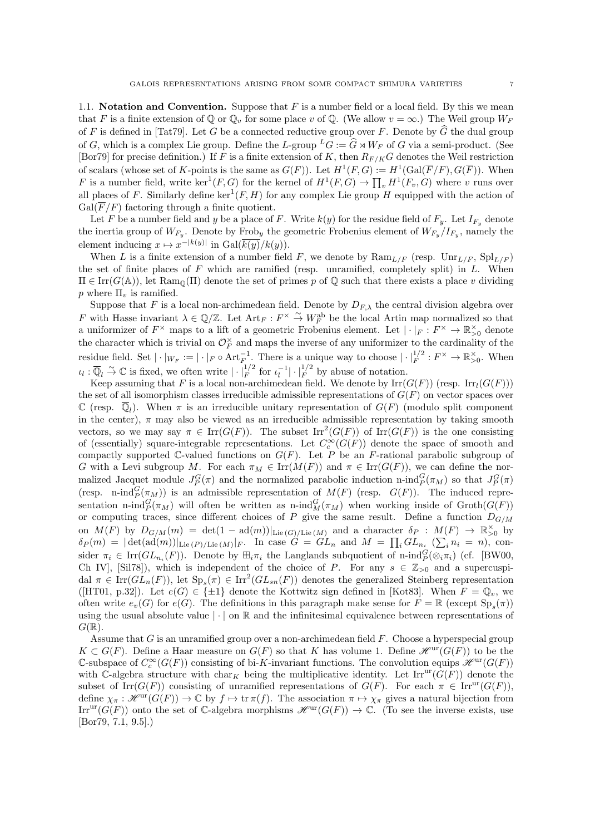1.1. **Notation and Convention.** Suppose that  $F$  is a number field or a local field. By this we mean that F is a finite extension of  $\mathbb{Q}$  or  $\mathbb{Q}_v$  for some place v of  $\mathbb{Q}$ . (We allow  $v = \infty$ .) The Weil group  $W_F$ of F is defined in [Tat79]. Let G be a connected reductive group over F. Denote by  $\widehat{G}$  the dual group of G, which is a complex Lie group. Define the L-group  ${}^L G := \hat{G} \rtimes W_F$  of G via a semi-product. (See [Bor79] for precise definition.) If F is a finite extension of K, then  $R_{F/K}G$  denotes the Weil restriction of scalars (whose set of K-points is the same as  $G(F)$ ). Let  $H^1(F, G) := H^1(\text{Gal}(\overline{F}/F), G(\overline{F}))$ . When F is a number field, write  $\ker^1(F, G)$  for the kernel of  $H^1(F, G) \to \prod_v H^1(F_v, G)$  where v runs over all places of F. Similarly define  $\ker^1(F, H)$  for any complex Lie group H equipped with the action of  $Gal(\overline{F}/F)$  factoring through a finite quotient.

Let F be a number field and y be a place of F. Write  $k(y)$  for the residue field of  $F_y$ . Let  $I_{F_y}$  denote the inertia group of  $W_{F_y}$ . Denote by Frob<sub>y</sub> the geometric Frobenius element of  $W_{F_y}/I_{F_y}$ , namely the element inducing  $x \mapsto x^{-|k(y)|}$  in  $Gal(\overline{k(y)}/k(y))$ .

When L is a finite extension of a number field F, we denote by  $\text{Ram}_{L/F}$  (resp.  $\text{Unr}_{L/F}$ ,  $\text{Spl}_{L/F}$ ) the set of finite places of  $F$  which are ramified (resp. unramified, completely split) in  $L$ . When  $\Pi \in \text{Irr}(G(\mathbb{A}))$ , let  $\text{Ram}_{\mathbb{Q}}(\Pi)$  denote the set of primes p of  $\mathbb Q$  such that there exists a place v dividing p where  $\Pi_v$  is ramified.

Suppose that F is a local non-archimedean field. Denote by  $D_{F,\lambda}$  the central division algebra over F with Hasse invariant  $\lambda \in \mathbb{Q}/\mathbb{Z}$ . Let  $\mathrm{Art}_F : F^\times \overset{\sim}{\to} W_F^{\mathrm{ab}}$  be the local Artin map normalized so that a uniformizer of  $F^\times$  maps to a lift of a geometric Frobenius element. Let  $|\cdot|_F : F^\times \to \mathbb{R}_{>0}^\times$  denote the character which is trivial on  $\mathcal{O}_F^{\times}$  and maps the inverse of any uniformizer to the cardinality of the residue field. Set  $|\cdot|_{W_F} := |\cdot|_F \circ \text{Art}_F^{-1}$ . There is a unique way to choose  $|\cdot|_F^{1/2} : F^\times \to \mathbb{R}_{>0}^\times$ . When  $\iota_l : \overline{\mathbb{Q}}_l \overset{\sim}{\to} \mathbb{C}$  is fixed, we often write  $|\cdot|_F^{1/2}$  for  $\iota_l^{-1}|\cdot|_F^{1/2}$  by abuse of notation.

Keep assuming that F is a local non-archimedean field. We denote by  $\text{Irr}(G(F))$  (resp.  $\text{Irr}_l(G(F)))$ the set of all isomorphism classes irreducible admissible representations of  $G(F)$  on vector spaces over C (resp.  $\overline{\mathbb{Q}}_l$ ). When  $\pi$  is an irreducible unitary representation of  $G(F)$  (modulo split component in the center),  $\pi$  may also be viewed as an irreducible admissible representation by taking smooth vectors, so we may say  $\pi \in \text{Irr}(G(F))$ . The subset  $\text{Irr}^2(G(F))$  of  $\text{Irr}(G(F))$  is the one consisting of (essentially) square-integrable representations. Let  $C_c^{\infty}(G(F))$  denote the space of smooth and compactly supported  $\mathbb C$ -valued functions on  $G(F)$ . Let P be an F-rational parabolic subgroup of G with a Levi subgroup M. For each  $\pi_M \in \text{Irr}(M(F))$  and  $\pi \in \text{Irr}(G(F))$ , we can define the normalized Jacquet module  $J_P^G(\pi)$  and the normalized parabolic induction n-ind $_P^G(\pi_M)$  so that  $J_P^G(\pi)$ (resp. n-ind $_P^G(\pi_M)$ ) is an admissible representation of  $M(F)$  (resp.  $G(F)$ ). The induced representation n-ind $_P^G(\pi_M)$  will often be written as n-ind $_M^G(\pi_M)$  when working inside of Groth $(G(F))$ or computing traces, since different choices of P give the same result. Define a function  $D_{G/M}$ on  $M(F)$  by  $D_{G/M}(m) = \det(1 - \mathrm{ad}(m))|_{\mathrm{Lie}(G)/\mathrm{Lie}(M)}$  and a character  $\delta_P : M(F) \to \mathbb{R}_{>0}^{\times}$  by  $\delta_P(m) = |\det(\text{ad}(m))|_{\text{Lie}(P)/\text{Lie}(M)}|_F$ . In case  $G = GL_n$  and  $M = \prod_i GL_{n_i} \ (\sum_i n_i = n)$ , consider  $\pi_i \in \text{Irr}(GL_{n_i}(F))$ . Denote by  $\boxplus_i \pi_i$  the Langlands subquotient of n-ind $_P^G(\otimes_i \pi_i)$  (cf. [BW00, Ch IV], [Sil78]), which is independent of the choice of P. For any  $s \in \mathbb{Z}_{>0}$  and a supercuspidal  $\pi \in \text{Irr}(GL_n(F))$ , let  $\text{Sp}_s(\pi) \in \text{Irr}^2(GL_{sn}(F))$  denotes the generalized Steinberg representation ([HT01, p.32]). Let  $e(G) \in \{\pm 1\}$  denote the Kottwitz sign defined in [Kot83]. When  $F = \mathbb{Q}_v$ , we often write  $e_v(G)$  for  $e(G)$ . The definitions in this paragraph make sense for  $F = \mathbb{R}$  (except  $\text{Sp}_s(\pi)$ ) using the usual absolute value  $|\cdot|$  on  $\mathbb R$  and the infinitesimal equivalence between representations of  $G(\mathbb{R}).$ 

Assume that  $G$  is an unramified group over a non-archimedean field  $F$ . Choose a hyperspecial group  $K \subset G(F)$ . Define a Haar measure on  $G(F)$  so that K has volume 1. Define  $\mathscr{H}^{\rm ur}(G(F))$  to be the C-subspace of  $C_c^{\infty}(G(F))$  consisting of bi-K-invariant functions. The convolution equips  $\mathscr{H}^{\mathrm{ur}}(G(F))$ with C-algebra structure with char<sub>K</sub> being the multiplicative identity. Let  $\text{Irr}^{\text{ur}}(G(F))$  denote the subset of Irr( $G(F)$ ) consisting of unramified representations of  $G(F)$ . For each  $\pi \in \text{Irr}^{\text{ur}}(G(F))$ , define  $\chi_{\pi}: \mathscr{H}^{\rm ur}(G(F)) \to \mathbb{C}$  by  $f \mapsto \text{tr }\pi(f)$ . The association  $\pi \mapsto \chi_{\pi}$  gives a natural bijection from  $Irr<sup>ur</sup>(G(F))$  onto the set of C-algebra morphisms  $\mathscr{H}<sup>ur</sup>(G(F)) \to \mathbb{C}$ . (To see the inverse exists, use [Bor79, 7.1, 9.5].)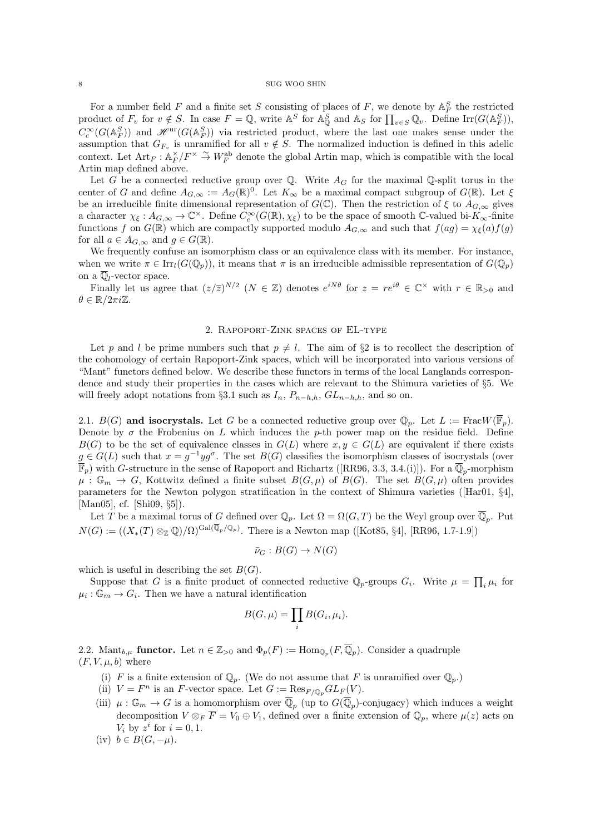For a number field F and a finite set S consisting of places of F, we denote by  $\mathbb{A}_F^S$  the restricted product of  $F_v$  for  $v \notin S$ . In case  $F = \mathbb{Q}$ , write  $\mathbb{A}^S$  for  $\mathbb{A}^S_{\mathbb{Q}}$  and  $\mathbb{A}_S$  for  $\prod_{v \in S} \mathbb{Q}_v$ . Define  $\text{Irr}(G(\mathbb{A}^S_F))$ ,  $C_c^{\infty}(G(\mathbb{A}_F^S))$  and  $\mathscr{H}^{\text{ur}}(G(\mathbb{A}_F^S))$  via restricted product, where the last one makes sense under the assumption that  $G_{F_v}$  is unramified for all  $v \notin S$ . The normalized induction is defined in this adelic context. Let  $\text{Art}_F : \mathbb{A}_F^{\times}/F^{\times} \stackrel{\sim}{\to} W_F^{\text{ab}}$  denote the global Artin map, which is compatible with the local Artin map defined above.

Let G be a connected reductive group over  $\mathbb Q$ . Write  $A_G$  for the maximal  $\mathbb Q$ -split torus in the center of G and define  $A_{G,\infty} := A_G(\mathbb{R})^0$ . Let  $K_{\infty}$  be a maximal compact subgroup of  $G(\mathbb{R})$ . Let  $\xi$ be an irreducible finite dimensional representation of  $G(\mathbb{C})$ . Then the restriction of  $\xi$  to  $A_{G,\infty}$  gives a character  $\chi_{\xi}: A_{G,\infty} \to \mathbb{C}^{\times}$ . Define  $C_c^{\infty}(G(\mathbb{R}),\chi_{\xi})$  to be the space of smooth C-valued bi- $K_{\infty}$ -finite functions f on  $G(\mathbb{R})$  which are compactly supported modulo  $A_{G,\infty}$  and such that  $f(ag) = \chi_{\xi}(a)f(g)$ for all  $a \in A_{G,\infty}$  and  $g \in G(\mathbb{R})$ .

We frequently confuse an isomorphism class or an equivalence class with its member. For instance, when we write  $\pi \in \text{Irr}_l(G(\mathbb{Q}_p))$ , it means that  $\pi$  is an irreducible admissible representation of  $G(\mathbb{Q}_p)$ on a  $\overline{\mathbb{Q}}_l$ -vector space.

Finally let us agree that  $(z/\overline{z})^{N/2}$   $(N \in \mathbb{Z})$  denotes  $e^{iN\theta}$  for  $z = re^{i\theta} \in \mathbb{C}^\times$  with  $r \in \mathbb{R}_{>0}$  and  $\theta \in \mathbb{R}/2\pi i\mathbb{Z}$ .

## 2. Rapoport-Zink spaces of EL-type

Let p and l be prime numbers such that  $p \neq l$ . The aim of §2 is to recollect the description of the cohomology of certain Rapoport-Zink spaces, which will be incorporated into various versions of "Mant" functors defined below. We describe these functors in terms of the local Langlands correspondence and study their properties in the cases which are relevant to the Shimura varieties of §5. We will freely adopt notations from §3.1 such as  $I_n$ ,  $P_{n-h,h}$ ,  $GL_{n-h,h}$ , and so on.

2.1.  $B(G)$  and isocrystals. Let G be a connected reductive group over  $\mathbb{Q}_p$ . Let  $L := \text{Frac}_W(\overline{\mathbb{F}}_p)$ . Denote by  $\sigma$  the Frobenius on L which induces the p-th power map on the residue field. Define  $B(G)$  to be the set of equivalence classes in  $G(L)$  where  $x, y \in G(L)$  are equivalent if there exists  $g \in G(L)$  such that  $x = g^{-1}yg^{\sigma}$ . The set  $B(G)$  classifies the isomorphism classes of isocrystals (over  $\overline{\mathbb{F}}_p$ ) with G-structure in the sense of Rapoport and Richartz ([RR96, 3.3, 3.4.(i)]). For a  $\overline{\mathbb{Q}}_p$ -morphism  $\mu: \mathbb{G}_m \to G$ , Kottwitz defined a finite subset  $B(G, \mu)$  of  $B(G)$ . The set  $B(G, \mu)$  often provides parameters for the Newton polygon stratification in the context of Shimura varieties ([Har01, §4], [Man05], cf. [Shi09, §5]).

Let T be a maximal torus of G defined over  $\mathbb{Q}_p$ . Let  $\Omega = \Omega(G, T)$  be the Weyl group over  $\overline{\mathbb{Q}}_p$ . Put  $N(G) := ((X_*(T) \otimes_{\mathbb{Z}} \mathbb{Q})/\Omega)^{\operatorname{Gal}(\overline{\mathbb{Q}}_p/\mathbb{Q}_p)}$ . There is a Newton map ([Kot85, §4], [RR96, 1.7-1.9])

$$
\bar{\nu}_G : B(G) \to N(G)
$$

which is useful in describing the set  $B(G)$ .

Suppose that G is a finite product of connected reductive  $\mathbb{Q}_p$ -groups  $G_i$ . Write  $\mu = \prod_i \mu_i$  for  $\mu_i: \mathbb{G}_m \to G_i$ . Then we have a natural identification

$$
B(G, \mu) = \prod_i B(G_i, \mu_i).
$$

2.2. Mant<sub>b,µ</sub> functor. Let  $n \in \mathbb{Z}_{\geq 0}$  and  $\Phi_p(F) := \text{Hom}_{\mathbb{Q}_p}(F, \overline{\mathbb{Q}}_p)$ . Consider a quadruple  $(F, V, \mu, b)$  where

- (i) F is a finite extension of  $\mathbb{Q}_p$ . (We do not assume that F is unramified over  $\mathbb{Q}_p$ .)
- (ii)  $V = F^n$  is an F-vector space. Let  $G := \text{Res}_{F/\mathbb{Q}_p} GL_F(V)$ .
- (iii)  $\mu: \mathbb{G}_m \to G$  is a homomorphism over  $\overline{\mathbb{Q}}_p$  (up to  $G(\overline{\mathbb{Q}}_p)$ -conjugacy) which induces a weight decomposition  $V \otimes_F \overline{F} = V_0 \oplus V_1$ , defined over a finite extension of  $\mathbb{Q}_p$ , where  $\mu(z)$  acts on  $V_i$  by  $z^i$  for  $i = 0, 1$ .
- (iv)  $b \in B(G, -\mu)$ .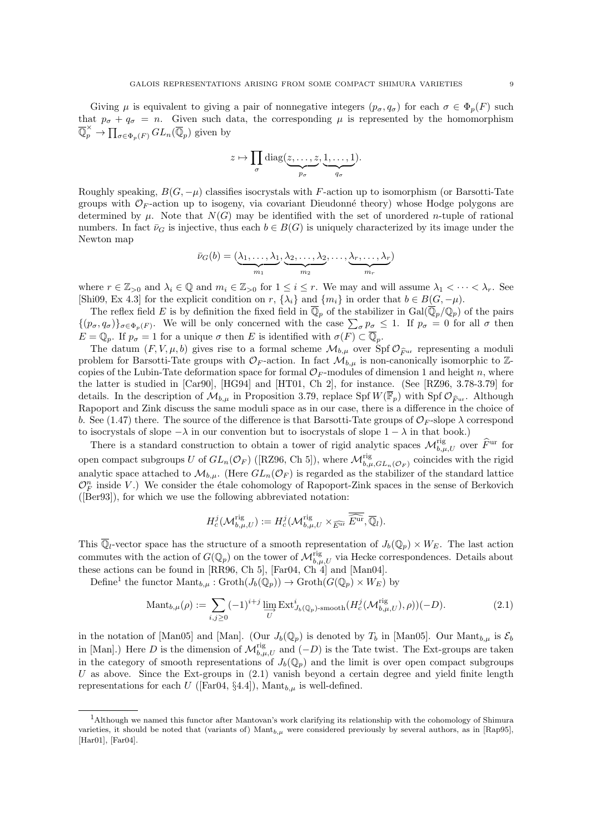Giving  $\mu$  is equivalent to giving a pair of nonnegative integers  $(p_{\sigma}, q_{\sigma})$  for each  $\sigma \in \Phi_p(F)$  such that  $p_{\sigma} + q_{\sigma} = n$ . Given such data, the corresponding  $\mu$  is represented by the homomorphism  $\overline{\mathbb{Q}}_p^{\times} \to \prod_{\sigma \in \Phi_p(F)} GL_n(\overline{\mathbb{Q}}_p)$  given by

$$
z \mapsto \prod_{\sigma} \text{diag}(\underbrace{z, \ldots, z}_{p_{\sigma}}, \underbrace{1, \ldots, 1}_{q_{\sigma}}).
$$

Roughly speaking,  $B(G, -\mu)$  classifies isocrystals with F-action up to isomorphism (or Barsotti-Tate groups with  $\mathcal{O}_F$ -action up to isogeny, via covariant Dieudonné theory) whose Hodge polygons are determined by  $\mu$ . Note that  $N(G)$  may be identified with the set of unordered *n*-tuple of rational numbers. In fact  $\bar{\nu}_G$  is injective, thus each  $b \in B(G)$  is uniquely characterized by its image under the Newton map

$$
\bar{\nu}_G(b) = (\underbrace{\lambda_1, \ldots, \lambda_1}_{m_1}, \underbrace{\lambda_2, \ldots, \lambda_2}_{m_2}, \ldots, \underbrace{\lambda_r, \ldots, \lambda_r}_{m_r})
$$

where  $r \in \mathbb{Z}_{>0}$  and  $\lambda_i \in \mathbb{Q}$  and  $m_i \in \mathbb{Z}_{>0}$  for  $1 \leq i \leq r$ . We may and will assume  $\lambda_1 < \cdots < \lambda_r$ . See [Shi09, Ex 4.3] for the explicit condition on r,  $\{\lambda_i\}$  and  $\{m_i\}$  in order that  $b \in B(G, -\mu)$ .

The reflex field E is by definition the fixed field in  $\overline{\mathbb{Q}}_p$  of the stabilizer in  $Gal(\overline{\mathbb{Q}}_p/\mathbb{Q}_p)$  of the pairs  $\{(p_{\sigma}, q_{\sigma})\}_{\sigma \in \Phi_p(F)}$ . We will be only concerned with the case  $\sum_{\sigma} p_{\sigma} \leq 1$ . If  $p_{\sigma} = 0$  for all  $\sigma$  then  $E = \mathbb{Q}_p$ . If  $p_{\sigma} = 1$  for a unique  $\sigma$  then E is identified with  $\sigma(F) \subset \overline{\mathbb{Q}}_p$ .

The datum  $(F, V, \mu, b)$  gives rise to a formal scheme  $\mathcal{M}_{b,\mu}$  over  $\text{Spf } \mathcal{O}_{\widehat{F}^{\text{ur}}}$  representing a moduli problem for Barsotti-Tate groups with  $\mathcal{O}_F$ -action. In fact  $\mathcal{M}_{b,\mu}$  is non-canonically isomorphic to Zcopies of the Lubin-Tate deformation space for formal  $\mathcal{O}_F$ -modules of dimension 1 and height n, where the latter is studied in [Car90], [HG94] and [HT01, Ch 2], for instance. (See [RZ96, 3.78-3.79] for details. In the description of  $\mathcal{M}_{b,\mu}$  in Proposition 3.79, replace Spf  $W(\overline{\mathbb{F}}_p)$  with Spf  $\mathcal{O}_{\widehat{F}ur}$ . Although Rapoport and Zink discuss the same moduli space as in our case, there is a difference in the choice of b. See (1.47) there. The source of the difference is that Barsotti-Tate groups of  $\mathcal{O}_F$ -slope  $\lambda$  correspond to isocrystals of slope  $-\lambda$  in our convention but to isocrystals of slope  $1 - \lambda$  in that book.)

There is a standard construction to obtain a tower of rigid analytic spaces  $\mathcal{M}_{b,\mu,U}^{\text{rig}}$  over  $\widehat{F}^{\text{ur}}$  for open compact subgroups U of  $GL_n(\mathcal{O}_F)$  ([RZ96, Ch 5]), where  $\mathcal{M}_{b,\mu,GL_n(\mathcal{O}_F)}^{rig}$  coincides with the rigid analytic space attached to  $\mathcal{M}_{b,\mu}$ . (Here  $GL_n(\mathcal{O}_F)$  is regarded as the stabilizer of the standard lattice  $\mathcal{O}_F^n$  inside V.) We consider the étale cohomology of Rapoport-Zink spaces in the sense of Berkovich ([Ber93]), for which we use the following abbreviated notation:

$$
H_c^j(\mathcal{M}_{b,\mu,U}^{\mathrm{rig}}):=H_c^j(\mathcal{M}_{b,\mu,U}^{\mathrm{rig}}\times_{\widehat{E^{\mathrm{ur}}}}\widehat{\overline{\mathcal{L}^{\mathrm{ur}}}},\overline{\mathbb{Q}}_l).
$$

This  $\overline{\mathbb{Q}}_l$ -vector space has the structure of a smooth representation of  $J_b(\mathbb{Q}_p) \times W_E$ . The last action commutes with the action of  $G(\mathbb{Q}_p)$  on the tower of  $\mathcal{M}_{b,\mu,U}^{\text{rig}}$  via Hecke correspondences. Details about these actions can be found in [RR96, Ch 5], [Far04, Ch 4] and [Man04].

Define<sup>1</sup> the functor  $\mathrm{Mant}_{b,\mu}: \mathrm{Groth}(J_b(\mathbb{Q}_p)) \to \mathrm{Groth}(G(\mathbb{Q}_p) \times W_E)$  by

$$
\text{Mant}_{b,\mu}(\rho) := \sum_{i,j \ge 0} (-1)^{i+j} \lim_{U} \text{Ext}^i_{J_b(\mathbb{Q}_p)\text{-smooth}}(H_c^j(\mathcal{M}_{b,\mu,U}^{\text{rig}}), \rho))(-D). \tag{2.1}
$$

in the notation of [Man05] and [Man]. (Our  $J_b(\mathbb{Q}_p)$  is denoted by  $T_b$  in [Man05]. Our Mant<sub>b, $\mu$ </sub> is  $\mathcal{E}_b$ in [Man].) Here D is the dimension of  $\mathcal{M}_{b,\mu,U}^{\text{rig}}$  and  $(-D)$  is the Tate twist. The Ext-groups are taken in the category of smooth representations of  $J_b(\mathbb{Q}_p)$  and the limit is over open compact subgroups U as above. Since the Ext-groups in  $(2.1)$  vanish beyond a certain degree and yield finite length representations for each U ([Far04, §4.4]), Mant $_{b,\mu}$  is well-defined.

<sup>1</sup>Although we named this functor after Mantovan's work clarifying its relationship with the cohomology of Shimura varieties, it should be noted that (variants of) Mant $_{b,\mu}$  were considered previously by several authors, as in [Rap95], [Har01], [Far04].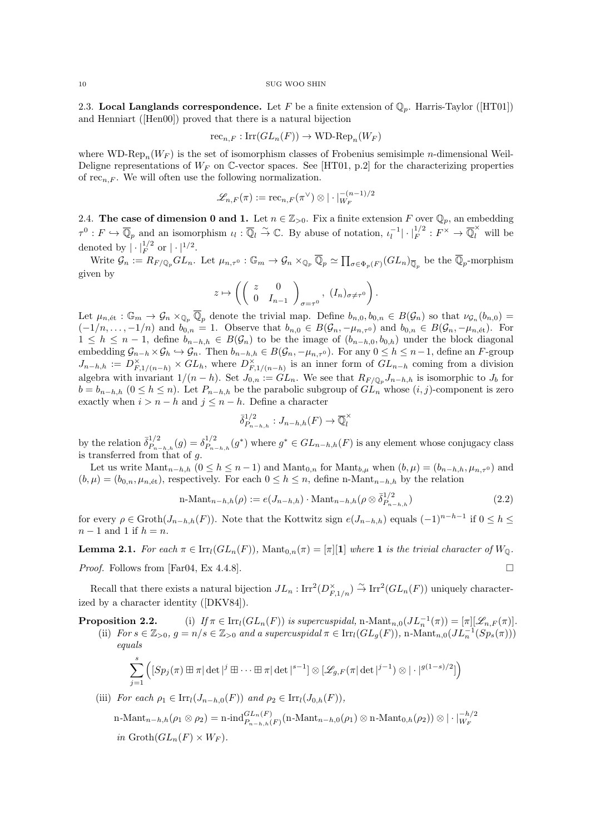2.3. Local Langlands correspondence. Let F be a finite extension of  $\mathbb{Q}_p$ . Harris-Taylor ([HT01]) and Henniart ([Hen00]) proved that there is a natural bijection

$$
\mathrm{rec}_{n,F} : \mathrm{Irr}(GL_n(F)) \to \mathrm{WD}\text{-}\mathrm{Rep}_n(W_F)
$$

where WD-Rep<sub>n</sub>( $W_F$ ) is the set of isomorphism classes of Frobenius semisimple *n*-dimensional Weil-Deligne representations of  $W_F$  on C-vector spaces. See [HT01, p.2] for the characterizing properties of rec<sub>n, F</sub>. We will often use the following normalization.

$$
\mathscr{L}_{n,F}(\pi) := \mathrm{rec}_{n,F}(\pi^{\vee}) \otimes | \cdot |_{W_F}^{-(n-1)/2}
$$

2.4. The case of dimension 0 and 1. Let  $n \in \mathbb{Z}_{>0}$ . Fix a finite extension F over  $\mathbb{Q}_p$ , an embedding  $\tau^0: F \hookrightarrow \overline{\mathbb{Q}}_p$  and an isomorphism  $\iota_l: \overline{\mathbb{Q}}_l \stackrel{\sim}{\to} \mathbb{C}$ . By abuse of notation,  $\iota_l^{-1}|\cdot|_F^{1/2}: F^{\times} \to \overline{\mathbb{Q}}_l^{\times}$  will be denoted by  $|\cdot|_F^{1/2}$  or  $|\cdot|^{1/2}$ .

Write  $\mathcal{G}_n := R_{F/\mathbb{Q}_p} GL_n$ . Let  $\mu_{n,\tau^0} : \mathbb{G}_m \to \mathcal{G}_n \times_{\mathbb{Q}_p} \overline{\mathbb{Q}}_p \simeq \prod_{\sigma \in \Phi_p(F)} (GL_n)_{\overline{\mathbb{Q}}_p}$  be the  $\overline{\mathbb{Q}}_p$ -morphism given by

$$
z \mapsto \left( \left( \begin{array}{cc} z & 0 \\ 0 & I_{n-1} \end{array} \right)_{\sigma = \tau^0}, (I_n)_{\sigma \neq \tau^0} \right).
$$

Let  $\mu_{n,\text{\'et}}$ :  $\mathbb{G}_m \to \mathcal{G}_n \times_{\mathbb{Q}_p} \overline{\mathbb{Q}}_p$  denote the trivial map. Define  $b_{n,0}, b_{0,n} \in B(\mathcal{G}_n)$  so that  $\nu_{\mathcal{G}_n}(b_{n,0}) =$  $(-1/n, \ldots, -1/n)$  and  $b_{0,n} = 1$ . Observe that  $b_{n,0} \in B(\mathcal{G}_n, -\mu_{n,\tau^0})$  and  $b_{0,n} \in B(\mathcal{G}_n, -\mu_{n,\text{\'et}})$ . For  $1 \leq h \leq n-1$ , define  $b_{n-h,h} \in B(\mathcal{G}_n)$  to be the image of  $(b_{n-h,0}, b_{0,h})$  under the block diagonal embedding  $\mathcal{G}_{n-h} \times \mathcal{G}_h \hookrightarrow \mathcal{G}_n$ . Then  $b_{n-h,h} \in B(\mathcal{G}_n, -\mu_{n,\tau^0})$ . For any  $0 \leq h \leq n-1$ , define an F-group  $J_{n-h,h} := D_{F,1/(n-h)}^{\times} \times GL_h$ , where  $D_{F,1/(n-h)}^{\times}$  is an inner form of  $GL_{n-h}$  coming from a division algebra with invariant  $1/(n-h)$ . Set  $J_{0,n} := GL_n$ . We see that  $R_{F/\mathbb{Q}_p} J_{n-h,h}$  is isomorphic to  $J_b$  for  $b = b_{n-h,h}$   $(0 \le h \le n)$ . Let  $P_{n-h,h}$  be the parabolic subgroup of  $GL_n$  whose  $(i, j)$ -component is zero exactly when  $i > n - h$  and  $j \leq n - h$ . Define a character

$$
\overline{\delta}_{P_{n-h,h}}^{1/2}: J_{n-h,h}(F) \to \overline{\mathbb{Q}}_l^{\times}
$$

by the relation  $\bar{\delta}_{P}^{1/2}$  $\delta_{P_{n-h,h}}^{(1/2)}(g) = \delta_{P_{n-h}}^{1/2}$  $P_{n-h,h}^{1/2}(g^*)$  where  $g^* \in GL_{n-h,h}(F)$  is any element whose conjugacy class is transferred from that of g.

Let us write  $\text{Mant}_{n-h,h}$   $(0 \leq h \leq n-1)$  and  $\text{Mant}_{0,n}$  for  $\text{Mant}_{b,\mu}$  when  $(b,\mu) = (b_{n-h,h}, \mu_{n,\tau^0})$  and  $(b, \mu) = (b_{0,n}, \mu_{n, \text{\'et}})$ , respectively. For each  $0 \leq h \leq n$ , define n-Mant<sub>n−h,h</sub> by the relation

$$
n\text{-Mant}_{n-h,h}(\rho) := e(J_{n-h,h}) \cdot \text{Mant}_{n-h,h}(\rho \otimes \overline{\delta}_{P_{n-h,h}}^{1/2})
$$
\n(2.2)

for every  $\rho \in \text{Groth}(J_{n-h,h}(F))$ . Note that the Kottwitz sign  $e(J_{n-h,h})$  equals  $(-1)^{n-h-1}$  if  $0 \le h \le$  $n-1$  and 1 if  $h = n$ .

**Lemma 2.1.** For each  $\pi \in \text{Irr}_l(GL_n(F))$ , Mant<sub>0,n</sub> $(\pi) = |\pi|[1]$  where 1 is the trivial character of  $W_0$ .

*Proof.* Follows from [Far04, Ex 4.4.8].

Recall that there exists a natural bijection  $JL_n: \text{Irr}^2(D_{F,1/n}^\times) \overset{\sim}{\to} \text{Irr}^2(GL_n(F))$  uniquely characterized by a character identity ([DKV84]).

**Proposition 2.2.** (i)  $If \pi \in \text{Irr}_l(GL_n(F))$  is supercuspidal, n- $\text{Mant}_{n,0}(JL_n^{-1}(\pi)) = [\pi][\mathscr{L}_{n,F}(\pi)].$ (ii) For  $s \in \mathbb{Z}_{>0}$ ,  $g = n/s \in \mathbb{Z}_{>0}$  and a supercuspidal  $\pi \in \text{Irr}_l(GL_g(F))$ , n-Mant $_{n,0}(J\overline{L}_n^{-1}(Sp_s(\pi)))$ equals

$$
\sum_{j=1}^s \left( [Sp_j(\pi) \boxplus \pi | \det|^j \boxplus \cdots \boxplus \pi | \det|^{s-1} \right) \otimes [\mathscr{L}_{g,F}(\pi | \det|^{j-1}) \otimes | \cdot |^{g(1-s)/2}] \right)
$$

(iii) For each  $\rho_1 \in \text{Irr}_l(J_{n-h,0}(F))$  and  $\rho_2 \in \text{Irr}_l(J_{0,h}(F)),$ 

n-Mant<sub>n-h,h</sub>(
$$
\rho_1 \otimes \rho_2
$$
) = n-ind<sup>*GL<sub>n</sub>(F)*</sup>  

$$
n_{n-h,h}(p_1) \otimes n \cdot \text{Mant}_{0,h}(\rho_2) \otimes |\cdot|_{W_F}^{-h/2}
$$
  
*in* Groth $(GL_n(F) \times W_F)$ .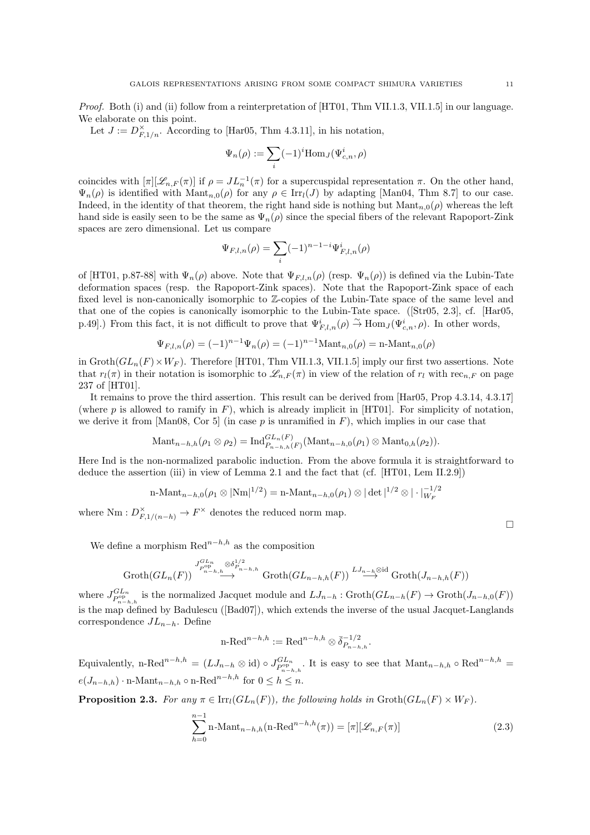Proof. Both (i) and (ii) follow from a reinterpretation of [HT01, Thm VII.1.3, VII.1.5] in our language. We elaborate on this point.

Let  $J := D_{F,1/n}^{\times}$ . According to [Har05, Thm 4.3.11], in his notation,

$$
\Psi_n(\rho) := \sum_i (-1)^i \text{Hom}_J(\Psi_{c,n}^i, \rho)
$$

coincides with  $[\pi][\mathcal{L}_{n,F}(\pi)]$  if  $\rho = JL_n^{-1}(\pi)$  for a supercuspidal representation  $\pi$ . On the other hand,  $\Psi_n(\rho)$  is identified with  $\text{Mant}_{n,0}(\rho)$  for any  $\rho \in \text{Irr}_l(J)$  by adapting [Man04, Thm 8.7] to our case. Indeed, in the identity of that theorem, the right hand side is nothing but  $\text{Mant}_{n,0}(\rho)$  whereas the left hand side is easily seen to be the same as  $\Psi_n(\rho)$  since the special fibers of the relevant Rapoport-Zink spaces are zero dimensional. Let us compare

$$
\Psi_{F,l,n}(\rho) = \sum_{i} (-1)^{n-1-i} \Psi_{F,l,n}^i(\rho)
$$

of [HT01, p.87-88] with  $\Psi_n(\rho)$  above. Note that  $\Psi_{F,l,n}(\rho)$  (resp.  $\Psi_n(\rho)$ ) is defined via the Lubin-Tate deformation spaces (resp. the Rapoport-Zink spaces). Note that the Rapoport-Zink space of each fixed level is non-canonically isomorphic to Z-copies of the Lubin-Tate space of the same level and that one of the copies is canonically isomorphic to the Lubin-Tate space. ([Str05, 2.3], cf. [Har05, p.49. From this fact, it is not difficult to prove that  $\Psi_{F,l,n}^i(\rho) \stackrel{\sim}{\to} \text{Hom}_J(\Psi_{c,n}^i,\rho)$ . In other words,

$$
\Psi_{F,l,n}(\rho) = (-1)^{n-1} \Psi_n(\rho) = (-1)^{n-1} \text{Mant}_{n,0}(\rho) = \text{n-Mant}_{n,0}(\rho)
$$

in  $\mathrm{Groth}(GL_n(F)\times W_F)$ . Therefore [HT01, Thm VII.1.3, VII.1.5] imply our first two assertions. Note that  $r_l(\pi)$  in their notation is isomorphic to  $\mathscr{L}_{n,F}(\pi)$  in view of the relation of  $r_l$  with rec<sub>n,F</sub> on page 237 of [HT01].

It remains to prove the third assertion. This result can be derived from [Har05, Prop 4.3.14, 4.3.17] (where p is allowed to ramify in  $F$ ), which is already implicit in [HT01]. For simplicity of notation, we derive it from [Man08, Cor 5] (in case p is unramified in  $F$ ), which implies in our case that

$$
\text{Mant}_{n-h,h}(\rho_1 \otimes \rho_2) = \text{Ind}_{P_{n-h,h}(F)}^{GL_n(F)}(\text{Mant}_{n-h,0}(\rho_1) \otimes \text{Mant}_{0,h}(\rho_2)).
$$

Here Ind is the non-normalized parabolic induction. From the above formula it is straightforward to deduce the assertion (iii) in view of Lemma 2.1 and the fact that (cf. [HT01, Lem II.2.9])

n-Mant<sub>n-h,0</sub>(
$$
\rho_1 \otimes |\text{Nm}|^{1/2}
$$
) = n-Mant<sub>n-h,0</sub>( $\rho_1$ )  $\otimes |\det|^{1/2} \otimes |\cdot|_{W_F}^{-1/2}$ 

where Nm :  $D_{F,1/(n-h)}^{\times} \to F^{\times}$  denotes the reduced norm map.

We define a morphism  $\text{Red}^{n-h,h}$  as the composition

$$
\operatorname{Groth}(GL_n(F)) \stackrel{J_{P\circ P}^{GL_n}}{\longrightarrow} \stackrel{\otimes \delta_{P_{n-h,h}}^{1/2}}{\longrightarrow} \operatorname{Groth}(GL_{n-h,h}(F)) \stackrel{LJ_{n-h}\otimes \mathrm{id}}{\longrightarrow} \operatorname{Groth}(J_{n-h,h}(F))
$$

where  $J_{P_{n-h,h}^{o,p}}^{GL_n}$  is the normalized Jacquet module and  $LJ_{n-h}$ :  $\text{Groth}(GL_{n-h}(F)) \to \text{Groth}(J_{n-h,0}(F))$ is the map defined by Badulescu ([Bad07]), which extends the inverse of the usual Jacquet-Langlands correspondence  $J_{n-h}$ . Define

$$
\text{n-Red}^{n-h,h} := \text{Red}^{n-h,h} \otimes \bar{\delta}_{P_{n-h,h}}^{-1/2}.
$$

Equivalently, n-Red<sup>n−h,h</sup> =  $(LJ_{n-h} \otimes id) \circ J_{P_{n-h-h}^{o}h}^{GL_n}$ . It is easy to see that  $\text{Mant}_{n-h,h} \circ \text{Red}^{n-h,h}$  =  $e(J_{n-h,h}) \cdot \text{n-Mant}_{n-h,h} \circ \text{n-Red}^{n-h,h}$  for  $0 \leq h \leq n$ .

**Proposition 2.3.** For any  $\pi \in \text{Irr}_l(GL_n(F))$ , the following holds in  $\text{Groth}(GL_n(F) \times W_F)$ .

$$
\sum_{h=0}^{n-1} \text{n-Mant}_{n-h,h}(\text{n-Red}^{n-h,h}(\pi)) = [\pi][\mathcal{L}_{n,F}(\pi)] \tag{2.3}
$$

 $\Box$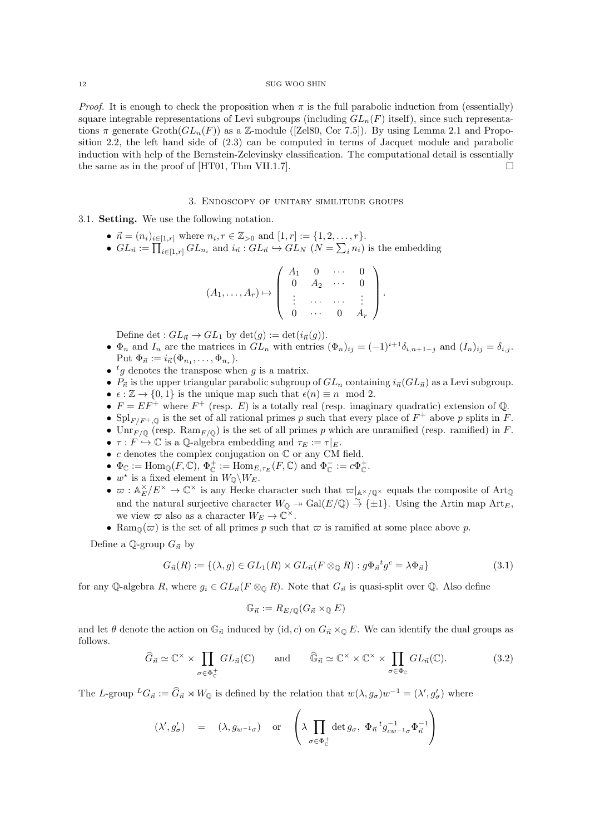*Proof.* It is enough to check the proposition when  $\pi$  is the full parabolic induction from (essentially) square integrable representations of Levi subgroups (including  $GL_n(F)$  itself), since such representations  $\pi$  generate  $\operatorname{Groth}(GL_n(F))$  as a Z-module ([Zel80, Cor 7.5]). By using Lemma 2.1 and Proposition 2.2, the left hand side of (2.3) can be computed in terms of Jacquet module and parabolic induction with help of the Bernstein-Zelevinsky classification. The computational detail is essentially the same as in the proof of  $[HT01, Thm VII.1.7]$ .

## 3. Endoscopy of unitary similitude groups

3.1. Setting. We use the following notation.

- $\vec{n} = (n_i)_{i \in [1,r]}$  where  $n_i, r \in \mathbb{Z}_{>0}$  and  $[1,r] := \{1, 2, \ldots, r\}.$
- $GL_{\vec{n}} := \prod_{i \in [1,r]} GL_{n_i}$  and  $i_{\vec{n}} : GL_{\vec{n}} \hookrightarrow GL_N$   $(N = \sum_i n_i)$  is the embedding

| $(A_1, \ldots, A_r) \mapsto \left( \begin{array}{cccc} A_1 & 0 & \cdots & 0 \\ 0 & A_2 & \cdots & 0 \\ \vdots & \cdots & \cdots & \vdots \\ 0 & \cdots & 0 & A_r \end{array} \right).$ |  |  |  |
|----------------------------------------------------------------------------------------------------------------------------------------------------------------------------------------|--|--|--|
|                                                                                                                                                                                        |  |  |  |

Define det :  $GL_{\vec{n}} \to GL_1$  by  $\det(g) := \det(i_{\vec{n}}(g)).$ 

- $\Phi_n$  and  $I_n$  are the matrices in  $GL_n$  with entries  $(\Phi_n)_{ij} = (-1)^{i+1} \delta_{i,n+1-j}$  and  $(I_n)_{ij} = \delta_{i,j}$ . Put  $\Phi_{\vec{n}} := i_{\vec{n}}(\Phi_{n_1}, \ldots, \Phi_{n_r}).$
- $ig$  denotes the transpose when g is a matrix.
- $P_{\vec{n}}$  is the upper triangular parabolic subgroup of  $GL_n$  containing  $i_{\vec{n}}(GL_{\vec{n}})$  as a Levi subgroup.
- $\epsilon : \mathbb{Z} \to \{0, 1\}$  is the unique map such that  $\epsilon(n) \equiv n \mod 2$ .
- $F = EF^{+}$  where  $F^{+}$  (resp. E) is a totally real (resp. imaginary quadratic) extension of Q.
- Spl<sub>F/F<sup>+</sup>,Q</sub> is the set of all rational primes p such that every place of  $F^+$  above p splits in F.
- $\text{Unr}_{F/\mathbb{Q}}$  (resp.  $\text{Ram}_{F/\mathbb{Q}}$ ) is the set of all primes p which are unramified (resp. ramified) in F.
- $\tau : F \hookrightarrow \mathbb{C}$  is a Q-algebra embedding and  $\tau_E := \tau |_E$ .
- $c$  denotes the complex conjugation on  $\mathbb C$  or any CM field.
- $\Phi_{\mathbb{C}} := \text{Hom}_{\mathbb{Q}}(F, \mathbb{C}), \Phi_{\mathbb{C}}^+ := \text{Hom}_{E, \tau_E}(F, \mathbb{C}) \text{ and } \Phi_{\mathbb{C}}^- := c \Phi_{\mathbb{C}}^+$ .
- $w^*$  is a fixed element in  $W_{\mathbb{Q}}\backslash W_E$ .
- $\varpi : \mathbb{A}_{E}^{\times}/E^{\times} \to \mathbb{C}^{\times}$  is any Hecke character such that  $\varpi|_{\mathbb{A}^{\times}/\mathbb{Q}^{\times}}$  equals the composite of Art<sub>Q</sub> and the natural surjective character  $W_{\mathbb{Q}} \twoheadrightarrow \text{Gal}(E/\mathbb{Q}) \stackrel{\sim}{\to} {\{\pm 1\}}$ . Using the Artin map  $\text{Art}_E$ , we view  $\varpi$  also as a character  $W_E \to \mathbb{C}^{\times}$ .
- Ram<sub> $\mathbb{Q}(\varpi)$ </sub> is the set of all primes p such that  $\varpi$  is ramified at some place above p.

Define a Q-group  $G_{\vec{n}}$  by

$$
G_{\vec{n}}(R) := \{ (\lambda, g) \in GL_1(R) \times GL_{\vec{n}}(F \otimes_{\mathbb{Q}} R) : g\Phi_{\vec{n}}^{\ t}g^c = \lambda \Phi_{\vec{n}} \}
$$
(3.1)

for any Q-algebra R, where  $g_i \in GL_{\vec{n}}(F \otimes_{\mathbb{Q}} R)$ . Note that  $G_{\vec{n}}$  is quasi-split over Q. Also define

$$
\mathbb{G}_{\vec{n}} := R_{E/\mathbb{Q}}(G_{\vec{n}} \times_{\mathbb{Q}} E)
$$

and let  $\theta$  denote the action on  $\mathbb{G}_{\vec{n}}$  induced by (id, c) on  $G_{\vec{n}} \times_{\mathbb{Q}} E$ . We can identify the dual groups as follows.

$$
\widehat{G}_{\vec{n}} \simeq \mathbb{C}^{\times} \times \prod_{\sigma \in \Phi_{\mathbb{C}}^+} GL_{\vec{n}}(\mathbb{C}) \quad \text{and} \quad \widehat{\mathbb{G}}_{\vec{n}} \simeq \mathbb{C}^{\times} \times \mathbb{C}^{\times} \times \prod_{\sigma \in \Phi_{\mathbb{C}}} GL_{\vec{n}}(\mathbb{C}). \tag{3.2}
$$

The L-group  ${}^L G_{\vec{n}} := \hat{G}_{\vec{n}} \rtimes W_{\mathbb{Q}}$  is defined by the relation that  $w(\lambda, g_{\sigma})w^{-1} = (\lambda', g'_{\sigma})$  where

$$
(\lambda', g'_{\sigma}) = (\lambda, g_{w^{-1}\sigma}) \text{ or } \left(\lambda \prod_{\sigma \in \Phi_{\mathbb{C}}^+} \det g_{\sigma}, \ \Phi_{\vec{n}} \,^t g_{cw^{-1}\sigma}^{-1} \Phi_{\vec{n}}^{-1}\right)
$$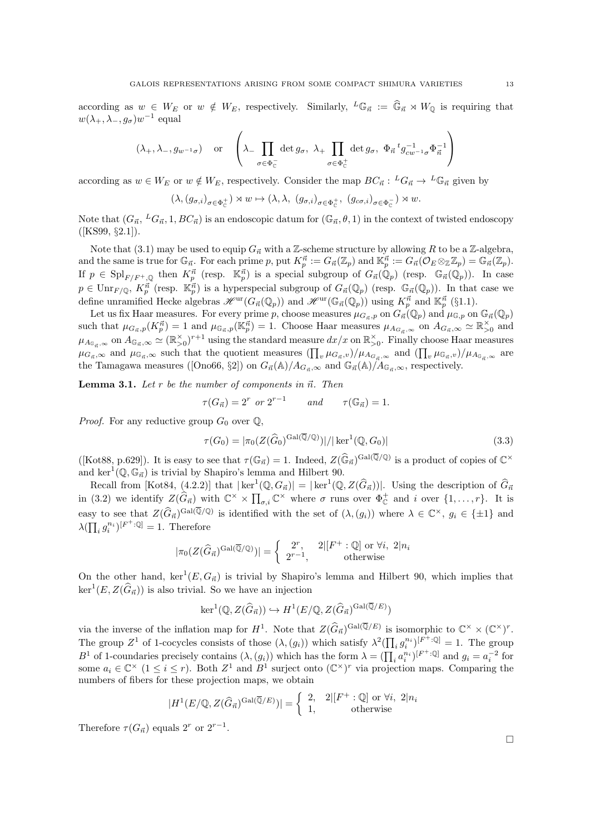according as  $w \in W_E$  or  $w \notin W_E$ , respectively. Similarly,  $^L \mathbb{G}_{\vec{n}} := \widehat{\mathbb{G}}_{\vec{n}} \rtimes W_{\mathbb{Q}}$  is requiring that  $w(\lambda_+, \lambda_-, g_\sigma)w^{-1}$  equal

$$
(\lambda_+, \lambda_-, g_{w^{-1}\sigma})
$$
 or  $\left(\lambda_-\prod_{\sigma\in\Phi_C^-} \det g_{\sigma}, \lambda_+\prod_{\sigma\in\Phi_C^+} \det g_{\sigma}, \Phi_{\vec{n}}{}^t g_{cw^{-1}\sigma}^{-1} \Phi_{\vec{n}}^{-1}\right)$ 

according as  $w \in W_E$  or  $w \notin W_E$ , respectively. Consider the map  $BC_{\vec{n}} : {}^L G_{\vec{n}} \to {}^L \mathbb{G}_{\vec{n}}$  given by

$$
(\lambda, (g_{\sigma,i})_{\sigma\in\Phi^+_{\mathbb C}})\rtimes w\mapsto (\lambda, \lambda,\ (g_{\sigma,i})_{\sigma\in\Phi^+_{\mathbb C}},\ (g_{c\sigma,i})_{\sigma\in\Phi^-_{\mathbb C}})\rtimes w.
$$

Note that  $(G_{\vec{n}},{}^L G_{\vec{n}}, 1, BC_{\vec{n}})$  is an endoscopic datum for  $(\mathbb{G}_{\vec{n}}, \theta, 1)$  in the context of twisted endoscopy ([KS99, §2.1]).

Note that (3.1) may be used to equip  $G_{\vec{n}}$  with a Z-scheme structure by allowing R to be a Z-algebra, and the same is true for  $\mathbb{G}_{\vec{n}}$ . For each prime p, put  $K^{\vec{n}}_p := G_{\vec{n}}(\mathbb{Z}_p)$  and  $\mathbb{K}^{\vec{n}}_p := G_{\vec{n}}(\mathcal{O}_E \otimes_{\mathbb{Z}} \mathbb{Z}_p) = \mathbb{G}_{\vec{n}}(\mathbb{Z}_p)$ . If  $p \in \text{Spl}_{F/F^+,\mathbb{Q}}$  then  $K_p^{\vec{n}}$  (resp.  $\mathbb{K}_p^{\vec{n}}$ ) is a special subgroup of  $G_{\vec{n}}(\mathbb{Q}_p)$  (resp.  $\mathbb{G}_{\vec{n}}(\mathbb{Q}_p)$ ). In case  $p \in \text{Unr}_{F/\mathbb{Q}}, K^{\vec{n}}_p$  (resp.  $\mathbb{K}_p^{\vec{n}}$ ) is a hyperspecial subgroup of  $G_{\vec{n}}(\mathbb{Q}_p)$  (resp.  $\mathbb{G}_{\vec{n}}(\mathbb{Q}_p)$ ). In that case we define unramified Hecke algebras  $\mathscr{H}^{\mathrm{ur}}(G_{\vec{n}}(\mathbb{Q}_p))$  and  $\mathscr{H}^{\mathrm{ur}}(\mathbb{G}_{\vec{n}}(\mathbb{Q}_p))$  using  $K_p^{\vec{n}}$  and  $\mathbb{K}_p^{\vec{n}}$  (§1.1).

Let us fix Haar measures. For every prime p, choose measures  $\mu_{G_{\vec{n}},p}$  on  $G_{\vec{n}}(\mathbb{Q}_p)$  and  $\mu_{\mathbb{G},p}$  on  $\mathbb{G}_{\vec{n}}(\mathbb{Q}_p)$ such that  $\mu_{G_{\vec{n}},p}(K_p^{\vec{n}}) = 1$  and  $\mu_{\mathbb{G}_{\vec{n}},p}(\mathbb{K}_p^{\vec{n}}) = 1$ . Choose Haar measures  $\mu_{A_{G_{\vec{n}}},\infty}$  on  $A_{G_{\vec{n}},\infty} \simeq \mathbb{R}_{>0}^{\times}$  and  $\mu_{A_{\mathbb{G}_{\vec{n}}},\infty}$  on  $A_{\mathbb{G}_{\vec{n}},\infty} \simeq (\mathbb{R}_{>0}^{\times})^{r+1}$  using the standard measure  $dx/x$  on  $\mathbb{R}_{>0}^{\times}$ . Finally choose Haar measures  $\mu_{G_{\vec{n}},\infty}$  and  $\mu_{\mathbb{G}_{\vec{n}},\infty}$  such that the quotient measures  $(\prod_{v} \mu_{G_{\vec{n}},v})/\mu_{A_{G_{\vec{n}},\infty}}$  and  $(\prod_{v} \mu_{\mathbb{G}_{\vec{n}},v})/\mu_{A_{\mathbb{G}_{\vec{n}}},\infty}$  are the Tamagawa measures ([Ono66, §2]) on  $G_{\vec{n}}(\mathbb{A})/A_{G_{\vec{n}},\infty}$  and  $\mathbb{G}_{\vec{n}}(\mathbb{A})/A_{G_{\vec{n}},\infty}$ , respectively.

**Lemma 3.1.** Let r be the number of components in  $\vec{n}$ . Then

$$
\tau(G_{\vec{n}}) = 2^r \text{ or } 2^{r-1} \qquad \text{and} \qquad \tau(\mathbb{G}_{\vec{n}}) = 1.
$$

*Proof.* For any reductive group  $G_0$  over  $\mathbb{Q}$ ,

$$
\tau(G_0) = |\pi_0(Z(\widehat{G}_0)^{\text{Gal}(\overline{\mathbb{Q}}/\mathbb{Q})})| / |\ker^1(\mathbb{Q}, G_0)| \tag{3.3}
$$

([Kot88, p.629]). It is easy to see that  $\tau(\mathbb{G}_{\vec{n}}) = 1$ . Indeed,  $Z(\widehat{\mathbb{G}}_{\vec{n}})^{\text{Gal}(\overline{\mathbb{Q}}/\mathbb{Q})}$  is a product of copies of  $\mathbb{C}^{\times}$ and ker<sup>1</sup>( $\mathbb{Q}, \mathbb{G}_n$ ) is trivial by Shapiro's lemma and Hilbert 90.

Recall from [Kot84, (4.2.2)] that  $|\ker^1(\mathbb{Q}, G_{\vec{n}})| = |\ker^1(\mathbb{Q}, Z(\widehat{G}_{\vec{n}}))|$ . Using the description of  $\widehat{G}_{\vec{n}}$ in (3.2) we identify  $Z(\widehat{G}_{\vec{n}})$  with  $\mathbb{C}^{\times} \times \prod_{\sigma,i} \mathbb{C}^{\times}$  where  $\sigma$  runs over  $\Phi_{\mathbb{C}}^{+}$  and i over  $\{1,\ldots,r\}$ . It is easy to see that  $Z(\widehat{G}_{\vec{n}})^{\text{Gal}(\overline{\mathbb{Q}}/\mathbb{Q})}$  is identified with the set of  $(\lambda, (g_i))$  where  $\lambda \in \mathbb{C}^{\times}$ ,  $g_i \in {\{\pm 1\}}$  and  $\lambda(\prod_i g_i^{n_i})^{[F^+:\mathbb{Q}]} = 1.$  Therefore

$$
|\pi_0(Z(\widehat{G}_{\vec{n}})^{\text{Gal}(\overline{\mathbb{Q}}/\mathbb{Q})})| = \begin{cases} 2^r, & 2 \mid [F^+ : \mathbb{Q}] \text{ or } \forall i, 2 \mid n_i \\ 2^{r-1}, & \text{otherwise} \end{cases}
$$

On the other hand,  $\ker^1(E, G_{\vec{n}})$  is trivial by Shapiro's lemma and Hilbert 90, which implies that  $\ker^1(E, Z(\widehat{G}_{\vec{n}}))$  is also trivial. So we have an injection

$$
\ker^1(\mathbb{Q}, Z(\widehat{G}_{\vec{n}})) \hookrightarrow H^1(E/\mathbb{Q}, Z(\widehat{G}_{\vec{n}})^{\mathrm{Gal}(\overline{\mathbb{Q}}/E)})
$$

via the inverse of the inflation map for  $H^1$ . Note that  $Z(\widehat{G}_{\vec{n}})^{Gal(\overline{\mathbb{Q}}/E)}$  is isomorphic to  $\mathbb{C}^\times \times (\mathbb{C}^\times)^r$ . The group  $Z^1$  of 1-cocycles consists of those  $(\lambda, (g_i))$  which satisfy  $\lambda^2(\prod_i g_i^{n_i})^{[F^+:\mathbb{Q}]} = 1$ . The group  $B^1$  of 1-coundaries precisely contains  $(\lambda, (g_i))$  which has the form  $\lambda = (\prod_i a_i^{n_i})^{[F^+:\mathbb{Q}]}$  and  $g_i = a_i^{-2}$  for some  $a_i \in \mathbb{C}^\times$   $(1 \leq i \leq r)$ . Both  $Z^1$  and  $B^1$  surject onto  $(\mathbb{C}^\times)^r$  via projection maps. Comparing the numbers of fibers for these projection maps, we obtain

$$
|H^1(E/\mathbb{Q}, Z(\widehat{G}_{\vec{n}})^{\mathrm{Gal}(\overline{\mathbb{Q}}/E)})| = \begin{cases} 2, & 2| [F^+:\mathbb{Q}] \text{ or } \forall i, 2|n_i\\ 1, & \text{otherwise} \end{cases}
$$

Therefore  $\tau(G_{\vec{n}})$  equals  $2^r$  or  $2^{r-1}$ .

 $\Box$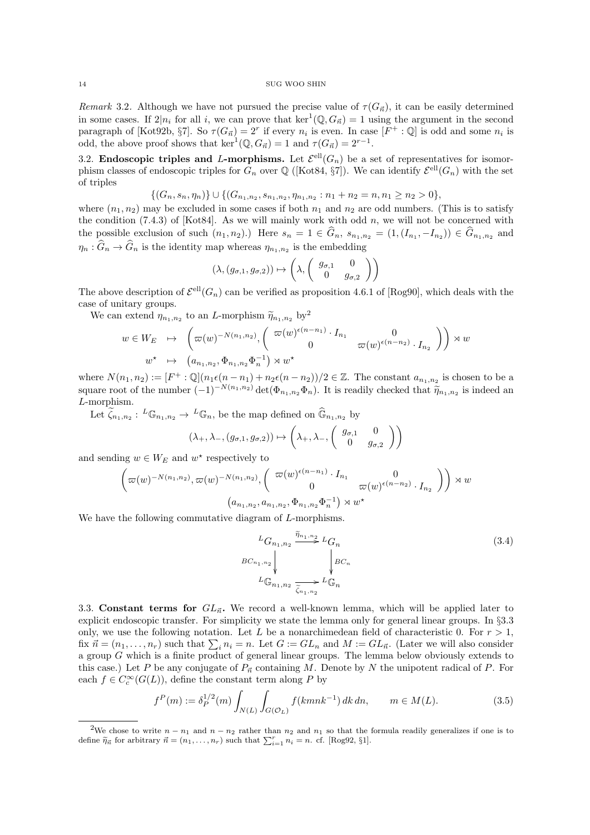Remark 3.2. Although we have not pursued the precise value of  $\tau(G_{\vec{n}})$ , it can be easily determined in some cases. If  $2|n_i$  for all i, we can prove that  $\ker^1(\mathbb{Q}, G_{\vec{n}}) = 1$  using the argument in the second paragraph of [Kot92b, §7]. So  $\tau(G_{\vec{n}}) = 2^r$  if every  $n_i$  is even. In case  $[F^+ : \mathbb{Q}]$  is odd and some  $n_i$  is odd, the above proof shows that  $\ker^1(\mathbb{Q}, G_{\vec{n}}) = 1$  and  $\tau(G_{\vec{n}}) = 2^{r-1}$ .

3.2. Endoscopic triples and L-morphisms. Let  $\mathcal{E}^{ell}(G_n)$  be a set of representatives for isomorphism classes of endoscopic triples for  $G_n$  over  $\mathbb{Q}$  ([Kot84, §7]). We can identify  $\mathcal{E}^{\text{ell}}(G_n)$  with the set of triples

$$
\{(G_n, s_n, \eta_n)\}\cup \{(G_{n_1,n_2}, s_{n_1,n_2}, \eta_{n_1,n_2}: n_1+n_2=n, n_1\geq n_2>0\},\
$$

where  $(n_1, n_2)$  may be excluded in some cases if both  $n_1$  and  $n_2$  are odd numbers. (This is to satisfy the condition  $(7.4.3)$  of [Kot84]. As we will mainly work with odd n, we will not be concerned with the possible exclusion of such  $(n_1, n_2)$ .) Here  $s_n = 1 \in G_n$ ,  $s_{n_1, n_2} = (1, (I_{n_1}, -I_{n_2})) \in G_{n_1, n_2}$  and  $\eta_n$ :  $G_n \to G_n$  is the identity map whereas  $\eta_{n_1,n_2}$  is the embedding

$$
(\lambda, (g_{\sigma,1}, g_{\sigma,2})) \mapsto \left(\lambda, \begin{pmatrix} g_{\sigma,1} & 0 \\ 0 & g_{\sigma,2} \end{pmatrix}\right)
$$

The above description of  $\mathcal{E}^{\text{ell}}(G_n)$  can be verified as proposition 4.6.1 of [Rog90], which deals with the case of unitary groups.

We can extend  $\eta_{n_1,n_2}$  to an L-morphism  $\widetilde{\eta}_{n_1,n_2}$  by<sup>2</sup>

$$
w \in W_E \quad \mapsto \quad \left(\varpi(w)^{-N(n_1, n_2)}, \left(\begin{array}{cc} \varpi(w)^{\epsilon(n-n_1)} \cdot I_{n_1} & 0\\ 0 & \varpi(w)^{\epsilon(n-n_2)} \cdot I_{n_2} \end{array}\right)\right) \rtimes w
$$
\n
$$
w^\star \quad \mapsto \quad \left(a_{n_1, n_2}, \Phi_{n_1, n_2} \Phi_n^{-1}\right) \rtimes w^\star
$$

where  $N(n_1, n_2) := [F^+ : \mathbb{Q}](n_1 \epsilon (n - n_1) + n_2 \epsilon (n - n_2))/2 \in \mathbb{Z}$ . The constant  $a_{n_1, n_2}$  is chosen to be a square root of the number  $(-1)^{-N(n_1,n_2)} \det(\Phi_{n_1,n_2}\Phi_n)$ . It is readily checked that  $\widetilde{\eta}_{n_1,n_2}$  is indeed and  $I$  morphism L-morphism.

Let  $\tilde{\zeta}_{n_1,n_2}: L\mathbb{G}_{n_1,n_2} \to L\mathbb{G}_n$ , be the map defined on  $\widehat{\mathbb{G}}_{n_1,n_2}$  by

$$
(\lambda_+, \lambda_-, (g_{\sigma,1}, g_{\sigma,2})) \mapsto \left(\lambda_+, \lambda_-, \begin{pmatrix} g_{\sigma,1} & 0 \\ 0 & g_{\sigma,2} \end{pmatrix}\right)
$$

and sending  $w \in W_E$  and  $w^*$  respectively to

$$
\left(\n\varpi(w)^{-N(n_1,n_2)}, \n\varpi(w)^{-N(n_1,n_2)}, \begin{pmatrix} \n\varpi(w)^{\epsilon(n-n_1)} \cdot I_{n_1} & 0 \\
0 & \n\varpi(w)^{\epsilon(n-n_2)} \cdot I_{n_2} \n\end{pmatrix}\n\right) \rtimes w
$$
\n
$$
(a_{n_1,n_2}, a_{n_1,n_2}, \Phi_{n_1,n_2} \Phi_n^{-1}) \rtimes w^*
$$

We have the following commutative diagram of L-morphisms.

$$
{}^{L}G_{n_{1},n_{2}} \overset{\widetilde{\eta}_{n_{1},n_{2}}}{\underset{\forall}{\longrightarrow}} {}^{L}G_{n}
$$
\n
$$
{}^{B}C_{n_{1},n_{2}} \overset{\langle}{\underset{\forall}{\downarrow}} {}^{L}G_{n} \overset{\langle}{\underset{\forall}{\downarrow}} {}^{L}G_{n}
$$
\n
$$
{}^{L}\mathbb{G}_{n_{1},n_{2}} \overset{\langle}{\underset{\forall}{\sim}} {}^{L}G_{n}
$$
\n
$$
(3.4)
$$

3.3. Constant terms for  $GL_{\vec{n}}$ . We record a well-known lemma, which will be applied later to explicit endoscopic transfer. For simplicity we state the lemma only for general linear groups. In §3.3 only, we use the following notation. Let L be a nonarchimedean field of characteristic 0. For  $r > 1$ , fix  $\vec{n} = (n_1, \ldots, n_r)$  such that  $\sum_i n_i = n$ . Let  $G := GL_n$  and  $M := GL_{\vec{n}}$ . (Later we will also consider a group G which is a finite product of general linear groups. The lemma below obviously extends to this case.) Let P be any conjugate of  $P_{\vec{n}}$  containing M. Denote by N the unipotent radical of P. For each  $f \in C_c^{\infty}(G(L))$ , define the constant term along P by

$$
f^{P}(m) := \delta_P^{1/2}(m) \int_{N(L)} \int_{G(\mathcal{O}_L)} f(kmnk^{-1}) \, dk \, dn, \qquad m \in M(L). \tag{3.5}
$$

<sup>&</sup>lt;sup>2</sup>We chose to write  $n - n_1$  and  $n - n_2$  rather than  $n_2$  and  $n_1$  so that the formula readily generalizes if one is to define  $\tilde{\eta}_{\vec{n}}$  for arbitrary  $\vec{n} = (n_1, \ldots, n_r)$  such that  $\sum_{i=1}^r n_i = n$ . cf. [Rog92, §1].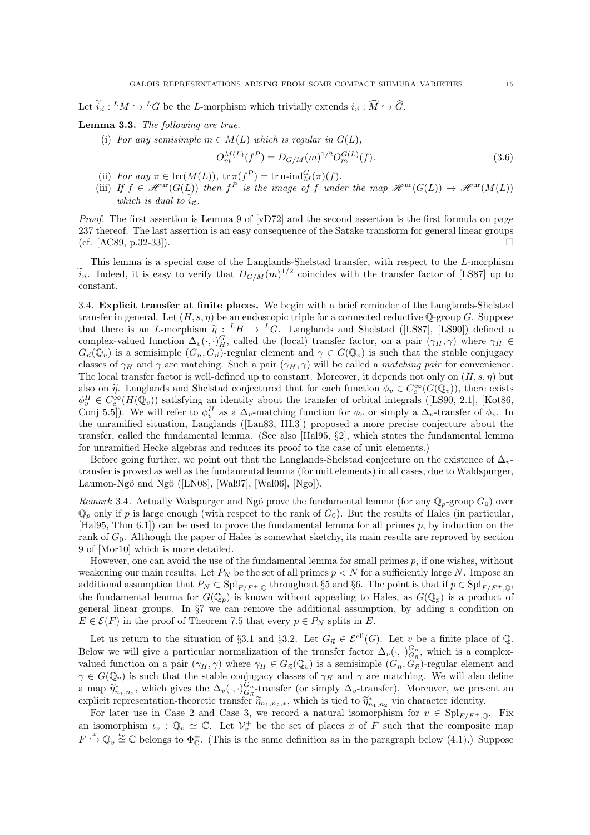Let  $\tilde{i}_{\vec{n}} : M \hookrightarrow {}^L G$  be the L-morphism which trivially extends  $i_{\vec{n}} : \tilde{M} \hookrightarrow \tilde{G}$ .

## Lemma 3.3. The following are true.

(i) For any semisimple  $m \in M(L)$  which is regular in  $G(L)$ ,

$$
O_m^{M(L)}(f^P) = D_{G/M}(m)^{1/2} O_m^{G(L)}(f). \tag{3.6}
$$

- (ii) For any  $\pi \in \text{Irr}(M(L))$ ,  $\text{tr } \pi(f^P) = \text{tr } \text{n-ind}_M^G(\pi)(f)$ .
- (iii) If  $f \in \mathcal{H}^{\text{ur}}(G(L))$  then  $f^P$  is the image of f under the map  $\mathcal{H}^{\text{ur}}(G(L)) \to \mathcal{H}^{\text{ur}}(M(L))$ which is dual to  $\tilde{i}_{\vec{n}}$ .

*Proof.* The first assertion is Lemma 9 of  $[vD72]$  and the second assertion is the first formula on page 237 thereof. The last assertion is an easy consequence of the Satake transform for general linear groups (cf. [AC89, p.32-33]).

This lemma is a special case of the Langlands-Shelstad transfer, with respect to the L-morphism  $\tilde{i}_{\vec{n}}$ . Indeed, it is easy to verify that  $D_{G/M}(m)^{1/2}$  coincides with the transfer factor of [LS87] up to constant.

3.4. Explicit transfer at finite places. We begin with a brief reminder of the Langlands-Shelstad transfer in general. Let  $(H, s, \eta)$  be an endoscopic triple for a connected reductive  $\mathbb{Q}$ -group G. Suppose that there is an L-morphism  $\tilde{\eta}: {}^L H \to {}^L G$ . Langlands and Shelstad ([LS87], [LS90]) defined a<br>complex valued function  $\Delta$  (e.g.)<sup>G</sup> called the (local) transfer factor, on a pair  $(\alpha x, \alpha)$  where  $\alpha x \in$ complex-valued function  $\Delta_v(\cdot, \cdot)_H^G$ , called the (local) transfer factor, on a pair  $(\gamma_H, \gamma)$  where  $\gamma_H \in$  $G_{\vec{n}}(\mathbb{Q}_v)$  is a semisimple  $(G_n, G_{\vec{n}})$ -regular element and  $\gamma \in G(\mathbb{Q}_v)$  is such that the stable conjugacy classes of  $\gamma_H$  and  $\gamma$  are matching. Such a pair  $(\gamma_H, \gamma)$  will be called a *matching pair* for convenience. The local transfer factor is well-defined up to constant. Moreover, it depends not only on  $(H, s, \eta)$  but also on  $\widetilde{\eta}$ . Langlands and Shelstad conjectured that for each function  $\phi_v \in C_c^{\infty}(G(\mathbb{Q}_v))$ , there exists  $\phi^H \in C^{\infty}(H(\mathbb{Q}_v))$  satisfying an identity about the transfer of exhibition integrals (II S00, 2.1) [K  $\phi_v^H \in C_c^{\infty}(H(\mathbb{Q}_v))$  satisfying an identity about the transfer of orbital integrals ([LS90, 2.1], [Kot86, Conj 5.5]). We will refer to  $\phi_v^H$  as a  $\Delta_v$ -matching function for  $\phi_v$  or simply a  $\Delta_v$ -transfer of  $\phi_v$ . In the unramified situation, Langlands ([Lan83, III.3]) proposed a more precise conjecture about the transfer, called the fundamental lemma. (See also [Hal95, §2], which states the fundamental lemma for unramified Hecke algebras and reduces its proof to the case of unit elements.)

Before going further, we point out that the Langlands-Shelstad conjecture on the existence of  $\Delta_v$ transfer is proved as well as the fundamental lemma (for unit elements) in all cases, due to Waldspurger, Laumon-Ngô and Ngô ([LN08], [Wal97], [Wal06],  $[Ng0]$ ].

Remark 3.4. Actually Walspurger and Ngô prove the fundamental lemma (for any  $\mathbb{Q}_p$ -group  $G_0$ ) over  $\mathbb{Q}_p$  only if p is large enough (with respect to the rank of  $G_0$ ). But the results of Hales (in particular,  $[Ha195, Thm 6.1])$  can be used to prove the fundamental lemma for all primes  $p$ , by induction on the rank of  $G_0$ . Although the paper of Hales is somewhat sketchy, its main results are reproved by section 9 of [Mor10] which is more detailed.

However, one can avoid the use of the fundamental lemma for small primes  $p$ , if one wishes, without weakening our main results. Let  $P_N$  be the set of all primes  $p < N$  for a sufficiently large N. Impose an additional assumption that  $P_N \subset \mathrm{Spl}_{F/F^+,\mathbb{Q}}$  throughout §5 and §6. The point is that if  $p \in \mathrm{Spl}_{F/F^+,\mathbb{Q}}$ , the fundamental lemma for  $G(\mathbb{Q}_p)$  is known without appealing to Hales, as  $G(\mathbb{Q}_p)$  is a product of general linear groups. In §7 we can remove the additional assumption, by adding a condition on  $E \in \mathcal{E}(F)$  in the proof of Theorem 7.5 that every  $p \in P_N$  splits in E.

Let us return to the situation of §3.1 and §3.2. Let  $G_{\vec{n}} \in \mathcal{E}^{\text{ell}}(G)$ . Let v be a finite place of Q. Below we will give a particular normalization of the transfer factor  $\Delta_v(\cdot, \cdot)_{G_n}^{G_n}$ , which is a complexvalued function on a pair  $(\gamma_H, \gamma)$  where  $\gamma_H \in G_{\vec{n}}(\mathbb{Q}_v)$  is a semisimple  $(G_n, G_{\vec{n}})$ -regular element and  $\gamma \in G(\mathbb{Q}_v)$  is such that the stable conjugacy classes of  $\gamma_H$  and  $\gamma$  are matching. We will also define a map  $\widetilde{\eta}_{n_1,n_2}^*$ , which gives the  $\Delta_v(\cdot,\cdot)_{G_n}^{G_n}$ -transfer (or simply  $\Delta_v$ -transfer). Moreover, we present an evolution theoretic transfer  $\widetilde{\alpha}$  which is tied to  $\widetilde{\alpha}^*$  wie characteristic identity. explicit representation-theoretic transfer  $\tilde{\eta}_{n_1,n_2,*}$ , which is tied to  $\tilde{\eta}_{n_1,n_2}^*$  via character identity.

For later use in Case 2 and Case 3, we record a natural isomorphism for  $v \in \mathrm{Spl}_{F/F^+,\mathbb{Q}}$ . Fix an isomorphism  $\iota_v : \mathbb{Q}_v \simeq \mathbb{C}$ . Let  $\mathcal{V}_v^+$  be the set of places x of F such that the composite map  $F \stackrel{x}{\hookrightarrow} \overline{\mathbb{Q}}_v \stackrel{\iota_v}{\simeq} \mathbb{C}$  belongs to  $\Phi_{\mathbb{C}}^{\dagger}$ . (This is the same definition as in the paragraph below (4.1).) Suppose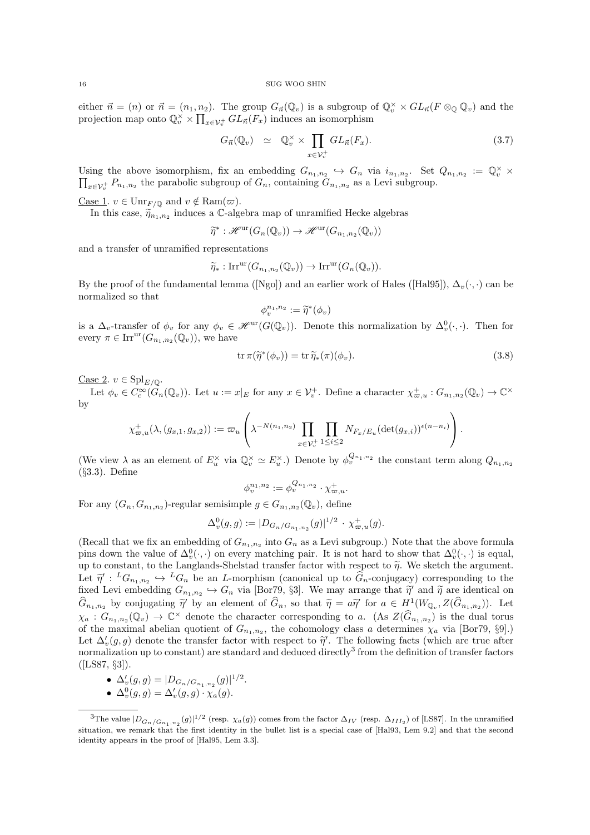either  $\vec{n} = (n)$  or  $\vec{n} = (n_1, n_2)$ . The group  $G_{\vec{n}}(\mathbb{Q}_v)$  is a subgroup of  $\mathbb{Q}_v^{\times} \times GL_{\vec{n}}(F \otimes_{\mathbb{Q}} \mathbb{Q}_v)$  and the projection map onto  $\mathbb{Q}_v^{\times} \times \prod_{x \in \mathcal{V}_v^+} GL_n(F_x)$  induces an isomorphism

$$
G_{\vec{n}}(\mathbb{Q}_v) \simeq \mathbb{Q}_v^{\times} \times \prod_{x \in \mathcal{V}_v^+} GL_{\vec{n}}(F_x). \tag{3.7}
$$

Using the above isomorphism, fix an embedding  $G_{n_1,n_2} \hookrightarrow G_n$  via  $i_{n_1,n_2}$ . Set  $Q_{n_1,n_2} := \mathbb{Q}_v^{\times} \times \prod_{\tau \in \mathcal{V}^+} P_{n_1,n_2}$  the parabolic subgroup of  $G_n$ , containing  $G_{n_1,n_2}$  as a Levi subgroup.  $x \in V_v^+$   $P_{n_1,n_2}$  the parabolic subgroup of  $G_n$ , containing  $G_{n_1,n_2}$  as a Levi subgroup.

Case 1.  $v \in \text{Unr}_{F/\mathbb{Q}}$  and  $v \notin \text{Ram}(\varpi)$ .

In this case,  $\widetilde{\eta}_{n_1,n_2}$  induces a C-algebra map of unramified Hecke algebras

$$
\widetilde{\eta}^* : \mathscr{H}^{\mathrm{ur}}(G_n(\mathbb{Q}_v)) \to \mathscr{H}^{\mathrm{ur}}(G_{n_1,n_2}(\mathbb{Q}_v))
$$

and a transfer of unramified representations

$$
\widetilde{\eta}_* : \mathrm{Irr}^{\mathrm{ur}}(G_{n_1,n_2}(\mathbb{Q}_v)) \to \mathrm{Irr}^{\mathrm{ur}}(G_n(\mathbb{Q}_v)).
$$

By the proof of the fundamental lemma ([Ngo]) and an earlier work of Hales ([Hal95]),  $\Delta_v(\cdot, \cdot)$  can be normalized so that

$$
\phi_v^{n_1, n_2} := \widetilde{\eta}^*(\phi_v)
$$

is a  $\Delta_v$ -transfer of  $\phi_v$  for any  $\phi_v \in \mathscr{H}^{\text{ur}}(G(\mathbb{Q}_v))$ . Denote this normalization by  $\Delta_v^0(\cdot, \cdot)$ . Then for every  $\pi \in \text{Irr}^{\text{ur}}(G_{n_1,n_2}(\mathbb{Q}_v))$ , we have

$$
\operatorname{tr} \pi(\widetilde{\eta}^*(\phi_v)) = \operatorname{tr} \widetilde{\eta}_*(\pi)(\phi_v). \tag{3.8}
$$

Case 2.  $v \in \mathrm{Spl}_{E/\mathbb{Q}}$ .

Let  $\phi_v \in C_c^{\infty}(\tilde{G}_n(\mathbb{Q}_v))$ . Let  $u := x|_E$  for any  $x \in \mathcal{V}_v^+$ . Define a character  $\chi_{\varpi,u}^+ : G_{n_1,n_2}(\mathbb{Q}_v) \to \mathbb{C}^{\times}$ by

$$
\chi^+_{\varpi,u}(\lambda,(g_{x,1},g_{x,2})):=\varpi_u\left(\lambda^{-N(n_1,n_2)}\prod_{x\in\mathcal{V}_v^+}\prod_{1\leq i\leq 2}N_{F_x/E_u}(\det(g_{x,i}))^{\epsilon(n-n_i)}\right).
$$

(We view  $\lambda$  as an element of  $E_u^{\times}$  via  $\mathbb{Q}_v^{\times} \simeq E_u^{\times}$ .) Denote by  $\phi_v^{Q_{n_1,n_2}}$  the constant term along  $Q_{n_1,n_2}$ (§3.3). Define

$$
\phi_v^{n_1, n_2} := \phi_v^{Q_{n_1, n_2}} \cdot \chi_{\varpi, u}^+.
$$

For any  $(G_n, G_{n_1,n_2})$ -regular semisimple  $g \in G_{n_1,n_2}(\mathbb{Q}_v)$ , define

$$
\Delta_v^0(g,g) := |D_{G_n/G_{n_1,n_2}}(g)|^{1/2} \cdot \chi_{\varpi,u}^+(g).
$$

(Recall that we fix an embedding of  $G_{n_1,n_2}$  into  $G_n$  as a Levi subgroup.) Note that the above formula pins down the value of  $\Delta_v^0(\cdot, \cdot)$  on every matching pair. It is not hard to show that  $\Delta_v^0(\cdot, \cdot)$  is equal, up to constant, to the Langlands-Shelstad transfer factor with respect to  $\tilde{\eta}$ . We sketch the argument. Let  $\tilde{\eta}' : {}^L G_{n_1,n_2} \hookrightarrow {}^L G_n$  be an *L*-morphism (canonical up to  $\hat{G}_n$ -conjugacy) corresponding to the fixed Lavi ombodding  $G_n$  (  $\sum_{i=1}^n G_i$  is [Box70, 82]. We may arrange that  $\tilde{\chi}'$  and  $\tilde{\chi}$  are identi fixed Levi embedding  $G_{n_1,n_2} \hookrightarrow G_n$  via [Bor79, §3]. We may arrange that  $\tilde{\eta}'$  and  $\tilde{\eta}$  are identical on  $\widehat{G}_{n_1,n_2}$  by conjugating  $\widetilde{\eta}'$  by an element of  $\widehat{G}_n$ , so that  $\widetilde{\eta} = a\widetilde{\eta}'$  for  $a \in H^1(W_{\mathbb{Q}_v}, Z(\widehat{G}_{n_1,n_2}))$ . Let  $\chi_a: G_{n_1,n_2}(\mathbb{Q}_v) \to \mathbb{C}^\times$  denote the character corresponding to a. (As  $Z(\widehat{G}_{n_1,n_2})$  is the dual torus of the maximal abelian quotient of  $G_{n_1,n_2}$ , the cohomology class a determines  $\chi_a$  via [Bor79, §9].) Let  $\Delta'_v(g, g)$  denote the transfer factor with respect to  $\tilde{\eta}'$ . The following facts (which are true after<br>normalization up to constant) are standard and deduced directly<sup>3</sup> from the definition of transfer factors normalization up to constant) are standard and deduced directly<sup>3</sup> from the definition of transfer factors  $([LSS7, \S3]).$ 

•  $\Delta'_v(g,g) = |D_{G_n/G_{n_1,n_2}}(g)|^{1/2}.$ 

• 
$$
\Delta_v^0(g,g) = \Delta_v'(g,g) \cdot \chi_a(g).
$$

<sup>&</sup>lt;sup>3</sup>The value  $|D_{G_n/G_{n_1,n_2}}(g)|^{1/2}$  (resp.  $\chi_a(g)$ ) comes from the factor  $\Delta_{IV}$  (resp.  $\Delta_{III_2}$ ) of [LS87]. In the unramified situation, we remark that the first identity in the bullet list is a special case of [Hal93, Lem 9.2] and that the second identity appears in the proof of [Hal95, Lem 3.3].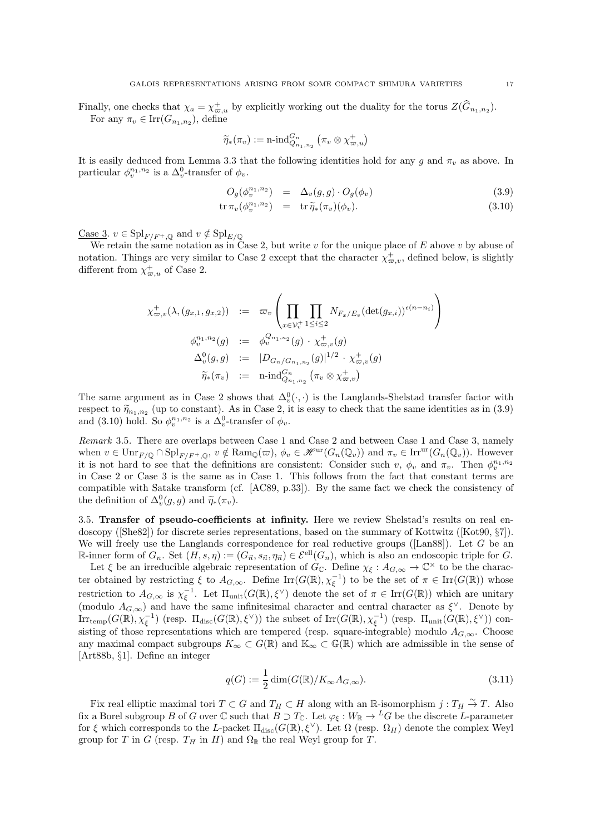Finally, one checks that  $\chi_a = \chi_{\varpi,a}^+$  by explicitly working out the duality for the torus  $Z(\widehat{G}_{n_1,n_2})$ . For any  $\pi_v \in \text{Irr}(G_{n_1,n_2})$ , define

$$
\widetilde{\eta}_*(\pi_v) := \operatorname{n-ind}_{Q_{n_1,n_2}}^{G_n} \left( \pi_v \otimes \chi^+_{\varpi,u} \right)
$$

It is easily deduced from Lemma 3.3 that the following identities hold for any g and  $\pi_v$  as above. In particular  $\phi_v^{n_1, n_2}$  is a  $\Delta_v^0$ -transfer of  $\phi_v$ .

$$
O_g(\phi_v^{n_1, n_2}) = \Delta_v(g, g) \cdot O_g(\phi_v) \tag{3.9}
$$

$$
\operatorname{tr} \pi_v(\phi_v^{n_1, n_2}) = \operatorname{tr} \widetilde{\eta}_*(\pi_v)(\phi_v). \tag{3.10}
$$

Case 3.  $v \in \mathrm{Spl}_{F/F^+,\mathbb{Q}}$  and  $v \notin \mathrm{Spl}_{E/\mathbb{Q}}$ 

We retain the same notation as in Case 2, but write  $v$  for the unique place of  $E$  above  $v$  by abuse of notation. Things are very similar to Case 2 except that the character  $\chi_{\varpi,v}^+$ , defined below, is slightly different from  $\chi_{\varpi,u}^+$  of Case 2.

$$
\chi_{\varpi,v}^{+}(\lambda,(g_{x,1},g_{x,2})) := \varpi_{v} \left( \prod_{x \in \mathcal{V}_{v}^{+}} \prod_{1 \leq i \leq 2} N_{F_{x}/E_{v}} (\det(g_{x,i}))^{\epsilon(n-n_{i})} \right)
$$
  

$$
\phi_{v}^{n_{1},n_{2}}(g) := \phi_{v}^{Q_{n_{1},n_{2}}}(g) \cdot \chi_{\varpi,v}^{+}(g)
$$
  

$$
\Delta_{v}^{0}(g,g) := |D_{G_{n}/G_{n_{1},n_{2}}}(g)|^{1/2} \cdot \chi_{\varpi,v}^{+}(g)
$$
  

$$
\widetilde{\eta}_{*}(\pi_{v}) := \text{n-ind}_{Q_{n_{1},n_{2}}}^{G_{n}}(\pi_{v} \otimes \chi_{\varpi,v}^{+})
$$

The same argument as in Case 2 shows that  $\Delta_v^0(\cdot, \cdot)$  is the Langlands-Shelstad transfer factor with respect to  $\tilde{\eta}_{n_1,n_2}$  (up to constant). As in Case 2, it is easy to check that the same identities as in (3.9) and (3.10) hold. So  $\phi_v^{n_1, n_2}$  is a  $\Delta_v^0$ -transfer of  $\phi_v$ .

Remark 3.5. There are overlaps between Case 1 and Case 2 and between Case 1 and Case 3, namely when  $v \in \text{Unr}_{F/\mathbb{Q}} \cap \text{Spl}_{F/F^+,\mathbb{Q}}$ ,  $v \notin \text{Ram}_{\mathbb{Q}}(\varpi)$ ,  $\phi_v \in \mathcal{H}^{\text{ur}}(G_n(\mathbb{Q}_v))$  and  $\pi_v \in \text{Irr}^{\text{ur}}(G_n(\mathbb{Q}_v))$ . However it is not hard to see that the definitions are consistent: Consider such v,  $\phi_v$  and  $\pi_v$ . Then  $\phi_v^{n_1,n_2}$ in Case 2 or Case 3 is the same as in Case 1. This follows from the fact that constant terms are compatible with Satake transform (cf. [AC89, p.33]). By the same fact we check the consistency of the definition of  $\Delta_v^0(g, g)$  and  $\widetilde{\eta}_*(\pi_v)$ .

3.5. Transfer of pseudo-coefficients at infinity. Here we review Shelstad's results on real endoscopy ([She82]) for discrete series representations, based on the summary of Kottwitz ([Kot90, §7]). We will freely use the Langlands correspondence for real reductive groups ( $[$ Lan88 $]$ ). Let G be an R-inner form of  $G_n$ . Set  $(H, s, \eta) := (G_{\vec{n}}, s_{\vec{n}}, \eta_{\vec{n}}) \in \mathcal{E}^{\text{ell}}(G_n)$ , which is also an endoscopic triple for G.

Let  $\xi$  be an irreducible algebraic representation of  $G_{\mathbb{C}}$ . Define  $\chi_{\xi}: A_{G,\infty} \to \mathbb{C}^{\times}$  to be the character obtained by restricting  $\xi$  to  $A_{G,\infty}$ . Define  $\text{Irr}(G(\mathbb{R}),\chi_{\xi}^{-1})$  to be the set of  $\pi \in \text{Irr}(G(\mathbb{R}))$  whose restriction to  $A_{G,\infty}$  is  $\chi_{\xi}^{-1}$ . Let  $\Pi_{\text{unit}}(G(\mathbb{R}),\xi^{\vee})$  denote the set of  $\pi \in \text{Irr}(G(\mathbb{R}))$  which are unitary (modulo  $A_{G,\infty}$ ) and have the same infinitesimal character and central character as  $\xi^{\vee}$ . Denote by  $\text{Irr}_{\text{temp}}(G(\mathbb{R}),\chi_{\xi}^{-1})$  (resp.  $\Pi_{\text{disc}}(G(\mathbb{R}),\xi^{\vee})$ ) the subset of  $\text{Irr}(G(\mathbb{R}),\chi_{\xi}^{-1})$  (resp.  $\Pi_{\text{unit}}(G(\mathbb{R}),\xi^{\vee})$ ) consisting of those representations which are tempered (resp. square-integrable) modulo  $A_{G,\infty}$ . Choose any maximal compact subgroups  $K_{\infty} \subset G(\mathbb{R})$  and  $\mathbb{K}_{\infty} \subset G(\mathbb{R})$  which are admissible in the sense of [Art88b, §1]. Define an integer

$$
q(G) := \frac{1}{2} \dim(G(\mathbb{R})/K_{\infty}A_{G,\infty}).
$$
\n(3.11)

Fix real elliptic maximal tori  $T \subset G$  and  $T_H \subset H$  along with an R-isomorphism  $j: T_H \overset{\sim}{\to} T$ . Also fix a Borel subgroup B of G over  $\mathbb C$  such that  $B \supset T_{\mathbb C}$ . Let  $\varphi_{\xi}: W_{\mathbb R} \to {}^L G$  be the discrete L-parameter for  $\xi$  which corresponds to the L-packet  $\Pi_{disc}(G(\mathbb{R}), \xi^{\vee})$ . Let  $\Omega$  (resp.  $\Omega_H$ ) denote the complex Weyl group for T in G (resp.  $T_H$  in H) and  $\Omega_{\mathbb{R}}$  the real Weyl group for T.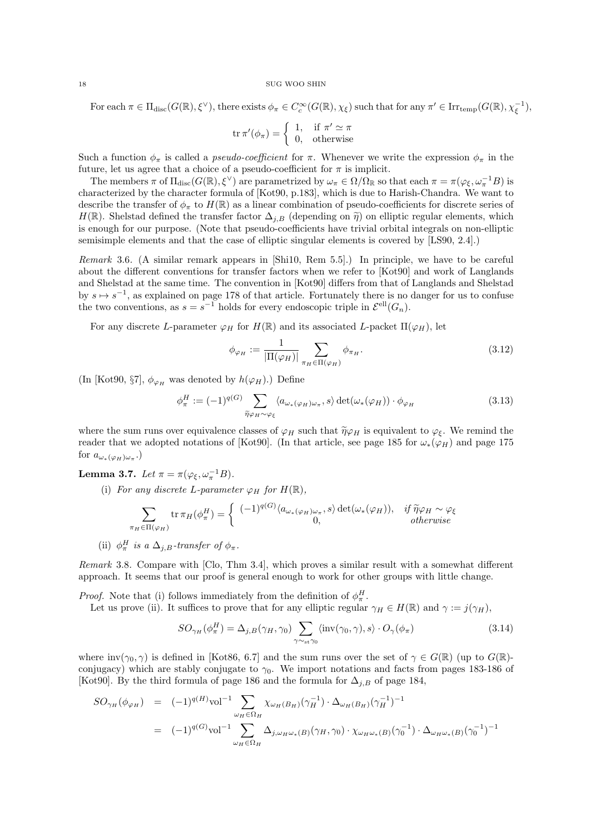For each  $\pi \in \Pi_{\text{disc}}(G(\mathbb{R}), \xi^{\vee}),$  there exists  $\phi_{\pi} \in C_c^{\infty}(G(\mathbb{R}), \chi_{\xi})$  such that for any  $\pi' \in \text{Irr}_{\text{temp}}(G(\mathbb{R}), \chi_{\xi}^{-1}),$ 

$$
\operatorname{tr} \pi'(\phi_{\pi}) = \begin{cases} 1, & \text{if } \pi' \simeq \pi \\ 0, & \text{otherwise} \end{cases}
$$

Such a function  $\phi_{\pi}$  is called a *pseudo-coefficient* for  $\pi$ . Whenever we write the expression  $\phi_{\pi}$  in the future, let us agree that a choice of a pseudo-coefficient for  $\pi$  is implicit.

The members  $\pi$  of  $\Pi_{disc}(G(\mathbb{R}), \xi^{\vee})$  are parametrized by  $\omega_{\pi} \in \Omega/\Omega_{\mathbb{R}}$  so that each  $\pi = \pi(\varphi_{\xi}, \omega_{\pi}^{-1}B)$  is characterized by the character formula of [Kot90, p.183], which is due to Harish-Chandra. We want to describe the transfer of  $\phi_{\pi}$  to  $H(\mathbb{R})$  as a linear combination of pseudo-coefficients for discrete series of  $H(\mathbb{R})$ . Shelstad defined the transfer factor  $\Delta_{j,B}$  (depending on  $\tilde{\eta}$ ) on elliptic regular elements, which is enough for our purpose. (Note that pseudo-coefficients have trivial orbital integrals on non-elliptic semisimple elements and that the case of elliptic singular elements is covered by [LS90, 2.4].)

Remark 3.6. (A similar remark appears in [Shi10, Rem 5.5].) In principle, we have to be careful about the different conventions for transfer factors when we refer to [Kot90] and work of Langlands and Shelstad at the same time. The convention in [Kot90] differs from that of Langlands and Shelstad by  $s \mapsto s^{-1}$ , as explained on page 178 of that article. Fortunately there is no danger for us to confuse the two conventions, as  $s = s^{-1}$  holds for every endoscopic triple in  $\mathcal{E}^{\text{ell}}(G_n)$ .

For any discrete L-parameter  $\varphi_H$  for  $H(\mathbb{R})$  and its associated L-packet  $\Pi(\varphi_H)$ , let

$$
\phi_{\varphi_H} := \frac{1}{|\Pi(\varphi_H)|} \sum_{\pi_H \in \Pi(\varphi_H)} \phi_{\pi_H}.
$$
\n(3.12)

(In [Kot90, §7],  $\phi_{\varphi_H}$  was denoted by  $h(\varphi_H)$ .) Define

$$
\phi_{\pi}^{H} := (-1)^{q(G)} \sum_{\tilde{\eta} \varphi_{H} \sim \varphi_{\xi}} \langle a_{\omega_{*}(\varphi_{H})\omega_{\pi}}, s \rangle \det(\omega_{*}(\varphi_{H})) \cdot \phi_{\varphi_{H}}
$$
(3.13)

where the sum runs over equivalence classes of  $\varphi_H$  such that  $\tilde{\eta}\varphi_H$  is equivalent to  $\varphi_{\xi}$ . We remind the reader that we adopted notations of [Kot90]. (In that article, see page 185 for  $\omega_*(\varphi_H)$ ) and page 175 for  $a_{\omega_*(\varphi_H)\omega_\pi}$ .)

**Lemma 3.7.** Let  $\pi = \pi(\varphi_{\xi}, \omega_{\pi}^{-1}B)$ .

(i) For any discrete L-parameter  $\varphi_H$  for  $H(\mathbb{R}),$ 

$$
\sum_{\pi_H \in \Pi(\varphi_H)} \text{tr } \pi_H(\phi_\pi^H) = \left\{ \begin{array}{cc} (-1)^{q(G)} \langle a_{\omega_*(\varphi_H)\omega_\pi}, s \rangle \det(\omega_*(\varphi_H)), & \text{if } \widetilde{\eta}\varphi_H \sim \varphi_\xi \\ 0, & \text{otherwise} \end{array} \right.
$$

(ii)  $\phi_{\pi}^{H}$  is a  $\Delta_{j,B}$ -transfer of  $\phi_{\pi}$ .

Remark 3.8. Compare with [Clo, Thm 3.4], which proves a similar result with a somewhat different approach. It seems that our proof is general enough to work for other groups with little change.

*Proof.* Note that (i) follows immediately from the definition of  $\phi_{\pi}^H$ .

Let us prove (ii). It suffices to prove that for any elliptic regular  $\gamma_H \in H(\mathbb{R})$  and  $\gamma := j(\gamma_H)$ ,

$$
SO_{\gamma_H}(\phi_\pi^H) = \Delta_{j,B}(\gamma_H, \gamma_0) \sum_{\gamma \sim_{\text{st}} \gamma_0} \langle \text{inv}(\gamma_0, \gamma), s \rangle \cdot O_\gamma(\phi_\pi)
$$
(3.14)

where inv( $\gamma_0$ ,  $\gamma$ ) is defined in [Kot86, 6.7] and the sum runs over the set of  $\gamma \in G(\mathbb{R})$  (up to  $G(\mathbb{R})$ conjugacy) which are stably conjugate to  $\gamma_0$ . We import notations and facts from pages 183-186 of [Kot90]. By the third formula of page 186 and the formula for  $\Delta_{j,B}$  of page 184,

$$
SO_{\gamma_H}(\phi_{\varphi_H}) = (-1)^{q(H)} \text{vol}^{-1} \sum_{\omega_H \in \Omega_H} \chi_{\omega_H(B_H)}(\gamma_H^{-1}) \cdot \Delta_{\omega_H(B_H)}(\gamma_H^{-1})^{-1}
$$
  

$$
= (-1)^{q(G)} \text{vol}^{-1} \sum_{\omega_H \in \Omega_H} \Delta_{j, \omega_H \omega_*(B)}(\gamma_H, \gamma_0) \cdot \chi_{\omega_H \omega_*(B)}(\gamma_0^{-1}) \cdot \Delta_{\omega_H \omega_*(B)}(\gamma_0^{-1})^{-1}
$$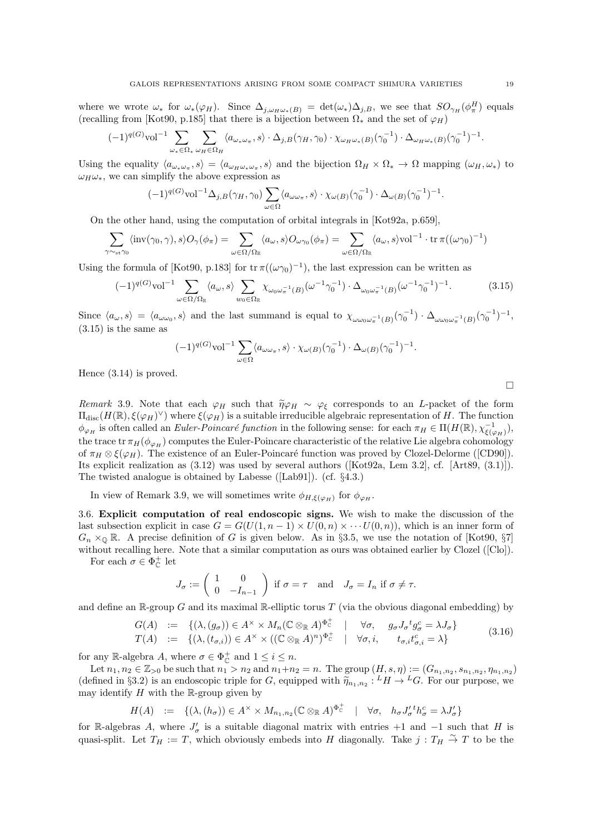where we wrote  $\omega_*$  for  $\omega_*(\varphi_H)$ . Since  $\Delta_{j,\omega_H\omega_*(B)} = \det(\omega_*)\Delta_{j,B}$ , we see that  $SO_{\gamma_H}(\phi_{\pi}^H)$  equals (recalling from [Kot90, p.185] that there is a bijection between  $\Omega_*$  and the set of  $\varphi_H$ )

$$
(-1)^{q(G)}{\rm vol}^{-1}\sum_{\omega_*\in\Omega_*}\sum_{\omega_H\in\Omega_H}\langle a_{\omega_*\omega_\pi},s\rangle\cdot\Delta_{j,B}(\gamma_H,\gamma_0)\cdot\chi_{\omega_H\omega_*(B)}(\gamma_0^{-1})\cdot\Delta_{\omega_H\omega_*(B)}(\gamma_0^{-1})^{-1}.
$$

Using the equality  $\langle a_{\omega_*\omega_\pi}, s \rangle = \langle a_{\omega_H\omega_*\omega_\pi}, s \rangle$  and the bijection  $\Omega_H \times \Omega_* \to \Omega$  mapping  $(\omega_H, \omega_*)$  to  $\omega_H \omega_*$ , we can simplify the above expression as

$$
(-1)^{q(G)}{\rm vol}^{-1}\Delta_{j,B}(\gamma_H,\gamma_0)\sum_{\omega\in\Omega}\langle a_{\omega\omega_\pi},s\rangle\cdot\chi_{\omega(B)}(\gamma_0^{-1})\cdot\Delta_{\omega(B)}(\gamma_0^{-1})^{-1}.
$$

On the other hand, using the computation of orbital integrals in [Kot92a, p.659],

$$
\sum_{\gamma \sim_{\text{st}} \gamma_0} \langle \text{inv}(\gamma_0, \gamma), s \rangle O_{\gamma}(\phi_{\pi}) = \sum_{\omega \in \Omega / \Omega_{\mathbb{R}}} \langle a_{\omega}, s \rangle O_{\omega \gamma_0}(\phi_{\pi}) = \sum_{\omega \in \Omega / \Omega_{\mathbb{R}}} \langle a_{\omega}, s \rangle \text{vol}^{-1} \cdot \text{tr} \, \pi((\omega \gamma_0)^{-1})
$$

Using the formula of [Kot90, p.183] for  $tr \pi((\omega \gamma_0)^{-1})$ , the last expression can be written as

$$
(-1)^{q(G)}\text{vol}^{-1}\sum_{\omega\in\Omega/\Omega_{\mathbb{R}}}\langle a_{\omega},s\rangle\sum_{w_{0}\in\Omega_{\mathbb{R}}}\chi_{\omega_{0}\omega_{\pi}^{-1}(B)}(\omega^{-1}\gamma_{0}^{-1})\cdot\Delta_{\omega_{0}\omega_{\pi}^{-1}(B)}(\omega^{-1}\gamma_{0}^{-1})^{-1}.
$$
 (3.15)

Since  $\langle a_{\omega}, s \rangle = \langle a_{\omega \omega_0}, s \rangle$  and the last summand is equal to  $\chi_{\omega \omega_0 \omega_{\pi}^{-1}(B)}(\gamma_0^{-1}) \cdot \Delta_{\omega \omega_0 \omega_{\pi}^{-1}(B)}(\gamma_0^{-1})^{-1}$ , (3.15) is the same as

$$
(-1)^{q(G)} \text{vol}^{-1} \sum_{\omega \in \Omega} \langle a_{\omega \omega_{\pi}}, s \rangle \cdot \chi_{\omega(B)}(\gamma_0^{-1}) \cdot \Delta_{\omega(B)}(\gamma_0^{-1})^{-1}.
$$

Hence (3.14) is proved.

Remark 3.9. Note that each  $\varphi_H$  such that  $\tilde{\eta}\varphi_H \sim \varphi_{\xi}$  corresponds to an L-packet of the form  $\Pi_{\text{disc}}(H(\mathbb{R}),\xi(\varphi_H)^{\vee})$  where  $\xi(\varphi_H)$  is a suitable irreducible algebraic representation of H. The function  $\phi_{\varphi_H}$  is often called an *Euler-Poincaré function* in the following sense: for each  $\pi_H \in \Pi(H(\mathbb{R}), \chi_{\xi(\varphi_H)}^{-1}),$ the trace tr  $\pi_H(\phi_{\varphi_H})$  computes the Euler-Poincare characteristic of the relative Lie algebra cohomology of  $\pi_H \otimes \xi(\varphi_H)$ . The existence of an Euler-Poincaré function was proved by Clozel-Delorme ([CD90]). Its explicit realization as (3.12) was used by several authors ([Kot92a, Lem 3.2], cf. [Art89, (3.1)]). The twisted analogue is obtained by Labesse ([Lab91]). (cf. §4.3.)

In view of Remark 3.9, we will sometimes write  $\phi_{H,\xi(\varphi_H)}$  for  $\phi_{\varphi_H}$ .

3.6. Explicit computation of real endoscopic signs. We wish to make the discussion of the last subsection explicit in case  $G = G(U(1, n-1) \times U(0, n) \times \cdots U(0, n))$ , which is an inner form of  $G_n \times_{\mathbb{Q}} \mathbb{R}$ . A precise definition of G is given below. As in §3.5, we use the notation of [Kot90, §7] without recalling here. Note that a similar computation as ours was obtained earlier by Clozel ([Clo]).

For each  $\sigma \in \Phi_{\mathbb{C}}^+$  let

$$
J_{\sigma} := \begin{pmatrix} 1 & 0 \\ 0 & -I_{n-1} \end{pmatrix} \text{ if } \sigma = \tau \text{ and } J_{\sigma} = I_n \text{ if } \sigma \neq \tau.
$$

and define an  $\mathbb{R}$ -group G and its maximal  $\mathbb{R}$ -elliptic torus T (via the obvious diagonal embedding) by

$$
G(A) := \{ (\lambda, (g_{\sigma})) \in A^{\times} \times M_n(\mathbb{C} \otimes_{\mathbb{R}} A)^{\Phi_{\mathbb{C}}^+} \mid \forall \sigma, g_{\sigma} J_{\sigma}^{\dagger} g_{\sigma}^c = \lambda J_{\sigma} \}
$$
  
\n
$$
T(A) := \{ (\lambda, (t_{\sigma,i})) \in A^{\times} \times ((\mathbb{C} \otimes_{\mathbb{R}} A)^n)^{\Phi_{\mathbb{C}}^+} \mid \forall \sigma, i, t_{\sigma,i} t_{\sigma,i}^c = \lambda \}
$$
\n(3.16)

for any R-algebra A, where  $\sigma \in \Phi_{\mathbb{C}}^+$  and  $1 \leq i \leq n$ .

Let  $n_1, n_2 \in \mathbb{Z}_{>0}$  be such that  $n_1 > n_2$  and  $n_1+n_2 = n$ . The group  $(H, s, \eta) := (G_{n_1, n_2}, s_{n_1, n_2}, \eta_{n_1, n_2})$ (defined in §3.2) is an endoscopic triple for G, equipped with  $\tilde{\eta}_{n_1,n_2}: {}^L H \to {}^L G$ . For our purpose, we may identify H with the  $\mathbb{P}$  group given by may identify  $H$  with the R-group given by

$$
H(A) \quad := \quad \{ (\lambda, (h_{\sigma})) \in A^{\times} \times M_{n_1, n_2} (\mathbb{C} \otimes_{\mathbb{R}} A)^{\Phi_{\mathbb{C}}^+} \quad | \quad \forall \sigma, \quad h_{\sigma} J_{\sigma}^{\prime \, t} h_{\sigma}^c = \lambda J_{\sigma}^{\prime} \}
$$

for R-algebras A, where  $J'_{\sigma}$  is a suitable diagonal matrix with entries +1 and -1 such that H is quasi-split. Let  $T_H := T$ , which obviously embeds into H diagonally. Take  $j : T_H \overset{\sim}{\to} T$  to be the

 $\Box$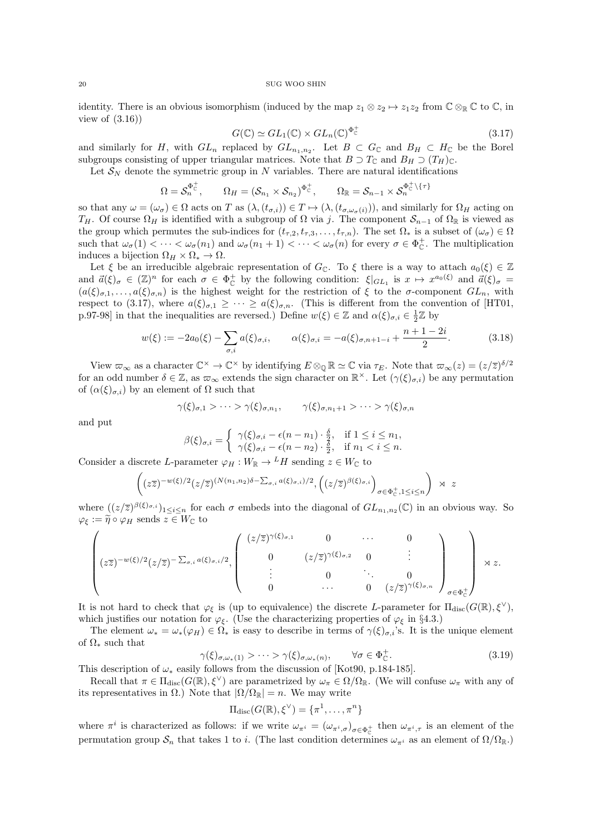identity. There is an obvious isomorphism (induced by the map  $z_1 \otimes z_2 \mapsto z_1z_2$  from  $\mathbb{C} \otimes_{\mathbb{R}} \mathbb{C}$  to  $\mathbb{C}$ , in view of  $(3.16)$ 

$$
G(\mathbb{C}) \simeq GL_1(\mathbb{C}) \times GL_n(\mathbb{C})^{\Phi_{\mathbb{C}}^+}
$$
\n(3.17)

and similarly for H, with  $GL_n$  replaced by  $GL_{n_1,n_2}$ . Let  $B\subset G_{\mathbb{C}}$  and  $B_H\subset H_{\mathbb{C}}$  be the Borel subgroups consisting of upper triangular matrices. Note that  $B \supset T_{\mathbb{C}}$  and  $B_H \supset (T_H)_{\mathbb{C}}$ .

Let  $\mathcal{S}_N$  denote the symmetric group in N variables. There are natural identifications

$$
\Omega = \mathcal{S}_n^{\Phi_C^+}, \qquad \Omega_H = (\mathcal{S}_{n_1} \times \mathcal{S}_{n_2})^{\Phi_C^+}, \qquad \Omega_{\mathbb{R}} = \mathcal{S}_{n-1} \times \mathcal{S}_n^{\Phi_C^+ \setminus \{\tau\}}
$$

so that any  $\omega = (\omega_{\sigma}) \in \Omega$  acts on T as  $(\lambda, (t_{\sigma,i})) \in T \mapsto (\lambda, (t_{\sigma,\omega_{\sigma}(i)}))$ , and similarly for  $\Omega_H$  acting on  $T_H$ . Of course  $\Omega_H$  is identified with a subgroup of  $\Omega$  via j. The component  $\mathcal{S}_{n-1}$  of  $\Omega_{\mathbb{R}}$  is viewed as the group which permutes the sub-indices for  $(t_{\tau,2}, t_{\tau,3}, \ldots, t_{\tau,n})$ . The set  $\Omega_*$  is a subset of  $(\omega_{\sigma}) \in \Omega$ such that  $\omega_{\sigma}(1) < \cdots < \omega_{\sigma}(n_1)$  and  $\omega_{\sigma}(n_1 + 1) < \cdots < \omega_{\sigma}(n)$  for every  $\sigma \in \Phi_{\mathbb{C}}^+$ . The multiplication induces a bijection  $\Omega_H \times \Omega_* \to \Omega$ .

Let  $\xi$  be an irreducible algebraic representation of  $G_{\mathbb{C}}$ . To  $\xi$  there is a way to attach  $a_0(\xi) \in \mathbb{Z}$ and  $\vec{a}(\xi)_{\sigma} \in (\mathbb{Z})^n$  for each  $\sigma \in \Phi_{\mathbb{C}}^+$  by the following condition:  $\xi|_{GL_1}$  is  $x \mapsto x^{a_0(\xi)}$  and  $\vec{a}(\xi)_{\sigma} =$  $(a(\xi)_{\sigma,1},\ldots,a(\xi)_{\sigma,n})$  is the highest weight for the restriction of  $\xi$  to the  $\sigma$ -component  $GL_n$ , with respect to (3.17), where  $a(\xi)_{\sigma,1} \geq \cdots \geq a(\xi)_{\sigma,n}$ . (This is different from the convention of [HT01, p.97-98] in that the inequalities are reversed.) Define  $w(\xi) \in \mathbb{Z}$  and  $\alpha(\xi)_{\sigma,i} \in \frac{1}{2}\mathbb{Z}$  by

$$
w(\xi) := -2a_0(\xi) - \sum_{\sigma,i} a(\xi)_{\sigma,i}, \qquad \alpha(\xi)_{\sigma,i} = -a(\xi)_{\sigma,n+1-i} + \frac{n+1-2i}{2}.
$$
 (3.18)

View  $\varpi_{\infty}$  as a character  $\mathbb{C}^{\times} \to \mathbb{C}^{\times}$  by identifying  $E \otimes_{\mathbb{Q}} \mathbb{R} \simeq \mathbb{C}$  via  $\tau_E$ . Note that  $\varpi_{\infty}(z) = (z/\overline{z})^{\delta/2}$ for an odd number  $\delta \in \mathbb{Z}$ , as  $\omega_{\infty}$  extends the sign character on  $\mathbb{R}^{\times}$ . Let  $(\gamma(\xi)_{\sigma,i})$  be any permutation of  $(\alpha(\xi)_{\sigma,i})$  by an element of  $\Omega$  such that

$$
\gamma(\xi)_{\sigma,1} > \cdots > \gamma(\xi)_{\sigma,n_1}, \qquad \gamma(\xi)_{\sigma,n_1+1} > \cdots > \gamma(\xi)_{\sigma,n}
$$

and put

$$
\beta(\xi)_{\sigma,i} = \begin{cases} \gamma(\xi)_{\sigma,i} - \epsilon(n - n_1) \cdot \frac{\delta}{2}, & \text{if } 1 \leq i \leq n_1, \\ \gamma(\xi)_{\sigma,i} - \epsilon(n - n_2) \cdot \frac{\delta}{2}, & \text{if } n_1 < i \leq n. \end{cases}
$$

Consider a discrete L-parameter  $\varphi_H : W_{\mathbb{R}} \to {}^L H$  sending  $z \in W_{\mathbb{C}}$  to

$$
\left( (z\overline{z})^{-w(\xi)/2} (z/\overline{z})^{(N(n_1,n_2)\delta - \sum_{\sigma,i} a(\xi)\sigma,i)/2}, (z/\overline{z})^{\beta(\xi)\sigma,i} \right)_{\sigma \in \Phi_{\mathbb{C}}^+, 1 \le i \le n} \right) \rtimes z
$$

where  $((z/\overline{z})^{\beta(\xi)_{\sigma,i}})_{1\leq i\leq n}$  for each  $\sigma$  embeds into the diagonal of  $GL_{n_1,n_2}(\mathbb{C})$  in an obvious way. So  $\varphi_{\xi} := \widetilde{\eta} \circ \varphi_H$  sends  $z \in W_{\mathbb{C}}$  to

$$
\begin{pmatrix}\n(z\overline{z})^{-w(\xi)/2}(z/\overline{z})^{-\sum_{\sigma,i}a(\xi)_{\sigma,i}/2},\n\begin{pmatrix}\n(z/\overline{z})^{\gamma(\xi)_{\sigma,1}} & 0 & \cdots & 0 \\
0 & (z/\overline{z})^{\gamma(\xi)_{\sigma,2}} & 0 & \vdots \\
\vdots & 0 & \ddots & 0 \\
0 & \cdots & 0 & (z/\overline{z})^{\gamma(\xi)_{\sigma,n}}\n\end{pmatrix}_{\sigma\in\Phi_{\mathbb{C}}^{+}}\n\end{pmatrix}\n\times z.
$$

It is not hard to check that  $\varphi_{\xi}$  is (up to equivalence) the discrete L-parameter for  $\Pi_{disc}(G(\mathbb{R}), \xi^{\vee}),$ which justifies our notation for  $\varphi_{\xi}$ . (Use the characterizing properties of  $\varphi_{\xi}$  in §4.3.)

The element  $\omega_* = \omega_*(\varphi_H) \in \Omega_*$  is easy to describe in terms of  $\gamma(\xi)_{\sigma,i}$ 's. It is the unique element of  $\Omega_*$  such that

$$
\gamma(\xi)_{\sigma,\omega_*(1)} > \cdots > \gamma(\xi)_{\sigma,\omega_*(n)}, \qquad \forall \sigma \in \Phi_{\mathbb{C}}^+.
$$
\n
$$
(3.19)
$$

This description of  $\omega_*$  easily follows from the discussion of [Kot90, p.184-185].

Recall that  $\pi \in \Pi_{\text{disc}}(G(\mathbb{R}), \xi^{\vee})$  are parametrized by  $\omega_{\pi} \in \Omega/\Omega_{\mathbb{R}}$ . (We will confuse  $\omega_{\pi}$  with any of its representatives in  $\Omega$ .) Note that  $|\Omega/\Omega_{\mathbb{R}}| = n$ . We may write

$$
\Pi_{\mathrm{disc}}(G(\mathbb{R}), \xi^{\vee}) = \{\pi^1, \ldots, \pi^n\}
$$

where  $\pi^i$  is characterized as follows: if we write  $\omega_{\pi^i} = (\omega_{\pi^i,\sigma})_{\sigma \in \Phi_{\Gamma}^+}$  then  $\omega_{\pi^i,\tau}$  is an element of the permutation group  $S_n$  that takes 1 to i. (The last condition determines  $\omega_{\pi}$  as an element of  $\Omega/\Omega_{\mathbb{R}}$ .)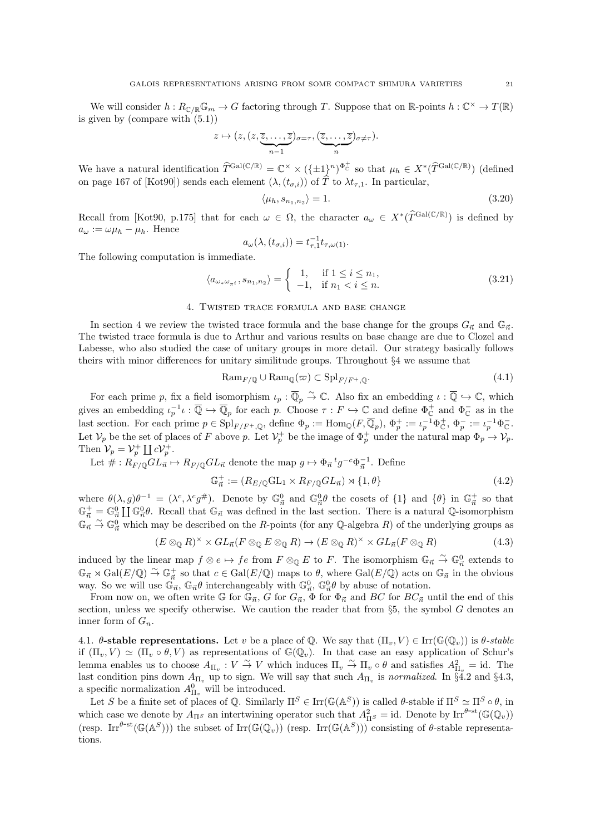We will consider  $h: R_{\mathbb{C}/\mathbb{R}}\mathbb{G}_m \to G$  factoring through T. Suppose that on  $\mathbb{R}$ -points  $h: \mathbb{C}^\times \to T(\mathbb{R})$ is given by (compare with (5.1))

$$
z \mapsto (z, (z, \underbrace{\overline{z}, \ldots, \overline{z}}_{n-1})_{\sigma = \tau}, (\underbrace{\overline{z}, \ldots, \overline{z}}_{n})_{\sigma \neq \tau}).
$$

We have a natural identification  $\hat{T}^{\text{Gal}(\mathbb{C}/\mathbb{R})} = \mathbb{C}^{\times} \times (\{\pm 1\}^n)^{\Phi_{\mathbb{C}}^+}$  so that  $\mu_h \in X^*(\hat{T}^{\text{Gal}(\mathbb{C}/\mathbb{R})})$  (defined on page 167 of [Kot90]) sends each element  $(\lambda, (t_{\sigma,i}))$  of  $\hat{T}$  to  $\lambda t_{\tau,1}$ . In particular,

$$
\langle \mu_h, s_{n_1, n_2} \rangle = 1. \tag{3.20}
$$

Recall from [Kot90, p.175] that for each  $\omega \in \Omega$ , the character  $a_{\omega} \in X^*(\widehat{T}^{Gal(\mathbb{C}/\mathbb{R})})$  is defined by  $a_{\omega} := \omega \mu_h - \mu_h$ . Hence

$$
a_{\omega}(\lambda, (t_{\sigma,i})) = t_{\tau,1}^{-1} t_{\tau,\omega(1)}.
$$

The following computation is immediate.

$$
\langle a_{\omega_*\omega_{\pi^i}}, s_{n_1, n_2} \rangle = \begin{cases} 1, & \text{if } 1 \le i \le n_1, \\ -1, & \text{if } n_1 < i \le n. \end{cases}
$$
 (3.21)

## 4. Twisted trace formula and base change

In section 4 we review the twisted trace formula and the base change for the groups  $G_{\vec{n}}$  and  $\mathbb{G}_{\vec{n}}$ . The twisted trace formula is due to Arthur and various results on base change are due to Clozel and Labesse, who also studied the case of unitary groups in more detail. Our strategy basically follows theirs with minor differences for unitary similitude groups. Throughout §4 we assume that

$$
\text{Ram}_{F/\mathbb{Q}} \cup \text{Ram}_{\mathbb{Q}}(\varpi) \subset \text{Spl}_{F/F^+,\mathbb{Q}}.\tag{4.1}
$$

For each prime p, fix a field isomorphism  $\iota_p : \overline{\mathbb{Q}}_p \overset{\sim}{\to} \mathbb{C}$ . Also fix an embedding  $\iota : \overline{\mathbb{Q}} \hookrightarrow \mathbb{C}$ , which gives an embedding  $\iota_p^{-1} \iota : \overline{\mathbb{Q}} \hookrightarrow \overline{\mathbb{Q}}_p$  for each p. Choose  $\tau : F \hookrightarrow \mathbb{C}$  and define  $\Phi_{\mathbb{C}}^+$  and  $\Phi_{\mathbb{C}}^-$  as in the last section. For each prime  $p \in \mathrm{Spl}_{F/F^+,\mathbb{Q}}$ , define  $\Phi_p := \mathrm{Hom}_{\mathbb{Q}}(F,\overline{\mathbb{Q}}_p)$ ,  $\Phi_p^+ := \iota_p^{-1}\Phi_{\mathbb{C}}^+, \Phi_p^- := \iota_p^{-1}\Phi_{\mathbb{C}}^-.$ Let  $\mathcal{V}_p$  be the set of places of F above p. Let  $\mathcal{V}_p^+$  be the image of  $\Phi_p^+$  under the natural map  $\Phi_p \to \mathcal{V}_p$ . Then  $\mathcal{V}_p = \mathcal{V}_p^+ \coprod c \mathcal{V}_p^+$ .

Let  $\# : R_{F/\mathbb{Q}}GL_{\vec{n}} \mapsto R_{F/\mathbb{Q}}GL_{\vec{n}}$  denote the map  $g \mapsto \Phi_{\vec{n}} {^tg^{-c}\Phi_{\vec{n}}^{-1}}$ . Define

$$
\mathbb{G}_{\vec{n}}^+ := (R_{E/\mathbb{Q}}\mathrm{GL}_1 \times R_{F/\mathbb{Q}}\mathrm{GL}_{\vec{n}}) \rtimes \{1, \theta\} \tag{4.2}
$$

where  $\theta(\lambda, g)\theta^{-1} = (\lambda^c, \lambda^c g^{\#})$ . Denote by  $\mathbb{G}^0_{\vec{n}}$  and  $\mathbb{G}^0_{\vec{n}}\theta$  the cosets of  $\{1\}$  and  $\{\theta\}$  in  $\mathbb{G}^+_{\vec{n}}$  so that  $\mathbb{G}_{\vec{n}}^+ = \mathbb{G}_{\vec{n}}^0 \coprod \mathbb{G}_{\vec{n}}^0 \theta$ . Recall that  $\mathbb{G}_{\vec{n}}$  was defined in the last section. There is a natural Q-isomorphism  $\mathbb{G}_n \overset{\sim}{\to} \mathbb{G}_n^0$  which may be described on the R-points (for any Q-algebra R) of the underlying groups as

$$
(E \otimes_{\mathbb{Q}} R)^{\times} \times GL_{\vec{n}}(F \otimes_{\mathbb{Q}} E \otimes_{\mathbb{Q}} R) \to (E \otimes_{\mathbb{Q}} R)^{\times} \times GL_{\vec{n}}(F \otimes_{\mathbb{Q}} R)
$$
(4.3)

induced by the linear map  $f \otimes e \mapsto fe$  from  $F \otimes_{\mathbb{Q}} E$  to F. The isomorphism  $\mathbb{G}_{\vec{n}} \stackrel{\sim}{\to} \mathbb{G}_{\vec{n}}^0$  extends to  $\mathbb{G}_{\vec{n}} \rtimes \text{Gal}(E/\mathbb{Q}) \stackrel{\sim}{\to} \mathbb{G}_{\vec{n}}^+$  so that  $c \in \text{Gal}(E/\mathbb{Q})$  maps to  $\theta$ , where  $\text{Gal}(E/\mathbb{Q})$  acts on  $\mathbb{G}_{\vec{n}}$  in the obvious way. So we will use  $\mathbb{G}_{\vec{n}}$ ,  $\mathbb{G}_{\vec{n}}\theta$  interchangeably with  $\mathbb{G}_{\vec{n}}^0$ ,  $\mathbb{G}_{\vec{n}}^0\theta$  by abuse of notation.

From now on, we often write G for  $\mathbb{G}_{\vec{n}}$ , G for  $G_{\vec{n}}$ ,  $\Phi$  for  $\Phi_{\vec{n}}$  and BC for  $BC_{\vec{n}}$  until the end of this section, unless we specify otherwise. We caution the reader that from  $\S5$ , the symbol G denotes an inner form of  $G_n$ .

4.1.  $\theta$ -stable representations. Let v be a place of Q. We say that  $(\Pi_v, V) \in \text{Irr}(\mathbb{G}(\mathbb{Q}_v))$  is  $\theta$ -stable if  $(\Pi_v, V) \simeq (\Pi_v \circ \theta, V)$  as representations of  $\mathbb{G}(\mathbb{Q}_v)$ . In that case an easy application of Schur's lemma enables us to choose  $A_{\Pi_v} : V \overset{\sim}{\to} V$  which induces  $\Pi_v \overset{\sim}{\to} \Pi_v \circ \theta$  and satisfies  $A_{\Pi_v}^2 = id$ . The last condition pins down  $A_{\Pi_v}$  up to sign. We will say that such  $A_{\Pi_v}$  is normalized. In §4.2 and §4.3, a specific normalization  $A_{\Pi_v}^0$  will be introduced.

Let S be a finite set of places of Q. Similarly  $\Pi^S \in \text{Irr}(\mathbb{G}(\mathbb{A}^S))$  is called  $\theta$ -stable if  $\Pi^S \simeq \Pi^S \circ \theta$ , in which case we denote by  $A_{\Pi^S}$  an intertwining operator such that  $A_{\Pi^S}^2 = id$ . Denote by  $\text{Irr}^{\theta-\text{st}}(\mathbb{G}(\mathbb{Q}_v))$ (resp. Irr<sup> $\theta$ -st( $\mathbb{G}(\mathbb{A}^S)$ )) the subset of Irr( $\mathbb{G}(\mathbb{Q}_v)$ ) (resp. Irr( $\mathbb{G}(\mathbb{A}^S)$ )) consisting of  $\theta$ -stable representa-</sup> tions.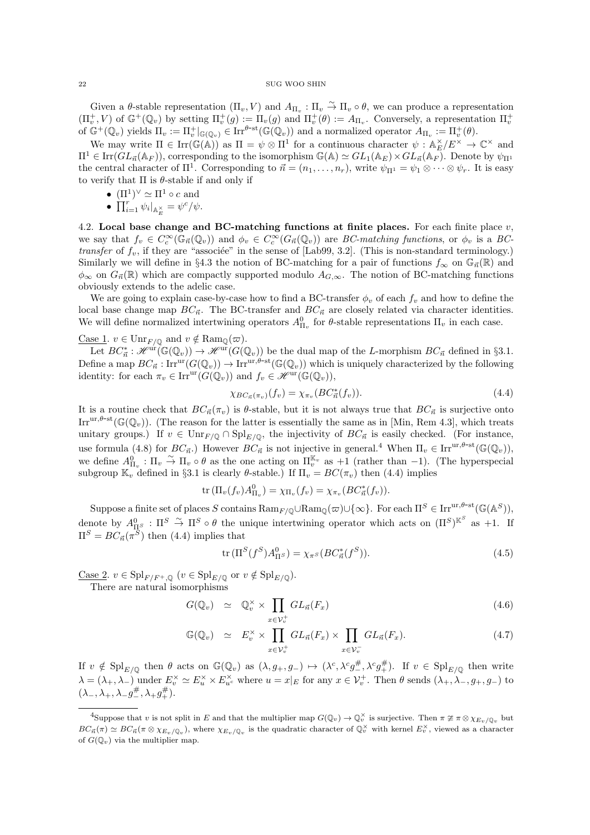Given a  $\theta$ -stable representation  $(\Pi_v, V)$  and  $A_{\Pi_v} : \Pi_v \to \Pi_v \circ \theta$ , we can produce a representation  $(\Pi_v^+, V)$  of  $\mathbb{G}^+(\mathbb{Q}_v)$  by setting  $\Pi_v^+(g) := \Pi_v(g)$  and  $\Pi_v^+(\theta) := A_{\Pi_v}$ . Conversely, a representation  $\Pi_v^+$ of  $\mathbb{G}^+(\mathbb{Q}_v)$  yields  $\Pi_v := \Pi_v^+|_{\mathbb{G}(\mathbb{Q}_v)} \in \text{Irr}^{\theta-\text{st}}(\mathbb{G}(\mathbb{Q}_v))$  and a normalized operator  $A_{\Pi_v} := \Pi_v^+(\theta)$ .

We may write  $\Pi \in \text{Irr}(\mathbb{G}(\mathbb{A}))$  as  $\Pi = \psi \otimes \Pi^1$  for a continuous character  $\psi : \mathbb{A}_{E}^{\times}/E^{\times} \to \mathbb{C}^{\times}$  and  $\Pi^1 \in \text{Irr}(GL_{\vec{n}}(\mathbb{A}_F))$ , corresponding to the isomorphism  $\mathbb{G}(\mathbb{A}) \simeq GL_1(\mathbb{A}_E) \times GL_{\vec{n}}(\mathbb{A}_F)$ . Denote by  $\psi_{\Pi^1}$ the central character of  $\Pi^1$ . Corresponding to  $\vec{n} = (n_1, \ldots, n_r)$ , write  $\psi_{\Pi^1} = \psi_1 \otimes \cdots \otimes \psi_r$ . It is easy to verify that  $\Pi$  is  $\theta$ -stable if and only if

- $(\Pi^1)^\vee \simeq \Pi^1 \circ c$  and
- $\prod_{i=1}^r \psi_i|_{\mathbb{A}_E^{\times}} = \psi^c/\psi.$

4.2. Local base change and BC-matching functions at finite places. For each finite place  $v$ , we say that  $f_v \in C_c^{\infty}(\mathbb{G}_{\vec{n}}(\mathbb{Q}_v))$  and  $\phi_v \in C_c^{\infty}(G_{\vec{n}}(\mathbb{Q}_v))$  are BC-matching functions, or  $\phi_v$  is a BCtransfer of  $f_v$ , if they are "associée" in the sense of [Lab99, 3.2]. (This is non-standard terminology.) Similarly we will define in §4.3 the notion of BC-matching for a pair of functions  $f_{\infty}$  on  $\mathbb{G}_{\vec{n}}(\mathbb{R})$  and  $\phi_{\infty}$  on  $G_{\vec{n}}(\mathbb{R})$  which are compactly supported modulo  $A_{G,\infty}$ . The notion of BC-matching functions obviously extends to the adelic case.

We are going to explain case-by-case how to find a BC-transfer  $\phi_v$  of each  $f_v$  and how to define the local base change map  $BC_{\vec{n}}$ . The BC-transfer and  $BC_{\vec{n}}$  are closely related via character identities. We will define normalized intertwining operators  $A_{\Pi_v}^0$  for  $\theta$ -stable representations  $\Pi_v$  in each case.

<u>Case 1</u>.  $v \in \text{Unr}_{F/\mathbb{Q}}$  and  $v \notin \text{Ram}_{\mathbb{Q}}(\varpi)$ .

Let  $BC^*_{\vec{n}} : \mathscr{H}^{\text{ur}}(\mathbb{G}(\mathbb{Q}_v)) \to \mathscr{H}^{\text{ur}}(G(\mathbb{Q}_v))$  be the dual map of the L-morphism  $BC_{\vec{n}}$  defined in §3.1. Define a map  $BC_{\vec{n}} : \text{Irr}^{\text{ur}}(G(\mathbb{Q}_v)) \to \text{Irr}^{\text{ur},\theta-\text{st}}(\mathbb{G}(\mathbb{Q}_v))$  which is uniquely characterized by the following identity: for each  $\pi_v \in \text{Irr}^{\text{ur}}(G(\mathbb{Q}_v))$  and  $f_v \in \mathcal{H}^{\text{ur}}(\mathbb{G}(\mathbb{Q}_v))$ ,

$$
\chi_{BC_{\vec{n}}(\pi_v)}(f_v) = \chi_{\pi_v}(BC_{\vec{n}}^*(f_v)).\tag{4.4}
$$

It is a routine check that  $BC_{\vec{n}}(\pi_v)$  is  $\theta$ -stable, but it is not always true that  $BC_{\vec{n}}$  is surjective onto Irr<sup>ur, $\theta$ -st( $\mathbb{G}(\mathbb{Q}_v)$ ). (The reason for the latter is essentially the same as in [Min, Rem 4.3], which treats</sup> unitary groups.) If  $v \in \text{Unr}_{F/\mathbb{Q}} \cap \text{Spl}_{E/\mathbb{Q}}$ , the injectivity of  $BC_{\vec{n}}$  is easily checked. (For instance, use formula (4.8) for  $BC_{\vec{n}}$ .) However  $BC_{\vec{n}}$  is not injective in general.<sup>4</sup> When  $\Pi_v \in \text{Irr}^{\text{ur},\theta-\text{st}}(\mathbb{G}(\mathbb{Q}_v))$ , we define  $A_{\Pi_v}^0$ :  $\Pi_v \stackrel{\sim}{\rightarrow} \Pi_v \circ \theta$  as the one acting on  $\Pi_v^{\mathbb{K}_v}$  as  $+1$  (rather than -1). (The hyperspecial subgroup  $\mathbb{K}_v$  defined in §3.1 is clearly  $\theta$ -stable.) If  $\Pi_v = BC(\pi_v)$  then (4.4) implies

$$
\operatorname{tr} \left( \Pi_v(f_v) A_{\Pi_v}^0 \right) = \chi_{\Pi_v}(f_v) = \chi_{\pi_v}(BC_{\vec{n}}^*(f_v)).
$$

Suppose a finite set of places S contains  $\mathrm{Ram}_{F/\mathbb{Q}} \cup \mathrm{Ram}_{\mathbb{Q}}(\varpi) \cup \{\infty\}$ . For each  $\Pi^S \in \mathrm{Irr}^{\mathrm{ur}, \theta\text{-st}}(\mathbb{G}(\mathbb{A}^S)),$ denote by  $A_{\Pi^S}^0$  :  $\Pi^S \stackrel{\sim}{\rightarrow} \Pi^S \circ \theta$  the unique intertwining operator which acts on  $(\Pi^S)^{\mathbb{K}^S}$  as +1. If  $\Pi^S = BC_{\vec{n}}(\pi^S)$  then (4.4) implies that

$$
\operatorname{tr} \left( \Pi^S(f^S) A^0_{\Pi^S} \right) = \chi_{\pi^S}(BC^*_{\vec{n}}(f^S)). \tag{4.5}
$$

<u>Case 2</u>.  $v \in \mathrm{Spl}_{F/F^+,{\mathbb Q}}$   $(v \in \mathrm{Spl}_{E/{\mathbb Q}}$  or  $v \notin \mathrm{Spl}_{E/{\mathbb Q}}$ ). There are natural isomorphisms

$$
G(\mathbb{Q}_v) \simeq \mathbb{Q}_v^{\times} \times \prod_{x \in \mathcal{V}_v^+} GL_{\vec{n}}(F_x) \tag{4.6}
$$

$$
\mathbb{G}(\mathbb{Q}_v) \simeq E_v^{\times} \times \prod_{x \in \mathcal{V}_v^+} GL_{\vec{n}}(F_x) \times \prod_{x \in \mathcal{V}_v^-} GL_{\vec{n}}(F_x). \tag{4.7}
$$

If  $v \notin \text{Spl}_{E/\mathbb{Q}}$  then  $\theta$  acts on  $\mathbb{G}(\mathbb{Q}_v)$  as  $(\lambda, g_+, g_-) \mapsto (\lambda^c, \lambda^c g_+^{\#}, \lambda^c g_+^{\#})$ . If  $v \in \text{Spl}_{E/\mathbb{Q}}$  then write  $\lambda = (\lambda_+, \lambda_-)$  under  $E_v^{\times} \simeq E_u^{\times} \times E_{u^c}^{\times}$  where  $u = x|_E$  for any  $x \in \mathcal{V}_v^+$ . Then  $\theta$  sends  $(\lambda_+, \lambda_-, g_+, g_-)$  to  $(\lambda_-, \lambda_+, \lambda_- g_-^{\#}, \lambda_+ g_+^{\#}).$ 

<sup>&</sup>lt;sup>4</sup>Suppose that v is not split in E and that the multiplier map  $G(\mathbb{Q}_v) \to \mathbb{Q}_v^{\times}$  is surjective. Then  $\pi \ncong \pi \otimes \chi_{E_v/\mathbb{Q}_v}$  but  $BC_{\vec{n}}(\pi) \simeq BC_{\vec{n}}(\pi \otimes \chi_{E_v/\mathbb{Q}_v}),$  where  $\chi_{E_v/\mathbb{Q}_v}$  is the quadratic character of  $\mathbb{Q}_v^{\times}$  with kernel  $E_v^{\times}$ , viewed as a character of  $G(\mathbb{Q}_v)$  via the multiplier map.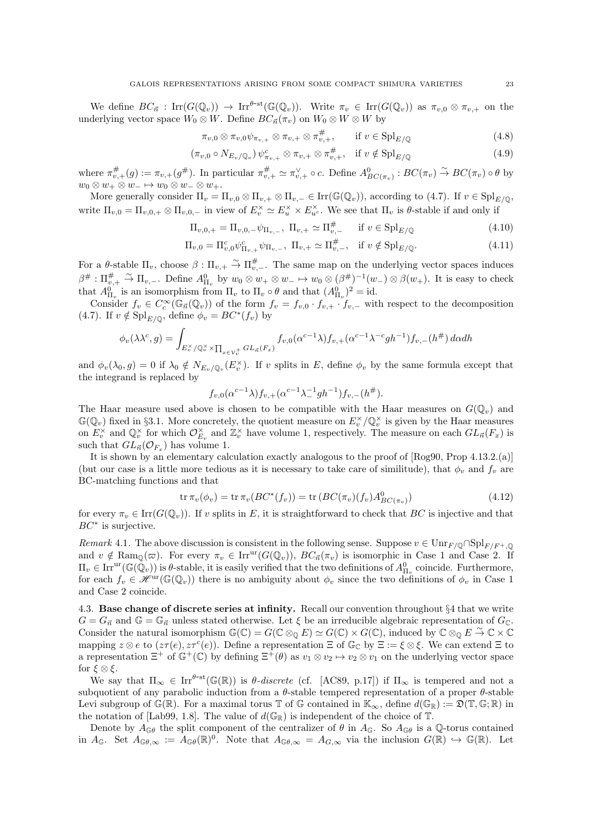We define  $BC_{\vec{n}}$ : Irr $(G(\mathbb{Q}_v)) \to \text{Irr}^{\theta-\text{st}}(\mathbb{G}(\mathbb{Q}_v))$ . Write  $\pi_v \in \text{Irr}(G(\mathbb{Q}_v))$  as  $\pi_{v,0} \otimes \pi_{v,+}$  on the underlying vector space  $W_0 \otimes W$ . Define  $BC_{\vec{n}}(\pi_v)$  on  $W_0 \otimes W \otimes W$  by

$$
\pi_{v,0} \otimes \pi_{v,0} \psi_{\pi_{v,+}} \otimes \pi_{v,+} \otimes \pi_{v,+}^{\#}, \qquad \text{if } v \in \text{Spl}_{E/\mathbb{Q}} \tag{4.8}
$$

$$
(\pi_{v,0} \circ N_{E_v/\mathbb{Q}_v}) \psi_{\pi_{v,+}}^c \otimes \pi_{v,+} \otimes \pi_{v,+}^{\#}, \quad \text{if } v \notin \text{Spl}_{E/\mathbb{Q}} \tag{4.9}
$$

where  $\pi^{\#}_{v,+}(g) := \pi_{v,+}(g^{\#})$ . In particular  $\pi^{\#}_{v,+} \simeq \pi^{\vee}_{v,+} \circ c$ . Define  $A^{0}_{BC(\pi_{v})} : BC(\pi_{v}) \overset{\sim}{\rightarrow} BC(\pi_{v}) \circ \theta$  by  $w_0 \otimes w_+ \otimes w_-\mapsto w_0 \otimes w_-\otimes w_+$ .

More generally consider  $\Pi_v = \Pi_{v,0} \otimes \Pi_{v,+} \otimes \Pi_{v,-} \in \text{Irr}(\mathbb{G}(\mathbb{Q}_v))$ , according to (4.7). If  $v \in \text{Spl}_{E/\mathbb{Q}}$ , write  $\Pi_{v,0} = \Pi_{v,0,+} \otimes \Pi_{v,0,-}$  in view of  $E_v^{\times} \simeq E_u^{\times} \times E_{u}^{\times}$ . We see that  $\Pi_v$  is  $\theta$ -stable if and only if

$$
\Pi_{v,0,+} = \Pi_{v,0,-} \psi_{\Pi_{v,-}}, \ \Pi_{v,+} \simeq \Pi_{v,-}^{\#} \quad \text{if } v \in \text{Spl}_{E/\mathbb{Q}} \tag{4.10}
$$

$$
\Pi_{v,0} = \Pi_{v,0}^c \psi_{\Pi_{v,+}}^c \psi_{\Pi_{v,-}}, \ \Pi_{v,+} \simeq \Pi_{v,-}^{\#}, \quad \text{if } v \notin \text{Spl}_{E/\mathbb{Q}}.\tag{4.11}
$$

For a θ-stable  $\Pi_v$ , choose  $\beta : \Pi_{v,+} \stackrel{\sim}{\to} \Pi_{v,-}^{\#}$ . The same map on the underlying vector spaces induces  $\beta^{\#}: \Pi_{v,+}^{\#} \stackrel{\sim}{\to} \Pi_{v,-}.$  Define  $A_{\Pi_v}^0$  by  $w_0 \otimes w_+ \otimes w_-\mapsto w_0 \otimes (\beta^{\#})^{-1}(w_-) \otimes \beta(w_+).$  It is easy to check that  $A_{\Pi_v}^0$  is an isomorphism from  $\Pi_v$  to  $\Pi_v \circ \theta$  and that  $(A_{\Pi_v}^0)^2 = id$ .

Consider  $f_v \in C_c^{\infty}(\mathbb{G}_{\vec{n}}(\mathbb{Q}_v))$  of the form  $f_v = f_{v,0} \cdot f_{v,+} \cdot f_{v,-}$  with respect to the decomposition (4.7). If  $v \notin \mathrm{Spl}_{E/\mathbb{Q}}$ , define  $\phi_v = BC^*(f_v)$  by

$$
\phi_v(\lambda \lambda^c, g) = \int_{E_v^\times / \mathbb{Q}_v^\times \times \prod_{x \in \mathcal{V}_v^+} GL_{\vec{n}}(F_x)} f_{v,0}(\alpha^{c-1} \lambda) f_{v,+}(\alpha^{c-1} \lambda^{-c} g h^{-1}) f_{v,-}(h^\#) d\alpha dh
$$

and  $\phi_v(\lambda_0, g) = 0$  if  $\lambda_0 \notin N_{E_v/\mathbb{Q}_v}(E_v^{\times})$ . If v splits in E, define  $\phi_v$  by the same formula except that the integrand is replaced by

$$
f_{v,0}(\alpha^{c-1}\lambda)f_{v,+}(\alpha^{c-1}\lambda_{-}^{-1}gh^{-1})f_{v,-}(h^{\#}).
$$

The Haar measure used above is chosen to be compatible with the Haar measures on  $G(\mathbb{Q}_v)$  and  $\mathbb{G}(\mathbb{Q}_v)$  fixed in §3.1. More concretely, the quotient measure on  $E_v^{\times}/\mathbb{Q}_v^{\times}$  is given by the Haar measures on  $E_v^{\times}$  and  $\mathbb{Q}_v^{\times}$  for which  $\mathcal{O}_{E_v}^{\times}$  and  $\mathbb{Z}_v^{\times}$  have volume 1, respectively. The measure on each  $GL_{\vec{n}}(F_x)$  is such that  $GL_{\vec{n}}(\mathcal{O}_{F_x})$  has volume 1.

It is shown by an elementary calculation exactly analogous to the proof of [Rog90, Prop 4.13.2.(a)] (but our case is a little more tedious as it is necessary to take care of similitude), that  $\phi_v$  and  $f_v$  are BC-matching functions and that

$$
\operatorname{tr} \pi_v(\phi_v) = \operatorname{tr} \pi_v(BC^*(f_v)) = \operatorname{tr} (BC(\pi_v)(f_v)A_{BC(\pi_v)}^0)
$$
\n(4.12)

for every  $\pi_v \in \text{Irr}(G(\mathbb{Q}_v))$ . If v splits in E, it is straightforward to check that BC is injective and that  $BC^*$  is surjective.

Remark 4.1. The above discussion is consistent in the following sense. Suppose  $v \in \text{Unr}_{F/\mathbb{Q}} \cap \text{Spl}_{F/F^+,\mathbb{Q}}$ and  $v \notin \text{Ram}_{\mathbb{Q}}(\varpi)$ . For every  $\pi_v \in \text{Irr}^{\text{ur}}(G(\mathbb{Q}_v)), BC_{\vec{n}}(\pi_v)$  is isomorphic in Case 1 and Case 2. If  $\Pi_v \in \text{Irr}^{\text{ur}}(\mathbb{G}(\tilde{\mathbb{Q}}_v))$  is  $\theta$ -stable, it is easily verified that the two definitions of  $A_{\Pi_v}^0$  coincide. Furthermore, for each  $f_v \in \mathscr{H}^{\text{ur}}(\mathbb{G}(\mathbb{Q}_v))$  there is no ambiguity about  $\phi_v$  since the two definitions of  $\phi_v$  in Case 1 and Case 2 coincide.

4.3. Base change of discrete series at infinity. Recall our convention throughout §4 that we write  $G = G_{\vec{n}}$  and  $\mathbb{G} = \mathbb{G}_{\vec{n}}$  unless stated otherwise. Let  $\xi$  be an irreducible algebraic representation of  $G_{\mathbb{C}}$ . Consider the natural isomorphism  $\mathbb{G}(\mathbb{C}) = G(\mathbb{C} \otimes_{\mathbb{O}} E) \simeq G(\mathbb{C}) \times G(\mathbb{C})$ , induced by  $\mathbb{C} \otimes_{\mathbb{O}} E \stackrel{\sim}{\to} \mathbb{C} \times \mathbb{C}$ mapping  $z \otimes e$  to  $(z\tau(e), z\tau^c(e))$ . Define a representation  $\Xi$  of  $\mathbb{G}_{\mathbb{C}}$  by  $\Xi := \xi \otimes \xi$ . We can extend  $\Xi$  to a representation  $\Xi^+$  of  $\mathbb{G}^+(\mathbb{C})$  by defining  $\Xi^+(\theta)$  as  $v_1 \otimes v_2 \mapsto v_2 \otimes v_1$  on the underlying vector space for  $\xi \otimes \xi$ .

We say that  $\Pi_{\infty} \in \text{Irr}^{\theta-\text{st}}(\mathbb{G}(\mathbb{R}))$  is  $\theta$ -discrete (cf. [AC89, p.17]) if  $\Pi_{\infty}$  is tempered and not a subquotient of any parabolic induction from a  $\theta$ -stable tempered representation of a proper  $\theta$ -stable Levi subgroup of  $\mathbb{G}(\mathbb{R})$ . For a maximal torus  $\mathbb{T}$  of  $\mathbb{G}$  contained in  $\mathbb{K}_{\infty}$ , define  $d(\mathbb{G}_{\mathbb{R}}) := \mathfrak{D}(\mathbb{T}, \mathbb{G}; \mathbb{R})$  in the notation of [Lab99, 1.8]. The value of  $d(\mathbb{G}_{\mathbb{R}})$  is independent of the choice of  $\mathbb{T}$ .

Denote by  $A_{\mathbb{G}\theta}$  the split component of the centralizer of  $\theta$  in  $A_{\mathbb{G}}$ . So  $A_{\mathbb{G}\theta}$  is a Q-torus contained in  $A_{\mathbb{G}}$ . Set  $A_{\mathbb{G}\theta,\infty} := A_{\mathbb{G}\theta}(\mathbb{R})^0$ . Note that  $A_{\mathbb{G}\theta,\infty} = A_{G,\infty}$  via the inclusion  $G(\mathbb{R}) \hookrightarrow \mathbb{G}(\mathbb{R})$ . Let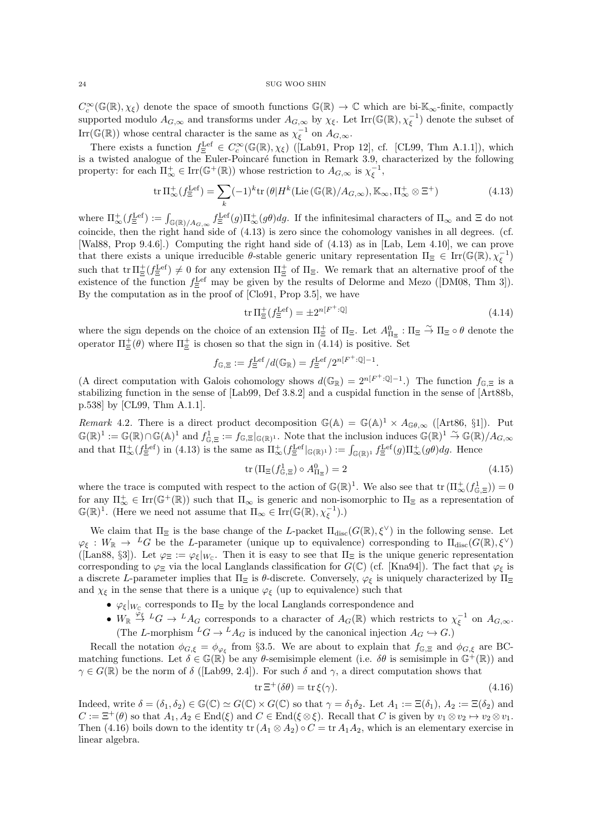$C_c^{\infty}(\mathbb{G}(\mathbb{R}),\chi_{\xi})$  denote the space of smooth functions  $\mathbb{G}(\mathbb{R}) \to \mathbb{C}$  which are bi- $\mathbb{K}_{\infty}$ -finite, compactly supported modulo  $A_{G,\infty}$  and transforms under  $A_{G,\infty}$  by  $\chi_{\xi}$ . Let Irr( $\mathbb{G}(\mathbb{R}), \chi_{\xi}^{-1}$ ) denote the subset of Irr( $\mathbb{G}(\mathbb{R})$ ) whose central character is the same as  $\chi_{\xi}^{-1}$  on  $A_{G,\infty}$ .

There exists a function  $f_{\Xi}^{\text{Lef}} \in C_c^{\infty}(\mathbb{G}(\mathbb{R}), \chi_{\xi})$  ([Lab91, Prop 12], cf. [CL99, Thm A.1.1]), which is a twisted analogue of the Euler-Poincaré function in Remark 3.9, characterized by the following property: for each  $\Pi_{\infty}^+ \in \text{Irr}(\mathbb{G}^+(\mathbb{R}))$  whose restriction to  $A_{G,\infty}$  is  $\chi_{\xi}^{-1}$ ,

$$
\operatorname{tr} \Pi_{\infty}^{+}(f_{\Xi}^{\operatorname{Lef}}) = \sum_{k} (-1)^{k} \operatorname{tr} (\theta | H^{k}(\operatorname{Lie} (\mathbb{G}(\mathbb{R})/A_{G,\infty}), \mathbb{K}_{\infty}, \Pi_{\infty}^{+} \otimes \Xi^{+})
$$
(4.13)

where  $\Pi_{\infty}^{+}(f_{\Xi}^{\text{Left}}) := \int_{\mathbb{G}(\mathbb{R})/A_{G,\infty}} f_{\Xi}^{\text{Left}}(g) \Pi_{\infty}^{+}(g) dg$ . If the infinitesimal characters of  $\Pi_{\infty}$  and  $\Xi$  do not coincide, then the right hand side of (4.13) is zero since the cohomology vanishes in all degrees. (cf. [Wal88, Prop 9.4.6].) Computing the right hand side of (4.13) as in [Lab, Lem 4.10], we can prove that there exists a unique irreducible  $\theta$ -stable generic unitary representation  $\Pi_{\Xi} \in \text{Irr}(\mathbb{G}(\mathbb{R}), \chi_{\xi}^{-1})$ such that  $\text{tr }\Pi_{\Xi}^{\pm}(f_{\Xi}^{\text{Lef}}) \neq 0$  for any extension  $\Pi_{\Xi}^{\pm}$  of  $\Pi_{\Xi}$ . We remark that an alternative proof of the existence of the function  $f_{\Xi}^{\text{Left}}$  may be given by the results of Delorme and Mezo ([DM08, Thm 3]). By the computation as in the proof of [Clo91, Prop 3.5], we have

$$
\operatorname{tr} \Pi_{\Xi}^{+}(f_{\Xi}^{\text{Lef}}) = \pm 2^{n[F^{+}: \mathbb{Q}]}\tag{4.14}
$$

where the sign depends on the choice of an extension  $\Pi_{\Xi}^{\pm}$  of  $\Pi_{\Xi}$ . Let  $A_{\Pi_{\Xi}}^{0}$  :  $\Pi_{\Xi} \to \Pi_{\Xi} \circ \theta$  denote the operator  $\Pi_{\Xi}^{+}(\theta)$  where  $\Pi_{\Xi}^{+}$  is chosen so that the sign in (4.14) is positive. Set

$$
f_{\mathbb{G},\Xi}:=f^{\mathrm{Lef}}_{\Xi}/d(\mathbb{G}_{\mathbb{R}})=f^{\mathrm{Lef}}_{\Xi}/2^{n[F^{+}:\mathbb{Q}]-1}.
$$

(A direct computation with Galois cohomology shows  $d(\mathbb{G}_{\mathbb{R}}) = 2^{n[F^+:\mathbb{Q}]-1}$ .) The function  $f_{\mathbb{G},\Xi}$  is a stabilizing function in the sense of [Lab99, Def 3.8.2] and a cuspidal function in the sense of [Art88b, p.538] by [CL99, Thm A.1.1].

Remark 4.2. There is a direct product decomposition  $\mathbb{G}(\mathbb{A}) = \mathbb{G}(\mathbb{A})^1 \times A_{\mathbb{G}\theta,\infty}$  ([Art86, §1]). Put  $\mathbb{G}(\mathbb{R})^1 := \mathbb{G}(\mathbb{R}) \cap \mathbb{G}(\mathbb{A})^1$  and  $f_{\mathbb{G},\Xi}^1 := f_{\mathbb{G},\Xi}|_{\mathbb{G}(\mathbb{R})^1}$ . Note that the inclusion induces  $\mathbb{G}(\mathbb{R})^1 \stackrel{\sim}{\to} \mathbb{G}(\mathbb{R})/A_{G,\infty}$ and that  $\Pi_{\infty}^{+}(f_{\Xi}^{\text{Left}})$  in (4.13) is the same as  $\Pi_{\infty}^{+}(f_{\Xi}^{\text{Left}}|_{\mathbb{G}(\mathbb{R})^{1}}) := \int_{\mathbb{G}(\mathbb{R})^{1}} f_{\Xi}^{\text{Left}}(g) \Pi_{\infty}^{+}(g) dg$ . Hence

$$
\operatorname{tr} \left( \Pi_{\Xi} \left( f_{\mathbb{G},\Xi}^1 \right) \circ A_{\Pi_{\Xi}}^0 \right) = 2 \tag{4.15}
$$

where the trace is computed with respect to the action of  $\mathbb{G}(\mathbb{R})^1$ . We also see that  $\text{tr}(\Pi^+_{\infty}(f^1_{\mathbb{G},\Xi}))=0$ for any  $\Pi_{\infty}^{+} \in \text{Irr}(\mathbb{G}^{+}(\mathbb{R}))$  such that  $\Pi_{\infty}$  is generic and non-isomorphic to  $\Pi_{\Xi}$  as a representation of  $\mathbb{G}(\mathbb{R})^1$ . (Here we need not assume that  $\Pi_{\infty} \in \text{Irr}(\mathbb{G}(\mathbb{R}), \chi_{\xi}^{-1}).$ )

We claim that  $\Pi_{\Xi}$  is the base change of the L-packet  $\Pi_{disc}(G(\mathbb{R}), \xi^{\vee})$  in the following sense. Let  $\varphi_{\xi}: W_{\mathbb{R}} \to {}^L G$  be the L-parameter (unique up to equivalence) corresponding to  $\Pi_{disc}(G(\mathbb{R}), \xi^{\vee})$ ([Lan88, §3]). Let  $\varphi_{\Xi} := \varphi_{\xi}|_{W_{\mathbb{C}}}$ . Then it is easy to see that  $\Pi_{\Xi}$  is the unique generic representation corresponding to  $\varphi_{\Xi}$  via the local Langlands classification for  $G(\mathbb{C})$  (cf. [Kna94]). The fact that  $\varphi_{\xi}$  is a discrete L-parameter implies that  $\Pi_\Xi$  is  $\theta$ -discrete. Conversely,  $\varphi_\xi$  is uniquely characterized by  $\Pi_\Xi$ and  $\chi_{\xi}$  in the sense that there is a unique  $\varphi_{\xi}$  (up to equivalence) such that

- $\varphi_{\xi}|_{W_{\mathbb{C}}}$  corresponds to  $\Pi_{\Xi}$  by the local Langlands correspondence and
- $W_{\mathbb{R}} \stackrel{\tilde{\varphi}_{\xi}}{\to}^L G \to {}^L A_G$  corresponds to a character of  $A_G(\mathbb{R})$  which restricts to  $\chi_{\xi}^{-1}$  on  $A_{G,\infty}$ . (The L-morphism  ${}^L G \to {}^L A_G$  is induced by the canonical injection  $A_G \hookrightarrow G$ .)

Recall the notation  $\phi_{G,\xi} = \phi_{\varphi_{\xi}}$  from §3.5. We are about to explain that  $f_{\mathbb{G},\Xi}$  and  $\phi_{G,\xi}$  are BCmatching functions. Let  $\delta \in \mathbb{G}(\mathbb{R})$  be any  $\theta$ -semisimple element (i.e.  $\delta \theta$  is semisimple in  $\mathbb{G}^+(\mathbb{R})$ ) and  $\gamma \in G(\mathbb{R})$  be the norm of  $\delta$  ([Lab99, 2.4]). For such  $\delta$  and  $\gamma$ , a direct computation shows that

$$
\operatorname{tr} \Xi^+(\delta \theta) = \operatorname{tr} \xi(\gamma). \tag{4.16}
$$

Indeed, write  $\delta = (\delta_1, \delta_2) \in \mathbb{G}(\mathbb{C}) \simeq G(\mathbb{C}) \times G(\mathbb{C})$  so that  $\gamma = \delta_1 \delta_2$ . Let  $A_1 := \Xi(\delta_1), A_2 := \Xi(\delta_2)$  and  $C := \Xi^+(\theta)$  so that  $A_1, A_2 \in \text{End}(\xi)$  and  $C \in \text{End}(\xi \otimes \xi)$ . Recall that C is given by  $v_1 \otimes v_2 \mapsto v_2 \otimes v_1$ . Then (4.16) boils down to the identity  $tr(A_1 \otimes A_2) \circ C = tr A_1 A_2$ , which is an elementary exercise in linear algebra.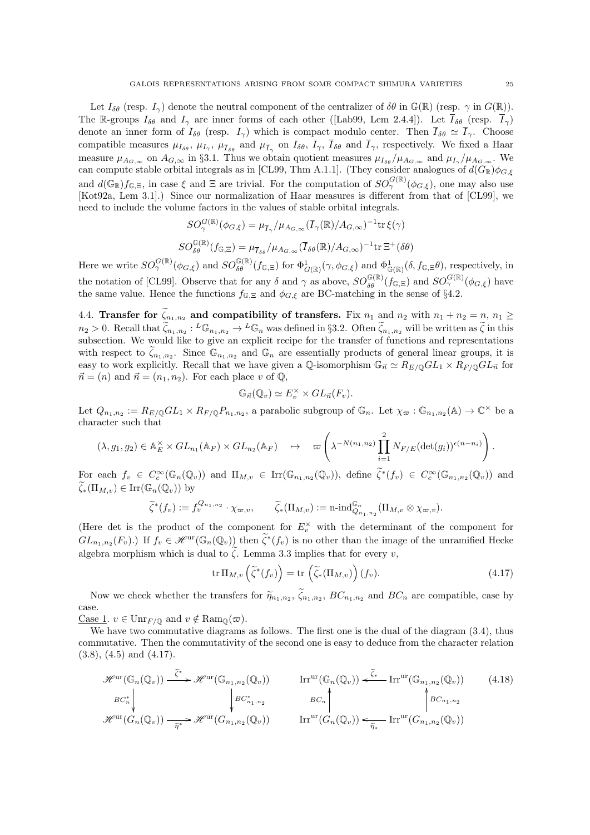Let  $I_{\delta\theta}$  (resp.  $I_{\gamma}$ ) denote the neutral component of the centralizer of  $\delta\theta$  in  $\mathbb{G}(\mathbb{R})$  (resp.  $\gamma$  in  $G(\mathbb{R})$ ). The R-groups  $I_{\delta\theta}$  and  $I_{\gamma}$  are inner forms of each other ([Lab99, Lem 2.4.4]). Let  $\overline{I}_{\delta\theta}$  (resp.  $\overline{I}_{\gamma}$ ) denote an inner form of  $I_{\delta\theta}$  (resp.  $I_{\gamma}$ ) which is compact modulo center. Then  $\overline{I}_{\delta\theta} \simeq \overline{I}_{\gamma}$ . Choose compatible measures  $\mu_{I_{\delta\theta}}$ ,  $\mu_{I_{\gamma}}$ ,  $\mu_{\overline{I}_{\delta\theta}}$  and  $\mu_{\overline{I}_{\gamma}}$  on  $I_{\delta\theta}$ ,  $I_{\gamma}$ ,  $I_{\delta\theta}$  and  $I_{\gamma}$ , respectively. We fixed a Haar measure  $\mu_{A_{G,\infty}}$  on  $A_{G,\infty}$  in §3.1. Thus we obtain quotient measures  $\mu_{I_{\delta\theta}}/\mu_{A_{G,\infty}}$  and  $\mu_{I_{\gamma}}/\mu_{A_{G,\infty}}$ . We can compute stable orbital integrals as in [CL99, Thm A.1.1]. (They consider analogues of  $d(G_{\mathbb{R}})\phi_{G,\xi}$ and  $d(\mathbb{G}_{\mathbb{R}})f_{\mathbb{G},\Xi}$ , in case  $\xi$  and  $\Xi$  are trivial. For the computation of  $SO_2^{G(\mathbb{R})}(\phi_{G,\xi})$ , one may also use [Kot92a, Lem 3.1].) Since our normalization of Haar measures is different from that of [CL99], we need to include the volume factors in the values of stable orbital integrals.

$$
SO_{\gamma}^{G(\mathbb{R})}(\phi_{G,\xi}) = \mu_{\overline{I}_{\gamma}}/\mu_{A_{G,\infty}}(\overline{I}_{\gamma}(\mathbb{R})/A_{G,\infty})^{-1} \text{tr}\,\xi(\gamma)
$$

$$
SO_{\delta\theta}^{\mathbb{G}(\mathbb{R})}(f_{\mathbb{G},\Xi}) = \mu_{\overline{I}_{\delta\theta}}/\mu_{A_{G,\infty}}(\overline{I}_{\delta\theta}(\mathbb{R})/A_{G,\infty})^{-1} \text{tr}\,\Xi^{+}(\delta\theta)
$$

Here we write  $SO_{\gamma}^{G(\mathbb{R})}(\phi_{G,\xi})$  and  $SO_{\delta\theta}^{G(\mathbb{R})}(f_{\mathbb{G},\Xi})$  for  $\Phi_{G(\mathbb{R})}^{1}(\gamma,\phi_{G,\xi})$  and  $\Phi_{\mathbb{G}(\mathbb{R})}^{1}(\delta,f_{\mathbb{G},\Xi}\theta)$ , respectively, in the notation of [CL99]. Observe that for any  $\delta$  and  $\gamma$  as above,  $SO_{\delta\theta}^{\mathbb{G}(\mathbb{R})}(f_{\mathbb{G},\Xi})$  and  $SO_{\gamma}^{\mathbb{G}(\mathbb{R})}(\phi_{G,\xi})$  have the same value. Hence the functions  $f_{\mathbb{G},\Xi}$  and  $\phi_{G,\xi}$  are BC-matching in the sense of §4.2.

4.4. Transfer for  $\tilde{\zeta}_{n_1,n_2}$  and compatibility of transfers. Fix  $n_1$  and  $n_2$  with  $n_1 + n_2 = n$ ,  $n_1 \ge$  $n_2 > 0$ . Recall that  $\widetilde{\zeta}_{n_1,n_2} : L \mathbb{G}_{n_1,n_2} \to L \mathbb{G}_n$  was defined in §3.2. Often  $\widetilde{\zeta}_{n_1,n_2}$  will be written as  $\widetilde{\zeta}$  in this subsection. We would like to give an explicit recipe for the transfer of functions and representations with respect to  $\tilde{\zeta}_{n_1,n_2}$ . Since  $\mathbb{G}_{n_1,n_2}$  and  $\mathbb{G}_n$  are essentially products of general linear groups, it is easy to work explicitly. Recall that we have given a Q-isomorphism  $\mathbb{G}_{\vec{n}} \simeq R_{E/\mathbb{Q}}GL_1 \times R_{F/\mathbb{Q}}GL_{\vec{n}}$  for  $\vec{n} = (n)$  and  $\vec{n} = (n_1, n_2)$ . For each place v of  $\mathbb{Q}$ ,

$$
\mathbb{G}_{\vec{n}}(\mathbb{Q}_v) \simeq E_v^{\times} \times GL_{\vec{n}}(F_v).
$$

Let  $Q_{n_1,n_2} := R_{E/\mathbb{Q}}GL_1 \times R_{F/\mathbb{Q}}P_{n_1,n_2}$ , a parabolic subgroup of  $\mathbb{G}_n$ . Let  $\chi_{\varpi} : \mathbb{G}_{n_1,n_2}(\mathbb{A}) \to \mathbb{C}^\times$  be a character such that

$$
(\lambda, g_1, g_2) \in \mathbb{A}_E^{\times} \times GL_{n_1}(\mathbb{A}_F) \times GL_{n_2}(\mathbb{A}_F) \longrightarrow \varpi \left( \lambda^{-N(n_1, n_2)} \prod_{i=1}^2 N_{F/E} (\det(g_i))^{e(n-n_i)} \right).
$$

For each  $f_v \in C_c^{\infty}(\mathbb{G}_n(\mathbb{Q}_v))$  and  $\Pi_{M,v} \in \text{Irr}(\mathbb{G}_{n_1,n_2}(\mathbb{Q}_v))$ , define  $\widetilde{\zeta}^*(f_v) \in C_c^{\infty}(\mathbb{G}_{n_1,n_2}(\mathbb{Q}_v))$  and  $\zeta_*(\Pi_{M,v}) \in \text{Irr}(\mathbb{G}_n(\mathbb{Q}_v))$  by

$$
\widetilde{\zeta}^*(f_v) := f_v^{Q_{n_1,n_2}} \cdot \chi_{\varpi,v}, \qquad \widetilde{\zeta}_*(\Pi_{M,v}) := \mathrm{n}\text{-}\mathrm{ind}_{Q_{n_1,n_2}}^{\mathbb{G}_n}(\Pi_{M,v} \otimes \chi_{\varpi,v}).
$$

(Here det is the product of the component for  $E_v^{\times}$  with the determinant of the component for  $GL_{n_1,n_2}(F_v)$ .) If  $f_v \in \mathscr{H}^{\text{ur}}(\mathbb{G}_n(\mathbb{Q}_v))$  then  $\tilde{\zeta}^*(f_v)$  is no other than the image of the unramified Hecke algebra morphism which is dual to  $\zeta$ . Lemma 3.3 implies that for every v,

$$
\operatorname{tr} \Pi_{M,v} \left( \widetilde{\zeta}^*(f_v) \right) = \operatorname{tr} \left( \widetilde{\zeta}_*(\Pi_{M,v}) \right) (f_v). \tag{4.17}
$$

Now we check whether the transfers for  $\tilde{\eta}_{n_1,n_2}$ ,  $\zeta_{n_1,n_2}$ ,  $BC_{n_1,n_2}$  and  $BC_n$  are compatible, case by case.

Case 1.  $v \in \text{Unr}_{F/\mathbb{Q}}$  and  $v \notin \text{Ram}_{\mathbb{Q}}(\varpi)$ .

We have two commutative diagrams as follows. The first one is the dual of the diagram  $(3.4)$ , thus commutative. Then the commutativity of the second one is easy to deduce from the character relation  $(3.8), (4.5)$  and  $(4.17).$ 

$$
\mathcal{H}^{\mathrm{ur}}(\mathbb{G}_{n}(\mathbb{Q}_{v})) \xrightarrow{\tilde{\zeta}^{*}} \mathcal{H}^{\mathrm{ur}}(\mathbb{G}_{n_{1},n_{2}}(\mathbb{Q}_{v})) \qquad \text{Irr}^{\mathrm{ur}}(\mathbb{G}_{n}(\mathbb{Q}_{v})) \xleftarrow{\tilde{\zeta}^{*}} \text{Irr}^{\mathrm{ur}}(\mathbb{G}_{n_{1},n_{2}}(\mathbb{Q}_{v})) \qquad (4.18)
$$
\n
$$
BC_{n}^{*} \qquad \qquad BC_{n} \qquad BC_{n} \qquad BC_{n} \qquad BC_{n} \qquad BC_{n_{1},n_{2}} \qquad BC_{n_{1},n_{2}} \qquad BC_{n_{1},n_{2}} \qquad BC_{n_{1},n_{2}} \qquad BC_{n_{1},n_{2}} \qquad BC_{n_{1},n_{2}} \qquad BC_{n_{1},n_{2}} \qquad BC_{n_{1},n_{2}} \qquad BC_{n_{1},n_{2}} \qquad BC_{n_{1},n_{2}} \qquad BC_{n_{1},n_{2}} \qquad BC_{n_{1},n_{2}} \qquad BC_{n_{1},n_{2}} \qquad BC_{n_{1},n_{2}} \qquad BC_{n_{1},n_{2}} \qquad BC_{n_{1},n_{2}} \qquad BC_{n_{1},n_{2}} \qquad BC_{n_{1},n_{2}} \qquad BC_{n_{1},n_{2}} \qquad BC_{n_{1},n_{2}} \qquad BC_{n_{1},n_{2}} \qquad BC_{n_{1},n_{2}} \qquad BC_{n_{1},n_{2}} \qquad BC_{n_{1},n_{2}} \qquad BC_{n_{1},n_{2}} \qquad BC_{n_{1},n_{2}} \qquad BC_{n_{1},n_{2}} \qquad BC_{n_{1},n_{2}} \qquad BC_{n_{1},n_{2}} \qquad BC_{n_{1},n_{2}} \qquad BC_{n_{1},n_{2}} \qquad BC_{n_{1},n_{2}} \qquad BC_{n_{1},n_{2}} \qquad BC_{n_{1},n_{2}} \qquad BC_{n_{1},n_{2}} \qquad BC_{n_{1},n_{2}} \qquad BC_{n_{1},n_{2}} \qquad BC_{n_{1},n_{2}} \qquad BC_{n_{1},n_{2}} \qquad BC_{n_{1},n_{2}} \qquad BC_{n_{1},n_{2}} \qquad BC_{n_{1},n_{2}} \qquad BC
$$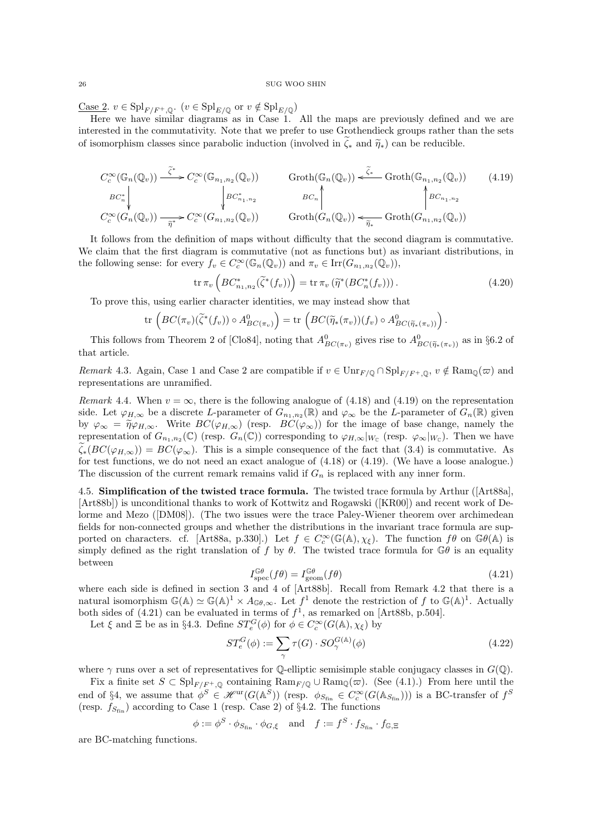<u>Case 2</u>.  $v \in \mathrm{Spl}_{F/F^+,\mathbb{Q}}$ .  $(v \in \mathrm{Spl}_{E/\mathbb{Q}}$  or  $v \notin \mathrm{Spl}_{E/\mathbb{Q}})$ 

Here we have similar diagrams as in Case 1. All the maps are previously defined and we are interested in the commutativity. Note that we prefer to use Grothendieck groups rather than the sets of isomorphism classes since parabolic induction (involved in  $\zeta_*$  and  $\widetilde{\eta_*}$ ) can be reducible.

$$
C_c^{\infty}(\mathbb{G}_n(\mathbb{Q}_v)) \xrightarrow{\tilde{\zeta}^*} C_c^{\infty}(\mathbb{G}_{n_1,n_2}(\mathbb{Q}_v)) \qquad \text{Groth}(\mathbb{G}_n(\mathbb{Q}_v)) \xleftarrow{\tilde{\zeta}_*} \text{Groth}(\mathbb{G}_{n_1,n_2}(\mathbb{Q}_v)) \qquad (4.19)
$$
\n
$$
BC_n^* \downarrow \qquad \qquad \downarrow BC_{n_1,n_2}^* \qquad \qquad BC_n \uparrow \qquad \qquad BC_{n_1,n_2}(\mathbb{Q}_v) \qquad \qquad BC_{n_1,n_2} \qquad \qquad BC_{n_1,n_2}(\mathbb{Q}_v) \qquad \qquad (4.19)
$$
\n
$$
C_c^{\infty}(G_n(\mathbb{Q}_v)) \xrightarrow{\tilde{\eta}^*} C_c^{\infty}(G_{n_1,n_2}(\mathbb{Q}_v)) \qquad \qquad \text{Groth}(G_n(\mathbb{Q}_v)) \xleftarrow{\tilde{\eta}^*} \text{Groth}(G_{n_1,n_2}(\mathbb{Q}_v))
$$

It follows from the definition of maps without difficulty that the second diagram is commutative. We claim that the first diagram is commutative (not as functions but) as invariant distributions, in the following sense: for every  $f_v \in C_c^{\infty}(\mathbb{G}_n(\mathbb{Q}_v))$  and  $\pi_v \in \text{Irr}(G_{n_1,n_2}(\mathbb{Q}_v))$ ,

$$
\operatorname{tr} \pi_v \left( BC_{n_1, n_2}^*(\widetilde{\zeta}^*(f_v)) \right) = \operatorname{tr} \pi_v \left( \widetilde{\eta}^*(BC_n^*(f_v)) \right). \tag{4.20}
$$

To prove this, using earlier character identities, we may instead show that

$$
\operatorname{tr}\left(BC(\pi_v)(\widetilde{\zeta}^*(f_v))\circ A_{BC(\pi_v)}^0\right)=\operatorname{tr}\left(BC(\widetilde{\eta}_*(\pi_v))(f_v)\circ A_{BC(\widetilde{\eta}_*(\pi_v))}^0\right).
$$

This follows from Theorem 2 of [Clo84], noting that  $A_{BC(\pi_v)}^0$  gives rise to  $A_{BC(\widetilde{\eta}_*(\pi_v))}^0$  as in §6.2 of that article.

Remark 4.3. Again, Case 1 and Case 2 are compatible if  $v \in \text{Unr}_{F/\mathbb{Q}} \cap \text{Spl}_{F/F^+,\mathbb{Q}}$ ,  $v \notin \text{Ram}_{\mathbb{Q}}(\varpi)$  and representations are unramified.

Remark 4.4. When  $v = \infty$ , there is the following analogue of (4.18) and (4.19) on the representation side. Let  $\varphi_{H,\infty}$  be a discrete L-parameter of  $G_{n_1,n_2}(\mathbb{R})$  and  $\varphi_{\infty}$  be the L-parameter of  $G_n(\mathbb{R})$  given by  $\varphi_{\infty} = \tilde{\eta} \varphi_{H,\infty}$ . Write  $BC(\varphi_{H,\infty})$  (resp.  $BC(\varphi_{\infty})$ ) for the image of base change, namely the representation of  $G_{n_1,n_2}(\mathbb{C})$  (resp.  $G_n(\mathbb{C})$ ) corresponding to  $\varphi_{H,\infty}|_{W_{\mathbb{C}}}$  (resp.  $\varphi_{\infty}|_{W_{\mathbb{C}}}$ ). Then we have  $\widetilde{\zeta}_*(BC(\varphi_{H,\infty})) = BC(\varphi_{\infty})$ . This is a simple consequence of the fact that (3.4) is commutative. As for test functions, we do not need an exact analogue of (4.18) or (4.19). (We have a loose analogue.) The discussion of the current remark remains valid if  $G_n$  is replaced with any inner form.

4.5. Simplification of the twisted trace formula. The twisted trace formula by Arthur ([Art88a], [Art88b]) is unconditional thanks to work of Kottwitz and Rogawski ([KR00]) and recent work of Delorme and Mezo ([DM08]). (The two issues were the trace Paley-Wiener theorem over archimedean fields for non-connected groups and whether the distributions in the invariant trace formula are supported on characters. cf. [Art88a, p.330].) Let  $f \in C_c^{\infty}(\mathbb{G}(\mathbb{A}), \chi_{\xi})$ . The function  $f\theta$  on  $\mathbb{G}\theta(\mathbb{A})$  is simply defined as the right translation of f by  $\theta$ . The twisted trace formula for  $\mathbb{G}\theta$  is an equality between

$$
I_{\rm spec}^{\mathbb{G}\theta}(f\theta) = I_{\rm geom}^{\mathbb{G}\theta}(f\theta)
$$
\n(4.21)

where each side is defined in section 3 and 4 of [Art88b]. Recall from Remark 4.2 that there is a natural isomorphism  $\mathbb{G}(\mathbb{A}) \simeq \mathbb{G}(\mathbb{A})^1 \times A_{\mathbb{G}\theta,\infty}$ . Let  $f^1$  denote the restriction of f to  $\mathbb{G}(\mathbb{A})^1$ . Actually both sides of  $(4.21)$  can be evaluated in terms of  $f<sup>1</sup>$ , as remarked on [Art88b, p.504].

Let  $\xi$  and  $\Xi$  be as in §4.3. Define  $ST_e^G(\phi)$  for  $\phi \in C_c^{\infty}(G(\mathbb{A}), \chi_{\xi})$  by

$$
ST_e^G(\phi) := \sum_{\gamma} \tau(G) \cdot SO_{\gamma}^{G(\mathbb{A})}(\phi)
$$
\n(4.22)

where  $\gamma$  runs over a set of representatives for Q-elliptic semisimple stable conjugacy classes in  $G(\mathbb{Q})$ .

Fix a finite set  $S \subset \mathrm{Spl}_{F/F^+,\mathbb{Q}}$  containing  $\mathrm{Ram}_{F/\mathbb{Q}} \cup \mathrm{Ram}_{\mathbb{Q}}(\varpi)$ . (See (4.1).) From here until the end of §4, we assume that  $\phi^S \in \mathscr{H}^{\text{ur}}(G(\mathbb{A}^S))$  (resp.  $\phi_{S_{fin}} \in C_c^{\infty}(G(\mathbb{A}_{S_{fin}}))$ ) is a BC-transfer of  $f^S$ (resp.  $f_{S_{fin}}$ ) according to Case 1 (resp. Case 2) of §4.2. The functions

$$
\phi := \phi^S \cdot \phi_{S_{\text{fin}}} \cdot \phi_{G,\xi} \quad \text{and} \quad f := f^S \cdot f_{S_{\text{fin}}} \cdot f_{\mathbb{G},\Xi}
$$

are BC-matching functions.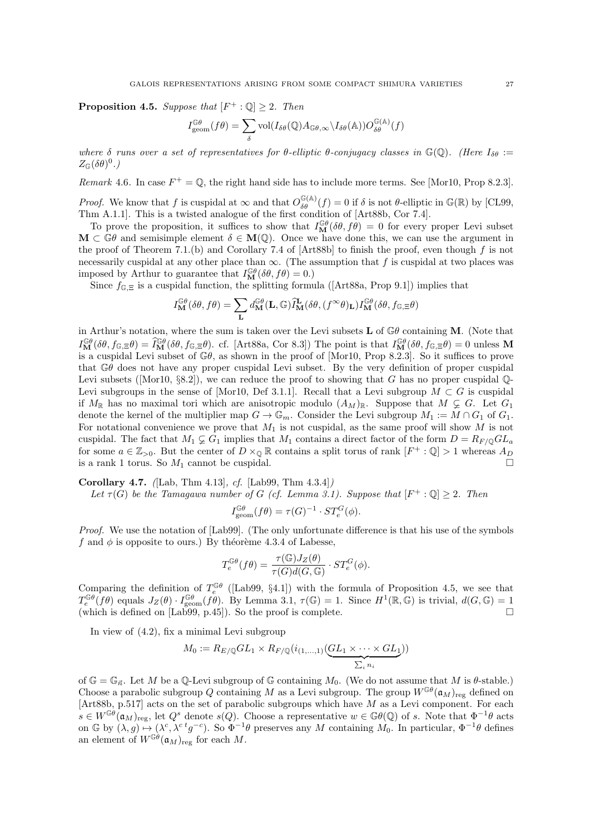**Proposition 4.5.** Suppose that  $[F^+ : \mathbb{Q}] \geq 2$ . Then

$$
I_{\text{geom}}^{\mathbb{G}\theta}(f\theta) = \sum_{\delta} \text{vol}(I_{\delta\theta}(\mathbb{Q})A_{\mathbb{G}\theta,\infty} \backslash I_{\delta\theta}(\mathbb{A}))O_{\delta\theta}^{\mathbb{G}(\mathbb{A})}(f)
$$

where  $\delta$  runs over a set of representatives for  $\theta$ -elliptic  $\theta$ -conjugacy classes in  $\mathbb{G}(\mathbb{Q})$ . (Here  $I_{\delta\theta}$  :=  $Z_{\mathbb{G}}(\delta\theta)^0.$ 

Remark 4.6. In case  $F^+ = \mathbb{Q}$ , the right hand side has to include more terms. See [Mor10, Prop 8.2.3].

*Proof.* We know that f is cuspidal at  $\infty$  and that  $O_{\delta\theta}^{\mathbb{G}(\mathbb{A})}(f) = 0$  if  $\delta$  is not  $\theta$ -elliptic in  $\mathbb{G}(\mathbb{R})$  by [CL99, Thm A.1.1]. This is a twisted analogue of the first condition of [Art88b, Cor 7.4].

To prove the proposition, it suffices to show that  $I_{\mathbf{M}}^{\mathbb{G}\theta}(\delta\theta, f\dot{\theta}) = 0$  for every proper Levi subset  $\mathbf{M} \subset \mathbb{G}\theta$  and semisimple element  $\delta \in \mathbf{M}(\mathbb{Q})$ . Once we have done this, we can use the argument in the proof of Theorem 7.1.(b) and Corollary 7.4 of [Art88b] to finish the proof, even though f is not necessarily cuspidal at any other place than  $\infty$ . (The assumption that f is cuspidal at two places was imposed by Arthur to guarantee that  $I_{\mathbf{M}}^{\mathbb{G}\theta}(\delta\theta, f\theta) = 0.$ )

Since  $f_{\mathbb{G},\Xi}$  is a cuspidal function, the splitting formula ([Art88a, Prop 9.1]) implies that

$$
I_{\mathbf{M}}^{\mathbb{G}\theta}(\delta\theta, f\theta) = \sum_{\mathbf{L}} d_{\mathbf{M}}^{\mathbb{G}\theta}(\mathbf{L}, \mathbb{G}) \widetilde{I}_{\mathbf{M}}^{\mathbf{L}}(\delta\theta, (f^{\infty}\theta)_{\mathbf{L}}) I_{\mathbf{M}}^{\mathbb{G}\theta}(\delta\theta, f_{\mathbb{G}, \Xi}\theta)
$$

in Arthur's notation, where the sum is taken over the Levi subsets  $L$  of  $\mathbb{G}\theta$  containing M. (Note that  $I_{\mathbf{M}}^{\mathbb{G}\theta}(\delta\theta, f_{\mathbb{G},\Xi}\theta) = \widehat{I}_{\mathbf{M}}^{\mathbb{G}\theta}(\delta\theta, f_{\mathbb{G},\Xi}\theta)$ . cf. [Art88a, Cor 8.3]) The point is that  $I_{\mathbf{M}}^{\mathbb{G}\theta}(\delta\theta, f_{\mathbb{G},\Xi}\theta) = 0$  unless M is a cuspidal Levi subset of  $\mathbb{G}\theta$ , as shown in the proof of [Mor10, Prop 8.2.3]. So it suffices to prove that  $\mathbb{G}\theta$  does not have any proper cuspidal Levi subset. By the very definition of proper cuspidal Levi subsets ([Mor10,  $\S 8.2$ ]), we can reduce the proof to showing that G has no proper cuspidal  $\mathbb{Q}$ -Levi subgroups in the sense of [Mor10, Def 3.1.1]. Recall that a Levi subgroup  $M \subset G$  is cuspidal if  $M_{\mathbb{R}}$  has no maximal tori which are anisotropic modulo  $(A_M)_{\mathbb{R}}$ . Suppose that  $M \subsetneq G$ . Let  $G_1$ denote the kernel of the multiplier map  $G \to \mathbb{G}_m$ . Consider the Levi subgroup  $M_1 := M \cap G_1$  of  $G_1$ . For notational convenience we prove that  $M_1$  is not cuspidal, as the same proof will show  $M$  is not cuspidal. The fact that  $M_1 \subsetneq G_1$  implies that  $M_1$  contains a direct factor of the form  $D = R_F \cup G L_a$ for some  $a \in \mathbb{Z}_{>0}$ . But the center of  $D \times_{\mathbb{Q}} \mathbb{R}$  contains a split torus of rank  $[F^+ : \mathbb{Q}] > 1$  whereas  $A_D$ is a rank 1 torus. So  $M_1$  cannot be cuspidal.

Corollary 4.7. ([Lab, Thm 4.13], cf. [Lab99, Thm 4.3.4])

Let  $\tau(G)$  be the Tamagawa number of G (cf. Lemma 3.1). Suppose that  $[F^+ : \mathbb{Q}] \geq 2$ . Then

$$
I_{\text{geom}}^{\mathbb{G}\theta}(f\theta) = \tau(G)^{-1} \cdot ST_e^G(\phi).
$$

Proof. We use the notation of [Lab99]. (The only unfortunate difference is that his use of the symbols f and  $\phi$  is opposite to ours.) By théorème 4.3.4 of Labesse,

$$
T_e^{\mathbb{G}\theta}(f\theta) = \frac{\tau(\mathbb{G})J_Z(\theta)}{\tau(G)d(G,\mathbb{G})}\cdot ST_e^G(\phi).
$$

Comparing the definition of  $T_e^{\mathbb{G}\theta}$  ([Lab99, §4.1]) with the formula of Proposition 4.5, we see that  $T_e^{\mathbb{G}\theta}(\overline{f}\theta)$  equals  $J_Z(\theta) \cdot I_{\text{geom}}^{\mathbb{G}\theta}(f\overline{\theta})$ . By Lemma 3.1,  $\tau(\mathbb{G}) = 1$ . Since  $H^1(\mathbb{R},\mathbb{G})$  is trivial,  $d(G,\mathbb{G}) = 1$ (which is defined on [Lab99, p.45]). So the proof is complete.  $\square$ 

In view of (4.2), fix a minimal Levi subgroup

$$
M_0 := R_{E/\mathbb{Q}}GL_1 \times R_{F/\mathbb{Q}}(i_{(1,\ldots,1)}(\underbrace{GL_1 \times \cdots \times GL_1}_{\sum_i n_i}))
$$

of  $\mathbb{G} = \mathbb{G}_{\vec{n}}$ . Let M be a Q-Levi subgroup of G containing  $M_0$ . (We do not assume that M is  $\theta$ -stable.) Choose a parabolic subgroup Q containing M as a Levi subgroup. The group  $W^{G(\theta)}(\mathfrak{a}_M)_{reg}$  defined on [Art88b, p.517] acts on the set of parabolic subgroups which have M as a Levi component. For each  $s \in W^{\mathbb{G}\theta}(\mathfrak{a}_M)_{\text{reg}}$ , let  $Q^s$  denote  $s(Q)$ . Choose a representative  $w \in \mathbb{G}\theta(\mathbb{Q})$  of s. Note that  $\Phi^{-1}\theta$  acts on G by  $(\lambda, g) \mapsto (\lambda^c, \lambda^{c} g^{-c})$ . So  $\Phi^{-1}\theta$  preserves any M containing  $M_0$ . In particular,  $\Phi^{-1}\theta$  defines an element of  $W^{\mathbb{G}\theta}(\mathfrak{a}_M)_{\text{reg}}$  for each M.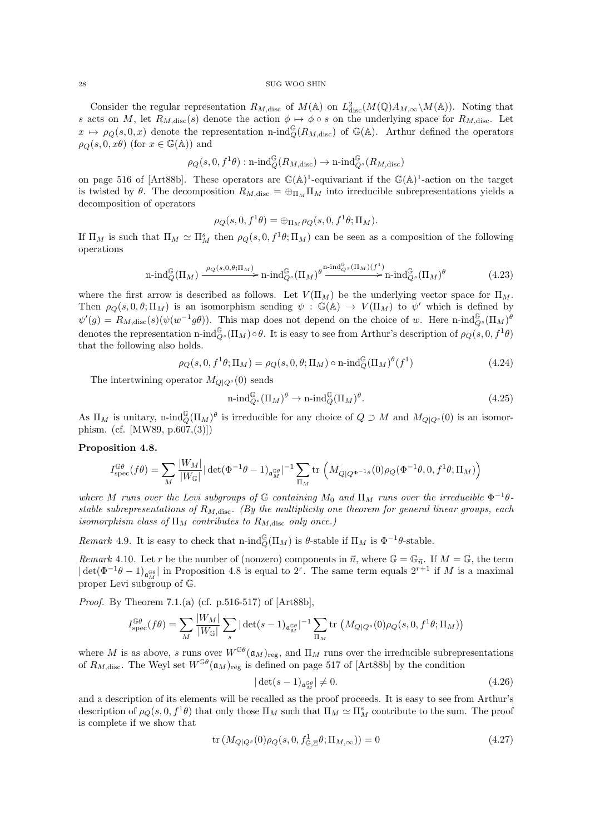Consider the regular representation  $R_{M,\text{disc}}$  of  $M(\mathbb{A})$  on  $L^2_{\text{disc}}(M(\mathbb{Q})A_{M,\infty}\backslash M(\mathbb{A}))$ . Noting that s acts on M, let  $R_{M,\text{disc}}(s)$  denote the action  $\phi \mapsto \phi \circ s$  on the underlying space for  $R_{M,\text{disc}}$ . Let  $x \mapsto \rho_Q(s, 0, x)$  denote the representation n-ind $_Q^{\mathbb{G}}(R_{M,\text{disc}})$  of  $\mathbb{G}(\mathbb{A})$ . Arthur defined the operators  $\rho_Q(s, 0, x\theta)$  (for  $x \in \mathbb{G}(\mathbb{A})$ ) and

$$
\rho_Q(s,0,f^1\theta):\operatorname{n-ind}_Q^\mathbb{G}(R_{M,\operatorname{disc}})\to\operatorname{n-ind}_{Q^s}^\mathbb{G}(R_{M,\operatorname{disc}})
$$

on page 516 of [Art88b]. These operators are  $\mathbb{G}(\mathbb{A})^1$ -equivariant if the  $\mathbb{G}(\mathbb{A})^1$ -action on the target is twisted by θ. The decomposition  $R_{M,\text{disc}} = \bigoplus_{\Pi_M} \Pi_M$  into irreducible subrepresentations yields a decomposition of operators

$$
\rho_Q(s,0,f^1\theta) = \bigoplus_{\Pi_M} \rho_Q(s,0,f^1\theta;\Pi_M).
$$

If  $\Pi_M$  is such that  $\Pi_M \simeq \Pi_M^s$  then  $\rho_Q(s, 0, f^1\theta; \Pi_M)$  can be seen as a composition of the following operations

$$
\operatorname{n-ind}_{Q}^{\mathbb{G}}(\Pi_{M}) \xrightarrow{\rho_{Q}(s,0,\theta;\Pi_{M})} \operatorname{n-ind}_{Q^{s}}^{\mathbb{G}}(\Pi_{M})^{\theta} \xrightarrow{\operatorname{n-ind}_{Q^{s}}^{\mathbb{G}}(\Pi_{M})(f^{1})} \operatorname{n-ind}_{Q^{s}}^{\mathbb{G}}(\Pi_{M})^{\theta} \tag{4.23}
$$

where the first arrow is described as follows. Let  $V(\Pi_M)$  be the underlying vector space for  $\Pi_M$ . Then  $\rho_Q(s, 0, \theta; \Pi_M)$  is an isomorphism sending  $\psi : \mathbb{G}(\mathbb{A}) \to V(\Pi_M)$  to  $\psi'$  which is defined by  $\psi'(g) = R_{M,\text{disc}}(s)(\psi(w^{-1}g\theta)).$  This map does not depend on the choice of w. Here n-ind $_{Q^s}^{\mathbb{G}}(\Pi_M)^{\theta}$ denotes the representation n-ind $_{Q^s}^{\mathbb{G}}(\Pi_M) \circ \theta$ . It is easy to see from Arthur's description of  $\rho_Q(s,0,f^1\theta)$ that the following also holds.

$$
Q(s, 0, f^{1}\theta; \Pi_M) = \rho_Q(s, 0, \theta; \Pi_M) \circ \operatorname{n-ind}_Q^{\mathbb{G}}(\Pi_M)^{\theta} (f^1)
$$
\n(4.24)

 $\rho_{\ell}$ The intertwining operator  $M_{Q|Q^{s}}(0)$  sends

$$
\operatorname{n-ind}_{Q^s}^{\mathbb{G}}(\Pi_M)^{\theta} \to \operatorname{n-ind}_{Q}^{\mathbb{G}}(\Pi_M)^{\theta}.
$$
\n(4.25)

As  $\Pi_M$  is unitary, n-ind $_{Q}^{\mathbb{G}}(\Pi_M)^{\theta}$  is irreducible for any choice of  $Q \supset M$  and  $M_{Q|Q^s}(0)$  is an isomorphism. (cf. [MW89, p.607,(3)])

## Proposition 4.8.

$$
I_{\rm spec}^{\mathbb{G}\theta}(f\theta) = \sum_{M} \frac{|W_M|}{|W_{\mathbb{G}}|} |\det(\Phi^{-1}\theta - 1)_{\mathfrak{a}_M^{\mathbb{G}\theta}}|^{-1} \sum_{\Pi_M} tr \left( M_{Q|Q^{\Phi^{-1}\theta}}(0) \rho_Q(\Phi^{-1}\theta, 0, f^1\theta; \Pi_M) \right)
$$

where M runs over the Levi subgroups of  $\mathbb G$  containing  $M_0$  and  $\Pi_M$  runs over the irreducible  $\Phi^{-1}\theta$ stable subrepresentations of  $R_{M,\text{disc}}$ . (By the multiplicity one theorem for general linear groups, each isomorphism class of  $\Pi_M$  contributes to  $R_{M,\text{disc}}$  only once.)

Remark 4.9. It is easy to check that n-ind $_{Q}^{\mathbb{G}}(\Pi_M)$  is  $\theta$ -stable if  $\Pi_M$  is  $\Phi^{-1}\theta$ -stable.

Remark 4.10. Let r be the number of (nonzero) components in  $\vec{n}$ , where  $\mathbb{G} = \mathbb{G}_{\vec{n}}$ . If  $M = \mathbb{G}$ , the term  $\det(\Phi^{-1}\theta-1)_{\mathfrak{a}_{M}^{\mathbb{G}\theta}}$  in Proposition 4.8 is equal to 2<sup>r</sup>. The same term equals  $2^{r+1}$  if M is a maximal proper Levi subgroup of G.

Proof. By Theorem 7.1.(a) (cf. p.516-517) of [Art88b],

$$
I_{\rm spec}^{\mathbb{G}\theta}(f\theta) = \sum_{M} \frac{|W_M|}{|W_{\mathbb{G}}|} \sum_{s} |\det(s-1)_{\mathfrak{a}_M^{\mathbb{G}\theta}}|^{-1} \sum_{\Pi_M} tr \left( M_{Q|Q^s}(0) \rho_Q(s,0,f^1\theta;\Pi_M) \right)
$$

where M is as above, s runs over  $W^{\mathbb{G}\theta}(\mathfrak{a}_M)_{\text{reg}}$ , and  $\Pi_M$  runs over the irreducible subrepresentations of  $R_{M,\text{disc}}$ . The Weyl set  $W^{\mathbb{G}\theta}(\mathfrak{a}_M)_{\text{reg}}$  is defined on page 517 of [Art88b] by the condition

$$
|\det(s-1)_{\mathfrak{a}_M^{\mathbb{G}\theta}}| \neq 0. \tag{4.26}
$$

and a description of its elements will be recalled as the proof proceeds. It is easy to see from Arthur's description of  $\rho_Q(s, 0, f^1\theta)$  that only those  $\Pi_M$  such that  $\Pi_M \simeq \Pi_M^s$  contribute to the sum. The proof is complete if we show that

$$
\operatorname{tr}\left(M_{Q|Q^s}(0)\rho_Q(s,0,f_{\mathbb{G},\Xi}^1\theta;\Pi_{M,\infty})\right) = 0\tag{4.27}
$$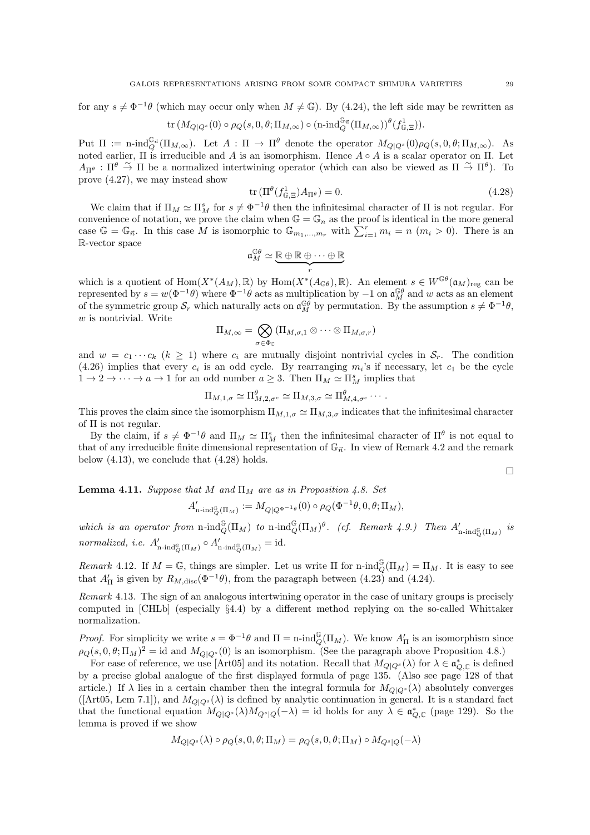for any  $s \neq \Phi^{-1}\theta$  (which may occur only when  $M \neq \mathbb{G}$ ). By (4.24), the left side may be rewritten as  $\mathrm{tr}\left(M_{Q|Q^s}(0)\circ \rho_Q(s,0,\theta;\Pi_{M,\infty})\circ (\mathrm{n\textrm{-}ind}_{Q}^{\mathbb{G}_{\vec{n}}}( \Pi_{M,\infty}))^{\theta}(f^1_{\mathbb{G},\Xi})).$ 

Put  $\Pi := \text{n-ind}_{Q}^{\mathbb{G}_{\vec{n}}}(H_{M,\infty})$ . Let  $A : \Pi \to \Pi^{\theta}$  denote the operator  $M_{Q|Q^s}(0)\rho_Q(s,0,\theta;\Pi_{M,\infty})$ . As noted earlier,  $\Pi$  is irreducible and A is an isomorphism. Hence  $A \circ A$  is a scalar operator on  $\Pi$ . Let  $A_{\Pi^{\theta}}$ :  $\Pi^{\theta} \stackrel{\sim}{\rightarrow} \Pi$  be a normalized intertwining operator (which can also be viewed as  $\Pi \stackrel{\sim}{\rightarrow} \Pi^{\theta}$ ). To prove (4.27), we may instead show

$$
\operatorname{tr} \left( \Pi^{\theta} (f_{\mathbb{G},\Xi}^1) A_{\Pi^{\theta}} \right) = 0. \tag{4.28}
$$

We claim that if  $\Pi_M \simeq \Pi_M^s$  for  $s \neq \Phi^{-1}\theta$  then the infinitesimal character of  $\Pi$  is not regular. For convenience of notation, we prove the claim when  $\mathbb{G} = \mathbb{G}_n$  as the proof is identical in the more general case  $\mathbb{G} = \mathbb{G}_{\vec{n}}$ . In this case M is isomorphic to  $\mathbb{G}_{m_1,\dots,m_r}$  with  $\sum_{i=1}^r m_i = n$   $(m_i > 0)$ . There is an R-vector space

$$
\mathfrak{a}^{\mathbb{G}\theta}_M \simeq \underbrace{\mathbb{R} \oplus \mathbb{R} \oplus \cdots \oplus \mathbb{R}}_r
$$

which is a quotient of  $\text{Hom}(X^*(A_M), \mathbb{R})$  by  $\text{Hom}(X^*(A_{\mathbb{G}\theta}), \mathbb{R})$ . An element  $s \in W^{\mathbb{G}\theta}(\mathfrak{a}_M)_{\text{reg}}$  can be represented by  $s = w(\Phi^{-1}\theta)$  where  $\Phi^{-1}\theta$  acts as multiplication by  $-1$  on  $\mathfrak{a}_M^{\mathbb{G}\theta}$  and w acts as an element of the symmetric group  $S_r$  which naturally acts on  $\mathfrak{a}_M^{\mathbb{G}\theta}$  by permutation. By the assumption  $s \neq \Phi^{-1}\theta$ ,  $w$  is nontrivial. Write

$$
\Pi_{M,\infty}=\bigotimes_{\sigma\in\Phi_\mathbb{C}}(\Pi_{M,\sigma,1}\otimes\cdots\otimes\Pi_{M,\sigma,r})
$$

and  $w = c_1 \cdots c_k$   $(k \ge 1)$  where  $c_i$  are mutually disjoint nontrivial cycles in  $S_r$ . The condition  $(4.26)$  implies that every  $c_i$  is an odd cycle. By rearranging  $m_i$ 's if necessary, let  $c_1$  be the cycle  $1 \to 2 \to \cdots \to a \to 1$  for an odd number  $a \geq 3$ . Then  $\Pi_M \simeq \Pi_M^s$  implies that

$$
\Pi_{M,1,\sigma} \simeq \Pi_{M,2,\sigma^c}^{\theta} \simeq \Pi_{M,3,\sigma} \simeq \Pi_{M,4,\sigma^c}^{\theta} \cdots.
$$

This proves the claim since the isomorphism  $\Pi_{M,1,\sigma} \simeq \Pi_{M,3,\sigma}$  indicates that the infinitesimal character of  $\Pi$  is not regular.

By the claim, if  $s \neq \Phi^{-1}\theta$  and  $\Pi_M \simeq \Pi_M^s$  then the infinitesimal character of  $\Pi^\theta$  is not equal to that of any irreducible finite dimensional representation of  $\mathbb{G}_{\vec{n}}$ . In view of Remark 4.2 and the remark below  $(4.13)$ , we conclude that  $(4.28)$  holds.

 $\Box$ 

**Lemma 4.11.** Suppose that M and  $\Pi_M$  are as in Proposition 4.8. Set

$$
A'_{\mathbf{n}\text{-}\mathrm{ind}_Q^\mathbb{G}(\Pi_M)}:=M_{Q|Q^{\Phi^{-1}\theta}}(0)\circ\rho_Q(\Phi^{-1}\theta,0,\theta;\Pi_M),
$$

which is an operator from  $n$ -ind $_Q^{\mathbb{G}}(\Pi_M)$  to  $n$ -ind $_Q^{\mathbb{G}}(\Pi_M)^{\theta}$ . (cf. Remark 4.9.) Then  $A'_{n$ -ind $_Q^{\mathbb{G}}(\Pi_M)$  is normalized, i.e.  $A'_{\mathbf{n}\text{-ind}_{Q}^{\mathbb{G}}(\Pi_M)} \circ A'_{\mathbf{n}\text{-ind}_{Q}^{\mathbb{G}}(\Pi_M)} = \text{id}.$ 

Remark 4.12. If  $M = \mathbb{G}$ , things are simpler. Let us write  $\Pi$  for n-ind $_{Q}^{\mathbb{G}}(\Pi_M) = \Pi_M$ . It is easy to see that  $A'_{\Pi}$  is given by  $R_{M,\text{disc}}(\Phi^{-1}\theta)$ , from the paragraph between (4.23) and (4.24).

Remark 4.13. The sign of an analogous intertwining operator in the case of unitary groups is precisely computed in [CHLb] (especially §4.4) by a different method replying on the so-called Whittaker normalization.

*Proof.* For simplicity we write  $s = \Phi^{-1}\theta$  and  $\Pi = \text{n-ind}_{Q}^{\mathbb{G}}(\Pi_M)$ . We know  $A'_{\Pi}$  is an isomorphism since  $\rho_Q(s,0,\theta;\Pi_M)^2 = \text{id}$  and  $M_{Q|Q^s}(0)$  is an isomorphism. (See the paragraph above Proposition 4.8.)

For ease of reference, we use [Art05] and its notation. Recall that  $M_{Q|Q^s}(\lambda)$  for  $\lambda \in \mathfrak{a}_{Q,\mathbb{C}}^*$  is defined by a precise global analogue of the first displayed formula of page 135. (Also see page 128 of that article.) If  $\lambda$  lies in a certain chamber then the integral formula for  $M_{Q|Q<sup>s</sup>}(\lambda)$  absolutely converges ([Art05, Lem 7.1]), and  $M_{Q|Q^s}(\lambda)$  is defined by analytic continuation in general. It is a standard fact that the functional equation  $M_{Q|Q^s}(\lambda)M_{Q^s|Q}(-\lambda) = \text{id}$  holds for any  $\lambda \in \mathfrak{a}_{Q,\mathbb{C}}^*$  (page 129). So the lemma is proved if we show

$$
M_{Q|Q^s}(\lambda) \circ \rho_Q(s, 0, \theta; \Pi_M) = \rho_Q(s, 0, \theta; \Pi_M) \circ M_{Q^s|Q}(-\lambda)
$$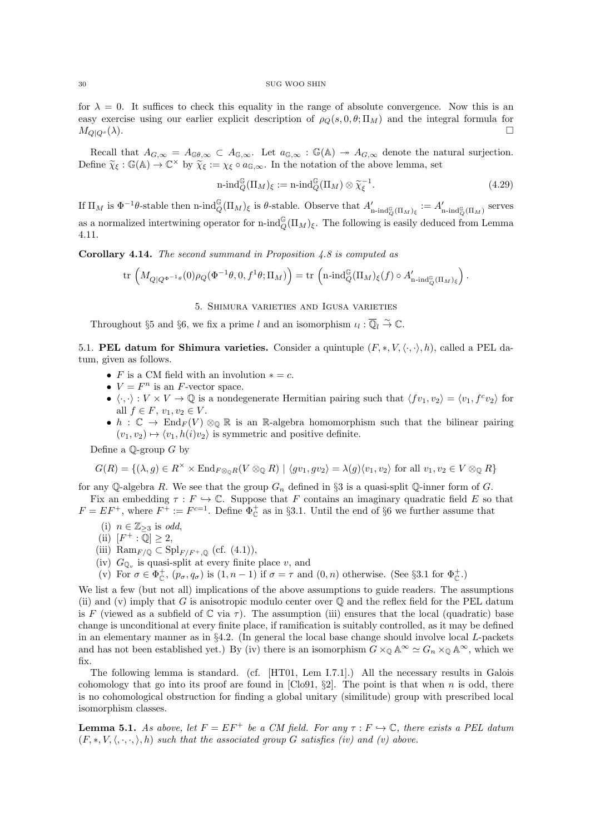for  $\lambda = 0$ . It suffices to check this equality in the range of absolute convergence. Now this is an easy exercise using our earlier explicit description of  $\rho_Q(s, 0, \theta; \Pi_M)$  and the integral formula for  $M_{Q|Q^s}(\lambda)$ .

Recall that  $A_{G,\infty} = A_{\mathbb{G}\theta,\infty} \subset A_{\mathbb{G},\infty}$ . Let  $a_{\mathbb{G},\infty} : \mathbb{G}(\mathbb{A}) \to A_{G,\infty}$  denote the natural surjection. Define  $\widetilde{\chi}_{\xi} : \mathbb{G}(\mathbb{A}) \to \mathbb{C}^{\times}$  by  $\widetilde{\chi}_{\xi} := \chi_{\xi} \circ a_{\mathbb{G},\infty}$ . In the notation of the above lemma, set

$$
n\text{-}\mathrm{ind}_Q^G(\Pi_M)_{\xi} := n\text{-}\mathrm{ind}_Q^G(\Pi_M) \otimes \widetilde{\chi}_{\xi}^{-1}.\tag{4.29}
$$

If  $\Pi_M$  is  $\Phi^{-1}\theta$ -stable then n-ind ${}^{\mathbb{G}}_{Q}(\Pi_M)_{\xi}$  is  $\theta$ -stable. Observe that  $A'_{n\text{-ind}_{Q}^{\mathbb{G}}(\Pi_M)_{\xi}} := A'_{n\text{-ind}_{Q}^{\mathbb{G}}(\Pi_M)}$  serves as a normalized intertwining operator for n-ind $_{Q}^{\mathbb{G}}(\Pi_M)_{\xi}$ . The following is easily deduced from Lemma 4.11.

Corollary 4.14. The second summand in Proposition 4.8 is computed as

$$
\mathrm{tr}\,\left(M_{Q\vert Q^{\Phi^{-1}\theta}}(0)\rho_Q(\Phi^{-1}\theta,0,f^1\theta;\Pi_M)\right)=\mathrm{tr}\,\left(\mathrm{n}\text{-}\mathrm{ind}_Q^\mathbb{G}(\Pi_M)_\xi(f)\circ A'_{\mathrm{n}\text{-}\mathrm{ind}_Q^\mathbb{G}(\Pi_M)_\xi}\right).
$$

5. Shimura varieties and Igusa varieties

Throughout §5 and §6, we fix a prime l and an isomorphism  $u_l : \overline{\mathbb{Q}}_l \overset{\sim}{\to} \mathbb{C}$ .

5.1. **PEL datum for Shimura varieties.** Consider a quintuple  $(F, *, V, \langle \cdot, \cdot \rangle, h)$ , called a PEL datum, given as follows.

- F is a CM field with an involution  $* = c$ .
- $V = F^n$  is an F-vector space.
- $\langle \cdot, \cdot \rangle : V \times V \to \mathbb{Q}$  is a nondegenerate Hermitian pairing such that  $\langle f v_1, v_2 \rangle = \langle v_1, f^c v_2 \rangle$  for all  $f \in F$ ,  $v_1, v_2 \in V$ .
- $h: \mathbb{C} \to \text{End}_F(V) \otimes_{\mathbb{Q}} \mathbb{R}$  is an R-algebra homomorphism such that the bilinear pairing  $(v_1, v_2) \mapsto \langle v_1, h(i)v_2 \rangle$  is symmetric and positive definite.

Define a  $\mathbb Q$ -group G by

$$
G(R) = \{ (\lambda, g) \in R^{\times} \times \text{End}_{F \otimes_{\mathbb{Q}} R}(V \otimes_{\mathbb{Q}} R) \mid \langle gv_1, gv_2 \rangle = \lambda(g) \langle v_1, v_2 \rangle \text{ for all } v_1, v_2 \in V \otimes_{\mathbb{Q}} R \}
$$

for any Q-algebra R. We see that the group  $G_n$  defined in §3 is a quasi-split Q-inner form of G. Fix an embedding  $\tau : F \hookrightarrow \mathbb{C}$ . Suppose that F contains an imaginary quadratic field E so that

$$
F = EF^+
$$
, where  $F^{\dagger} := F^{c=1}$ . Define  $\Phi_{\mathbb{C}}^+$  as in §3.1. Until the end of §6 we further assume that

- (i)  $n \in \mathbb{Z}_{\geq 3}$  is odd,
- (ii)  $[F^+:\overline{\mathbb{Q}}] \geq 2$ ,
- (iii)  $\mathrm{Ram}_{F/\mathbb{Q}} \subset \mathrm{Spl}_{F/F^+,\mathbb{Q}}$  (cf. (4.1)),
- (iv)  $G_{\mathbb{Q}_v}$  is quasi-split at every finite place v, and
- (v) For  $\sigma \in \Phi_{\mathbb{C}}^+$ ,  $(p_{\sigma}, q_{\sigma})$  is  $(1, n-1)$  if  $\sigma = \tau$  and  $(0, n)$  otherwise. (See §3.1 for  $\Phi_{\mathbb{C}}^+$ .)

We list a few (but not all) implications of the above assumptions to guide readers. The assumptions (ii) and (v) imply that  $G$  is anisotropic modulo center over  $\mathbb Q$  and the reflex field for the PEL datum is F (viewed as a subfield of  $\mathbb C$  via  $\tau$ ). The assumption (iii) ensures that the local (quadratic) base change is unconditional at every finite place, if ramification is suitably controlled, as it may be defined in an elementary manner as in  $\S 4.2$ . (In general the local base change should involve local L-packets and has not been established yet.) By (iv) there is an isomorphism  $G \times_{\mathbb{Q}} \mathbb{A}^{\infty} \simeq G_n \times_{\mathbb{Q}} \mathbb{A}^{\infty}$ , which we fix.

The following lemma is standard. (cf. [HT01, Lem I.7.1].) All the necessary results in Galois cohomology that go into its proof are found in [Clo91,  $\S2$ ]. The point is that when n is odd, there is no cohomological obstruction for finding a global unitary (similitude) group with prescribed local isomorphism classes.

**Lemma 5.1.** As above, let  $F = EF^+$  be a CM field. For any  $\tau : F \hookrightarrow \mathbb{C}$ , there exists a PEL datum  $(F, *, V, \langle, \cdot, \cdot, \cdot \rangle, h)$  such that the associated group G satisfies (iv) and (v) above.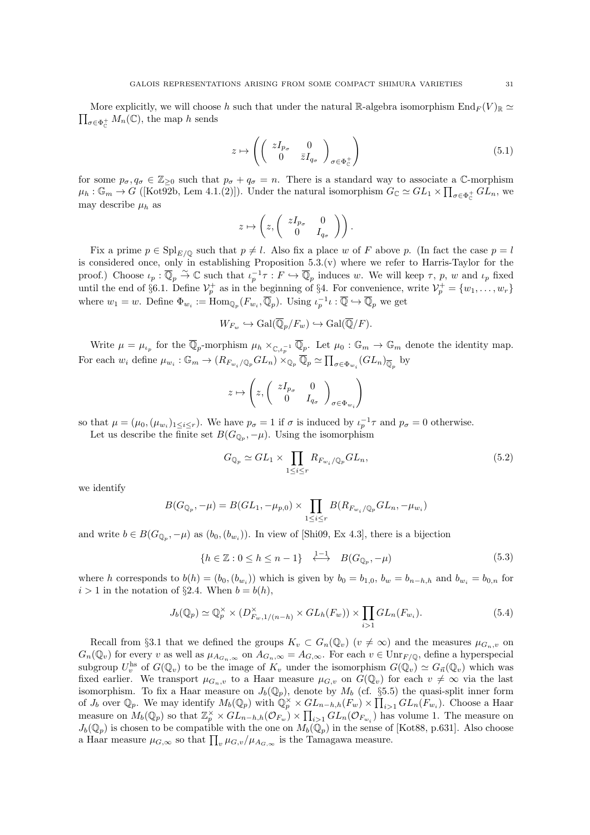$\prod_{\sigma\in\Phi_{\mathbb{C}}^+}M_n(\mathbb{C}),$  the map h sends More explicitly, we will choose h such that under the natural R-algebra isomorphism  $\text{End}_F(V)_{\mathbb{R}} \simeq$ 

$$
z \mapsto \left( \left( \begin{array}{cc} zI_{p_{\sigma}} & 0 \\ 0 & \bar{z}I_{q_{\sigma}} \end{array} \right)_{\sigma \in \Phi_{\mathbb{C}}^+} \right) \tag{5.1}
$$

for some  $p_{\sigma}, q_{\sigma} \in \mathbb{Z}_{\geq 0}$  such that  $p_{\sigma} + q_{\sigma} = n$ . There is a standard way to associate a C-morphism  $\mu_h: \mathbb{G}_m \to G$  ([Kot92b, Lem 4.1.(2)]). Under the natural isomorphism  $G_{\mathbb{C}} \simeq GL_1 \times \prod_{\sigma \in \Phi_{\mathbb{C}}^+} GL_n$ , we may describe  $\mu_h$  as

$$
z \mapsto \left(z, \begin{pmatrix} zI_{p_{\sigma}} & 0 \\ 0 & I_{q_{\sigma}} \end{pmatrix}\right).
$$

Fix a prime  $p \in \mathrm{Spl}_{E/\mathbb{Q}}$  such that  $p \neq l$ . Also fix a place w of F above p. (In fact the case  $p = l$ is considered once, only in establishing Proposition 5.3.(v) where we refer to Harris-Taylor for the proof.) Choose  $\iota_p : \overline{\mathbb{Q}}_p \overset{\sim}{\to} \mathbb{C}$  such that  $\iota_p^{-1}\tau : F \hookrightarrow \overline{\mathbb{Q}}_p$  induces w. We will keep  $\tau$ ,  $p$ ,  $w$  and  $\iota_p$  fixed until the end of §6.1. Define  $\mathcal{V}_p^+$  as in the beginning of §4. For convenience, write  $\mathcal{V}_p^+ = \{w_1, \ldots, w_r\}$ where  $w_1 = w$ . Define  $\Phi_{w_i} := \text{Hom}_{\mathbb{Q}_p}(F_{w_i}, \overline{\mathbb{Q}}_p)$ . Using  $\iota_p^{-1} \iota : \overline{\mathbb{Q}} \hookrightarrow \overline{\mathbb{Q}}_p$  we get

$$
W_{F_w} \hookrightarrow \operatorname{Gal}(\overline{\mathbb{Q}}_p/F_w) \hookrightarrow \operatorname{Gal}(\overline{\mathbb{Q}}/F).
$$

Write  $\mu = \mu_{\iota_p}$  for the  $\overline{\mathbb{Q}}_p$ -morphism  $\mu_h \times_{\mathbb{C},\iota_p^{-1}} \overline{\mathbb{Q}}_p$ . Let  $\mu_0 : \mathbb{G}_m \to \mathbb{G}_m$  denote the identity map. For each  $w_i$  define  $\mu_{w_i}: \mathbb{G}_m \to (R_{F_{w_i}/\mathbb{Q}_p}GL_n) \times_{\mathbb{Q}_p} \overline{\mathbb{Q}}_p \simeq \prod_{\sigma \in \Phi_{w_i}} (GL_n)_{\overline{\mathbb{Q}}_p}$  by

$$
z \mapsto \left(z, \begin{pmatrix} zI_{p_{\sigma}} & 0 \\ 0 & I_{q_{\sigma}} \end{pmatrix}_{\sigma \in \Phi_{w_i}}\right)
$$

so that  $\mu = (\mu_0, (\mu_{w_i})_{1 \leq i \leq r})$ . We have  $p_{\sigma} = 1$  if  $\sigma$  is induced by  $\iota_p^{-1} \tau$  and  $p_{\sigma} = 0$  otherwise.

Let us describe the finite set  $B(G_{\mathbb{Q}_p}, -\mu)$ . Using the isomorphism

$$
G_{\mathbb{Q}_p} \simeq GL_1 \times \prod_{1 \leq i \leq r} R_{F_{w_i}/\mathbb{Q}_p} GL_n, \tag{5.2}
$$

we identify

$$
B(G_{\mathbb{Q}_p}, -\mu) = B(GL_1, -\mu_{p,0}) \times \prod_{1 \le i \le r} B(R_{F_{w_i}}/_{\mathbb{Q}_p} GL_n, -\mu_{w_i})
$$

and write  $b \in B(G_{\mathbb{Q}_p}, -\mu)$  as  $(b_0, (b_{w_i}))$ . In view of [Shi09, Ex 4.3], there is a bijection

$$
\{h \in \mathbb{Z} : 0 \le h \le n - 1\} \quad \stackrel{1-1}{\longleftrightarrow} \quad B(G_{\mathbb{Q}_p}, -\mu) \tag{5.3}
$$

where h corresponds to  $b(h) = (b_0, (b_{w_i}))$  which is given by  $b_0 = b_{1,0}, b_w = b_{n-h,h}$  and  $b_{w_i} = b_{0,n}$  for  $i > 1$  in the notation of §2.4. When  $b = b(h)$ ,

$$
J_b(\mathbb{Q}_p) \simeq \mathbb{Q}_p^{\times} \times (D_{F_w,1/(n-h)}^{\times} \times GL_h(F_w)) \times \prod_{i>1} GL_n(F_{w_i}).
$$
\n(5.4)

Recall from §3.1 that we defined the groups  $K_v \subset G_n(\mathbb{Q}_v)$   $(v \neq \infty)$  and the measures  $\mu_{G_n,v}$  on  $G_n(\mathbb{Q}_v)$  for every v as well as  $\mu_{A_{G_n,\infty}}$  on  $A_{G_n,\infty} = A_{G,\infty}$ . For each  $v \in \text{Unr}_{F/\mathbb{Q}}$ , define a hyperspecial subgroup  $U_v^{\text{hs}}$  of  $G(\mathbb{Q}_v)$  to be the image of  $K_v$  under the isomorphism  $G(\mathbb{Q}_v) \simeq G_{\vec{n}}(\mathbb{Q}_v)$  which was fixed earlier. We transport  $\mu_{G_n,v}$  to a Haar measure  $\mu_{G,v}$  on  $G(\mathbb{Q}_v)$  for each  $v \neq \infty$  via the last isomorphism. To fix a Haar measure on  $J_b(\mathbb{Q}_p)$ , denote by  $M_b$  (cf. §5.5) the quasi-split inner form of  $J_b$  over  $\mathbb{Q}_p$ . We may identify  $M_b(\mathbb{Q}_p)$  with  $\mathbb{Q}_p^{\times} \times GL_{n-h,h}(F_w) \times \prod_{i>1} GL_n(F_{w_i})$ . Choose a Haar measure on  $M_b(\mathbb{Q}_p)$  so that  $\mathbb{Z}_p^{\times} \times GL_{n-h,h}(\mathcal{O}_{F_w}) \times \prod_{i>1} GL_n(\mathcal{O}_{F_{w_i}})$  has volume 1. The measure on  $J_b(\mathbb{Q}_p)$  is chosen to be compatible with the one on  $M_b(\mathbb{Q}_p)$  in the sense of [Kot88, p.631]. Also choose a Haar measure  $\mu_{G,\infty}$  so that  $\prod_v \mu_{G,v}/\mu_{A_{G,\infty}}$  is the Tamagawa measure.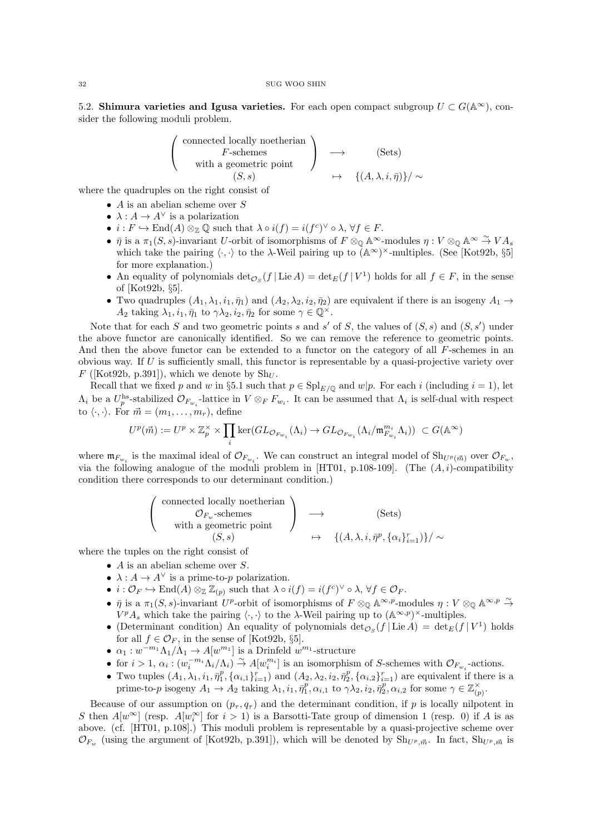5.2. Shimura varieties and Igusa varieties. For each open compact subgroup  $U \subset G(\mathbb{A}^{\infty})$ , consider the following moduli problem.

$$
\left(\begin{array}{c}\n\text{connected locally noetherian} \\
F\text{-schemes} \\
\text{with a geometric point} \\
\left(S, s\right)\n\end{array}\right) \longrightarrow \left(\begin{array}{c}\n\text{Sets} \\
\to \left(\text{Sets}\right) \\
\mapsto \left(\{A, \lambda, i, \bar{\eta}\}\right)\n\end{array}
$$

where the quadruples on the right consist of

- $A$  is an abelian scheme over  $S$
- $\lambda: A \to A^{\vee}$  is a polarization
- $i : F \hookrightarrow \text{End}(A) \otimes_{\mathbb{Z}} \mathbb{Q}$  such that  $\lambda \circ i(f) = i(f^c)^{\vee} \circ \lambda, \forall f \in F$ .
- $\bar{\eta}$  is a  $\pi_1(S, s)$ -invariant U-orbit of isomorphisms of  $F \otimes_{\mathbb{Q}} \mathbb{A}^{\infty}$ -modules  $\eta : V \otimes_{\mathbb{Q}} \mathbb{A}^{\infty} \stackrel{\sim}{\to} VA_s$ which take the pairing  $\langle \cdot, \cdot \rangle$  to the  $\lambda$ -Weil pairing up to  $(A^{\infty})^{\times}$ -multiples. (See [Kot92b, §5] for more explanation.)
- An equality of polynomials  $\det_{{\cal O}_S}(f | \operatorname{Lie} A) = \det_E(f | V^1)$  holds for all  $f \in F$ , in the sense of [Kot92b, §5].
- Two quadruples  $(A_1, \lambda_1, i_1, \bar{\eta}_1)$  and  $(A_2, \lambda_2, i_2, \bar{\eta}_2)$  are equivalent if there is an isogeny  $A_1 \rightarrow$  $A_2$  taking  $\lambda_1, i_1, \bar{\eta}_1$  to  $\gamma \lambda_2, i_2, \bar{\eta}_2$  for some  $\gamma \in \mathbb{Q}^{\times}$ .

Note that for each S and two geometric points s and s' of S, the values of  $(S, s)$  and  $(S, s')$  under the above functor are canonically identified. So we can remove the reference to geometric points. And then the above functor can be extended to a functor on the category of all F-schemes in an obvious way. If  $U$  is sufficiently small, this functor is representable by a quasi-projective variety over  $F$  ([Kot92b, p.391]), which we denote by  $\text{Sh}_U$ .

Recall that we fixed p and w in §5.1 such that  $p \in \text{Spl}_{E/\mathbb{Q}}$  and  $w|p$ . For each i (including  $i = 1$ ), let  $\Lambda_i$  be a  $U_p^{\text{hs}}$ -stabilized  $\mathcal{O}_{F_{w_i}}$ -lattice in  $V \otimes_F F_{w_i}$ . It can be assumed that  $\Lambda_i$  is self-dual with respect to  $\langle \cdot, \cdot \rangle$ . For  $\vec{m} = (m_1, \ldots, m_r)$ , define

$$
U^p(\vec{m}):=U^p\times \mathbb{Z}_p^\times\times \prod_i \ker(GL_{\mathcal{O}_{F_{w_i}}}(\Lambda_i)\rightarrow GL_{\mathcal{O}_{F_{w_i}}}(\Lambda_i/\mathfrak{m}_{F_{w_i}}^{m_i}\Lambda_i))\ \subset G(\mathbb{A}^\infty)
$$

where  $\mathfrak{m}_{F_{w_i}}$  is the maximal ideal of  $\mathcal{O}_{F_{w_i}}$ . We can construct an integral model of  $\text{Sh}_{U^p(\vec{m})}$  over  $\mathcal{O}_{F_w}$ , via the following analogue of the moduli problem in [HT01, p.108-109]. (The  $(A, i)$ -compatibility condition there corresponds to our determinant condition.)

$$
\begin{pmatrix}\n\text{connected locally noetherian} \\
\mathcal{O}_{F_w}\text{-schemes} \\
\text{with a geometric point} \\
(S, s) \rightarrow \{(A, \lambda, i, \bar{\eta}^p, \{\alpha_i\}_{i=1}^r)\} / \sim\n\end{pmatrix}
$$

where the tuples on the right consist of

- $\bullet$  A is an abelian scheme over S.
- $\lambda: A \to A^{\vee}$  is a prime-to-p polarization.
- $i: \mathcal{O}_F \hookrightarrow \text{End}(A) \otimes_{\mathbb{Z}} \mathbb{Z}_{(p)}$  such that  $\lambda \circ i(f) = i(f^c)^{\vee} \circ \lambda, \forall f \in \mathcal{O}_F$ .
- $\bar{\eta}$  is a  $\pi_1(S, s)$ -invariant U<sup>p</sup>-orbit of isomorphisms of  $F \otimes_{\mathbb{Q}} \mathbb{A}^{\infty, p}$ -modules  $\eta : V \otimes_{\mathbb{Q}} \mathbb{A}^{\infty, p} \stackrel{\sim}{\to}$  $V^pA_s$  which take the pairing  $\langle \cdot, \cdot \rangle$  to the  $\lambda$ -Weil pairing up to  $(\mathbb{A}^{\infty, p})^{\times}$ -multiples.
- (Determinant condition) An equality of polynomials  $\det_{\mathcal{O}_S}(f | \operatorname{Lie} A) = \det_E(f | V^1)$  holds for all  $f \in \mathcal{O}_F$ , in the sense of [Kot92b, §5].
- $\alpha_1 : w^{-m_1} \Lambda_1 / \Lambda_1 \to A[w^{m_1}]$  is a Drinfeld  $w^{m_1}$ -structure
- for  $i > 1$ ,  $\alpha_i$ :  $(w_i^{-m_i}\Lambda_i/\Lambda_i) \stackrel{\sim}{\rightarrow} A[w_i^{m_i}]$  is an isomorphism of S-schemes with  $\mathcal{O}_{F_{w_i}}$ -actions.
- Two tuples  $(A_1, \lambda_1, i_1, \bar{\eta}_1^p, \{\alpha_{i,1}\}_{i=1}^r)$  and  $(A_2, \lambda_2, i_2, \bar{\eta}_2^p, \{\alpha_{i,2}\}_{i=1}^r)$  are equivalent if there is a prime-to-p isogeny  $A_1 \to A_2$  taking  $\lambda_1, i_1, \overline{\eta}_1^p, \alpha_{i,1}$  to  $\gamma \lambda_2, i_2, \overline{\eta}_2^p, \alpha_{i,2}$  for some  $\gamma \in \mathbb{Z}_{(p)}^{\times}$ .

Because of our assumption on  $(p_{\tau}, q_{\tau})$  and the determinant condition, if p is locally nilpotent in S then  $A[w^{\infty}]$  (resp.  $A[w_i^{\infty}]$  for  $i > 1$ ) is a Barsotti-Tate group of dimension 1 (resp. 0) if A is as above. (cf. [HT01, p.108].) This moduli problem is representable by a quasi-projective scheme over  $\mathcal{O}_{F_w}$  (using the argument of [Kot92b, p.391]), which will be denoted by  $\text{Sh}_{U^p, \vec{m}}$ . In fact,  $\text{Sh}_{U^p, \vec{m}}$  is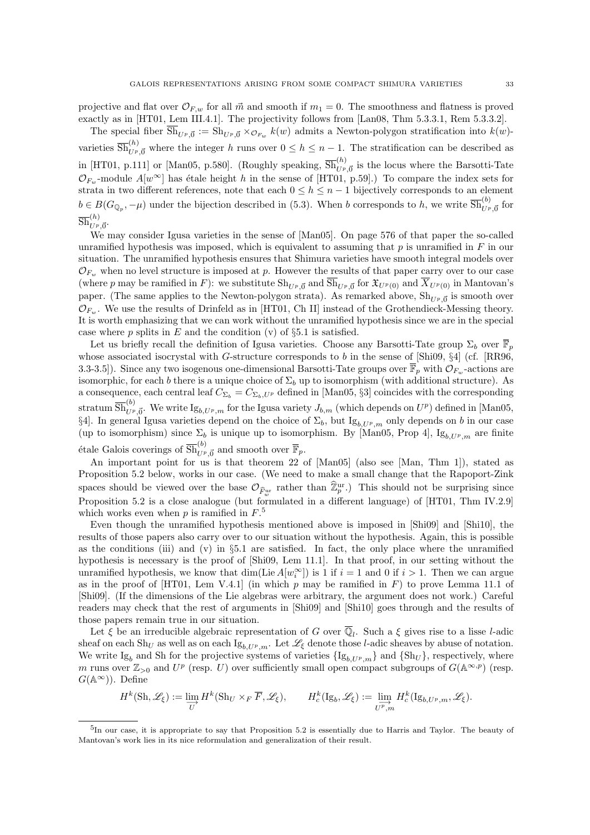projective and flat over  $\mathcal{O}_{F,w}$  for all  $\vec{m}$  and smooth if  $m_1 = 0$ . The smoothness and flatness is proved exactly as in [HT01, Lem III.4.1]. The projectivity follows from [Lan08, Thm 5.3.3.1, Rem 5.3.3.2].

The special fiber  $\text{Sh}_{U^p, \vec{0}} := \text{Sh}_{U^p, \vec{0}} \times_{\mathcal{O}_{F_w}} k(w)$  admits a Newton-polygon stratification into  $k(w)$ varieties  $\overline{\mathrm{Sh}}_{U^{p},\vec{0}}^{(h)}$  where the integer h runs over  $0 \leq h \leq n-1$ . The stratification can be described as in [HT01, p.111] or [Man05, p.580]. (Roughly speaking,  $\overline{Sh}_{U^p,\vec{0}}^{(h)}$  is the locus where the Barsotti-Tate  $\mathcal{O}_{F_w}$ -module  $A[w^{\infty}]$  has étale height h in the sense of [HT01, p.59].) To compare the index sets for strata in two different references, note that each  $0 \leq h \leq n-1$  bijectively corresponds to an element  $b \in B(G_{\mathbb{Q}_p}, -\mu)$  under the bijection described in (5.3). When b corresponds to h, we write  $\overline{\text{Sh}}_{U^p, \vec{0}}^{(b)}$  for  $\overline{\mathrm{Sh}}^{(h)}_{U^{p},\vec{0}}.$ 

We may consider Igusa varieties in the sense of [Man05]. On page 576 of that paper the so-called unramified hypothesis was imposed, which is equivalent to assuming that p is unramified in  $F$  in our situation. The unramified hypothesis ensures that Shimura varieties have smooth integral models over  $\mathcal{O}_{F_w}$  when no level structure is imposed at p. However the results of that paper carry over to our case (where p may be ramified in F): we substitute  $\text{Sh}_{U^p, \vec{0}}$  and  $\text{Sh}_{U^p, \vec{0}}$  for  $\mathfrak{X}_{U^p(0)}$  and  $X_{U^p(0)}$  in Mantovan's paper. (The same applies to the Newton-polygon strata). As remarked above,  $\text{Sh}_{U^{p}, \vec{0}}$  is smooth over  $\mathcal{O}_{F_{\text{av}}}$ . We use the results of Drinfeld as in [HT01, Ch II] instead of the Grothendieck-Messing theory. It is worth emphasizing that we can work without the unramified hypothesis since we are in the special case where  $p$  splits in  $E$  and the condition (v) of §5.1 is satisfied.

Let us briefly recall the definition of Igusa varieties. Choose any Barsotti-Tate group  $\Sigma_b$  over  $\overline{\mathbb{F}}_n$ whose associated isocrystal with G-structure corresponds to b in the sense of [Shi09,  $\S4$ ] (cf. [RR96, 3.3-3.5]). Since any two isogenous one-dimensional Barsotti-Tate groups over  $\overline{\mathbb{F}}_p$  with  $\mathcal{O}_{F_w}$ -actions are isomorphic, for each b there is a unique choice of  $\Sigma_b$  up to isomorphism (with additional structure). As a consequence, each central leaf  $C_{\Sigma_b} = C_{\Sigma_b, U^p}$  defined in [Man05, §3] coincides with the corresponding stratum  $\overline{\text{Sh}}_{U^p,\vec{0}}^{(b)}$ . We write  $\text{Ig}_{b, U^p, m}$  for the Igusa variety  $J_{b, m}$  (which depends on  $U^p$ ) defined in [Man05, §4]. In general Igusa varieties depend on the choice of  $\Sigma_b$ , but Ig<sub>b,Up,m</sub> only depends on b in our case (up to isomorphism) since  $\Sigma_b$  is unique up to isomorphism. By [Man05, Prop 4], Ig<sub>b,Up,m</sub> are finite étale Galois coverings of  $\overline{\text{Sh}}_{U^p, \vec{0}}^{(b)}$  and smooth over  $\overline{\mathbb{F}}_p$ .

An important point for us is that theorem 22 of [Man05] (also see [Man, Thm 1]), stated as Proposition 5.2 below, works in our case. (We need to make a small change that the Rapoport-Zink spaces should be viewed over the base  $\mathcal{O}_{\widehat{F}_w^{\text{ur}}}$  rather than  $\widehat{\mathbb{Z}}_p^{\text{ur}}$ .) This should not be surprising since Proposition 5.2 is a close analogue (but formulated in a different language) of [HT01, Thm IV.2.9] which works even when  $p$  is ramified in  $F$ <sup>5</sup>

Even though the unramified hypothesis mentioned above is imposed in [Shi09] and [Shi10], the results of those papers also carry over to our situation without the hypothesis. Again, this is possible as the conditions (iii) and (y) in  $\S5.1$  are satisfied. In fact, the only place where the unramified hypothesis is necessary is the proof of [Shi09, Lem 11.1]. In that proof, in our setting without the unramified hypothesis, we know that  $\dim(\text{Lie }A[w_i^{\infty}])$  is 1 if  $i = 1$  and 0 if  $i > 1$ . Then we can argue as in the proof of  $[HT01, Lem V.4.1]$  (in which p may be ramified in F) to prove Lemma 11.1 of [Shi09]. (If the dimensions of the Lie algebras were arbitrary, the argument does not work.) Careful readers may check that the rest of arguments in [Shi09] and [Shi10] goes through and the results of those papers remain true in our situation.

Let  $\xi$  be an irreducible algebraic representation of G over  $\overline{\mathbb{Q}}_l$ . Such a  $\xi$  gives rise to a lisse l-adic sheaf on each Sh<sub>U</sub> as well as on each Ig<sub>b,Up,m</sub>. Let  $\mathcal{L}_{\xi}$  denote those *l*-adic sheaves by abuse of notation. We write Ig<sub>b</sub> and Sh for the projective systems of varieties  $\{Ig_{b, U^p, m}\}\$  and  $\{Sh_U\}$ , respectively, where m runs over  $\mathbb{Z}_{>0}$  and  $U^p$  (resp. U) over sufficiently small open compact subgroups of  $G(\mathbb{A}^{\infty,p})$  (resp.  $G(\mathbb{A}^{\infty})$ . Define

$$
H^k(\mathrm{Sh},\mathscr{L}_\xi):=\varinjlim_U H^k(\mathrm{Sh}_U\times_F\overline{F},\mathscr{L}_\xi),\qquad H^k_c(\mathrm{Ig}_b,\mathscr{L}_\xi):=\varinjlim_{U^p,m} H^k_c(\mathrm{Ig}_{b,U^p,m},\mathscr{L}_\xi).
$$

<sup>&</sup>lt;sup>5</sup>In our case, it is appropriate to say that Proposition 5.2 is essentially due to Harris and Taylor. The beauty of Mantovan's work lies in its nice reformulation and generalization of their result.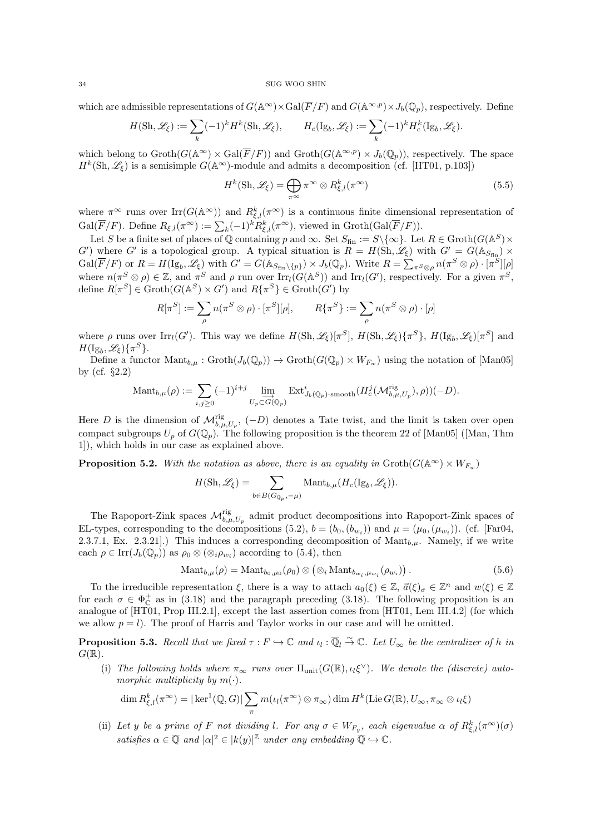which are admissible representations of  $G(\mathbb{A}^{\infty}) \times \text{Gal}(\overline{F}/F)$  and  $G(\mathbb{A}^{\infty,p}) \times J_b(\mathbb{Q}_p)$ , respectively. Define

$$
H(\mathrm{Sh}, \mathscr{L}_\xi) := \sum_k (-1)^k H^k(\mathrm{Sh}, \mathscr{L}_\xi), \qquad H_c(\mathrm{Ig}_b, \mathscr{L}_\xi) := \sum_k (-1)^k H_c^k(\mathrm{Ig}_b, \mathscr{L}_\xi).
$$

which belong to  $\operatorname{Groth}(G(\mathbb{A}^{\infty}) \times \operatorname{Gal}(\overline{F}/F))$  and  $\operatorname{Groth}(G(\mathbb{A}^{\infty,p}) \times J_b(\mathbb{Q}_p))$ , respectively. The space  $H^k(\text{Sh}, \mathscr{L}_\xi)$  is a semisimple  $G(\mathbb{A}^\infty)$ -module and admits a decomposition (cf. [HT01, p.103])

$$
H^k(\text{Sh}, \mathscr{L}_{\xi}) = \bigoplus_{\pi^{\infty}} \pi^{\infty} \otimes R^k_{\xi, l}(\pi^{\infty})
$$
\n(5.5)

where  $\pi^{\infty}$  runs over  $\text{Irr}(G(\mathbb{A}^{\infty}))$  and  $R_{\xi,l}^{k}(\pi^{\infty})$  is a continuous finite dimensional representation of  $Gal(\overline{F}/F)$ . Define  $R_{\xi,l}(\pi^{\infty}) := \sum_{k} (-1)^{k} R_{\xi,l}^{k}(\pi^{\infty})$ , viewed in  $Groth(Gal(\overline{F}/F))$ .

Let S be a finite set of places of  $\mathbb Q$  containing p and  $\infty$ . Set  $S_{fin} := S \setminus {\infty}$ . Let  $R \in \text{Groth}(G(\mathbb{A}^S) \times$  $G'$ ) where G' is a topological group. A typical situation is  $R = H(\overline{Sh}, \mathscr{L}_{\xi})$  with  $G' = G(\mathbb{A}_{S_{fin}}) \times$  $Gal(\overline{F}/F)$  or  $R = H(\mathrm{Ig}_b, \mathscr{L}_\xi)$  with  $G' = G(\mathbb{A}_{S_{fin}\backslash\{p\}}) \times J_b(\mathbb{Q}_p)$ . Write  $R = \sum_{\pi S \otimes \rho} n(\pi^S \otimes \rho) \cdot [\pi^S][\rho]$ where  $n(\pi^S \otimes \rho) \in \mathbb{Z}$ , and  $\pi^S$  and  $\rho$  run over  $\text{Irr}_l(G(\mathbb{A}^S))$  and  $\text{Irr}_l(G')$ , respectively. For a given  $\pi^S$ , define  $R[\pi^S] \in \text{Groth}(G(\mathbb{A}^S) \times G')$  and  $R\{\pi^S\} \in \text{Groth}(G')$  by

$$
R[\pi^S] := \sum_{\rho} n(\pi^S \otimes \rho) \cdot [\pi^S][\rho], \qquad R\{\pi^S\} := \sum_{\rho} n(\pi^S \otimes \rho) \cdot [\rho]
$$

where  $\rho$  runs over  $\text{Irr}_l(G')$ . This way we define  $H(\text{Sh}, \mathscr{L}_{\xi})[\pi^S]$ ,  $H(\text{Sh}, \mathscr{L}_{\xi})\{\pi^S\}$ ,  $H(\text{Ig}_b, \mathscr{L}_{\xi})[\pi^S]$  and  $H(\mathrm{Ig}_b, \mathscr{L}_\xi)\{\pi^S\}.$ 

Define a functor  $\mathrm{Mant}_{b,\mu}: \mathrm{Groth}(J_b(\mathbb{Q}_p)) \to \mathrm{Groth}(G(\mathbb{Q}_p) \times W_{F_w})$  using the notation of [Man05] by (cf. §2.2)

$$
\mathrm{Mant}_{b,\mu}(\rho) := \sum_{i,j \geq 0} (-1)^{i+j} \lim_{U_p \subset G(\mathbb{Q}_p)} \mathrm{Ext}^i_{J_b(\mathbb{Q}_p)\text{-smooth}}(H^j_c(\mathcal{M}_{b,\mu,U_p}^{\mathrm{rig}}), \rho))(-D).
$$

Here D is the dimension of  $\mathcal{M}_{b,\mu,U_p}^{\text{rig}},(-D)$  denotes a Tate twist, and the limit is taken over open compact subgroups  $U_p$  of  $G(\mathbb{Q}_p)$ . The following proposition is the theorem 22 of [Man05] ([Man, Thm 1]), which holds in our case as explained above.

**Proposition 5.2.** With the notation as above, there is an equality in  $\text{Groth}(G(\mathbb{A}^{\infty}) \times W_{F_{\text{av}}})$ 

$$
H(\mathrm{Sh}, \mathscr{L}_{\xi}) = \sum_{b \in B(G_{\mathbb{Q}_p}, -\mu)} \mathrm{Mant}_{b,\mu}(H_c(\mathrm{Ig}_b, \mathscr{L}_{\xi})).
$$

The Rapoport-Zink spaces  $\mathcal{M}_{b,\mu,U_p}^{rig}$  admit product decompositions into Rapoport-Zink spaces of EL-types, corresponding to the decompositions (5.2),  $b = (b_0, (b_{w_i}))$  and  $\mu = (\mu_0, (\mu_{w_i}))$ . (cf. [Far04, 2.3.7.1, Ex. 2.3.21...) This induces a corresponding decomposition of  $\text{Mant}_{b,\mu}$ . Namely, if we write each  $\rho \in \text{Irr}(J_b(\mathbb{Q}_p))$  as  $\rho_0 \otimes (\otimes_i \rho_{w_i})$  according to (5.4), then

$$
\text{Mant}_{b,\mu}(\rho) = \text{Mant}_{b_0,\mu_0}(\rho_0) \otimes (\otimes_i \text{Mant}_{b_{w_i},\mu_{w_i}}(\rho_{w_i})). \tag{5.6}
$$

To the irreducible representation  $\xi$ , there is a way to attach  $a_0(\xi) \in \mathbb{Z}$ ,  $\vec{a}(\xi)_{\sigma} \in \mathbb{Z}^n$  and  $w(\xi) \in \mathbb{Z}$ for each  $\sigma \in \Phi_{\mathbb{C}}^+$  as in (3.18) and the paragraph preceding (3.18). The following proposition is an analogue of [HT01, Prop III.2.1], except the last assertion comes from [HT01, Lem III.4.2] (for which we allow  $p = l$ ). The proof of Harris and Taylor works in our case and will be omitted.

**Proposition 5.3.** Recall that we fixed  $\tau : F \hookrightarrow \mathbb{C}$  and  $\iota_l : \overline{\mathbb{Q}}_l \overset{\sim}{\to} \mathbb{C}$ . Let  $U_\infty$  be the centralizer of h in  $G(\mathbb{R})$ .

(i) The following holds where  $\pi_{\infty}$  runs over  $\Pi_{\text{unit}}(G(\mathbb{R}), \iota_i \xi^{\vee})$ . We denote the (discrete) automorphic multiplicity by  $m(\cdot)$ .

$$
\dim R_{\xi,l}^k(\pi^\infty) = |\ker^1(\mathbb{Q}, G)| \sum_{\pi} m(\iota_l(\pi^\infty) \otimes \pi_\infty) \dim H^k(\mathrm{Lie }G(\mathbb{R}), U_\infty, \pi_\infty \otimes \iota_l \xi)
$$

(ii) Let y be a prime of F not dividing l. For any  $\sigma \in W_{F_y}$ , each eigenvalue  $\alpha$  of  $R_{\xi,l}^k(\pi^\infty)(\sigma)$ satisfies  $\alpha \in \overline{Q}$  and  $|\alpha|^2 \in |k(y)|^{\mathbb{Z}}$  under any embedding  $\overline{Q} \hookrightarrow \mathbb{C}$ .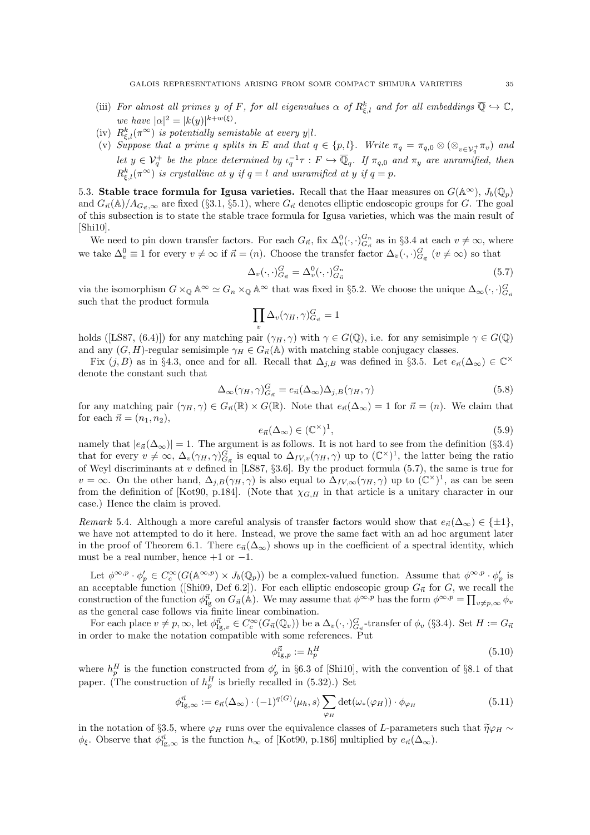- (iii) For almost all primes y of F, for all eigenvalues  $\alpha$  of  $R_{\xi,l}^k$  and for all embeddings  $\overline{\mathbb{Q}} \hookrightarrow \mathbb{C}$ , we have  $|\alpha|^2 = |k(y)|^{k+w(\xi)}$ .
- (iv)  $R_{\xi,l}^k(\pi^\infty)$  is potentially semistable at every y|l.
- (v) Suppose that a prime q splits in E and that  $q \in \{p, l\}$ . Write  $\pi_q = \pi_{q,0} \otimes (\otimes_{v \in V_q^+} \pi_v)$  and let  $y \in V_q^+$  be the place determined by  $\iota_q^{-1} \tau : F \hookrightarrow \overline{\mathbb{Q}}_q$ . If  $\pi_{q,0}$  and  $\pi_y$  are unramified, then  $R_{\xi,l}^k(\pi^\infty)$  is crystalline at y if  $q = l$  and unramified at y if  $q = p$ .

5.3. Stable trace formula for Igusa varieties. Recall that the Haar measures on  $G(\mathbb{A}^{\infty})$ ,  $J_b(\mathbb{Q}_n)$ and  $G_{\vec{n}}(\mathbb{A})/A_{G_{\vec{n}},\infty}$  are fixed (§3.1, §5.1), where  $G_{\vec{n}}$  denotes elliptic endoscopic groups for G. The goal of this subsection is to state the stable trace formula for Igusa varieties, which was the main result of [Shi10].

We need to pin down transfer factors. For each  $G_{\vec{n}}$ , fix  $\Delta_v^0(\cdot, \cdot)_{G_{\vec{n}}}^{G_n}$  as in §3.4 at each  $v \neq \infty$ , where we take  $\Delta_v^0 \equiv 1$  for every  $v \neq \infty$  if  $\vec{n} = (n)$ . Choose the transfer factor  $\Delta_v(\cdot, \cdot)_{G_{\vec{n}}}^G$   $(v \neq \infty)$  so that

$$
\Delta_v(\cdot,\cdot)_{G_{\vec{n}}}^G = \Delta_v^0(\cdot,\cdot)_{G_{\vec{n}}}^{G_n} \tag{5.7}
$$

via the isomorphism  $G \times_{\mathbb{Q}} \mathbb{A}^{\infty} \simeq G_n \times_{\mathbb{Q}} \mathbb{A}^{\infty}$  that was fixed in §5.2. We choose the unique  $\Delta_{\infty}(\cdot, \cdot)_{G_n}^G$ such that the product formula

$$
\prod_v \Delta_v(\gamma_H,\gamma)^G_{G_{\vec{n}}}=1
$$

holds ([LS87, (6.4)]) for any matching pair  $(\gamma_H, \gamma)$  with  $\gamma \in G(\mathbb{Q})$ , i.e. for any semisimple  $\gamma \in G(\mathbb{Q})$ and any  $(G, H)$ -regular semisimple  $\gamma_H \in G_{\vec{n}}(\mathbb{A})$  with matching stable conjugacy classes.

Fix  $(j, B)$  as in §4.3, once and for all. Recall that  $\Delta_{j,B}$  was defined in §3.5. Let  $e_{\vec{n}}(\Delta_{\infty}) \in \mathbb{C}^{\times}$ denote the constant such that

$$
\Delta_{\infty}(\gamma_H, \gamma)_{G_{\vec{n}}}^G = e_{\vec{n}}(\Delta_{\infty})\Delta_{j,B}(\gamma_H, \gamma)
$$
\n(5.8)

for any matching pair  $(\gamma_H, \gamma) \in G_{\vec{n}}(\mathbb{R}) \times G(\mathbb{R})$ . Note that  $e_{\vec{n}}(\Delta_{\infty}) = 1$  for  $\vec{n} = (n)$ . We claim that for each  $\vec{n} = (n_1, n_2),$ 

$$
e_{\vec{n}}(\Delta_{\infty}) \in (\mathbb{C}^{\times})^{1},\tag{5.9}
$$

namely that  $|e_{\vec{n}}(\Delta_{\infty})|=1$ . The argument is as follows. It is not hard to see from the definition (§3.4) that for every  $v \neq \infty$ ,  $\Delta_v(\gamma_H, \gamma)_{G_{\vec{n}}}^G$  is equal to  $\Delta_{IV,v}(\gamma_H, \gamma)$  up to  $(\mathbb{C}^\times)^1$ , the latter being the ratio of Weyl discriminants at v defined in [LS87,  $\S3.6$ ]. By the product formula (5.7), the same is true for  $v = \infty$ . On the other hand,  $\Delta_{j,B}(\gamma_H, \gamma)$  is also equal to  $\Delta_{IV,\infty}(\gamma_H, \gamma)$  up to  $(\mathbb{C}^{\times})^1$ , as can be seen from the definition of [Kot90, p.184]. (Note that  $\chi_{G,H}$  in that article is a unitary character in our case.) Hence the claim is proved.

Remark 5.4. Although a more careful analysis of transfer factors would show that  $e_{\vec{n}}(\Delta_{\infty}) \in \{\pm 1\}$ , we have not attempted to do it here. Instead, we prove the same fact with an ad hoc argument later in the proof of Theorem 6.1. There  $e_{\vec{n}}(\Delta_{\infty})$  shows up in the coefficient of a spectral identity, which must be a real number, hence  $+1$  or  $-1$ .

Let  $\phi^{\infty,p} \cdot \phi'_p \in C_c^{\infty}(G(\mathbb{A}^{\infty,p}) \times J_b(\mathbb{Q}_p))$  be a complex-valued function. Assume that  $\phi^{\infty,p} \cdot \phi'_p$  is an acceptable function ([Shi09, Def 6.2]). For each elliptic endoscopic group  $G_{\vec{n}}$  for G, we recall the construction of the function  $\phi_{\text{Ig}}^{\vec{n}}$  on  $G_{\vec{n}}(\mathbb{A})$ . We may assume that  $\phi^{\infty,p}$  has the form  $\phi^{\infty,p} = \prod_{v \neq p,\infty} \phi_v$ as the general case follows via finite linear combination.

For each place  $v \neq p, \infty$ , let  $\phi_{\text{Ig},v}^{\vec{n}} \in C_c^{\infty}(G_{\vec{n}}(\mathbb{Q}_v))$  be a  $\Delta_v(\cdot, \cdot)_{G_{\vec{n}}}^G$ -transfer of  $\phi_v$  (§3.4). Set  $H := G_{\vec{n}}$ in order to make the notation compatible with some references. Put

$$
\phi_{\text{Ig},p}^{\vec{n}} := h_p^H \tag{5.10}
$$

where  $h_p^H$  is the function constructed from  $\phi_p'$  in §6.3 of [Shi10], with the convention of §8.1 of that paper. (The construction of  $h_p^H$  is briefly recalled in (5.32).) Set

$$
\phi_{\mathrm{Ig},\infty}^{\vec{n}} := e_{\vec{n}}(\Delta_{\infty}) \cdot (-1)^{q(G)} \langle \mu_h, s \rangle \sum_{\varphi_H} \det(\omega_*(\varphi_H)) \cdot \phi_{\varphi_H}
$$
(5.11)

in the notation of §3.5, where  $\varphi_H$  runs over the equivalence classes of L-parameters such that  $\tilde{\eta}\varphi_H \sim$  $\phi_{\xi}$ . Observe that  $\phi_{\text{Ig},\infty}^{\vec{n}}$  is the function  $h_{\infty}$  of [Kot90, p.186] multiplied by  $e_{\vec{n}}(\Delta_{\infty})$ .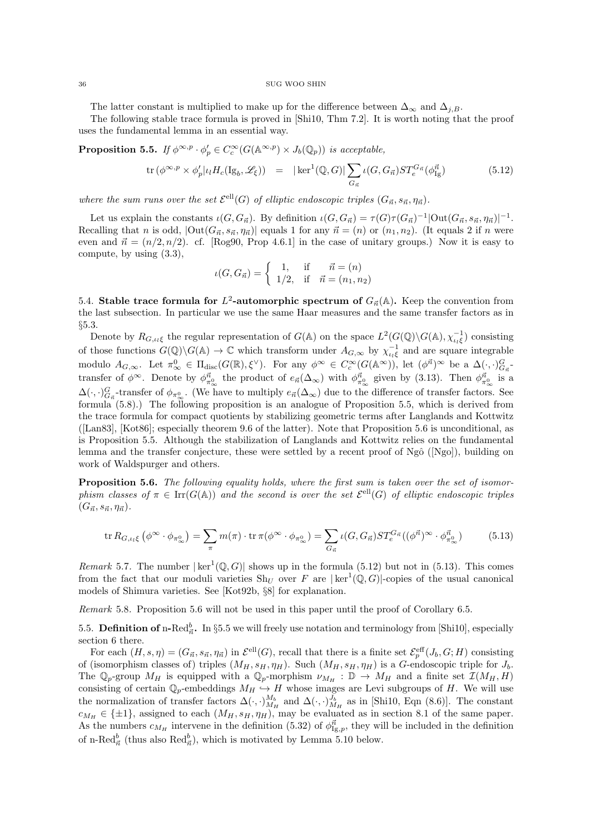The latter constant is multiplied to make up for the difference between  $\Delta_{\infty}$  and  $\Delta_{i,B}$ .

The following stable trace formula is proved in [Shi10, Thm 7.2]. It is worth noting that the proof uses the fundamental lemma in an essential way.

**Proposition 5.5.** If  $\phi^{\infty,p} \cdot \phi'_p \in C_c^{\infty}(G(\mathbb{A}^{\infty,p}) \times J_b(\mathbb{Q}_p))$  is acceptable,

$$
\operatorname{tr}\left(\phi^{\infty,p}\times\phi'_p\middle|\iota_lH_c(\operatorname{Ig}_b,\mathscr{L}_\xi)\right) \quad = \quad |\ker^1(\mathbb{Q},G)| \sum_{G_{\vec{n}}} \iota(G,G_{\vec{n}})ST_e^{G_{\vec{n}}}(\phi_{\operatorname{Ig}}^{\vec{n}}) \tag{5.12}
$$

where the sum runs over the set  $\mathcal{E}^{ell}(G)$  of elliptic endoscopic triples  $(G_{\vec{n}}, s_{\vec{n}}, \eta_{\vec{n}})$ .

Let us explain the constants  $\iota(G, G_{\vec{n}})$ . By definition  $\iota(G, G_{\vec{n}}) = \tau(G)\tau(G_{\vec{n}})^{-1}|\text{Out}(G_{\vec{n}}, s_{\vec{n}}, \eta_{\vec{n}})|^{-1}$ . Recalling that n is odd,  $|\text{Out}(G_{\vec{n}}, s_{\vec{n}}, \eta_{\vec{n}})|$  equals 1 for any  $\vec{n} = (n)$  or  $(n_1, n_2)$ . (It equals 2 if n were even and  $\vec{n} = (n/2, n/2)$ . cf. [Rog90, Prop 4.6.1] in the case of unitary groups.) Now it is easy to compute, by using (3.3),

$$
\iota(G, G_{\vec{n}}) = \begin{cases} 1, & \text{if } \vec{n} = (n) \\ 1/2, & \text{if } \vec{n} = (n_1, n_2) \end{cases}
$$

5.4. Stable trace formula for  $L^2$ -automorphic spectrum of  $G_{\vec{n}}(\mathbb{A})$ . Keep the convention from the last subsection. In particular we use the same Haar measures and the same transfer factors as in §5.3.

Denote by  $R_{G,\iota_l\xi}$  the regular representation of  $G(\mathbb{A})$  on the space  $L^2(G(\mathbb{Q})\backslash G(\mathbb{A}),\chi_{\iota_l\xi}^{-1})$  consisting of those functions  $G(\mathbb{Q})\backslash G(\mathbb{A})\to \mathbb{C}$  which transform under  $A_{G,\infty}$  by  $\chi_{\iota_i\xi}^{-1}$  and are square integrable modulo  $A_{G,\infty}$ . Let  $\pi_{\infty}^0 \in \Pi_{\text{disc}}(G(\mathbb{R}),\xi^{\vee})$ . For any  $\phi^{\infty} \in C_c^{\infty}(G(\mathbb{A}^{\infty}))$ , let  $(\phi^{\vec{n}})^{\infty}$  be a  $\Delta(\cdot,\cdot)_{G_{\vec{n}}}^G$ . transfer of  $\phi^{\infty}$ . Denote by  $\phi_{\pi^0_{\infty}}^{\vec{n}}$  the product of  $e_{\vec{n}}(\Delta_{\infty})$  with  $\phi_{\pi^0_{\infty}}^{\vec{n}}$  given by (3.13). Then  $\phi_{\pi^0_{\infty}}^{\vec{n}}$  is a  $\Delta(\cdot, \cdot)_{G_{\vec{n}}}^G$ -transfer of  $\phi_{\pi_\infty^0}$ . (We have to multiply  $e_{\vec{n}}(\Delta_\infty)$  due to the difference of transfer factors. See formula (5.8).) The following proposition is an analogue of Proposition 5.5, which is derived from the trace formula for compact quotients by stabilizing geometric terms after Langlands and Kottwitz ([Lan83], [Kot86]; especially theorem 9.6 of the latter). Note that Proposition 5.6 is unconditional, as is Proposition 5.5. Although the stabilization of Langlands and Kottwitz relies on the fundamental lemma and the transfer conjecture, these were settled by a recent proof of  $Ngô$  ([Ngo]), building on work of Waldspurger and others.

Proposition 5.6. The following equality holds, where the first sum is taken over the set of isomorphism classes of  $\pi \in \text{Irr}(G(\mathbb{A}))$  and the second is over the set  $\mathcal{E}^{\text{ell}}(G)$  of elliptic endoscopic triples  $(G_{\vec{n}}, s_{\vec{n}}, \eta_{\vec{n}}).$ 

$$
\operatorname{tr} R_{G,\iota_l\xi} \left( \phi^{\infty} \cdot \phi_{\pi_{\infty}^0} \right) = \sum_{\pi} m(\pi) \cdot \operatorname{tr} \pi(\phi^{\infty} \cdot \phi_{\pi_{\infty}^0}) = \sum_{G_{\vec{n}}} \iota(G, G_{\vec{n}}) ST_e^{G_{\vec{n}}}((\phi^{\vec{n}})^{\infty} \cdot \phi_{\pi_{\infty}^0}^{\vec{n}})
$$
(5.13)

*Remark* 5.7. The number  $|\ker^1(\mathbb{Q}, G)|$  shows up in the formula (5.12) but not in (5.13). This comes from the fact that our moduli varieties  $\text{Sh}_U$  over F are  $|\text{ ker}^1(\mathbb{Q}, G)|$ -copies of the usual canonical models of Shimura varieties. See [Kot92b, §8] for explanation.

Remark 5.8. Proposition 5.6 will not be used in this paper until the proof of Corollary 6.5.

5.5. Definition of n-Red $_{\vec{n}}^b$ . In §5.5 we will freely use notation and terminology from [Shi10], especially section 6 there.

For each  $(H, s, \eta) = (G_{\vec{n}}, s_{\vec{n}}, \eta_{\vec{n}})$  in  $\mathcal{E}^{\text{ell}}(G)$ , recall that there is a finite set  $\mathcal{E}_p^{\text{eff}}(J_b, G; H)$  consisting of (isomorphism classes of) triples  $(M_H, s_H, \eta_H)$ . Such  $(M_H, s_H, \eta_H)$  is a G-endoscopic triple for  $J_b$ . The  $\mathbb{Q}_p$ -group  $M_H$  is equipped with a  $\mathbb{Q}_p$ -morphism  $\nu_{M_H}: \mathbb{D} \to M_H$  and a finite set  $\mathcal{I}(M_H, H)$ consisting of certain  $\mathbb{Q}_p$ -embeddings  $M_H \nightharpoonup H$  whose images are Levi subgroups of H. We will use the normalization of transfer factors  $\Delta(\cdot, \cdot)_{M_H}^{M_b}$  and  $\Delta(\cdot, \cdot)_{M_H}^{J_b}$  as in [Shi10, Eqn (8.6)]. The constant  $c_{M_H} \in {\pm 1}$ , assigned to each  $(M_H, s_H, \eta_H)$ , may be evaluated as in section 8.1 of the same paper. As the numbers  $c_{M_H}$  intervene in the definition (5.32) of  $\phi_{\text{Ig},p}^{\vec{n}}$ , they will be included in the definition of n-Red $_{\vec{n}}^b$  (thus also  $\text{Red}_{\vec{n}}^b$ ), which is motivated by Lemma 5.10 below.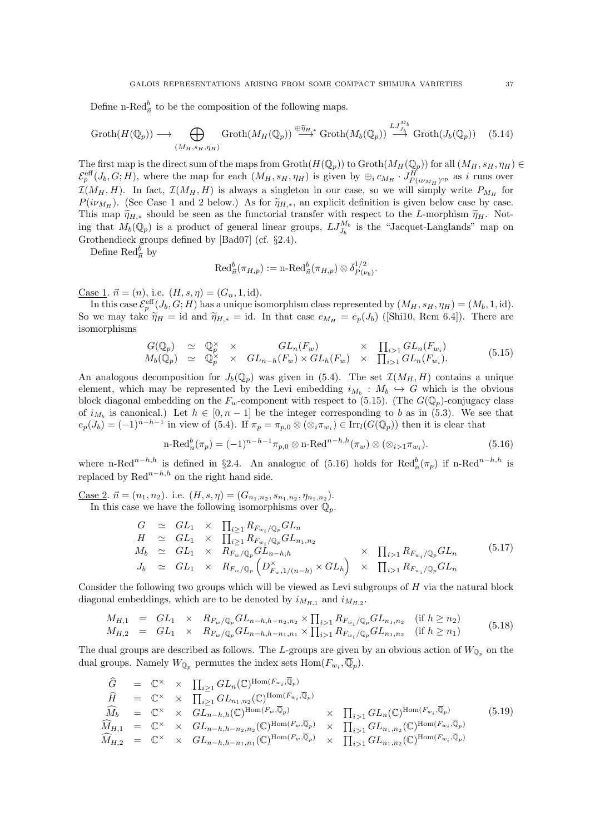Define n-Red $_{\vec{n}}^b$  to be the composition of the following maps.

$$
\operatorname{Groth}(H(\mathbb{Q}_p)) \longrightarrow \bigoplus_{(M_H, s_H, \eta_H)} \operatorname{Groth}(M_H(\mathbb{Q}_p)) \stackrel{\oplus \tilde{\eta}_{H,*}}{\longrightarrow} \operatorname{Groth}(M_b(\mathbb{Q}_p)) \stackrel{LJ_{J_b}^{M_b}}{\longrightarrow} \operatorname{Groth}(J_b(\mathbb{Q}_p)) \quad (5.14)
$$

The first map is the direct sum of the maps from  $\text{Groth}(H(\mathbb{Q}_p))$  to  $\text{Groth}(M_H(\mathbb{Q}_p))$  for all  $(M_H, s_H, \eta_H) \in$  $\mathcal{E}_p^{\text{eff}}(J_b, G; H)$ , where the map for each  $(M_H, s_H, \eta_H)$  is given by  $\oplus_i c_{M_H} \cdot J_{P(i\nu_{M_H})^{\text{op}}}^H$  as i runs over  $\mathcal{I}(M_H, H)$ . In fact,  $\mathcal{I}(M_H, H)$  is always a singleton in our case, so we will simply write  $P_{M_H}$  for  $P(i\nu_{M_H})$ . (See Case 1 and 2 below.) As for  $\tilde{\eta}_{H,*}$ , an explicit definition is given below case by case. This map  $\tilde{\eta}_{H,*}$  should be seen as the functorial transfer with respect to the L-morphism  $\tilde{\eta}_H$ . Noting that  $M_b(\mathbb{Q}_p)$  is a product of general linear groups,  $LJ_{J_b}^{M_b}$  is the "Jacquet-Langlands" map on Grothendieck groups defined by [Bad07] (cf. §2.4).

Define  $\text{Red}^b_{\vec{n}}$  by

$$
\operatorname{Red}^b_{\vec{n}}(\pi_{H,p}) := \operatorname{n-Red}^b_{\vec{n}}(\pi_{H,p}) \otimes \bar{\delta}^{1/2}_{P(\nu_b)}.
$$

<u>Case 1</u>.  $\vec{n} = (n)$ , i.e.  $(H, s, \eta) = (G_n, 1, id)$ .

In this case  $\mathcal{E}_p^{\text{eff}}(J_b, G; H)$  has a unique isomorphism class represented by  $(M_H, s_H, \eta_H) = (M_b, 1, \text{id}).$ So we may take  $\widetilde{\eta}_H = id$  and  $\widetilde{\eta}_{H,*} = id$ . In that case  $c_{M_H} = e_p(J_b)$  ([Shi10, Rem 6.4]). There are isomorphisms

$$
G(\mathbb{Q}_p) \simeq \mathbb{Q}_p^{\times} \times GL_n(F_w) \times \prod_{i>1} GL_n(F_{w_i})
$$
  
\n
$$
M_b(\mathbb{Q}_p) \simeq \mathbb{Q}_p^{\times} \times GL_{n-h}(F_w) \times GL_h(F_w) \times \prod_{i>1} GL_n(F_{w_i}).
$$
\n(5.15)

An analogous decomposition for  $J_b(\mathbb{Q}_p)$  was given in (5.4). The set  $\mathcal{I}(M_H, H)$  contains a unique element, which may be represented by the Levi embedding  $i_{M_b}: M_b \hookrightarrow G$  which is the obvious block diagonal embedding on the  $F_w$ -component with respect to (5.15). (The  $G(\mathbb{Q}_p)$ -conjugacy class of  $i_{M_b}$  is canonical.) Let  $h \in [0, n-1]$  be the integer corresponding to b as in (5.3). We see that  $e_p(J_b) = (-1)^{n-h-1}$  in view of (5.4). If  $\pi_p = \pi_{p,0} \otimes (\otimes_i \pi_{w_i}) \in \text{Irr}_l(G(\mathbb{Q}_p))$  then it is clear that

$$
\text{n-Red}_n^b(\pi_p) = (-1)^{n-h-1} \pi_{p,0} \otimes \text{n-Red}^{n-h,h}(\pi_w) \otimes (\otimes_{i>1} \pi_{w_i}). \tag{5.16}
$$

where n-Red<sup>n−h,h</sup> is defined in §2.4. An analogue of (5.16) holds for Red $_n^b(\pi_p)$  if n-Red<sup>n-h,h</sup> is replaced by  $\text{Red}^{n-h,h}$  on the right hand side.

<u>Case 2</u>.  $\vec{n} = (n_1, n_2)$ . i.e.  $(H, s, \eta) = (G_{n_1, n_2}, s_{n_1, n_2}, \eta_{n_1, n_2})$ .

In this case we have the following isomorphisms over  $\mathbb{Q}_p$ .

$$
G \simeq GL_1 \times \prod_{i\geq 1} R_{F_{w_i}/\mathbb{Q}_p} GL_n
$$
  
\n
$$
H \simeq GL_1 \times \prod_{i\geq 1} R_{F_{w_i}/\mathbb{Q}_p} GL_{n_1,n_2}
$$
  
\n
$$
M_b \simeq GL_1 \times R_{F_w/\mathbb{Q}_p} GL_{n-h,h} \times \prod_{i>1} R_{F_{w_i}/\mathbb{Q}_p} GL_n
$$
  
\n
$$
J_b \simeq GL_1 \times R_{F_w/\mathbb{Q}_p} \left( D_{F_w,1/(n-h)}^{\times} \times GL_h \right) \times \prod_{i>1} R_{F_{w_i}/\mathbb{Q}_p} GL_n
$$
  
\n
$$
(5.17)
$$

Consider the following two groups which will be viewed as Levi subgroups of  $H$  via the natural block diagonal embeddings, which are to be denoted by  $i_{M_{H,1}}$  and  $i_{M_{H,2}}$ .

$$
M_{H,1} = GL_1 \times R_{F_w/\mathbb{Q}_p} GL_{n-h,h-n_2,n_2} \times \prod_{i>1} R_{F_{w_i}/\mathbb{Q}_p} GL_{n_1,n_2} \quad (\text{if } h \ge n_2) M_{H,2} = GL_1 \times R_{F_w/\mathbb{Q}_p} GL_{n-h,h-n_1,n_1} \times \prod_{i>1} R_{F_{w_i}/\mathbb{Q}_p} GL_{n_1,n_2} \quad (\text{if } h \ge n_1)
$$
(5.18)

The dual groups are described as follows. The L-groups are given by an obvious action of  $W_{\mathbb{Q}_p}$  on the dual groups. Namely  $W_{\mathbb{Q}_p}$  permutes the index sets  $\text{Hom}(F_{w_i}, \overline{\mathbb{Q}}_p)$ .

$$
\begin{array}{rcl}\n\widehat{G} & = & \mathbb{C}^{\times} \times \prod_{i \geq 1} GL_n(\mathbb{C})^{\text{Hom}(F_{w_i}, \overline{\mathbb{Q}}_p)} \\
\widehat{H} & = & \mathbb{C}^{\times} \times \prod_{i \geq 1} GL_{n_1, n_2}(\mathbb{C})^{\text{Hom}(F_{w_i}, \overline{\mathbb{Q}}_p)} \\
\widehat{M}_b & = & \mathbb{C}^{\times} \times GL_{n-h, h}(\mathbb{C})^{\text{Hom}(F_w, \overline{\mathbb{Q}}_p)} \\
\widehat{M}_{H,1} & = & \mathbb{C}^{\times} \times GL_{n-h, h-n_2, n_2}(\mathbb{C})^{\text{Hom}(F_w, \overline{\mathbb{Q}}_p)} \times \prod_{i > 1} GL_{n_1, n_2}(\mathbb{C})^{\text{Hom}(F_{w_i}, \overline{\mathbb{Q}}_p)} \\
\widehat{M}_{H,2} & = & \mathbb{C}^{\times} \times GL_{n-h, h-n_1, n_1}(\mathbb{C})^{\text{Hom}(F_w, \overline{\mathbb{Q}}_p)} \times \prod_{i > 1} GL_{n_1, n_2}(\mathbb{C})^{\text{Hom}(F_{w_i}, \overline{\mathbb{Q}}_p)}\n\end{array} \tag{5.19}
$$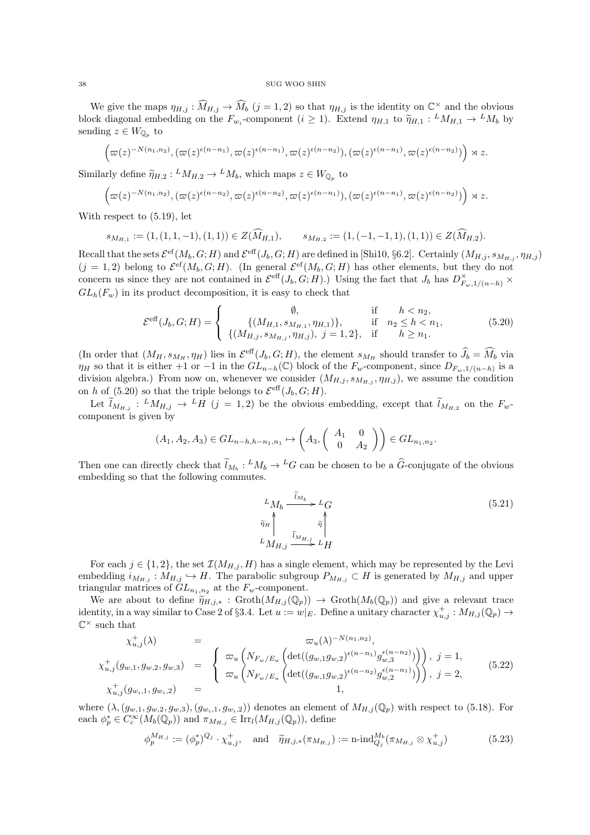We give the maps  $\eta_{H,j} : \widehat{M}_{H,j} \to \widehat{M}_b$   $(j = 1, 2)$  so that  $\eta_{H,j}$  is the identity on  $\mathbb{C}^\times$  and the obvious block diagonal embedding on the  $F_{w_i}$ -component  $(i \geq 1)$ . Extend  $\eta_{H,1}$  to  $\widetilde{\eta}_{H,1} : M_{H,1} \to M_b$  by sending  $z \in W_0$ , to sending  $z \in W_{\mathbb{Q}_p}$  to

$$
\left(\varpi(z)^{-N(n_1,n_2)},(\varpi(z)^{\epsilon(n-n_1)},\varpi(z)^{\epsilon(n-n_1)},\varpi(z)^{\epsilon(n-n_2)}),(\varpi(z)^{\epsilon(n-n_1)},\varpi(z)^{\epsilon(n-n_2)})\right)\rtimes z.
$$

Similarly define  $\widetilde{\eta}_{H,2}: {}^LM_{H,2} \to {}^LM_b$ , which maps  $z \in W_{\mathbb{Q}_p}$  to

$$
\left(\varpi(z)^{-N(n_1,n_2)},(\varpi(z)^{\epsilon(n-n_2)},\varpi(z)^{\epsilon(n-n_2)},\varpi(z)^{\epsilon(n-n_1)}),(\varpi(z)^{\epsilon(n-n_1)},\varpi(z)^{\epsilon(n-n_2)})\right)\rtimes z.
$$

With respect to (5.19), let

$$
s_{M_{H,1}} := (1, (1, 1, -1), (1, 1)) \in Z(\widehat{M}_{H,1}), \qquad s_{M_{H,2}} := (1, (-1, -1, 1), (1, 1)) \in Z(\widehat{M}_{H,2}).
$$

Recall that the sets  $\mathcal{E}^{\rm ef}(M_b, G; H)$  and  $\mathcal{E}^{\rm eff}(J_b, G; H)$  are defined in [Shi10, §6.2]. Certainly  $(M_{H,j}, s_{M_{H,j}}, \eta_{H,j})$  $(j = 1, 2)$  belong to  $\mathcal{E}^{cf}(M_b, G; H)$ . (In general  $\mathcal{E}^{cf}(M_b, G; H)$  has other elements, but they do not concern us since they are not contained in  $\mathcal{E}^{\text{eff}}(J_b, G; H)$ .) Using the fact that  $J_b$  has  $D_{F_w,1/(n-h)}^{\times}$  $GL_h(F_w)$  in its product decomposition, it is easy to check that

$$
\mathcal{E}^{\text{eff}}(J_b, G; H) = \begin{cases} \emptyset, & \text{if } h < n_2, \\ \{(M_{H,1}, s_{M_{H,1}}, \eta_{H,1})\}, & \text{if } n_2 \le h < n_1, \\ \{(M_{H,j}, s_{M_{H,j}}, \eta_{H,j}), j = 1, 2\}, & \text{if } h \ge n_1. \end{cases}
$$
(5.20)

(In order that  $(M_H, s_{M_H}, \eta_H)$  lies in  $\mathcal{E}^{\text{eff}}(J_b, G; H)$ , the element  $s_{M_H}$  should transfer to  $\widehat{J}_b = \widehat{M}_b$  via  $\eta_H$  so that it is either +1 or −1 in the  $GL_{n-h}(\mathbb{C})$  block of the  $F_w$ -component, since  $D_{F_w,1/(n-h)}$  is a division algebra.) From now on, whenever we consider  $(M_{H,j}, s_{M_{H,j}}, \eta_{H,j})$ , we assume the condition on h of (5.20) so that the triple belongs to  $\mathcal{E}^{\text{eff}}(J_b, G; H)$ .

Let  $\tilde{l}_{M_{H,j}}$ :  ${}^LM_{H,j} \rightarrow {}^L H$   $(j = 1, 2)$  be the obvious embedding, except that  $\tilde{l}_{M_{H,2}}$  on the  $F_w$ component is given by

$$
(A_1, A_2, A_3) \in GL_{n-h,h-n_1,n_1} \mapsto \begin{pmatrix} A_3, \begin{pmatrix} A_1 & 0 \\ 0 & A_2 \end{pmatrix} \end{pmatrix} \in GL_{n_1,n_2}
$$

Then one can directly check that  $\tilde{l}_{M_b}: {}^LM_b \to {}^LG$  can be chosen to be a  $\tilde{G}$ -conjugate of the obvious embedding so that the following commutes.

$$
L_{M_b} \xrightarrow{\tilde{\iota}_{M_b}} L_G
$$
\n
$$
\tilde{\eta}_H \uparrow \qquad \qquad \tilde{\eta} \uparrow
$$
\n
$$
L_{M_{H,j}} \xrightarrow{\tilde{\iota}_{M_{H,j}}} L_H
$$
\n
$$
(5.21)
$$

.

For each  $j \in \{1,2\}$ , the set  $\mathcal{I}(M_{H,j}, H)$  has a single element, which may be represented by the Levi embedding  $i_{M_{H,j}} : M_{H,j} \hookrightarrow H$ . The parabolic subgroup  $P_{M_{H,j}} \subset H$  is generated by  $M_{H,j}$  and upper triangular matrices of  $GL_{n_1,n_2}$  at the  $F_w$ -component.

We are about to define  $\tilde{\eta}_{H,j,*}$  : Groth $(M_{H,j}(\mathbb{Q}_p)) \to \text{Groth}(M_b(\mathbb{Q}_p))$  and give a relevant trace identity, in a way similar to Case 2 of §3.4. Let  $u := w|_E$ . Define a unitary character  $\chi_{u,j}^+ : M_{H,j}(\mathbb{Q}_p) \to$  $\mathbb{C}^\times$  such that

$$
\chi_{u,j}^{+}(\lambda) = \n\chi_{u,j}(g_{w,1}, g_{w,2}, g_{w,3}) =\n\begin{cases}\n\varpi_u\left(N_{F_w/E_u}\left(\det((g_{w,1}g_{w,2})^{\epsilon(n-n_1)}g_{w,3}^{(\epsilon(n-n_2)})\right)\right), & j = 1, \\
\varpi_u\left(N_{F_w/E_u}\left(\det((g_{w,1}g_{w,2})^{\epsilon(n-n_2)}g_{w,2}^{(\epsilon(n-n_1)})\right)\right), & j = 2, \\
\chi_{u,j}^{+}(g_{w,j}, g_{w,j}) =\n\end{cases}
$$
\n(5.22)

where  $(\lambda, (g_{w,1}, g_{w,2}, g_{w,3}), (g_{w_i,1}, g_{w_i,2}))$  denotes an element of  $M_{H,j}(\mathbb{Q}_p)$  with respect to (5.18). For each  $\phi_p^* \in C_c^{\infty}(M_b(\mathbb{Q}_p))$  and  $\pi_{M_{H,j}} \in \text{Irr}_l(M_{H,j}(\mathbb{Q}_p))$ , define

$$
\phi_p^{M_{H,j}} := (\phi_p^*)^{Q_j} \cdot \chi_{u,j}^+, \quad \text{and} \quad \widetilde{\eta}_{H,j,*}(\pi_{M_{H,j}}) := \text{n-ind}_{Q_j}^{M_b}(\pi_{M_{H,j}} \otimes \chi_{u,j}^+) \tag{5.23}
$$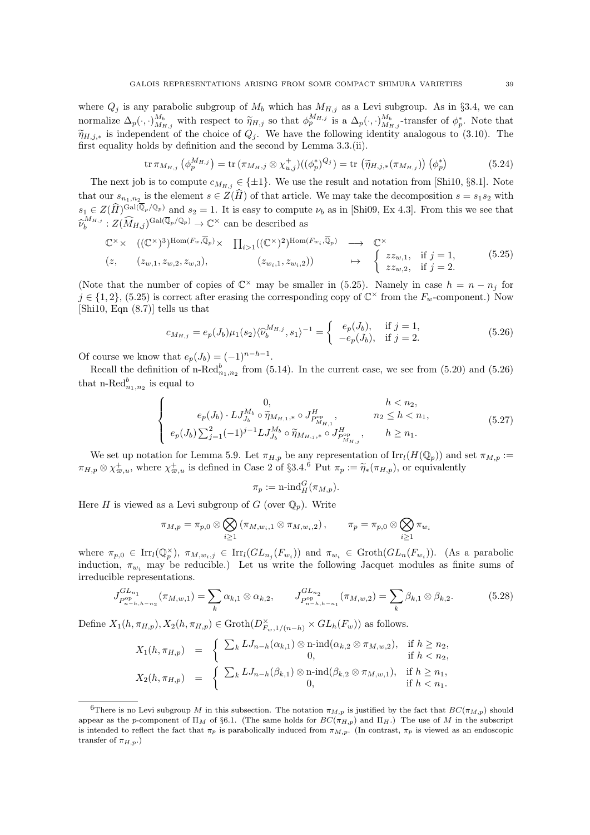where  $Q_i$  is any parabolic subgroup of  $M_b$  which has  $M_{H,j}$  as a Levi subgroup. As in §3.4, we can normalize  $\Delta_p(\cdot, \cdot)_{M_{h,j}}^{M_b}$  with respect to  $\widetilde{\eta}_{H,j}$  so that  $\phi_p^{M_{H,j}}$  is a  $\Delta_p(\cdot, \cdot)_{M_{h,j}}^{M_b}$ -transfer of  $\phi_p^*$ . Note that  $\widetilde{\eta}_{H,j,*}$  is independent of the choice of  $Q_j$ . We have the following identity analogous to (3.10). The first equality holds by definition and the second by Lemma 3.3.(ii).

$$
\text{tr}\,\pi_{M_{H,j}}\left(\phi_p^{M_{H,j}}\right) = \text{tr}\,(\pi_{M_H,j} \otimes \chi_{u,j}^+)((\phi_p^*)^{Q_j}) = \text{tr}\,\left(\widetilde{\eta}_{H,j,*}(\pi_{M_{H,j}})\right)\left(\phi_p^*\right) \tag{5.24}
$$

The next job is to compute  $c_{M_{H,j}} \in \{\pm 1\}$ . We use the result and notation from [Shi10, §8.1]. Note that our  $s_{n_1,n_2}$  is the element  $s \in Z(H)$  of that article. We may take the decomposition  $s = s_1s_2$  with  $s_1 \in Z(\widehat{H})^{\text{Gal}(\overline{\mathbb{Q}}_p/\mathbb{Q}_p)}$  and  $s_2 = 1$ . It is easy to compute  $\nu_b$  as in [Shi09, Ex 4.3]. From this we see that  $\widehat{\nu}_b^{M_{H,j}}:Z(\widehat{M}_{H,j})^{\text{Gal}(\overline{\mathbb{Q}}_p/\mathbb{Q}_p)}\to \mathbb{C}^{\times}$  can be described as

$$
\mathbb{C}^{\times} \times \left( (\mathbb{C}^{\times})^{3} \right)^{\text{Hom}(F_{w}, \overline{\mathbb{Q}}_{p})} \times \prod_{i>1} ((\mathbb{C}^{\times})^{2})^{\text{Hom}(F_{w_{i}}, \overline{\mathbb{Q}}_{p})} \longrightarrow \mathbb{C}^{\times}
$$
\n
$$
(z, \quad (z_{w,1}, z_{w,2}, z_{w,3}), \quad (z_{w_{i},1}, z_{w_{i},2})) \longrightarrow \left\{ \begin{array}{c} z z_{w,1}, \text{ if } j=1, \\ z z_{w,2}, \text{ if } j=2. \end{array} \right. \tag{5.25}
$$

(Note that the number of copies of  $\mathbb{C}^{\times}$  may be smaller in (5.25). Namely in case  $h = n - n_j$  for  $j \in \{1,2\},$  (5.25) is correct after erasing the corresponding copy of  $\mathbb{C}^{\times}$  from the  $F_w$ -component.) Now [Shi10, Eqn (8.7)] tells us that

$$
c_{M_{H,j}} = e_p(J_b)\mu_1(s_2)\langle \hat{\nu}_b^{M_{H,j}}, s_1 \rangle^{-1} = \begin{cases} e_p(J_b), & \text{if } j = 1, \\ -e_p(J_b), & \text{if } j = 2. \end{cases}
$$
(5.26)

Of course we know that  $e_p(J_b) = (-1)^{n-h-1}$ .

Recall the definition of n-Re $d_{n_1,n_2}^b$  from (5.14). In the current case, we see from (5.20) and (5.26) that n-Re $d_{n_1,n_2}^b$  is equal to

$$
\begin{cases}\n0, & h < n_2, \\
e_p(J_b) \cdot LJ_{J_b}^{M_b} \circ \widetilde{\eta}_{M_{H,1},*} \circ J_{P_{M_{H,1}}^{\text{op}}^{M_b}}, & n_2 \leq h < n_1, \\
e_p(J_b) \sum_{j=1}^2 (-1)^{j-1} LJ_{J_b}^{M_b} \circ \widetilde{\eta}_{M_{H,j},*} \circ J_{P_{M_{H,j}}^{\text{op}}}, & h \geq n_1.\n\end{cases} (5.27)
$$

We set up notation for Lemma 5.9. Let  $\pi_{H,p}$  be any representation of  $\text{Irr}_{l}(H(\mathbb{Q}_p))$  and set  $\pi_{M,p}$  :=  $\pi_{H,p} \otimes \chi_{\varpi,u}^+$ , where  $\chi_{\varpi,u}^+$  is defined in Case 2 of §3.4.<sup>6</sup> Put  $\pi_p := \widetilde{\eta}_*(\pi_{H,p})$ , or equivalently

$$
\pi_p := \operatorname{n-ind}_H^G(\pi_{M,p}).
$$

Here H is viewed as a Levi subgroup of G (over  $\mathbb{Q}_n$ ). Write

$$
\pi_{M,p} = \pi_{p,0} \otimes \bigotimes_{i \geq 1} (\pi_{M,w_i,1} \otimes \pi_{M,w_i,2}), \qquad \pi_p = \pi_{p,0} \otimes \bigotimes_{i \geq 1} \pi_{w_i}
$$

where  $\pi_{p,0} \in \text{Irr}_l(\mathbb{Q}_p^{\times}), \pi_{M,w_i,j} \in \text{Irr}_l(GL_{n_j}(F_{w_i}))$  and  $\pi_{w_i} \in \text{Groth}(GL_n(F_{w_i}))$ . (As a parabolic induction,  $\pi_{w_i}$  may be reducible.) Let us write the following Jacquet modules as finite sums of irreducible representations.

$$
J_{P_{n-h,h-n_2}^{\text{op}}}^{GL_{n_1}}(\pi_{M,w,1}) = \sum_{k} \alpha_{k,1} \otimes \alpha_{k,2}, \qquad J_{P_{n-h,h-n_1}^{\text{op}}}^{GL_{n_2}}(\pi_{M,w,2}) = \sum_{k} \beta_{k,1} \otimes \beta_{k,2}.
$$
 (5.28)

Define  $X_1(h, \pi_{H,p}), X_2(h, \pi_{H,p}) \in \text{Groth}(D_{F_w,1/(n-h)}^{\times} \times GL_h(F_w))$  as follows.

$$
X_1(h, \pi_{H, p}) = \begin{cases} \sum_k L J_{n-h}(\alpha_{k,1}) \otimes n \text{-} \text{ind}(\alpha_{k,2} \otimes \pi_{M,w,2}), & \text{if } h \ge n_2, \\ 0, & \text{if } h < n_2, \\ X_2(h, \pi_{H, p}) = \begin{cases} \sum_k L J_{n-h}(\beta_{k,1}) \otimes n \text{-} \text{ind}(\beta_{k,2} \otimes \pi_{M,w,1}), & \text{if } h \ge n_1, \\ 0, & \text{if } h < n_1. \end{cases}
$$

<sup>&</sup>lt;sup>6</sup>There is no Levi subgroup M in this subsection. The notation  $\pi_{M,p}$  is justified by the fact that  $BC(\pi_{M,p})$  should appear as the p-component of  $\Pi_M$  of §6.1. (The same holds for  $BC(\pi_{H,p})$  and  $\Pi_H$ .) The use of M in the subscript is intended to reflect the fact that  $\pi_p$  is parabolically induced from  $\pi_{M,p}$ . (In contrast,  $\pi_p$  is viewed as an endoscopic transfer of  $\pi_{H,p}$ .)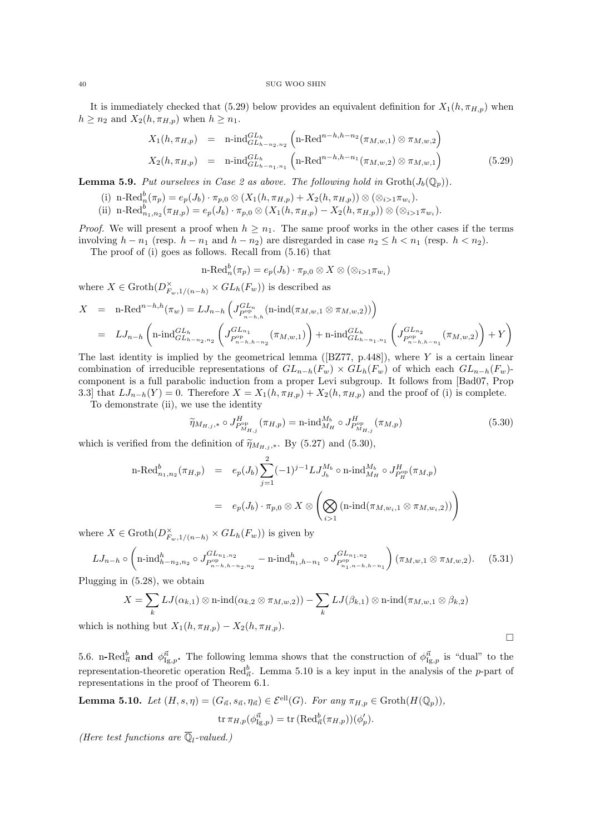It is immediately checked that (5.29) below provides an equivalent definition for  $X_1(h, \pi_{H,p})$  when  $h \geq n_2$  and  $X_2(h, \pi_{H,p})$  when  $h \geq n_1$ .

$$
X_1(h, \pi_{H, p}) = \text{n-ind}_{GL_{h-n_2, n_2}}^{GL_h} \left( \text{n-Red}^{n-h, h-n_2}(\pi_{M, w, 1}) \otimes \pi_{M, w, 2} \right)
$$
  

$$
X_2(h, \pi_{H, p}) = \text{n-ind}_{GL_{h-n_1, n_1}}^{GL_h} \left( \text{n-Red}^{n-h, h-n_1}(\pi_{M, w, 2}) \otimes \pi_{M, w, 1} \right)
$$
 (5.29)

**Lemma 5.9.** Put ourselves in Case 2 as above. The following hold in  $\text{Groth}(J_b(\mathbb{Q}_p))$ .

(i)  $\text{n-Red}_n^b(\pi_p) = e_p(J_b) \cdot \pi_{p,0} \otimes (X_1(h, \pi_{H,p}) + X_2(h, \pi_{H,p})) \otimes (\otimes_{i>1} \pi_{w_i}).$ (ii)  $\operatorname{n-Red}_{n_1,n_2}^b(\pi_{H,p}) = e_p(J_b) \cdot \pi_{p,0} \otimes (X_1(h,\pi_{H,p}) - X_2(h,\pi_{H,p})) \otimes (\otimes_{i>1} \pi_{w_i}).$ 

*Proof.* We will present a proof when  $h \geq n_1$ . The same proof works in the other cases if the terms involving  $h - n_1$  (resp.  $h - n_1$  and  $h - n_2$ ) are disregarded in case  $n_2 \leq h \lt n_1$  (resp.  $h \lt n_2$ ).

The proof of (i) goes as follows. Recall from (5.16) that

$$
\text{n-Red}_n^b(\pi_p)=e_p(J_b)\cdot \pi_{p,0}\otimes X\otimes (\otimes_{i>1}\pi_{w_i})
$$

where  $X \in \text{Groth}(D_{F_w,1/(n-h)}^{\times} \times GL_h(F_w))$  is described as

$$
X = \text{n-Red}^{n-h,h}(\pi_w) = LJ_{n-h} \left( J_{P_{n-h,h}^{GL_n}}^{GL_n}(\text{n-ind}(\pi_{M,w,1} \otimes \pi_{M,w,2})) \right)
$$
  
= 
$$
LJ_{n-h} \left( \text{n-ind}_{GL_{h-n_2,n_2}}^{GL_h} \left( J_{P_{n-h,h-n_2}}^{GL_{n_1}}(\pi_{M,w,1}) \right) + \text{n-ind}_{GL_{h-n_1,n_1}}^{GL_h} \left( J_{P_{n-h,h-n_1}}^{GL_{n_2}}(\pi_{M,w,2}) \right) + Y \right)
$$

The last identity is implied by the geometrical lemma ( $[*BZ77*, *p.448*]$ ), where Y is a certain linear combination of irreducible representations of  $GL_{n-h}(F_w) \times GL_h(F_w)$  of which each  $GL_{n-h}(F_w)$ component is a full parabolic induction from a proper Levi subgroup. It follows from [Bad07, Prop 3.3] that  $LJ_{n-h}(Y) = 0$ . Therefore  $X = X_1(h, \pi_{H,p}) + X_2(h, \pi_{H,p})$  and the proof of (i) is complete.

To demonstrate (ii), we use the identity

$$
\widetilde{\eta}_{M_{H,j},*} \circ J_{P_{M_{H,j}}^{\text{op}}}^H(\pi_{H,p}) = \text{n-ind}_{M_H}^{M_b} \circ J_{P_{M_{H,j}}^{\text{op}}}^H(\pi_{M,p})
$$
\n(5.30)

 $\Box$ 

which is verified from the definition of  $\widetilde{\eta}_{M_{H,j},*}$ . By (5.27) and (5.30),

$$
\begin{array}{rcl}\n\text{n-Red}_{n_1,n_2}^b(\pi_{H,p}) & = & e_p(J_b) \sum_{j=1}^2 (-1)^{j-1} L J_{J_b}^{M_b} \circ \text{n-ind}_{M_H}^{M_b} \circ J_{P_H^{\text{op}}}^{H}(\pi_{M,p}) \\
& = & e_p(J_b) \cdot \pi_{p,0} \otimes X \otimes \left( \bigotimes_{i>1} (\text{n-ind}(\pi_{M,w_i,1} \otimes \pi_{M,w_i,2})) \right)\n\end{array}
$$

where  $X \in \text{Groth}(D_{F_w,1/(n-h)}^{\times} \times GL_h(F_w))$  is given by

$$
LJ_{n-h} \circ \left(\operatorname{n-ind}_{h-n_2,n_2}^h \circ J_{P_{n-h,h-n_2,n_2}^{\mathrm{GL}_{n_1,n_2}}}^{GL_{n_1,n_2}} - \operatorname{n-ind}_{n_1,h-n_1}^{h} \circ J_{P_{n_1,n-h,h-n_1}^{\mathrm{op}}}\right) (\pi_{M,w,1} \otimes \pi_{M,w,2}). \tag{5.31}
$$

Plugging in (5.28), we obtain

$$
X = \sum_{k} LJ(\alpha_{k,1}) \otimes \operatorname{n-ind}(\alpha_{k,2} \otimes \pi_{M,w,2})) - \sum_{k} LJ(\beta_{k,1}) \otimes \operatorname{n-ind}(\pi_{M,w,1} \otimes \beta_{k,2})
$$
  
which is nothing but  $X_1(h, \pi_{H,p}) - X_2(h, \pi_{H,p}).$ 

5.6. n-Red $_{\vec{n}}^b$  and  $\phi_{\text{Ig},p}^{\vec{n}}$ . The following lemma shows that the construction of  $\phi_{\text{Ig},p}^{\vec{n}}$  is "dual" to the representation-theoretic operation Red $_{\vec{n}}^b$ . Lemma 5.10 is a key input in the analysis of the p-part of representations in the proof of Theorem 6.1.

**Lemma 5.10.** Let 
$$
(H, s, \eta) = (G_{\vec{n}}, s_{\vec{n}}, \eta_{\vec{n}}) \in \mathcal{E}^{\text{ell}}(G)
$$
. For any  $\pi_{H,p} \in \text{Groth}(H(\mathbb{Q}_p))$ ,  
\n
$$
\text{tr }\pi_{H,p}(\phi_{\text{I}g,p}^{\vec{n}}) = \text{tr }(\text{Red}_{\vec{n}}^b(\pi_{H,p}))(\phi_p').
$$

(Here test functions are  $\overline{\mathbb{Q}}_l$ -valued.)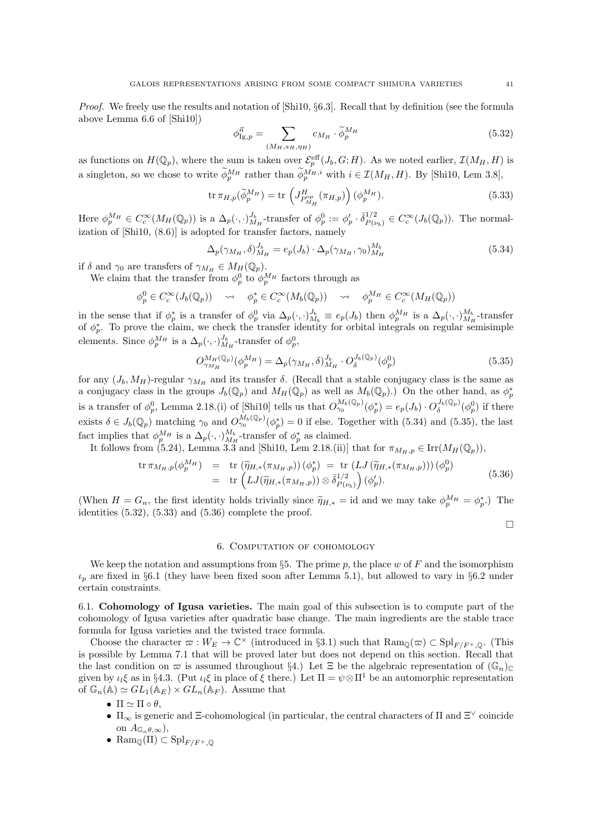Proof. We freely use the results and notation of [Shi10, §6.3]. Recall that by definition (see the formula above Lemma 6.6 of [Shi10])

$$
\phi_{\text{Ig},p}^{\vec{n}} = \sum_{(M_H, s_H, \eta_H)} c_{M_H} \cdot \tilde{\phi}_p^{M_H}
$$
\n(5.32)

as functions on  $H(\mathbb{Q}_p)$ , where the sum is taken over  $\mathcal{E}_p^{\text{eff}}(J_b, G; H)$ . As we noted earlier,  $\mathcal{I}(M_H, H)$  is a singleton, so we chose to write  $\phi_p^{M_H}$  rather than  $\phi_p^{M_H,i}$  with  $i \in \mathcal{I}(M_H, H)$ . By [Shi10, Lem 3.8],

$$
\operatorname{tr}\pi_{H,p}(\widetilde{\phi}_p^{M_H}) = \operatorname{tr}\left(J_{P_{M_H}^{\text{op}}}^H(\pi_{H,p})\right)(\phi_p^{M_H}).\tag{5.33}
$$

Here  $\phi_p^{M_H} \in C_c^{\infty}(M_H(\mathbb{Q}_p))$  is a  $\Delta_p(\cdot, \cdot)_{M_H}^{J_b}$ -transfer of  $\phi_p^0 := \phi_p' \cdot \overline{\delta}_{P(\iota)}^{1/2}$  $P_{(v_b)}^{1/2} \in C_c^{\infty}(J_b(\mathbb{Q}_p)).$  The normalization of [Shi10, (8.6)] is adopted for transfer factors, namely

$$
\Delta_p(\gamma_{M_H}, \delta)_{M_H}^{J_b} = e_p(J_b) \cdot \Delta_p(\gamma_{M_H}, \gamma_0)_{M_H}^{M_b}
$$
\n(5.34)

if  $\delta$  and  $\gamma_0$  are transfers of  $\gamma_{M_H} \in M_H(\mathbb{Q}_p)$ .

We claim that the transfer from  $\phi_p^0$  to  $\phi_p^{M_H}$  factors through as

$$
\phi_p^0 \in C_c^{\infty}(J_b(\mathbb{Q}_p)) \quad \rightsquigarrow \quad \phi_p^* \in C_c^{\infty}(M_b(\mathbb{Q}_p)) \quad \rightsquigarrow \quad \phi_p^{M_H} \in C_c^{\infty}(M_H(\mathbb{Q}_p))
$$

in the sense that if  $\phi_p^*$  is a transfer of  $\phi_p^0$  via  $\Delta_p(\cdot, \cdot)_{M_b}^{J_b} \equiv e_p(J_b)$  then  $\phi_p^{M_H}$  is a  $\Delta_p(\cdot, \cdot)_{M_H}^{M_b}$ -transfer of  $\phi_p^*$ . To prove the claim, we check the transfer identity for orbital integrals on regular semisimple elements. Since  $\phi_p^{M_H}$  is a  $\Delta_p(\cdot,\cdot)_{M_H}^{J_b}$ -transfer of  $\phi_p^0$ ,

$$
O_{\gamma_{M_H}}^{M_H(\mathbb{Q}_p)}(\phi_p^{M_H}) = \Delta_p(\gamma_{M_H}, \delta)_{M_H}^{J_b} \cdot O_{\delta}^{J_b(\mathbb{Q}_p)}(\phi_p^0)
$$
(5.35)

for any  $(J_b, M_H)$ -regular  $\gamma_{M_H}$  and its transfer  $\delta$ . (Recall that a stable conjugacy class is the same as a conjugacy class in the groups  $J_b(\mathbb{Q}_p)$  and  $M_H(\mathbb{Q}_p)$  as well as  $M_b(\mathbb{Q}_p)$ .) On the other hand, as  $\phi_p^*$ is a transfer of  $\phi_p^0$ , Lemma 2.18.(i) of [Shi10] tells us that  $O_{\gamma_0}^{M_b(\mathbb{Q}_p)}(\phi_p^*) = e_p(J_b) \cdot O_{\delta}^{J_b(\mathbb{Q}_p)}(\phi_p^0)$  if there exists  $\delta \in J_b(\mathbb{Q}_p)$  matching  $\gamma_0$  and  $O_{\gamma_0}^{M_b(\mathbb{Q}_p)}(\phi_p^*)=0$  if else. Together with (5.34) and (5.35), the last fact implies that  $\phi_p^{M_H}$  is a  $\Delta_p(\cdot, \cdot)_{M_H}^{M_b}$ -transfer of  $\phi_p^*$  as claimed.

It follows from (5.24), Lemma 3.3 and [Shi10, Lem 2.18.(ii)] that for  $\pi_{M_H,p} \in \text{Irr}(M_H(\mathbb{Q}_p)),$ 

$$
\operatorname{tr} \pi_{M_H, p}(\phi_p^{M_H}) = \operatorname{tr} (\widetilde{\eta}_{H,*}(\pi_{M_H, p})) (\phi_p^*) = \operatorname{tr} (LJ(\widetilde{\eta}_{H,*}(\pi_{M_H, p}))) (\phi_p^0)
$$
\n
$$
= \operatorname{tr} (LJ(\widetilde{\eta}_{H,*}(\pi_{M_H, p})) \otimes \overline{\delta}_{P(\nu_b)}^{1/2}) (\phi_p'). \tag{5.36}
$$

(When  $H = G_n$ , the first identity holds trivially since  $\tilde{\eta}_{H,*} =$  id and we may take  $\phi_p^{M_H} = \phi_p^*$ .) The identities (5.32), (5.33) and (5.36) complete the proof. identities  $(5.32)$ ,  $(5.33)$  and  $(5.36)$  complete the proof.

 $\Box$ 

## 6. Computation of cohomology

We keep the notation and assumptions from §5. The prime  $p$ , the place w of F and the isomorphism  $\iota_p$  are fixed in §6.1 (they have been fixed soon after Lemma 5.1), but allowed to vary in §6.2 under certain constraints.

6.1. Cohomology of Igusa varieties. The main goal of this subsection is to compute part of the cohomology of Igusa varieties after quadratic base change. The main ingredients are the stable trace formula for Igusa varieties and the twisted trace formula.

Choose the character  $\varpi : W_E \to \mathbb{C}^\times$  (introduced in §3.1) such that  $\text{Ram}_{\mathbb{Q}}(\varpi) \subset \text{Spl}_{F/F^+,\mathbb{Q}}$ . (This is possible by Lemma 7.1 that will be proved later but does not depend on this section. Recall that the last condition on  $\varpi$  is assumed throughout §4.) Let  $\Xi$  be the algebraic representation of  $(\mathbb{G}_n)_{\mathbb{C}}$ given by  $\iota_l \xi$  as in §4.3. (Put  $\iota_l \xi$  in place of  $\xi$  there.) Let  $\Pi = \psi \otimes \Pi^1$  be an automorphic representation of  $\mathbb{G}_n(\mathbb{A}) \simeq GL_1(\mathbb{A}_E) \times GL_n(\mathbb{A}_F)$ . Assume that

•  $\Pi \simeq \Pi \circ \theta$ ,

- $\Pi_{\infty}$  is generic and  $\Xi$ -cohomological (in particular, the central characters of  $\Pi$  and  $\Xi^{\vee}$  coincide on  $A_{\mathbb{G}_n\theta,\infty}$ ,
- Ram<sub> $\mathbb{Q}(\Pi) \subset \mathrm{Spl}_{F/F^+,\mathbb{Q}}$ </sub>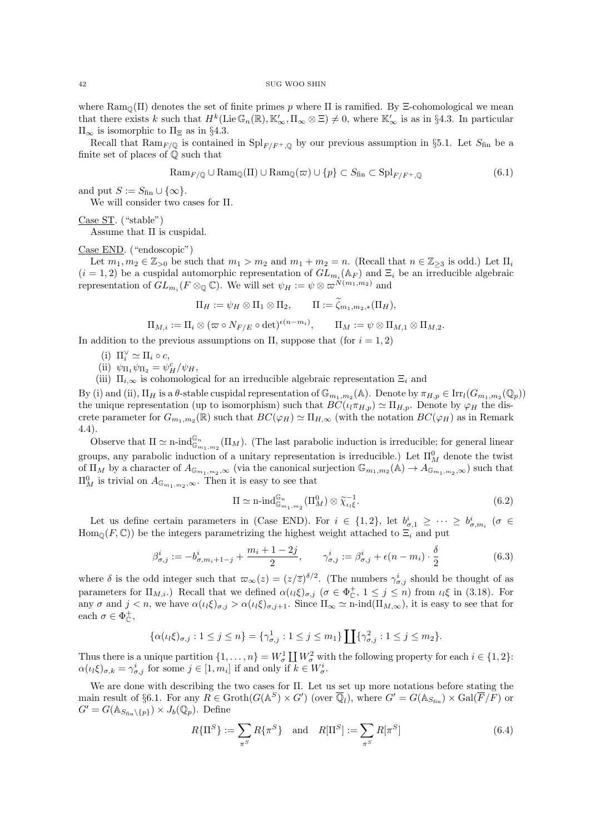where  $\text{Ram}_{\mathbb{Q}}(\Pi)$  denotes the set of finite primes p where  $\Pi$  is ramified. By  $\Xi$ -cohomological we mean that there exists k such that  $H^k(\text{Lie}\,\mathbb{G}_n(\mathbb{R}), \mathbb{K}'_{\infty}, \Pi_{\infty} \otimes \Xi) \neq 0$ , where  $\mathbb{K}'_{\infty}$  is as in §4.3. In particular  $\Pi_{\infty}$  is isomorphic to  $\Pi_{\Xi}$  as in §4.3.

Recall that  $\text{Ram}_{F/\mathbb{Q}}$  is contained in  $\text{Spl}_{F/F^+,\mathbb{Q}}$  by our previous assumption in §5.1. Let  $S_{\text{fin}}$  be a finite set of places of Q such that

$$
\text{Ram}_{F/\mathbb{Q}} \cup \text{Ram}_{\mathbb{Q}}(\Pi) \cup \text{Ram}_{\mathbb{Q}}(\varpi) \cup \{p\} \subset S_{\text{fin}} \subset \text{Spl}_{F/F^+,\mathbb{Q}} \tag{6.1}
$$

and put  $S := S_{fin} \cup \{\infty\}.$ 

We will consider two cases for Π.

Case ST. ("stable")

Assume that Π is cuspidal.

## Case END. ("endoscopic")

Let  $m_1, m_2 \in \mathbb{Z}_{>0}$  be such that  $m_1 > m_2$  and  $m_1 + m_2 = n$ . (Recall that  $n \in \mathbb{Z}_{\geq 3}$  is odd.) Let  $\Pi_i$  $(i = 1, 2)$  be a cuspidal automorphic representation of  $GL_{m_i}(\mathbb{A}_F)$  and  $\Xi_i$  be an irreducible algebraic representation of  $GL_{m_i}(F \otimes_{\mathbb{Q}} \mathbb{C})$ . We will set  $\psi_H := \psi \otimes \varpi^{N(m_1,m_2)}$  and

$$
\Pi_H:=\psi_H\otimes \Pi_1\otimes \Pi_2, \qquad \Pi:=\widetilde{\zeta}_{m_1,m_2,*}(\Pi_H),
$$

$$
\Pi_{M,i} := \Pi_i \otimes (\varpi \circ N_{F/E} \circ \det)^{\epsilon(n-m_i)}, \qquad \Pi_M := \psi \otimes \Pi_{M,1} \otimes \Pi_{M,2}.
$$

In addition to the previous assumptions on  $\Pi$ , suppose that (for  $i = 1, 2$ )

- (i)  $\Pi_i^{\vee} \simeq \Pi_i \circ c$ ,
- (ii)  $\psi_{\Pi_1} \psi_{\Pi_2} = \psi_H^c / \psi_H$ ,

(iii)  $\Pi_{i,\infty}$  is cohomological for an irreducible algebraic representation  $\Xi_i$  and

By (i) and (ii),  $\Pi_H$  is a  $\theta$ -stable cuspidal representation of  $\mathbb{G}_{m_1,m_2}(\mathbb{A})$ . Denote by  $\pi_{H,p} \in \text{Irr}_l(G_{m_1,m_2}(\mathbb{Q}_p))$ the unique representation (up to isomorphism) such that  $BC(\iota_l \pi_{H,p}) \simeq \Pi_{H,p}$ . Denote by  $\varphi_H$  the discrete parameter for  $G_{m_1,m_2}(\mathbb{R})$  such that  $BC(\varphi_H) \simeq \Pi_{H,\infty}$  (with the notation  $BC(\varphi_H)$  as in Remark 4.4).

Observe that  $\Pi \simeq \text{n-ind}_{\mathbb{G}_{m_1,m_2}}^{\mathbb{G}_n}(\Pi_M)$ . (The last parabolic induction is irreducible; for general linear groups, any parabolic induction of a unitary representation is irreducible.) Let  $\Pi_M^0$  denote the twist of  $\Pi_M$  by a character of  $A_{\mathbb{G}_{m_1,m_2},\infty}$  (via the canonical surjection  $\mathbb{G}_{m_1,m_2}(\mathbb{A}) \to A_{\mathbb{G}_{m_1,m_2},\infty}$ ) such that  $\Pi_M^0$  is trivial on  $A_{\mathbb{G}_{m_1,m_2},\infty}$ . Then it is easy to see that

$$
\Pi \simeq \mathrm{n}\text{-}\mathrm{ind}_{\mathbb{G}_{m_1,m_2}}^{\mathbb{G}_n}(\Pi_M^0) \otimes \widetilde{\chi}_{\iota_l \xi}^{-1}.\tag{6.2}
$$

Let us define certain parameters in (Case END). For  $i \in \{1,2\}$ , let  $b_{\sigma,1}^i \geq \cdots \geq b_{\sigma,m_i}^i$  ( $\sigma \in$  $\text{Hom}_{\mathbb{Q}}(F,\mathbb{C})$  be the integers parametrizing the highest weight attached to  $\Xi_i$  and put

$$
\beta_{\sigma,j}^i := -b_{\sigma,m_i+1-j}^i + \frac{m_i+1-2j}{2}, \qquad \gamma_{\sigma,j}^i := \beta_{\sigma,j}^i + \epsilon(n-m_i) \cdot \frac{\delta}{2}
$$
(6.3)

where  $\delta$  is the odd integer such that  $\omega_{\infty}(z) = (z/\overline{z})^{\delta/2}$ . (The numbers  $\gamma_{\sigma,j}^{i}$  should be thought of as parameters for  $\Pi_{M,i}$ .) Recall that we defined  $\alpha(\iota_l \xi)_{\sigma,j}$   $(\sigma \in \Phi_{\mathbb{C}}^+, 1 \leq j \leq n)$  from  $\iota_l \xi$  in (3.18). For any  $\sigma$  and  $j < n$ , we have  $\alpha(\iota_l \xi)_{\sigma,j} > \alpha(\iota_l \xi)_{\sigma,j+1}$ . Since  $\Pi_{\infty} \simeq \mathrm{n-ind}(\Pi_{M,\infty})$ , it is easy to see that for each  $\sigma \in \Phi_{\mathbb{C}}^{+}$ ,

$$
\{\alpha(\iota_l \xi)_{\sigma,j} : 1 \le j \le n\} = \{\gamma_{\sigma,j}^1 : 1 \le j \le m_1\} \coprod \{\gamma_{\sigma,j}^2 : 1 \le j \le m_2\}.
$$

Thus there is a unique partition  $\{1,\ldots,n\} = W^1_{\sigma} \coprod W^2_{\sigma}$  with the following property for each  $i \in \{1,2\}$ :  $\alpha(\iota_l \xi)_{\sigma,k} = \gamma_{\sigma,j}^i$  for some  $j \in [1, m_i]$  if and only if  $k \in W_{\sigma}^i$ .

We are done with describing the two cases for Π. Let us set up more notations before stating the main result of §6.1. For any  $R \in \text{Groth}(G(\mathbb{A}^S) \times G')$  (over  $\overline{\mathbb{Q}}_l$ ), where  $G' = G(\mathbb{A}_{S_{fin}}) \times \text{Gal}(\overline{F}/F)$  or  $G' = G(\mathbb{A}_{S_{fin}\backslash\{p\}}) \times J_b(\mathbb{Q}_p)$ . Define

$$
R\{\Pi^S\} := \sum_{\pi^S} R\{\pi^S\} \quad \text{and} \quad R[\Pi^S] := \sum_{\pi^S} R[\pi^S] \tag{6.4}
$$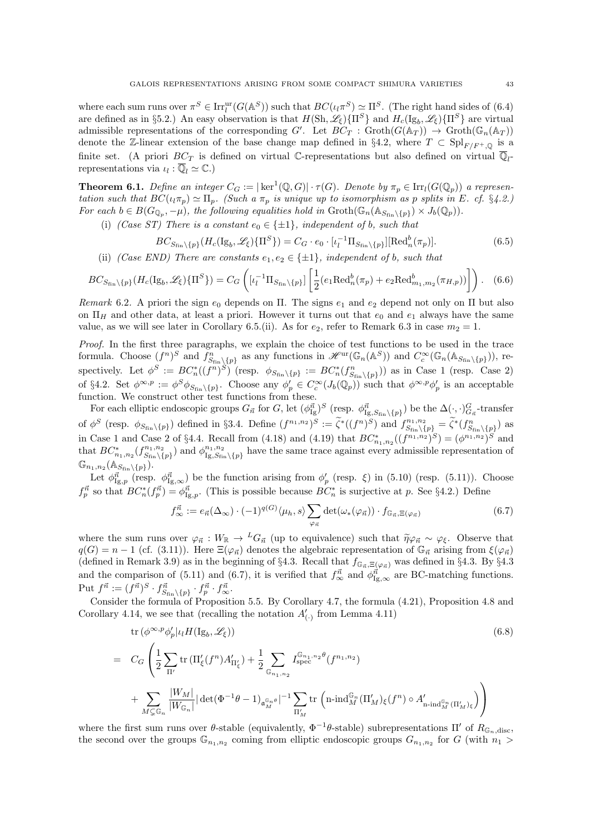where each sum runs over  $\pi^S \in \text{Irr}_l^{\text{ur}}(G(\mathbb{A}^S))$  such that  $BC(\iota_l \pi^S) \simeq \Pi^S$ . (The right hand sides of (6.4) are defined as in §5.2.) An easy observation is that  $H(\text{Sh}, \mathscr{L}_{\xi}) \{\Pi^S\}$  and  $H_c(\text{Ig}_b, \mathscr{L}_{\xi}) \{\Pi^S\}$  are virtual admissible representations of the corresponding G'. Let  $BC_T$ :  $\text{Groth}(G(\mathbb{A}_T)) \to \text{Groth}(\mathbb{G}_n(\mathbb{A}_T))$ denote the Z-linear extension of the base change map defined in §4.2, where  $T \subset \text{Spl}_{F/F^+,\mathbb{Q}}$  is a finite set. (A priori  $BC_T$  is defined on virtual C-representations but also defined on virtual  $\overline{\mathbb{Q}}_l$ representations via  $\iota_l : \overline{\mathbb{Q}}_l \simeq \mathbb{C}$ .)

**Theorem 6.1.** Define an integer  $C_G := |\ker^1(\mathbb{Q}, G)| \cdot \tau(G)$ . Denote by  $\pi_p \in \text{Irr}_l(G(\mathbb{Q}_p))$  a representation such that  $BC(\iota_l\pi_p) \simeq \Pi_p$ . (Such a  $\pi_p$  is unique up to isomorphism as p splits in E. cf. §4.2.) For each  $b \in B(G_{\mathbb{Q}_p}, -\mu)$ , the following equalities hold in  $\mathrm{Groth}(\mathbb{G}_n(\mathbb{A}_{S_{fin}\backslash \{p\}}) \times J_b(\mathbb{Q}_p)).$ 

(i) (Case ST) There is a constant  $e_0 \in \{\pm 1\}$ , independent of b, such that

$$
BC_{S_{\text{fin}}\backslash\{p\}}(H_c(\text{Ig}_b,\mathscr{L}_{\xi})\{\Pi^S\}) = C_G \cdot e_0 \cdot [\iota_l^{-1} \Pi_{S_{\text{fin}}\backslash\{p\}}][\text{Red}_n^b(\pi_p)].\tag{6.5}
$$

(ii) (Case END) There are constants  $e_1, e_2 \in \{\pm 1\}$ , independent of b, such that

$$
BC_{S_{fin}\backslash\{p\}}(H_c(\mathrm{Ig}_b, \mathscr{L}_{\xi})\{\Pi^S\}) = C_G\left([\iota_l^{-1}\Pi_{S_{fin}\backslash\{p\}}]\left[\frac{1}{2}(e_1 \mathrm{Red}_n^b(\pi_p) + e_2 \mathrm{Red}_{m_1,m_2}^b(\pi_{H,p}))\right]\right). \tag{6.6}
$$

Remark 6.2. A priori the sign  $e_0$  depends on  $\Pi$ . The signs  $e_1$  and  $e_2$  depend not only on  $\Pi$  but also on  $\Pi_H$  and other data, at least a priori. However it turns out that  $e_0$  and  $e_1$  always have the same value, as we will see later in Corollary 6.5.(ii). As for  $e_2$ , refer to Remark 6.3 in case  $m_2 = 1$ .

Proof. In the first three paragraphs, we explain the choice of test functions to be used in the trace formula. Choose  $(f^n)^S$  and  $f^n_{S_{fin}\backslash\{p\}}$  as any functions in  $\mathscr{H}^{\text{ur}}(\mathbb{G}_n(\mathbb{A}^S))$  and  $C_c^{\infty}(\mathbb{G}_n(\mathbb{A}_{S_{fin}\backslash\{p\}}))$ , respectively. Let  $\phi^S := BC_n^*((f^n)^S)$  (resp.  $\phi_{S_{fin}\backslash\{p\}} := BC_n^*(f_{S_{fin}\backslash\{p\}}^n)$ ) as in Case 1 (resp. Case 2) of §4.2. Set  $\phi^{\infty,p} := \phi^S \phi_{S_{fin}} \backslash \{p\}$ . Choose any  $\phi'_p \in C_c^{\infty}(J_b(\mathbb{Q}_p))$  such that  $\phi^{\infty,p} \phi'_p$  is an acceptable function. We construct other test functions from these.

For each elliptic endoscopic groups  $G_{\vec{n}}$  for G, let  $(\phi_{\text{Ig}}^{\vec{n}})^S$  (resp.  $\phi_{\text{Ig},S_{\text{fin}}\backslash\{p\}}^{\vec{n}}$ ) be the  $\Delta(\cdot,\cdot)_{G_{\vec{n}}}^G$ -transfer of  $\phi^S$  (resp.  $\phi_{S_{fin}\setminus\{p\}}$ ) defined in §3.4. Define  $(f^{n_1,n_2})^S := \widetilde{\zeta}^*((f^n)^S)$  and  $f^{n_1,n_2}_{S_{fin}\setminus\{p\}} = \widetilde{\zeta}^*(f^n_{S_{fin}\setminus\{p\}})$  as in Case 1 and Case 2 of §4.4. Recall from (4.18) and (4.19) that  $BC_{n_1,n_2}^*((f^{n_1,n_2})^S) = (\phi^{n_1,n_2})^S$  and that  $BC_{n_1,n_2}^*(f_{S_{fin}}^{n_1,n_2})$  $(s_{\text{fin}}^{n_1, n_2})$  and  $\phi_{\text{Ig}, S_{\text{fin}}}^{n_1, n_2}$  $I_{\text{Ig},S_{\text{fin}}\setminus\{p\}}^{n_1,n_2}$  have the same trace against every admissible representation of  $\mathbb{G}_{n_1,n_2}(\mathbb{A}_{S_{\mathrm{fin}}\setminus\{p\}}).$ 

Let  $\phi_{\text{Ig},p}^{\vec{n}}$  (resp.  $\phi_{\text{Ig},\infty}^{\vec{n}}$ ) be the function arising from  $\phi_p'$  (resp.  $\xi$ ) in (5.10) (resp. (5.11)). Choose  $f_p^{\vec{n}}$  so that  $BC_n^*(f_p^{\vec{n}}) = \phi_{\text{Ig},p}^{\vec{n}}$ . (This is possible because  $BC_n^*$  is surjective at p. See §4.2.) Define

$$
f_{\infty}^{\vec{n}} := e_{\vec{n}}(\Delta_{\infty}) \cdot (-1)^{q(G)} \langle \mu_h, s \rangle \sum_{\varphi_{\vec{n}}} \det(\omega_*(\varphi_{\vec{n}})) \cdot f_{\mathbb{G}_{\vec{n}}, \Xi(\varphi_{\vec{n}})}
$$
(6.7)

where the sum runs over  $\varphi_{\vec{n}} : W_{\mathbb{R}} \to {}^L G_{\vec{n}}$  (up to equivalence) such that  $\tilde{\eta} \varphi_{\vec{n}} \sim \varphi_{\xi}$ . Observe that  $q(G) = n - 1$  (cf. (3.11)). Here  $\Xi(\varphi_{\vec{n}})$  denotes the algebraic representation of  $\mathbb{G}_{\vec{n}}$  arising from  $\xi(\varphi_{\vec{n}})$ (defined in Remark 3.9) as in the beginning of §4.3. Recall that  $f_{\mathbb{G}_{\vec{n}}}$ , $\Xi(\varphi_{\vec{n}})$  was defined in §4.3. By §4.3 and the comparison of (5.11) and (6.7), it is verified that  $f_{\infty}^{\vec{n}}$  and  $\phi_{\text{Ig},\infty}^{\vec{n}}$  are BC-matching functions. Put  $f^{\vec{n}} := (f^{\vec{n}})^S \cdot f^{\vec{n}}_{S_{fin}\setminus\{p\}} \cdot f^{\vec{n}}_p \cdot f^{\vec{n}}_{\infty}$ .

Consider the formula of Proposition 5.5. By Corollary 4.7, the formula (4.21), Proposition 4.8 and Corollary 4.14, we see that (recalling the notation  $A'_{(.)}$  from Lemma 4.11)

$$
\text{tr}\left(\phi^{\infty,p}\phi'_{p}|_{l}H(\text{Ig}_{b},\mathscr{L}_{\xi})\right) \tag{6.8}
$$
\n
$$
= C_{G} \left( \frac{1}{2} \sum_{\Pi'} \text{tr}\left(\Pi'_{\xi}(f^{n}) A'_{\Pi'_{\xi}}\right) + \frac{1}{2} \sum_{\mathbb{G}_{n_{1},n_{2}}} I_{\text{spec}}^{\mathbb{G}_{n_{1},n_{2}}\theta}(f^{n_{1},n_{2}}) + \sum_{M \subsetneq \mathbb{G}_{n}} \frac{|W_{M}|}{|W_{\mathbb{G}_{n}}|} |\det(\Phi^{-1}\theta - 1)_{\mathfrak{a}_{M}^{\mathbb{G}_{n}}\theta}|^{-1} \sum_{\Pi'_{M}} \text{tr}\left(\text{n-ind}_{M}^{\mathbb{G}_{n}}(\Pi'_{M})_{\xi}(f^{n}) \circ A'_{\text{n-ind}_{M}^{\mathbb{G}_{n}}(\Pi'_{M})_{\xi}\right)\right)
$$

where the first sum runs over  $\theta$ -stable (equivalently,  $\Phi^{-1}\theta$ -stable) subrepresentations  $\Pi'$  of  $R_{\mathbb{G}_n,\text{disc}}$ , the second over the groups  $\mathbb{G}_{n_1,n_2}$  coming from elliptic endoscopic groups  $G_{n_1,n_2}$  for G (with  $n_1 >$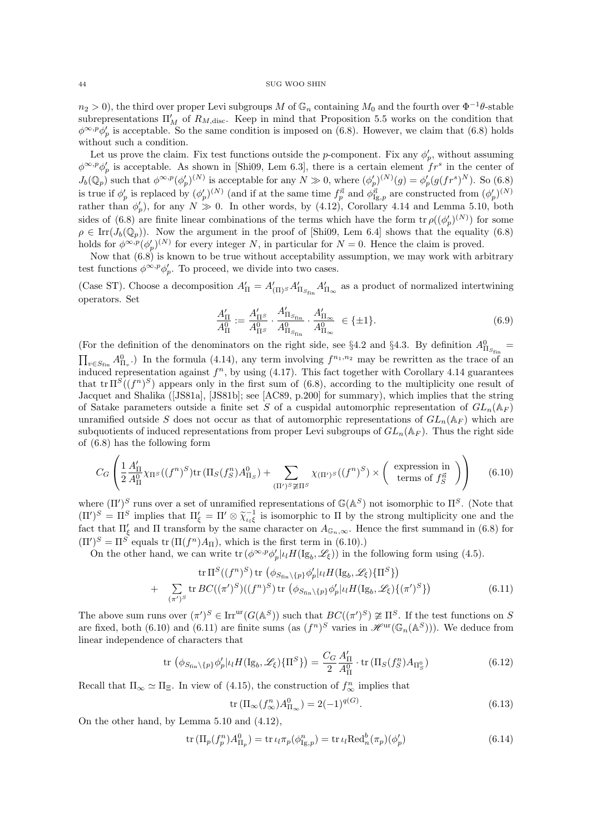$n_2 > 0$ , the third over proper Levi subgroups M of  $\mathbb{G}_n$  containing  $M_0$  and the fourth over  $\Phi^{-1}\theta$ -stable subrepresentations  $\Pi'_{M}$  of  $R_{M,\text{disc}}$ . Keep in mind that Proposition 5.5 works on the condition that  $\phi^{\infty,p}\phi_p'$  is acceptable. So the same condition is imposed on (6.8). However, we claim that (6.8) holds without such a condition.

Let us prove the claim. Fix test functions outside the p-component. Fix any  $\phi'_p$ , without assuming  $\phi^{\infty,p}\phi'_p$  is acceptable. As shown in [Shi09, Lem 6.3], there is a certain element  $fr^s$  in the center of  $J_b(\mathbb{Q}_p)$  such that  $\phi^{\infty,p}(\phi'_p)^{(N)}$  is acceptable for any  $N \gg 0$ , where  $(\phi'_p)^{(N)}(g) = \phi'_p(g(fr^s)^N)$ . So (6.8) is true if  $\phi'_p$  is replaced by  $(\phi'_p)^{(N)}$  (and if at the same time  $f_p^{\vec{n}}$  and  $\phi_{\text{Ig},p}^{\vec{n}}$  are constructed from  $(\phi'_p)^{(N)}$ rather than  $\phi'_p$ ), for any  $N \gg 0$ . In other words, by (4.12), Corollary 4.14 and Lemma 5.10, both sides of (6.8) are finite linear combinations of the terms which have the form  $\text{tr } \rho((\phi'_p)^{(N)})$  for some  $\rho \in \text{Irr}(J_b(\mathbb{Q}_p)).$  Now the argument in the proof of [Shi09, Lem 6.4] shows that the equality (6.8) holds for  $\phi^{\infty,p}(\phi_p')^{(N)}$  for every integer N, in particular for  $N=0$ . Hence the claim is proved.

Now that  $(6.8)$  is known to be true without acceptability assumption, we may work with arbitrary test functions  $\phi^{\infty, p} \phi'_p$ . To proceed, we divide into two cases.

(Case ST). Choose a decomposition  $A'_{\Pi} = A'_{(\Pi)^S} A'_{\Pi_{S_{\text{fin}}}} A'_{\Pi_{\infty}}$  as a product of normalized intertwining operators. Set

$$
\frac{A'_{\Pi}}{A_{\Pi}^0} := \frac{A'_{\Pi^S}}{A_{\Pi^S}^0} \cdot \frac{A'_{\Pi_{S_{\text{fin}}}}}{A_{\Pi_{S_{\text{fin}}}}^0} \cdot \frac{A'_{\Pi_{\infty}}}{A_{\Pi_{\infty}}^0} \in \{\pm 1\}.
$$
\n(6.9)

(For the definition of the denominators on the right side, see §4.2 and §4.3. By definition  $A_{\Pi_{S_{\text{fin}}}}^0$  =  $\prod_{v \in S_{fin}} A_{\Pi_v}^0$ . In the formula (4.14), any term involving  $f^{n_1,n_2}$  may be rewritten as the trace of an induced representation against  $f^n$ , by using (4.17). This fact together with Corollary 4.14 guarantees that  $\text{tr }\Pi^S((f^n)^S)$  appears only in the first sum of (6.8), according to the multiplicity one result of Jacquet and Shalika ([JS81a], [JS81b]; see [AC89, p.200] for summary), which implies that the string of Satake parameters outside a finite set S of a cuspidal automorphic representation of  $GL_n(\mathbb{A}_F)$ unramified outside S does not occur as that of automorphic representations of  $GL_n(\mathbb{A}_F)$  which are subquotients of induced representations from proper Levi subgroups of  $GL_n(\mathbb{A}_F)$ . Thus the right side of (6.8) has the following form

$$
C_G \left( \frac{1}{2} \frac{A'_{\Pi}}{A_{\Pi}^0} \chi_{\Pi^S}((f^n)^S) \text{tr} \left( \Pi_S(f_S^n) A_{\Pi_S}^0 \right) + \sum_{(\Pi')^S \not\cong \Pi^S} \chi_{(\Pi')^S}((f^n)^S) \times \left( \text{ expression in terms of } f_S^{\vec{n}} \right) \right) \tag{6.10}
$$

where  $(\Pi')^S$  runs over a set of unramified representations of  $\mathbb{G}(\mathbb{A}^S)$  not isomorphic to  $\Pi^S$ . (Note that  $(\Pi')^S = \Pi^S$  implies that  $\Pi'_{\xi} = \Pi' \otimes \tilde{\chi}_{\iota_k \xi}^{-1}$  is isomorphic to  $\Pi$  by the strong multiplicity one and the fact that  $\Pi'$  and  $\Pi$  transform by the same character on  $A$ . Hence the first summand in (6.8) for fact that  $\Pi'_{\xi}$  and  $\Pi$  transform by the same character on  $A_{\mathbb{G}_n,\infty}$ . Hence the first summand in (6.8) for  $(\Pi')^S = \Pi^S$  equals tr  $(\Pi(f^n)A_{\Pi})$ , which is the first term in (6.10).)

On the other hand, we can write  $\text{tr}(\phi^{\infty,p}\phi_p'| \iota_l H(\mathrm{Ig}_b, \mathscr{L}_\xi))$  in the following form using (4.5).

tr 
$$
\Pi^S((f^n)^S)
$$
 tr  $(\phi_{S_{fin}}\backslash\{p\}\phi'_p|_{\mathcal{U}}H(\mathrm{Ig}_b,\mathscr{L}_{\xi})\{\Pi^S\})$   
+  $\sum_{(\pi')^S}$  tr  $BC((\pi')^S)((f^n)^S)$  tr  $(\phi_{S_{fin}}\backslash\{p\}\phi'_p|_{\mathcal{U}}H(\mathrm{Ig}_b,\mathscr{L}_{\xi})\{(\pi')^S\})$  (6.11)

The above sum runs over  $(\pi')^S \in \text{Irr}^{\text{ur}}(G(\mathbb{A}^S))$  such that  $BC((\pi')^S) \ncong \Pi^S$ . If the test functions on S are fixed, both (6.10) and (6.11) are finite sums (as  $(f^n)^S$  varies in  $\mathscr{H}^{\text{ur}}(\mathbb{G}_n(\mathbb{A}^S)))$ . We deduce from linear independence of characters that

$$
\operatorname{tr}\left(\phi_{S_{\mathrm{fin}}\backslash\{p\}}\phi'_{p}|_{\iota}H(\mathrm{Ig}_{b},\mathscr{L}_{\xi})\{\Pi^{S}\}\right) = \frac{C_{G}}{2}\frac{A'_{\Pi}}{A_{\Pi}^{0}}\cdot\operatorname{tr}(\Pi_{S}(f_{S}^{n})A_{\Pi_{S}^{0}})
$$
(6.12)

Recall that  $\Pi_{\infty} \simeq \Pi_{\Xi}$ . In view of (4.15), the construction of  $f_{\infty}^{n}$  implies that

$$
\operatorname{tr} \left( \Pi_{\infty} (f_{\infty}^n) A_{\Pi_{\infty}}^0 \right) = 2(-1)^{q(G)}.
$$
\n(6.13)

On the other hand, by Lemma 5.10 and (4.12),

$$
\operatorname{tr} \left( \Pi_p(f_p^n) A_{\Pi_p}^0 \right) = \operatorname{tr} \iota_l \pi_p(\phi_{\text{Ig},p}^n) = \operatorname{tr} \iota_l \text{Red}_n^b(\pi_p)(\phi_p') \tag{6.14}
$$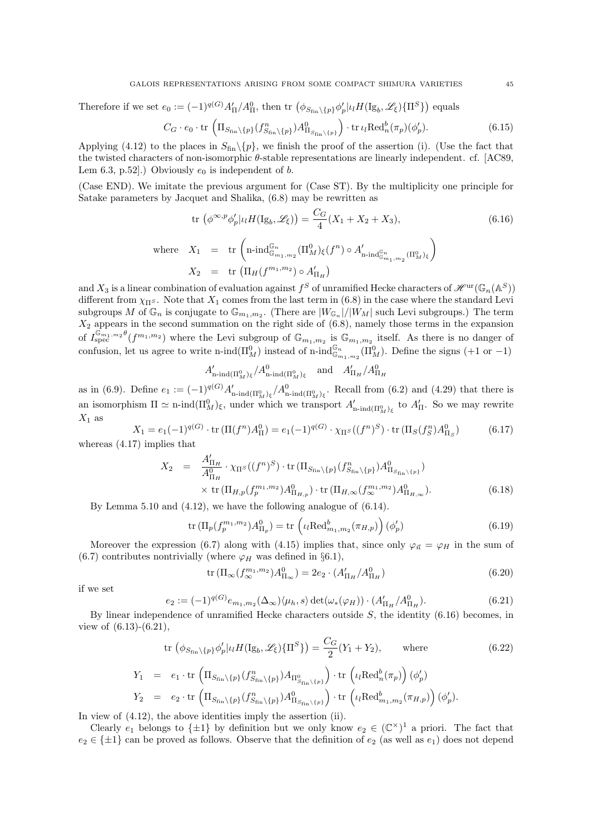Therefore if we set  $e_0 := (-1)^{q(G)} A'_{\Pi} / A^0_{\Pi}$ , then tr  $(\phi_{S_{fin}\setminus \{p\}} \phi'_p | \iota_l H(\mathrm{Ig}_b, \mathscr{L}_\xi) \{ \Pi^S \})$  equals

$$
C_G \cdot e_0 \cdot \operatorname{tr} \left( \Pi_{S_{\text{fin}} \setminus \{p\}} (f_{S_{\text{fin}} \setminus \{p\}}^n) A_{\Pi_{S_{\text{fin}} \setminus \{p\}}}^0 \right) \cdot \operatorname{tr} \iota_l \text{Red}_n^b(\pi_p) (\phi'_p). \tag{6.15}
$$

Applying (4.12) to the places in  $S_{fin}\setminus\{p\}$ , we finish the proof of the assertion (i). (Use the fact that the twisted characters of non-isomorphic  $\theta$ -stable representations are linearly independent. cf. [AC89, Lem 6.3, p.52].) Obviously  $e_0$  is independent of b.

(Case END). We imitate the previous argument for (Case ST). By the multiplicity one principle for Satake parameters by Jacquet and Shalika, (6.8) may be rewritten as

$$
\text{tr}\left(\phi^{\infty,p}\phi_p'|_{l}H(\text{Ig}_b,\mathscr{L}_\xi)\right) = \frac{C_G}{4}(X_1 + X_2 + X_3),\tag{6.16}
$$
\n
$$
\text{where}\quad X_1 = \text{tr}\left(\text{n-ind}_{\mathbb{G}_{m_1,m_2}}^{\mathbb{G}_n}(\Pi_M^0)_\xi(f^n) \circ A'_{\text{n-ind}_{\mathbb{G}_{m_1,m_2}}^{\mathbb{G}_n}(\Pi_M^0)_\xi\right)
$$
\n
$$
X_2 = \text{tr}\left(\Pi_H(f^{m_1,m_2}) \circ A'_{\Pi_H}\right)
$$

and  $X_3$  is a linear combination of evaluation against  $f^S$  of unramified Hecke characters of  $\mathscr{H}^{\mathrm{ur}}(\mathbb{G}_n(\mathbb{A}^S))$ different from  $\chi_{\Pi^S}$ . Note that  $X_1$  comes from the last term in (6.8) in the case where the standard Levi subgroups M of  $\mathbb{G}_n$  is conjugate to  $\mathbb{G}_{m_1,m_2}$ . (There are  $|W_{\mathbb{G}_n}|/|W_M|$  such Levi subgroups.) The term  $X_2$  appears in the second summation on the right side of  $(6.8)$ , namely those terms in the expansion of  $I_{\text{spec}}^{\mathbb{G}_{m_1,m_2},\mathbb{G}_{m_1,m_2}}(f^{m_1,m_2})$  where the Levi subgroup of  $\mathbb{G}_{m_1,m_2}$  is  $\mathbb{G}_{m_1,m_2}$  itself. As there is no danger of confusion, let us agree to write n-ind $(\Pi_M^0)$  instead of n-ind $\mathbb{G}_{m_1,m_2}^{\mathbb{G}_n}(\Pi_M^0)$ . Define the signs  $(+1 \text{ or } -1)$ 

$$
A'_{\mathbf{n}\text{-}\mathrm{ind}(\Pi_M^0)_\xi}/A^0_{\mathbf{n}\text{-}\mathrm{ind}(\Pi_M^0)_\xi} \quad \text{and} \quad A'_{\Pi_H}/A^0_{\Pi_H}
$$

as in (6.9). Define  $e_1 := (-1)^{q(G)} A'_{\text{n-ind}(\Pi_M^0)_\xi} / A^0_{\text{n-ind}(\Pi_M^0)_\xi}$ . Recall from (6.2) and (4.29) that there is an isomorphism  $\Pi \simeq \text{n-ind}(\Pi_M^0)_{\xi}$ , under which we transport  $A'_{\text{n-ind}(\Pi_M^0)_{\xi}}$  to  $A'_{\Pi}$ . So we may rewrite  $X_1$  as

$$
X_1 = e_1(-1)^{q(G)} \cdot \text{tr} \left( \Pi(f^n) A_\Pi^0 \right) = e_1(-1)^{q(G)} \cdot \chi_{\Pi^S}((f^n)^S) \cdot \text{tr} \left( \Pi_S(f_S^n) A_{\Pi_S}^0 \right) \tag{6.17}
$$

whereas (4.17) implies that

$$
X_2 = \frac{A'_{\Pi_H}}{A_{\Pi_H}^0} \cdot \chi_{\Pi^S}((f^n)^S) \cdot \text{tr}(\Pi_{S_{\text{fin}}\backslash\{p\}}(f^n_{S_{\text{fin}}\backslash\{p\}}) A^0_{\Pi_{S_{\text{fin}}\backslash\{p\}}})
$$
  
× tr $(\Pi_{H,p}(f_p^{m_1,m_2}) A^0_{\Pi_{H,p}}) \cdot \text{tr}(\Pi_{H,\infty}(f_\infty^{m_1,m_2}) A^0_{\Pi_{H,\infty}}).$  (6.18)

By Lemma 5.10 and (4.12), we have the following analogue of (6.14).

$$
\operatorname{tr} \left( \Pi_p(f_p^{m_1, m_2}) A^0_{\Pi_p} \right) = \operatorname{tr} \left( \iota_l \operatorname{Red}^b_{m_1, m_2}(\pi_{H, p}) \right) (\phi'_p) \tag{6.19}
$$

Moreover the expression (6.7) along with (4.15) implies that, since only  $\varphi_{\vec{n}} = \varphi_H$  in the sum of (6.7) contributes nontrivially (where  $\varphi_H$  was defined in §6.1),

$$
\text{tr}\left(\Pi_{\infty}(f_{\infty}^{m_1,m_2})A_{\Pi_{\infty}}^0\right) = 2e_2 \cdot (A'_{\Pi_H}/A_{\Pi_H}^0) \tag{6.20}
$$

if we set

$$
e_2 := (-1)^{q(G)} e_{m_1, m_2}(\Delta_{\infty}) \langle \mu_h, s \rangle \det(\omega_*(\varphi_H)) \cdot (A'_{\Pi_H} / A^0_{\Pi_H}). \tag{6.21}
$$

By linear independence of unramified Hecke characters outside  $S$ , the identity  $(6.16)$  becomes, in view of (6.13)-(6.21),

tr 
$$
(\phi_{S_{fin}}\backslash{p}\phi'_{p}| \iota_{l}H(\mathrm{Ig}_{b},\mathscr{L}_{\xi})\{\Pi^{S}\}) = \frac{C_{G}}{2}(Y_{1} + Y_{2}),
$$
 where (6.22)  
\n
$$
Y_{1} = e_{1} \cdot \operatorname{tr} \left(\Pi_{S_{fin}}\backslash{p}\{f_{S_{fin}}^{n}\backslash{p}\})A_{\Pi^{0}_{S_{fin}}\backslash{p}\}}\right) \cdot \operatorname{tr} \left(\iota_{l}\operatorname{Red}_{n}^{b}(\pi_{p})\right)(\phi'_{p})
$$
\n
$$
Y_{2} = e_{2} \cdot \operatorname{tr} \left(\Pi_{S_{fin}}\backslash{p}\{f_{S_{fin}}^{n}\backslash{p}\})A_{\Pi_{S_{fin}}\backslash{p}\}}^{0}\right) \cdot \operatorname{tr} \left(\iota_{l}\operatorname{Red}_{m_{1},m_{2}}^{b}(\pi_{H,p})\right)(\phi'_{p}).
$$

In view of (4.12), the above identities imply the assertion (ii).

Clearly  $e_1$  belongs to  $\{\pm 1\}$  by definition but we only know  $e_2 \in (\mathbb{C}^{\times})^1$  a priori. The fact that  $e_2 \in {\pm 1}$  can be proved as follows. Observe that the definition of  $e_2$  (as well as  $e_1$ ) does not depend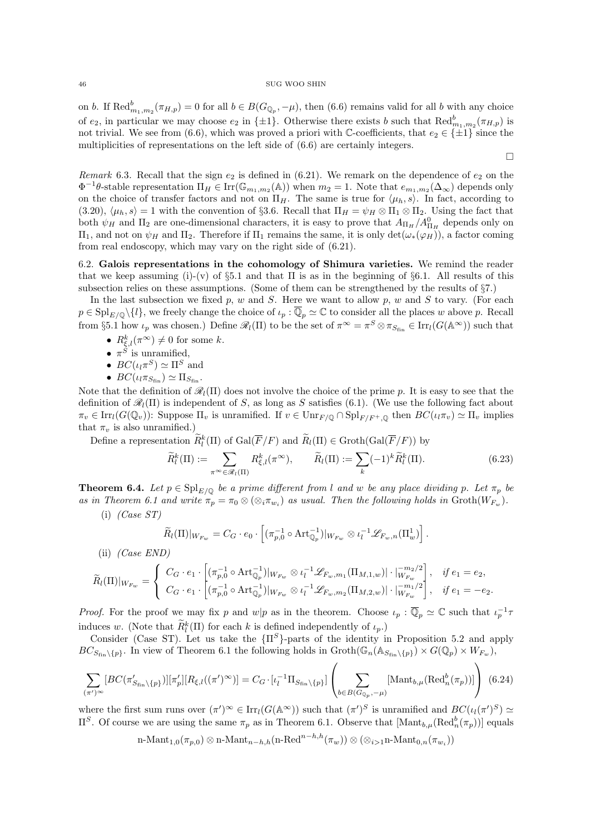on b. If  $\text{Red}_{m_1,m_2}^b(\pi_{H,p})=0$  for all  $b \in B(G_{\mathbb{Q}_p}, -\mu)$ , then (6.6) remains valid for all b with any choice of  $e_2$ , in particular we may choose  $e_2$  in  $\{\pm 1\}$ . Otherwise there exists b such that  $\text{Red}_{m_1,m_2}^b(\pi_{H,p})$  is not trivial. We see from (6.6), which was proved a priori with C-coefficients, that  $e_2 \in {\pm 1}$  since the multiplicities of representations on the left side of (6.6) are certainly integers.

 $\Box$ 

Remark 6.3. Recall that the sign  $e_2$  is defined in (6.21). We remark on the dependence of  $e_2$  on the  $\Phi^{-1}\theta$ -stable representation  $\Pi_H \in \text{Irr}(\mathbb{G}_{m_1,m_2}(\mathbb{A}))$  when  $m_2 = 1$ . Note that  $e_{m_1,m_2}(\Delta_{\infty})$  depends only on the choice of transfer factors and not on  $\Pi_H$ . The same is true for  $\langle \mu_h, s \rangle$ . In fact, according to (3.20),  $\langle \mu_h, s \rangle = 1$  with the convention of §3.6. Recall that  $\Pi_H = \psi_H \otimes \Pi_1 \otimes \Pi_2$ . Using the fact that both  $\psi_H$  and  $\Pi_2$  are one-dimensional characters, it is easy to prove that  $A_{\Pi_H}/A_{\Pi_H}^0$  depends only on  $\Pi_1$ , and not on  $\psi_H$  and  $\Pi_2$ . Therefore if  $\Pi_1$  remains the same, it is only  $\det(\omega_*(\varphi_H))$ , a factor coming from real endoscopy, which may vary on the right side of (6.21).

6.2. Galois representations in the cohomology of Shimura varieties. We remind the reader that we keep assuming (i)-(v) of  $\S 5.1$  and that  $\Pi$  is as in the beginning of  $\S 6.1$ . All results of this subsection relies on these assumptions. (Some of them can be strengthened by the results of §7.)

In the last subsection we fixed p, w and S. Here we want to allow p, w and S to vary. (For each  $p \in \text{Spl}_{E/\mathbb{Q}}\setminus\{l\}$ , we freely change the choice of  $\iota_p : \overline{\mathbb{Q}}_p \simeq \mathbb{C}$  to consider all the places w above p. Recall from §5.1 how  $\iota_p$  was chosen.) Define  $\mathscr{R}_l(\Pi)$  to be the set of  $\pi^{\infty} = \pi^S \otimes \pi_{S_{fin}} \in \text{Irr}_l(G(\mathbb{A}^{\infty}))$  such that

- $R_{\xi,l}^k(\pi^\infty) \neq 0$  for some k.
- $\pi^S$  is unramified,
- $BC(\iota_l \pi^S) \simeq \Pi^S$  and
- $BC(\iota_l \pi_{S_{\text{fin}}}) \simeq \Pi_{S_{\text{fin}}}.$

Note that the definition of  $\mathcal{R}_l(\Pi)$  does not involve the choice of the prime p. It is easy to see that the definition of  $\mathcal{R}_l(\Pi)$  is independent of S, as long as S satisfies (6.1). (We use the following fact about  $\pi_v \in \text{Irr}_l(G(\mathbb{Q}_v))$ : Suppose  $\Pi_v$  is unramified. If  $v \in \text{Unr}_{F/\mathbb{Q}} \cap \text{Spl}_{F/F^+,\mathbb{Q}}$  then  $BC(\iota_l \pi_v) \simeq \Pi_v$  implies that  $\pi_v$  is also unramified.)

Define a representation  $\tilde{R}_l^k(\Pi)$  of  $Gal(\overline{F}/F)$  and  $\tilde{R}_l(\Pi) \in Groth(Gal(\overline{F}/F))$  by

$$
\widetilde{R}_l^k(\Pi) := \sum_{\pi \sim \in \mathscr{R}_l(\Pi)} R_{\xi,l}^k(\pi^\infty), \qquad \widetilde{R}_l(\Pi) := \sum_k (-1)^k \widetilde{R}_l^k(\Pi). \tag{6.23}
$$

**Theorem 6.4.** Let  $p \in \mathrm{Spl}_{E/\mathbb{Q}}$  be a prime different from l and w be any place dividing p. Let  $\pi_p$  be as in Theorem 6.1 and write  $\pi_p = \pi_0 \otimes (\otimes_i \pi_{w_i})$  as usual. Then the following holds in  $\text{Groth}(W_{F_w})$ .

 $(i)$  (Case ST)

$$
\widetilde{R}_l(\Pi)|_{W_{F_w}} = C_G \cdot e_0 \cdot \left[ (\pi_{p,0}^{-1} \circ \text{Art}_{\mathbb{Q}_p}^{-1})|_{W_{F_w}} \otimes \iota_l^{-1} \mathscr{L}_{F_w,n}(\Pi_w^1) \right].
$$

(ii) (Case END)

$$
\widetilde{R}_{l}(\Pi)|_{W_{F_w}} = \begin{cases}\nC_G \cdot e_1 \cdot \left[ (\pi_{p,0}^{-1} \circ \text{Art}_{\mathbb{Q}_p}^{-1})|_{W_{F_w}} \otimes \iota_l^{-1} \mathscr{L}_{F_w,m_1}(\Pi_{M,1,w})| \cdot |\substack{m_2/2 \\ W_{F_w}} \right], & \text{if } e_1 = e_2, \\
C_G \cdot e_1 \cdot \left[ (\pi_{p,0}^{-1} \circ \text{Art}_{\mathbb{Q}_p}^{-1})|_{W_{F_w}} \otimes \iota_l^{-1} \mathscr{L}_{F_w,m_2}(\Pi_{M,2,w})| \cdot |\substack{m_1/2 \\ W_{F_w}} \right], & \text{if } e_1 = -e_2.\n\end{cases}
$$

*Proof.* For the proof we may fix p and  $w|p$  as in the theorem. Choose  $\iota_p : \overline{\mathbb{Q}}_p \simeq \mathbb{C}$  such that  $\iota_p^{-1} \tau$ induces w. (Note that  $\overline{R}_l^k(\Pi)$  for each k is defined independently of  $\iota_p$ .)

Consider (Case ST). Let us take the  ${\{\Pi^S\}}$ -parts of the identity in Proposition 5.2 and apply  $BC_{S_{fin}\backslash{p}}$ . In view of Theorem 6.1 the following holds in  $Groth(\mathbb{G}_n(\mathbb{A}_{S_{fin}\backslash{p}}) \times G(\mathbb{Q}_p) \times W_{F_w})$ ,

$$
\sum_{(\pi')^{\infty}}[BC(\pi'_{S_{\text{fin}}\backslash\{p\}})][\pi'_{p}][R_{\xi,l}((\pi')^{\infty})]=C_{G}\cdot[\iota_{l}^{-1}\Pi_{S_{\text{fin}}\backslash\{p\}}]\left(\sum_{b\in B(G_{\mathbb{Q}_{p}},-\mu)}[\text{Mant}_{b,\mu}(\text{Red}_{n}^{b}(\pi_{p}))]\right)
$$
(6.24)

where the first sum runs over  $(\pi')^{\infty} \in \text{Irr}_l(G(\mathbb{A}^{\infty}))$  such that  $(\pi')^S$  is unramified and  $BC(\iota_l(\pi')^S) \simeq$  $\Pi^S$ . Of course we are using the same  $\pi_p$  as in Theorem 6.1. Observe that  $[\text{Mant}_{b,\mu}(\text{Red}_n^b(\pi_p))]$  equals

n-Mant<sub>1,0</sub>(
$$
\pi_{p,0}
$$
)  $\otimes$  n-Mant<sub>n-h,h</sub>(n-Red<sup>n-h,h</sup>( $\pi_w$ ))  $\otimes$  ( $\otimes_{i>1}$ n-Mant<sub>0,n</sub>( $\pi_{w_i}$ ))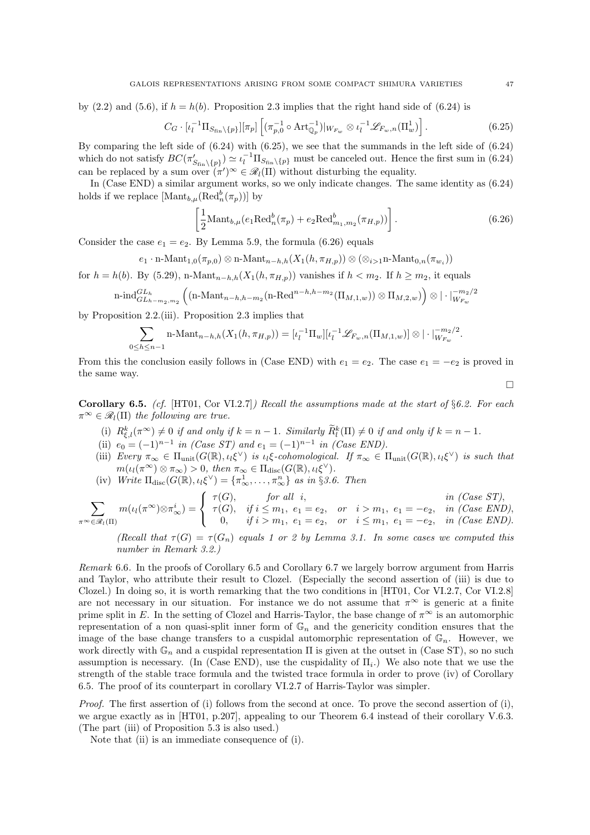by (2.2) and (5.6), if  $h = h(b)$ . Proposition 2.3 implies that the right hand side of (6.24) is

$$
C_G \cdot [\iota_l^{-1} \Pi_{S_{\text{fin}}\backslash \{p\}}] [\pi_p] \left[ (\pi_{p,0}^{-1} \circ \text{Art}_{\mathbb{Q}_p}^{-1})|_{W_{F_w}} \otimes \iota_l^{-1} \mathscr{L}_{F_w,n}(\Pi_w^1) \right]. \tag{6.25}
$$

By comparing the left side of (6.24) with (6.25), we see that the summands in the left side of (6.24) which do not satisfy  $BC(\pi'_{S_{fin}\backslash\{p\}}) \simeq \iota_l^{-1} \Pi_{S_{fin}\backslash\{p\}}$  must be canceled out. Hence the first sum in (6.24) can be replaced by a sum over  $(\pi')^{\infty} \in \mathcal{R}_l(\Pi)$  without disturbing the equality.

In (Case END) a similar argument works, so we only indicate changes. The same identity as (6.24) holds if we replace  $[\text{Mant}_{b,\mu}(\text{Red}_n^b(\pi_p))]$  by

$$
\left[\frac{1}{2} \text{Mant}_{b,\mu}(e_1 \text{Red}_n^b(\pi_p) + e_2 \text{Red}_{m_1,m_2}^b(\pi_{H,p}))\right].
$$
 (6.26)

Consider the case  $e_1 = e_2$ . By Lemma 5.9, the formula (6.26) equals

 $e_1 \cdot \text{n-Mant}_{1,0}(\pi_{p,0}) \otimes \text{n-Mant}_{n-h,h}(X_1(h, \pi_{H,p})) \otimes (\otimes_{i>1} \text{n-Mant}_{0,n}(\pi_{w_i}))$ 

for  $h = h(b)$ . By (5.29), n-Mant<sub>n−h,h</sub>( $X_1(h, \pi_{H,p})$ ) vanishes if  $h < m_2$ . If  $h \ge m_2$ , it equals

$$
\operatorname{n-ind}_{GL_{h-m_2,m_2}}^{GL_h} \left( \left( \operatorname{n-Mant}_{n-h,h-m_2}(\operatorname{n-Red}^{n-h,h-m_2}(\Pi_{M,1,w})) \otimes \Pi_{M,2,w} \right) \right) \otimes | \cdot |_{W_{F_w}}^{-m_2/2}
$$

by Proposition 2.2.(iii). Proposition 2.3 implies that

$$
\sum_{0 \leq h \leq n-1} \text{n-Mant}_{n-h,h}(X_1(h, \pi_{H,p})) = [\iota_l^{-1} \Pi_w] [\iota_l^{-1} \mathscr{L}_{F_w,n}(\Pi_{M,1,w})] \otimes |\cdot|_{W_{F_w}}^{-m_2/2}.
$$

From this the conclusion easily follows in (Case END) with  $e_1 = e_2$ . The case  $e_1 = -e_2$  is proved in the same way.

**Corollary 6.5.** (cf. [HT01, Cor VI.2.7]) Recall the assumptions made at the start of  $\S6.2$ . For each  $\pi^{\infty} \in \mathscr{R}_l(\Pi)$  the following are true.

- (i)  $R_{\xi,l}^k(\pi^{\infty}) \neq 0$  if and only if  $k = n 1$ . Similarly  $\widetilde{R}_l^k(\Pi) \neq 0$  if and only if  $k = n 1$ .
- (ii)  $e_0 = (-1)^{n-1}$  in (Case ST) and  $e_1 = (-1)^{n-1}$  in (Case END).
- (iii) Every  $\pi_{\infty} \in \Pi_{\text{unit}}(G(\mathbb{R}), \iota_i \xi^{\vee})$  is  $\iota_i \xi$ -cohomological. If  $\pi_{\infty} \in \Pi_{\text{unit}}(G(\mathbb{R}), \iota_i \xi^{\vee})$  is such that  $m(\iota_l(\pi^\infty) \otimes \pi_\infty) > 0$ , then  $\pi_\infty \in \Pi_{\text{disc}}(G(\mathbb{R}), \iota_l \xi^\vee)$ .
- (iv) Write  $\Pi_{\text{disc}}(G(\mathbb{R}), \iota_i \xi^{\vee}) = {\pi_{\infty}^1, \dots, \pi_{\infty}^n}$  as in §3.6. Then

$$
\sum_{\pi \sim \in \mathscr{R}_l(\Pi)} m(\iota_l(\pi^{\infty}) \otimes \pi_{\infty}^i) = \begin{cases} \tau(G), & \text{for all } i, \\ \tau(G), & \text{if } i \leq m_1, e_1 = e_2, \text{ or } i > m_1, e_1 = -e_2, \text{ in (Case END)}, \\ 0, & \text{if } i > m_1, e_1 = e_2, \text{ or } i \leq m_1, e_1 = -e_2, \text{ in (Case END)}. \end{cases}
$$

(Recall that  $\tau(G) = \tau(G_n)$  equals 1 or 2 by Lemma 3.1. In some cases we computed this number in Remark 3.2.)

Remark 6.6. In the proofs of Corollary 6.5 and Corollary 6.7 we largely borrow argument from Harris and Taylor, who attribute their result to Clozel. (Especially the second assertion of (iii) is due to Clozel.) In doing so, it is worth remarking that the two conditions in [HT01, Cor VI.2.7, Cor VI.2.8] are not necessary in our situation. For instance we do not assume that  $\pi^{\infty}$  is generic at a finite prime split in E. In the setting of Clozel and Harris-Taylor, the base change of  $\pi^{\infty}$  is an automorphic representation of a non quasi-split inner form of  $\mathbb{G}_n$  and the genericity condition ensures that the image of the base change transfers to a cuspidal automorphic representation of  $\mathbb{G}_n$ . However, we work directly with  $\mathbb{G}_n$  and a cuspidal representation  $\Pi$  is given at the outset in (Case ST), so no such assumption is necessary. (In (Case END), use the cuspidality of  $\Pi_i$ .) We also note that we use the strength of the stable trace formula and the twisted trace formula in order to prove (iv) of Corollary 6.5. The proof of its counterpart in corollary VI.2.7 of Harris-Taylor was simpler.

Proof. The first assertion of (i) follows from the second at once. To prove the second assertion of (i), we argue exactly as in [HT01, p.207], appealing to our Theorem 6.4 instead of their corollary V.6.3. (The part (iii) of Proposition 5.3 is also used.)

Note that (ii) is an immediate consequence of (i).

 $\Box$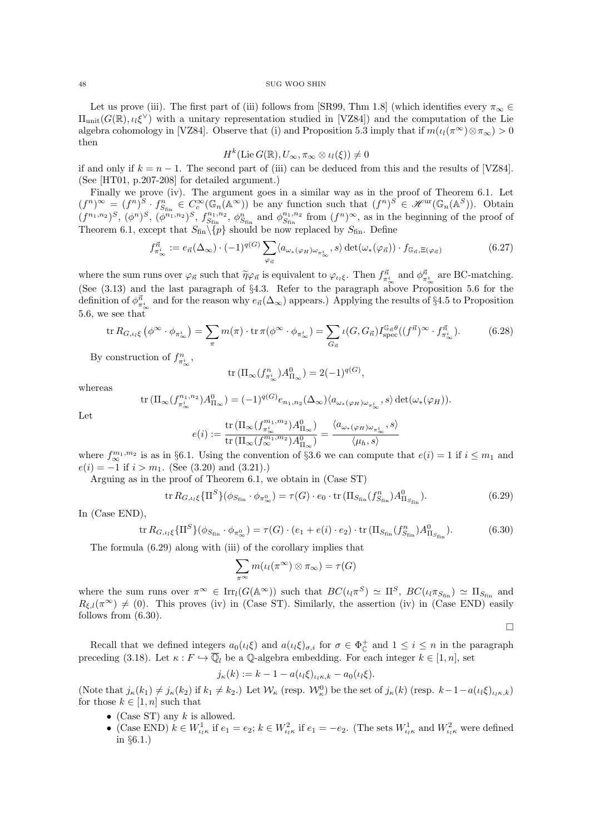Let us prove (iii). The first part of (iii) follows from [SR99, Thm 1.8] (which identifies every  $\pi_{\infty} \in$  $\Pi_{\text{unit}}(G(\mathbb{R}), \iota_i \xi^{\vee})$  with a unitary representation studied in [VZ84]) and the computation of the Lie algebra cohomology in [VZ84]. Observe that (i) and Proposition 5.3 imply that if  $m(\iota_l(\pi^{\infty})\otimes \pi_{\infty})>0$ then

$$
H^k(\mathrm{Lie}\,G(\mathbb{R}), U_{\infty}, \pi_{\infty} \otimes \iota_l(\xi)) \neq 0
$$

if and only if  $k = n - 1$ . The second part of (iii) can be deduced from this and the results of [VZ84]. (See [HT01, p.207-208] for detailed argument.)

Finally we prove (iv). The argument goes in a similar way as in the proof of Theorem 6.1. Let  $(f^n)^\infty = (f^n)^S \cdot f^n_{S_{fin}} \in C_c^\infty(\mathbb{G}_n(\mathbb{A}^\infty))$  be any function such that  $(f^n)^S \in \mathcal{H}^{\text{ur}}(\mathbb{G}_n(\mathbb{A}^S))$ . Obtain  $(f^{n_1,n_2})^S$ ,  $(\phi^n)^S$ ,  $(\phi^{n_1,n_2})^S$ ,  $f^{n_1,n_2}_{S_{fin}}$ ,  $\phi^n_{S_{fin}}$  and  $\phi^{n_1,n_2}_{S_{fin}}$  from  $(f^n)^\infty$ , as in the beginning of the proof of Theorem 6.1, except that  $S_{fin} \setminus \{p\}$  should be now replaced by  $S_{fin}$ . Define

$$
f_{\pi_{\infty}^{i}}^{\vec{n}} := e_{\vec{n}}(\Delta_{\infty}) \cdot (-1)^{q(G)} \sum_{\varphi_{\vec{n}}} \langle a_{\omega_{*}(\varphi_{H})\omega_{\pi_{\infty}^{i}}}, s \rangle \det(\omega_{*}(\varphi_{\vec{n}})) \cdot f_{\mathbb{G}_{\vec{n}}, \Xi(\varphi_{\vec{n}})}
$$
(6.27)

where the sum runs over  $\varphi_{\vec{n}}$  such that  $\tilde{\eta}\varphi_{\vec{n}}$  is equivalent to  $\varphi_{\iota_l\xi}$ . Then  $f_{\pi_{\infty}^i}^{\vec{n}}$  and  $\varphi_{\pi_{\infty}^i}^{\vec{n}}$  are BC-matching. (See (3.13) and the last paragraph of §4.3. Refer to the paragraph above Proposition 5.6 for the definition of  $\phi_{\pi_\infty^i}^{\vec{n}}$  and for the reason why  $e_{\vec{n}}(\Delta_\infty)$  appears.) Applying the results of §4.5 to Proposition 5.6, we see that

$$
\operatorname{tr} R_{G,\iota_l\xi} \left( \phi^{\infty} \cdot \phi_{\pi_{\infty}^i} \right) = \sum_{\pi} m(\pi) \cdot \operatorname{tr} \pi(\phi^{\infty} \cdot \phi_{\pi_{\infty}^i}) = \sum_{G_{\vec{n}}} \iota(G, G_{\vec{n}}) I_{\text{spec}}^{\mathbb{G}_{\vec{n}}\theta} ((f^{\vec{n}})^{\infty} \cdot f_{\pi_{\infty}^i}^{\vec{n}}).
$$
(6.28)

By construction of  $f_{\pi^i_\infty}^n$ ,

$$
\operatorname{tr} \left( \Pi_\infty(f_{\pi_\infty^i}^n) A_{\Pi_\infty}^0 \right) = 2(-1)^{q(G)},
$$

whereas

$$
\operatorname{tr} \left( \Pi_{\infty} (f_{\pi_{\infty}^{i}}^{n_1, n_2}) A_{\Pi_{\infty}}^{0} \right) = (-1)^{q(G)} e_{n_1, n_2}(\Delta_{\infty}) \langle a_{\omega_{*}(\varphi_H)\omega_{\pi_{\infty}^{i}}}, s \rangle \det(\omega_{*}(\varphi_H)).
$$

Let

$$
e(i):=\frac{\operatorname{tr}\big(\Pi_\infty(f_{\pi_\infty^i}^{m_1,m_2})A^0_{\Pi_\infty}\big)}{\operatorname{tr}\big(\Pi_\infty(f_\infty^{m_1,m_2})A^0_{\Pi_\infty}\big)}=\frac{\langle a_{\omega_*(\varphi_H)\omega_{\pi_\infty^i}},s\rangle}{\langle \mu_h,s\rangle}
$$

where  $f_{\infty}^{m_1,m_2}$  is as in §6.1. Using the convention of §3.6 we can compute that  $e(i) = 1$  if  $i \leq m_1$  and  $e(i) = -1$  if  $i > m_1$ . (See (3.20) and (3.21).)

Arguing as in the proof of Theorem 6.1, we obtain in (Case ST)

$$
\operatorname{tr} R_{G,\iota_l\xi} \{ \Pi^S \} (\phi_{S_{\text{fin}}} \cdot \phi_{\pi^0_{\infty}}) = \tau(G) \cdot e_0 \cdot \operatorname{tr} (\Pi_{S_{\text{fin}}} (f_{S_{\text{fin}}}^n) A_{\Pi_{S_{\text{fin}}} }^0).
$$
(6.29)

 $\Box$ 

In (Case END),

$$
\operatorname{tr} R_{G,\iota_l\xi} \{ \Pi^S \} (\phi_{S_{\text{fin}}} \cdot \phi_{\pi^0_{\infty}}) = \tau(G) \cdot (e_1 + e(i) \cdot e_2) \cdot \operatorname{tr} (\Pi_{S_{\text{fin}}} (f_{S_{\text{fin}}}^n) A_{\Pi_{S_{\text{fin}}}}^0).
$$
(6.30)

The formula (6.29) along with (iii) of the corollary implies that

$$
\sum_{\pi^{\infty}} m(\iota_l(\pi^{\infty}) \otimes \pi_{\infty}) = \tau(G)
$$

where the sum runs over  $\pi^{\infty} \in \text{Irr}_l(G(\mathbb{A}^{\infty}))$  such that  $BC(\iota_l \pi^S) \simeq \Pi^S$ ,  $BC(\iota_l \pi_{S_{fin}}) \simeq \Pi_{S_{fin}}$  and  $R_{\xi,l}(\pi^{\infty}) \neq (0)$ . This proves (iv) in (Case ST). Similarly, the assertion (iv) in (Case END) easily follows from (6.30).

Recall that we defined integers  $a_0(i_k\xi)$  and  $a(i_k\xi)_{\sigma,i}$  for  $\sigma \in \Phi^+_C$  and  $1 \leq i \leq n$  in the paragraph preceding (3.18). Let  $\kappa : F \hookrightarrow \overline{\mathbb{Q}}_l$  be a  $\mathbb{Q}$ -algebra embedding. For each integer  $k \in [1, n]$ , set

$$
j_{\kappa}(k) := k - 1 - a(\iota_l \xi)_{\iota_l \kappa, k} - a_0(\iota_l \xi).
$$

(Note that  $j_{\kappa}(k_1) \neq j_{\kappa}(k_2)$  if  $k_1 \neq k_2$ .) Let  $\mathcal{W}_{\kappa}$  (resp.  $\mathcal{W}_{\kappa}^0$ ) be the set of  $j_{\kappa}(k)$  (resp.  $k-1-a(\iota_k\xi)_{\iota_k\kappa_k}$ ) for those  $k \in [1, n]$  such that

- (Case ST) any  $k$  is allowed.
- (Case END)  $k \in W_{\iota_l \kappa}^1$  if  $e_1 = e_2$ ;  $k \in W_{\iota_l \kappa}^2$  if  $e_1 = -e_2$ . (The sets  $W_{\iota_l \kappa}^1$  and  $W_{\iota_l \kappa}^2$  were defined in §6.1.)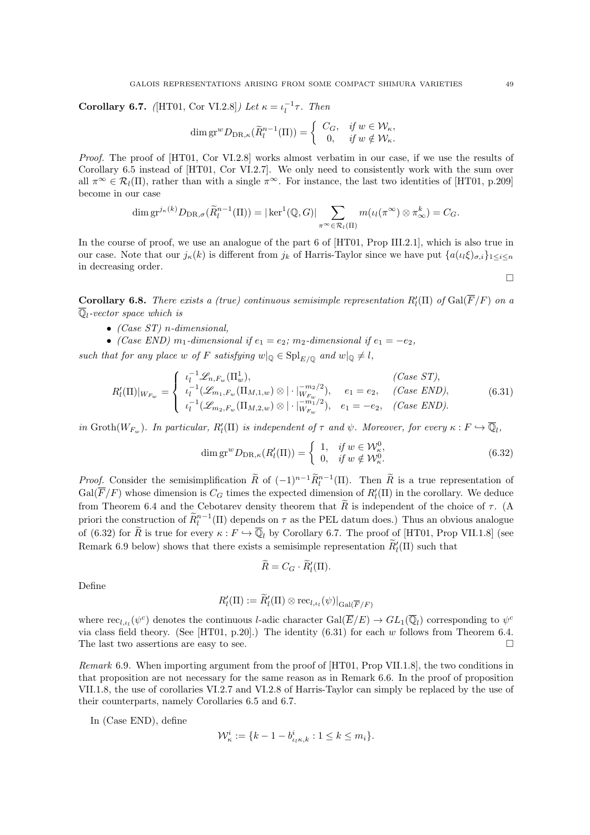**Corollary 6.7.** ([HT01, Cor VI.2.8]) Let  $\kappa = \iota_l^{-1} \tau$ . Then

$$
\dim \operatorname{gr}^w D_{\operatorname{DR},\kappa}(\widetilde{R}^{n-1}_l(\Pi)) = \left\{ \begin{array}{cl} C_G, & \textit{if $w \in \mathcal{W}_\kappa$}, \\ 0, & \textit{if $w \notin \mathcal{W}_\kappa$.} \end{array} \right.
$$

Proof. The proof of [HT01, Cor VI.2.8] works almost verbatim in our case, if we use the results of Corollary 6.5 instead of [HT01, Cor VI.2.7]. We only need to consistently work with the sum over all  $\pi^{\infty} \in \mathcal{R}_l(\Pi)$ , rather than with a single  $\pi^{\infty}$ . For instance, the last two identities of [HT01, p.209] become in our case

$$
\dim \mathrm{gr}^{j_{\kappa}(k)}D_{\mathrm{DR},\sigma}(\widetilde{R}_l^{n-1}(\Pi)) = |\ker^1(\mathbb{Q}, G)| \sum_{\pi^{\infty} \in \mathcal{R}_l(\Pi)} m(\iota_l(\pi^{\infty}) \otimes \pi_{\infty}^k) = C_G.
$$

In the course of proof, we use an analogue of the part 6 of [HT01, Prop III.2.1], which is also true in our case. Note that our  $j_{\kappa}(k)$  is different from  $j_k$  of Harris-Taylor since we have put  $\{a(\iota_l\xi)_{\sigma,i}\}_{1\leq i\leq n}$ in decreasing order.

**Corollary 6.8.** There exists a (true) continuous semisimple representation  $R'_l(\Pi)$  of  $Gal(\overline{F}/F)$  on a  $\overline{\mathbb{Q}}_l$ -vector space which is

- (Case  $ST$ ) n-dimensional,
- (Case END)  $m_1$ -dimensional if  $e_1 = e_2$ ;  $m_2$ -dimensional if  $e_1 = -e_2$ ,

such that for any place w of F satisfying  $w|_{\mathbb{Q}} \in \mathrm{Spl}_{E/\mathbb{Q}}$  and  $w|_{\mathbb{Q}} \neq l$ ,

$$
R'_{l}(\Pi)|_{W_{F_w}} = \begin{cases} \iota_{l}^{-1} \mathcal{L}_{n,F_w}(\Pi_w^1), & (Case ST), \\ \iota_{l}^{-1}(\mathcal{L}_{m_1,F_w}(\Pi_{M,1,w}) \otimes |\cdot|_{W_{F_w}}^{-m_2/2}), & e_1 = e_2, & (Case END), \\ \iota_{l}^{-1}(\mathcal{L}_{m_2,F_w}(\Pi_{M,2,w}) \otimes |\cdot|_{W_{F_w}}^{-m_1/2}), & e_1 = -e_2, & (Case END). \end{cases}
$$
(6.31)

in Groth $(W_{F_w})$ . In particular,  $R'_l(\Pi)$  is independent of  $\tau$  and  $\psi$ . Moreover, for every  $\kappa : F \hookrightarrow \overline{\mathbb{Q}}_l$ ,

$$
\dim \operatorname{gr}^w D_{\operatorname{DR},\kappa}(R'_l(\Pi)) = \begin{cases} 1, & \text{if } w \in \mathcal{W}^0_{\kappa}, \\ 0, & \text{if } w \notin \mathcal{W}^0_{\kappa}. \end{cases} \tag{6.32}
$$

*Proof.* Consider the semisimplification  $\widetilde{R}$  of  $(-1)^{n-1} \widetilde{R}^{n-1}_l(\Pi)$ . Then  $\widetilde{R}$  is a true representation of  $Gal(\overline{F}/F)$  whose dimension is  $C_G$  times the expected dimension of  $R'_l(\Pi)$  in the corollary. We deduce from Theorem 6.4 and the Cebotarev density theorem that  $\tilde{R}$  is independent of the choice of  $\tau$ . (A priori the construction of  $\widetilde{R}_l^{n-1}(\Pi)$  depends on  $\tau$  as the PEL datum does.) Thus an obvious analogue of (6.32) for  $\tilde{R}$  is true for every  $\kappa : F \hookrightarrow \overline{\mathbb{Q}}_l$  by Corollary 6.7. The proof of [HT01, Prop VII.1.8] (see Remark 6.9 below) shows that there exists a semisimple representation  $\tilde{R}'_l(\Pi)$  such that

$$
\widetilde{R}=C_G\cdot \widetilde{R}'_l(\Pi).
$$

Define

$$
R'_l(\Pi) := \widetilde{R}'_l(\Pi) \otimes \text{rec}_{l,\iota_l}(\psi)|_{\text{Gal}(\overline{F}/F)}
$$

where  $\text{rec}_{l,\mu}(\psi^c)$  denotes the continuous *l*-adic character  $\text{Gal}(\overline{E}/E) \to GL_1(\overline{\mathbb{Q}}_l)$  corresponding to  $\psi^c$ via class field theory. (See [HT01, p.20].) The identity  $(6.31)$  for each w follows from Theorem 6.4. The last two assertions are easy to see.  $\Box$ 

Remark 6.9. When importing argument from the proof of [HT01, Prop VII.1.8], the two conditions in that proposition are not necessary for the same reason as in Remark 6.6. In the proof of proposition VII.1.8, the use of corollaries VI.2.7 and VI.2.8 of Harris-Taylor can simply be replaced by the use of their counterparts, namely Corollaries 6.5 and 6.7.

In (Case END), define

$$
\mathcal{W}_{\kappa}^{i} := \{k - 1 - b_{\iota_l \kappa, k}^{i} : 1 \le k \le m_i\}.
$$

 $\Box$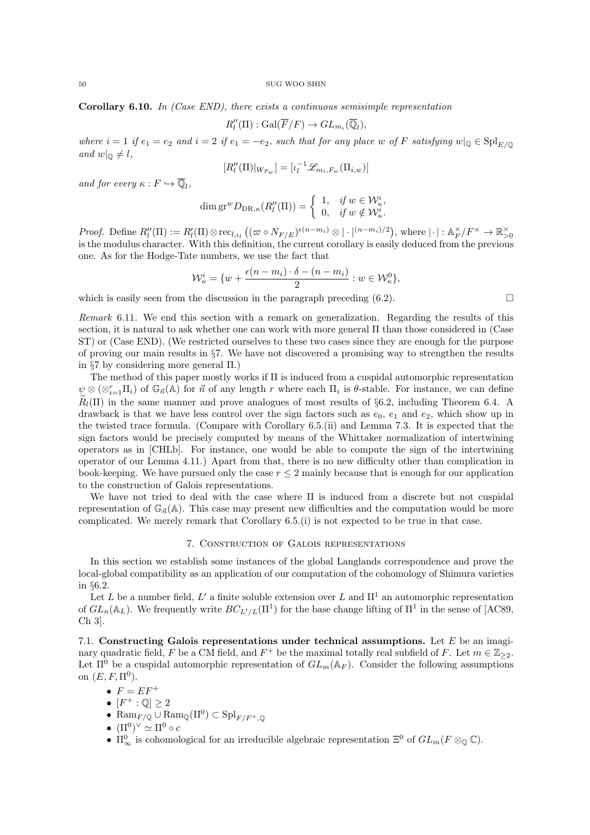**Corollary 6.10.** In (Case END), there exists a continuous semisimple representation

$$
R_l''(\Pi) : \text{Gal}(\overline{F}/F) \to GL_{m_i}(\overline{\mathbb{Q}}_l),
$$

where  $i = 1$  if  $e_1 = e_2$  and  $i = 2$  if  $e_1 = -e_2$ , such that for any place w of F satisfying  $w|_{\mathbb{Q}} \in \text{Spl}_{E/\mathbb{Q}}$ and  $w|_{\mathbb{Q}} \neq l$ ,

$$
[R_l''(\Pi)|_{W_{F_w}}]=[{\iota}_l^{-1}\mathscr{L}_{m_i,F_w}(\Pi_{i,w})]
$$

and for every  $\kappa : F \hookrightarrow \overline{\mathbb{Q}}_l$ ,

$$
\dim \operatorname{gr}^w D_{\operatorname{DR},\kappa}(R''_l(\Pi)) = \begin{cases} 1, & \text{if } w \in \mathcal{W}^i_{\kappa}, \\ 0, & \text{if } w \notin \mathcal{W}^i_{\kappa}. \end{cases}
$$

Proof. Define  $R_l''(\Pi) := R_l'(\Pi) \otimes \text{rec}_{l,\iota_l} \left( (\varpi \circ N_{F/E})^{\epsilon(n-m_i)} \otimes | \cdot |^{(n-m_i)/2} \right)$ , where  $| \cdot | : \mathbb{A}_F^{\times}/F^{\times} \to \mathbb{R}_{>0}^{\times}$ is the modulus character. With this definition, the current corollary is easily deduced from the previous one. As for the Hodge-Tate numbers, we use the fact that

$$
\mathcal{W}_{\kappa}^{i} = \{ w + \frac{\epsilon(n-m_{i}) \cdot \delta - (n-m_{i})}{2} : w \in \mathcal{W}_{\kappa}^{0} \},
$$

which is easily seen from the discussion in the paragraph preceding  $(6.2)$ .

Remark 6.11. We end this section with a remark on generalization. Regarding the results of this section, it is natural to ask whether one can work with more general Π than those considered in (Case ST) or (Case END). (We restricted ourselves to these two cases since they are enough for the purpose of proving our main results in §7. We have not discovered a promising way to strengthen the results in §7 by considering more general Π.)

The method of this paper mostly works if Π is induced from a cuspidal automorphic representation  $\psi \otimes (\otimes_{i=1}^r \Pi_i)$  of  $\mathbb{G}_{\vec{n}}(\mathbb{A})$  for  $\vec{n}$  of any length r where each  $\Pi_i$  is  $\theta$ -stable. For instance, we can define  $\widetilde{R}_l(\Pi)$  in the same manner and prove analogues of most results of §6.2, including Theorem 6.4. A drawback is that we have less control over the sign factors such as  $e_0$ ,  $e_1$  and  $e_2$ , which show up in the twisted trace formula. (Compare with Corollary 6.5.(ii) and Lemma 7.3. It is expected that the sign factors would be precisely computed by means of the Whittaker normalization of intertwining operators as in [CHLb]. For instance, one would be able to compute the sign of the intertwining operator of our Lemma 4.11.) Apart from that, there is no new difficulty other than complication in book-keeping. We have pursued only the case  $r \leq 2$  mainly because that is enough for our application to the construction of Galois representations.

We have not tried to deal with the case where Π is induced from a discrete but not cuspidal representation of  $\mathbb{G}_{\vec{\theta}}(A)$ . This case may present new difficulties and the computation would be more complicated. We merely remark that Corollary 6.5.(i) is not expected to be true in that case.

## 7. Construction of Galois representations

In this section we establish some instances of the global Langlands correspondence and prove the local-global compatibility as an application of our computation of the cohomology of Shimura varieties in §6.2.

Let L be a number field, L' a finite soluble extension over L and  $\Pi^1$  an automorphic representation of  $GL_n(\mathbb{A}_L)$ . We frequently write  $BC_{L'/L}(\Pi^1)$  for the base change lifting of  $\Pi^1$  in the sense of [AC89, Ch 3].

7.1. Constructing Galois representations under technical assumptions. Let  $E$  be an imaginary quadratic field, F be a CM field, and  $F^+$  be the maximal totally real subfield of F. Let  $m \in \mathbb{Z}_{\geq 2}$ . Let  $\Pi^0$  be a cuspidal automorphic representation of  $GL_m(\mathbb{A}_F)$ . Consider the following assumptions on  $(E, F, \Pi^0)$ .

- $F = EF^+$
- $[F^+:\mathbb{Q}]\geq 2$
- $\text{Ram}_{F/\mathbb{Q}} \cup \text{Ram}_{\mathbb{Q}}(\Pi^0) \subset \text{Spl}_{F/F^+,\mathbb{Q}}$
- $\bullet \ (\Pi^0)^\vee \simeq \Pi^0 \circ c$
- $\Pi_{\infty}^{0}$  is cohomological for an irreducible algebraic representation  $\Xi^{0}$  of  $GL_m(F \otimes_{\mathbb{Q}} \mathbb{C})$ .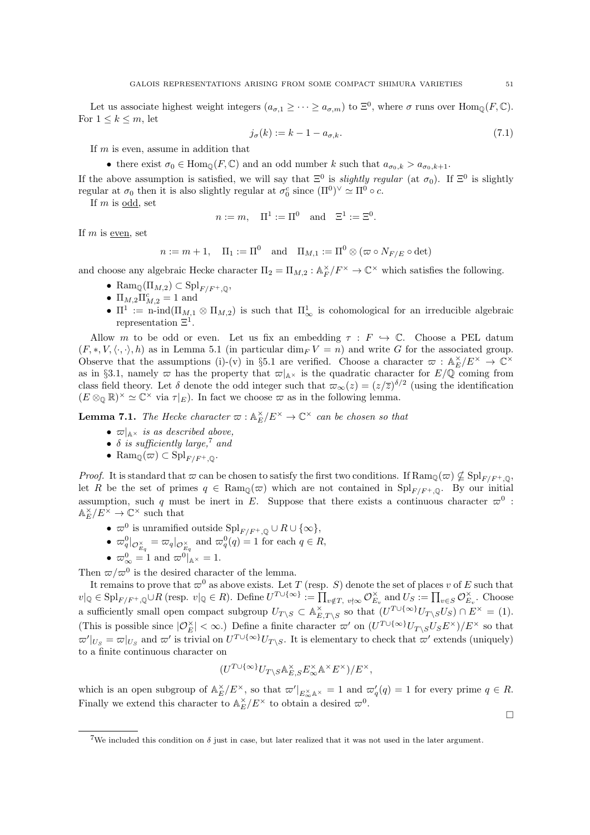Let us associate highest weight integers  $(a_{\sigma,1} \geq \cdots \geq a_{\sigma,m})$  to  $\Xi^0$ , where  $\sigma$  runs over  $\text{Hom}_{\mathbb{Q}}(F,\mathbb{C})$ . For  $1 \leq k \leq m$ , let

$$
j_{\sigma}(k) := k - 1 - a_{\sigma,k}.\tag{7.1}
$$

If m is even, assume in addition that

• there exist  $\sigma_0 \in \text{Hom}_{\mathbb{Q}}(F, \mathbb{C})$  and an odd number k such that  $a_{\sigma_0, k} > a_{\sigma_0, k+1}$ .

If the above assumption is satisfied, we will say that  $\Xi^0$  is *slightly regular* (at  $\sigma_0$ ). If  $\Xi^0$  is slightly regular at  $\sigma_0$  then it is also slightly regular at  $\sigma_0^c$  since  $(\Pi^0)^\vee \simeq \Pi^0 \circ c$ .

If  $m$  is odd, set

$$
n := m
$$
,  $\Pi^1 := \Pi^0$  and  $\Xi^1 := \Xi^0$ .

If  $m$  is even, set

$$
n := m + 1, \quad \Pi_1 := \Pi^0 \quad \text{and} \quad \Pi_{M,1} := \Pi^0 \otimes (\varpi \circ N_{F/E} \circ \det)
$$

and choose any algebraic Hecke character  $\Pi_2 = \Pi_{M,2} : \mathbb{A}_F^{\times}/F^{\times} \to \mathbb{C}^{\times}$  which satisfies the following.

- Ram $\mathbb{Q}(\Pi_{M,2}) \subset \mathrm{Spl}_{F/F^+,\mathbb{Q}},$
- $\Pi_{M,2}\Pi_{M,2}^c = 1$  and
- $\Pi^1 := \text{n-ind}(\Pi_{M,1} \otimes \Pi_{M,2})$  is such that  $\Pi^1_{\infty}$  is cohomological for an irreducible algebraic representation  $\Xi^1$ .

Allow m to be odd or even. Let us fix an embedding  $\tau : F \hookrightarrow \mathbb{C}$ . Choose a PEL datum  $(F, *, V, \langle \cdot, \cdot \rangle, h)$  as in Lemma 5.1 (in particular dim<sub>F</sub>  $V = n$ ) and write G for the associated group. Observe that the assumptions (i)-(v) in §5.1 are verified. Choose a character  $\varpi : \mathbb{A}_{E}^{\times}/E^{\times} \to \mathbb{C}^{\times}$ as in §3.1, namely  $\varpi$  has the property that  $\varpi|_{A^{\times}}$  is the quadratic character for  $E/\mathbb{Q}$  coming from class field theory. Let  $\delta$  denote the odd integer such that  $\varpi_{\infty}(z) = (z/\overline{z})^{\delta/2}$  (using the identification  $(E \otimes_{\mathbb{Q}} \mathbb{R})^{\times} \simeq \mathbb{C}^{\times}$  via  $\tau|_{E}$ ). In fact we choose  $\varpi$  as in the following lemma.

**Lemma 7.1.** The Hecke character  $\varpi : \mathbb{A}_{E}^{\times}/E^{\times} \to \mathbb{C}^{\times}$  can be chosen so that

- $\varpi|_{\mathbb{A}\times}$  is as described above,
- $\delta$  is sufficiently large,<sup>7</sup> and
- Ram $_{\mathbb{Q}}(\varpi) \subset \mathrm{Spl}_{F/F^+,\mathbb{Q}}$ .

*Proof.* It is standard that  $\varpi$  can be chosen to satisfy the first two conditions. If  $\text{Ram}_{\mathbb{Q}}(\varpi) \nsubseteq \text{Spl}_{F/F^+,\mathbb{Q}},$ let R be the set of primes  $q \in \text{Ram}_{\mathbb{Q}}(\varpi)$  which are not contained in  $\text{Spl}_{F/F^+,\mathbb{Q}}$ . By our initial assumption, such q must be inert in E. Suppose that there exists a continuous character  $\varpi^0$ :  $\mathbb{A}_E^\times/E^\times \to \mathbb{C}^\times$  such that

- $\varpi^0$  is unramified outside  $\text{Spl}_{F/F^+,\mathbb{Q}}\cup \{ \infty \},$
- $\omega_q^0|_{\mathcal{O}_{E_q}^{\times}} = \omega_q|_{\mathcal{O}_{E_q}^{\times}}$  and  $\omega_q^0(q) = 1$  for each  $q \in R$ ,
- $\omega_{\infty}^0 = 1$  and  $\omega^0|_{\mathbb{A}^{\times}} = 1$ .

Then  $\varpi/\varpi^0$  is the desired character of the lemma.

It remains to prove that  $\varpi^0$  as above exists. Let T (resp. S) denote the set of places v of E such that  $v|_{\mathbb{Q}} \in \text{Spl}_{F/F^+,{\mathbb{Q}}}\cup R$  (resp.  $v|_{\mathbb{Q}} \in R$ ). Define  $U^{T\cup \{\infty\}} := \prod_{v \notin T, v \nmid \infty} \mathcal{O}_{E_v}^{\times}$  and  $U_S := \prod_{v \in S} \mathcal{O}_{E_v}^{\times}$ . Choose a sufficiently small open compact subgroup  $U_{T\setminus S} \subset \mathbb{A}_{E,T\setminus S}^{\times}$  so that  $(U^{T\cup \{\infty\}}U_T\setminus sU_S) \cap E^{\times} = (1)$ . (This is possible since  $|\mathcal{O}_E^{\times}| < \infty$ .) Define a finite character  $\omega'$  on  $(U^{T \cup {\{\infty\}}} U_{T \setminus S} U_S E^{\times})/E^{\times}$  so that  $\omega'|_{U_S} = \omega|_{U_S}$  and  $\omega'$  is trivial on  $U^{T \cup \{\infty\}} U_{T \setminus S}$ . It is elementary to check that  $\omega'$  extends (uniquely) to a finite continuous character on

$$
(U^{T\cup \{\infty\}}U_{T\backslash S}{\mathbb A}_{E,S}^{\times}E_{\infty}^{\times} {\mathbb A}^{\times}E^{\times})/E^{\times},
$$

which is an open subgroup of  $\mathbb{A}_{E}^{\times}/E^{\times}$ , so that  $\varpi'|_{E_{\infty}^{\times} \mathbb{A}^{\times}} = 1$  and  $\varpi'_{q}(q) = 1$  for every prime  $q \in R$ . Finally we extend this character to  $\mathbb{A}_{E}^{\times}/E^{\times}$  to obtain a desired  $\varpi^{0}$ .

 $\Box$ 

<sup>&</sup>lt;sup>7</sup>We included this condition on  $\delta$  just in case, but later realized that it was not used in the later argument.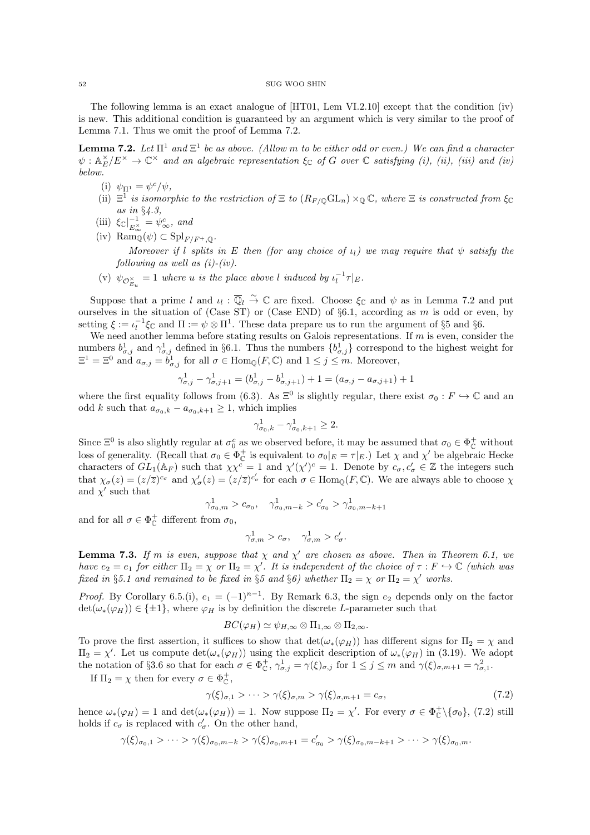The following lemma is an exact analogue of [HT01, Lem VI.2.10] except that the condition (iv) is new. This additional condition is guaranteed by an argument which is very similar to the proof of Lemma 7.1. Thus we omit the proof of Lemma 7.2.

**Lemma 7.2.** Let  $\Pi^1$  and  $\Xi^1$  be as above. (Allow m to be either odd or even.) We can find a character  $\psi: \mathbb{A}_E^{\times}/E^{\times} \to \mathbb{C}^{\times}$  and an algebraic representation  $\xi_{\mathbb{C}}$  of G over  $\mathbb {C}$  satisfying (i), (ii), (iii) and (iv) below.

- (i)  $\psi_{\Pi^1} = \psi^c / \psi$ ,
- (ii)  $\Xi^1$  is isomorphic to the restriction of  $\Xi$  to  $(R_F \otimes GL_n) \times_{\mathbb{Q}} \mathbb{C}$ , where  $\Xi$  is constructed from  $\xi_{\mathbb{C}}$ as in §4.3,
- (iii)  $\xi_{\mathbb{C}}|_{E^{\times}}^{-1}$  $\frac{-1}{E_{\infty}^{\times}} = \psi_{\infty}^c$ , and
- (iv) Ram<sub> $\widetilde{\mathbb{Q}}(\psi) \subset \mathrm{Spl}_{F/F^+,\mathbb{Q}}$ .</sub> Moreover if l splits in E then (for any choice of  $\iota_l$ ) we may require that  $\psi$  satisfy the following as well as  $(i)-(iv)$ .
- (v)  $\psi_{\mathcal{O}_{E_u}^{\times}} = 1$  where u is the place above l induced by  $\iota_l^{-1} \tau|_E$ .

Suppose that a prime l and  $\iota_l : \overline{\mathbb{Q}}_l \overset{\sim}{\to} \mathbb{C}$  are fixed. Choose  $\xi_{\mathbb{C}}$  and  $\psi$  as in Lemma 7.2 and put ourselves in the situation of (Case ST) or (Case END) of  $\S6.1$ , according as m is odd or even, by setting  $\xi := \iota_l^{-1} \xi_{\mathbb{C}}$  and  $\Pi := \psi \otimes \Pi^1$ . These data prepare us to run the argument of §5 and §6.

We need another lemma before stating results on Galois representations. If  $m$  is even, consider the numbers  $b_{\sigma,j}^1$  and  $\gamma_{\sigma,j}^1$  defined in §6.1. Thus the numbers  $\{b_{\sigma,j}^1\}$  correspond to the highest weight for  $\Xi^1 = \Xi^0$  and  $a_{\sigma,j} = \tilde{b}^1_{\sigma,j}$  for all  $\sigma \in \text{Hom}_{\mathbb{Q}}(F, \mathbb{C})$  and  $1 \leq j \leq m$ . Moreover,

$$
\gamma_{\sigma,j}^1 - \gamma_{\sigma,j+1}^1 = (b_{\sigma,j}^1 - b_{\sigma,j+1}^1) + 1 = (a_{\sigma,j} - a_{\sigma,j+1}) + 1
$$

where the first equality follows from (6.3). As  $\Xi^0$  is slightly regular, there exist  $\sigma_0 : F \hookrightarrow \mathbb{C}$  and an odd k such that  $a_{\sigma_0,k} - a_{\sigma_0,k+1} \geq 1$ , which implies

$$
\gamma_{\sigma_0,k}^1 - \gamma_{\sigma_0,k+1}^1 \ge 2.
$$

Since  $\Xi^0$  is also slightly regular at  $\sigma_0^c$  as we observed before, it may be assumed that  $\sigma_0 \in \Phi_{\mathbb{C}}^+$  without loss of generality. (Recall that  $\sigma_0 \in \Phi_{\mathbb{C}}^+$  is equivalent to  $\sigma_0|_E = \tau|_E$ .) Let  $\chi$  and  $\chi'$  be algebraic Hecke characters of  $GL_1(\mathbb{A}_F)$  such that  $\chi \chi^c = 1$  and  $\chi'(\chi')^c = 1$ . Denote by  $c_{\sigma}, c_{\sigma}' \in \mathbb{Z}$  the integers such that  $\chi_{\sigma}(z) = (z/\overline{z})^{c_{\sigma}}$  and  $\chi'_{\sigma}(z) = (z/\overline{z})^{c'_{\sigma}}$  for each  $\sigma \in \text{Hom}_{\mathbb{Q}}(F, \mathbb{C})$ . We are always able to choose  $\chi$ and  $\chi'$  such that

$$
\gamma_{\sigma_0,m}^1 > c_{\sigma_0}, \quad \gamma_{\sigma_0,m-k}^1 > c_{\sigma_0}' > \gamma_{\sigma_0,m-k+1}^1
$$

and for all  $\sigma \in \Phi_{\mathbb{C}}^+$  different from  $\sigma_0$ ,

$$
\gamma_{\sigma,m}^1 > c_{\sigma}, \quad \gamma_{\sigma,m}^1 > c_{\sigma}'.
$$

**Lemma 7.3.** If m is even, suppose that  $\chi$  and  $\chi'$  are chosen as above. Then in Theorem 6.1, we have  $e_2 = e_1$  for either  $\Pi_2 = \chi$  or  $\Pi_2 = \chi'$ . It is independent of the choice of  $\tau : F \hookrightarrow \mathbb{C}$  (which was fixed in §5.1 and remained to be fixed in §5 and §6) whether  $\Pi_2 = \chi$  or  $\Pi_2 = \chi'$  works.

*Proof.* By Corollary 6.5.(i),  $e_1 = (-1)^{n-1}$ . By Remark 6.3, the sign  $e_2$  depends only on the factor  $\det(\omega_*(\varphi_H)) \in {\{\pm 1\}}$ , where  $\varphi_H$  is by definition the discrete L-parameter such that

$$
BC(\varphi_H) \simeq \psi_{H,\infty} \otimes \Pi_{1,\infty} \otimes \Pi_{2,\infty}.
$$

To prove the first assertion, it suffices to show that  $det(\omega_*(\varphi_H))$  has different signs for  $\Pi_2 = \chi$  and  $\Pi_2 = \chi'$ . Let us compute  $\det(\omega_*(\varphi_H))$  using the explicit description of  $\omega_*(\varphi_H)$  in (3.19). We adopt the notation of §3.6 so that for each  $\sigma \in \Phi_{\mathbb{C}}^+$ ,  $\gamma_{\sigma,j}^1 = \gamma(\xi)_{\sigma,j}$  for  $1 \leq j \leq m$  and  $\gamma(\xi)_{\sigma,m+1} = \gamma_{\sigma,1}^2$ .

If  $\Pi_2 = \chi$  then for every  $\sigma \in \Phi_{\mathbb{C}}^+$ ,

$$
\gamma(\xi)_{\sigma,1} > \cdots > \gamma(\xi)_{\sigma,m} > \gamma(\xi)_{\sigma,m+1} = c_{\sigma},\tag{7.2}
$$

hence  $\omega_*(\varphi_H) = 1$  and  $\det(\omega_*(\varphi_H)) = 1$ . Now suppose  $\Pi_2 = \chi'$ . For every  $\sigma \in \Phi_{\mathbb{C}}^+\setminus{\{\sigma_0\}}$ , (7.2) still holds if  $c_{\sigma}$  is replaced with  $c'_{\sigma}$ . On the other hand,

$$
\gamma(\xi)_{\sigma_0,1} > \cdots > \gamma(\xi)_{\sigma_0,m-k} > \gamma(\xi)_{\sigma_0,m+1} = c'_{\sigma_0} > \gamma(\xi)_{\sigma_0,m-k+1} > \cdots > \gamma(\xi)_{\sigma_0,m}.
$$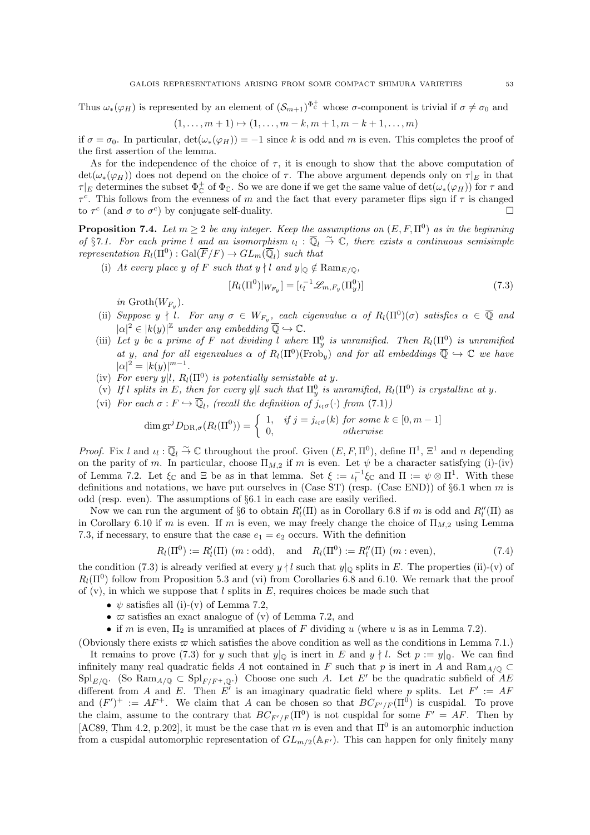Thus  $\omega_*(\varphi_H)$  is represented by an element of  $(\mathcal{S}_{m+1})^{\Phi_C^+}$  whose  $\sigma$ -component is trivial if  $\sigma \neq \sigma_0$  and

$$
(1, \ldots, m+1) \mapsto (1, \ldots, m-k, m+1, m-k+1, \ldots, m)
$$

if  $\sigma = \sigma_0$ . In particular,  $\det(\omega_*(\varphi_H)) = -1$  since k is odd and m is even. This completes the proof of the first assertion of the lemma.

As for the independence of the choice of  $\tau$ , it is enough to show that the above computation of  $\det(\omega_*(\varphi_H))$  does not depend on the choice of  $\tau$ . The above argument depends only on  $\tau|_E$  in that  $\tau|_E$  determines the subset  $\Phi^+_C$  of  $\Phi_{\mathbb{C}}$ . So we are done if we get the same value of  $\det(\omega_*(\varphi_H))$  for  $\tau$  and  $\tau^c$ . This follows from the evenness of m and the fact that every parameter flips sign if  $\tau$  is changed to  $\tau^c$  (and  $\sigma$  to  $\sigma^c$ ) by conjugate self-duality.

**Proposition 7.4.** Let  $m \geq 2$  be any integer. Keep the assumptions on  $(E, F, \Pi^0)$  as in the beginning of §7.1. For each prime l and an isomorphism  $u_l : \overline{\mathbb{Q}}_l \overset{\sim}{\to} \mathbb{C}$ , there exists a continuous semisimple representation  $R_l(\Pi^0) : \text{Gal}(\overline{F}/F) \to GL_m(\overline{\mathbb{Q}}_l)$  such that

(i) At every place y of F such that  $y \nmid l$  and  $y|_{\mathbb{Q}} \notin \text{Ram}_{E/\mathbb{Q}}$ ,

$$
[R_l(\Pi^0)|_{W_{F_y}}] = [\iota_l^{-1} \mathcal{L}_{m,F_y}(\Pi_y^0)] \tag{7.3}
$$

in  $\mathrm{Groth}(W_{F_y})$ .

- (ii) Suppose  $y \nmid l$ . For any  $\sigma \in W_{F_y}$ , each eigenvalue  $\alpha$  of  $R_l(\Pi^0)(\sigma)$  satisfies  $\alpha \in \overline{\mathbb{Q}}$  and  $|\alpha|^2 \in |k(y)|^{\mathbb{Z}}$  under any embedding  $\overline{\mathbb{Q}} \hookrightarrow \mathbb{C}$ .
- (iii) Let y be a prime of F not dividing l where  $\Pi_y^0$  is unramified. Then  $R_l(\Pi^0)$  is unramified at y, and for all eigenvalues  $\alpha$  of  $R_l(\Pi^0)(\text{Frob}_y)$  and for all embeddings  $\overline{\mathbb{Q}} \hookrightarrow \mathbb{C}$  we have  $|\alpha|^2 = |k(y)|^{m-1}.$
- (iv) For every y|l,  $R_l(\Pi^0)$  is potentially semistable at y.
- (v) If l splits in E, then for every y|l such that  $\Pi_y^0$  is unramified,  $R_l(\Pi^0)$  is crystalline at y.
- (vi) For each  $\sigma : F \hookrightarrow \overline{\mathbb{Q}}_l$ , (recall the definition of  $j_{\iota_l\sigma}(\cdot)$  from  $(7.1)$ )

$$
\dim \operatorname{gr}^j D_{\operatorname{DR},\sigma}(R_l(\Pi^0)) = \begin{cases} 1, & \text{if } j = j_{\iota_l \sigma}(k) \text{ for some } k \in [0, m-1] \\ 0, & \text{otherwise} \end{cases}
$$

*Proof.* Fix l and  $\iota_l : \overline{\mathbb{Q}}_l \overset{\sim}{\to} \mathbb{C}$  throughout the proof. Given  $(E, F, \Pi^0)$ , define  $\Pi^1$ ,  $\Xi^1$  and n depending on the parity of m. In particular, choose  $\Pi_{M,2}$  if m is even. Let  $\psi$  be a character satisfying (i)-(iv) of Lemma 7.2. Let  $\xi_{\mathbb{C}}$  and  $\Xi$  be as in that lemma. Set  $\xi := \iota_l^{-1} \xi_{\mathbb{C}}$  and  $\Pi := \psi \otimes \Pi^1$ . With these definitions and notations, we have put ourselves in (Case ST) (resp. (Case END)) of  $\S6.1$  when m is odd (resp. even). The assumptions of §6.1 in each case are easily verified.

Now we can run the argument of §6 to obtain  $R_l'(II)$  as in Corollary 6.8 if m is odd and  $R_l''(\Pi)$  as in Corollary 6.10 if m is even. If m is even, we may freely change the choice of  $\Pi_{M,2}$  using Lemma 7.3, if necessary, to ensure that the case  $e_1 = e_2$  occurs. With the definition

$$
R_l(\Pi^0) := R'_l(\Pi) \ (m : \text{odd}), \quad \text{and} \quad R_l(\Pi^0) := R''_l(\Pi) \ (m : \text{even}),
$$
 (7.4)

the condition (7.3) is already verified at every  $y \nmid l$  such that  $y|_{\mathbb{Q}}$  splits in E. The properties (ii)-(v) of  $R_l(\Pi^0)$  follow from Proposition 5.3 and (vi) from Corollaries 6.8 and 6.10. We remark that the proof of  $(v)$ , in which we suppose that l splits in E, requires choices be made such that

- $\psi$  satisfies all (i)-(v) of Lemma 7.2,
- $\varpi$  satisfies an exact analogue of (v) of Lemma 7.2, and
- if m is even,  $\Pi_2$  is unramified at places of F dividing u (where u is as in Lemma 7.2).

(Obviously there exists  $\varpi$  which satisfies the above condition as well as the conditions in Lemma 7.1.)

It remains to prove (7.3) for y such that  $y|_{\mathbb{Q}}$  is inert in E and  $y \nmid l$ . Set  $p := y|_{\mathbb{Q}}$ . We can find infinitely many real quadratic fields A not contained in F such that p is inert in A and Ram<sub>A/0</sub> ⊂  $\text{Spl}_{E/\mathbb{Q}}$ . (So  $\text{Ram}_{A/\mathbb{Q}} \subset \text{Spl}_{F/F^+,\mathbb{Q}}$ .) Choose one such A. Let E' be the quadratic subfield of AE different from A and E. Then E' is an imaginary quadratic field where p splits. Let  $F' := AF$ and  $(F')^+ := AF^+$ . We claim that A can be chosen so that  $BC_{F'/F}(\Pi^0)$  is cuspidal. To prove the claim, assume to the contrary that  $BC_{F'/F}(\Pi^0)$  is not cuspidal for some  $F' = AF$ . Then by [AC89, Thm 4.2, p.202], it must be the case that m is even and that  $\Pi^0$  is an automorphic induction from a cuspidal automorphic representation of  $GL_{m/2}(\mathbb{A}_{F'})$ . This can happen for only finitely many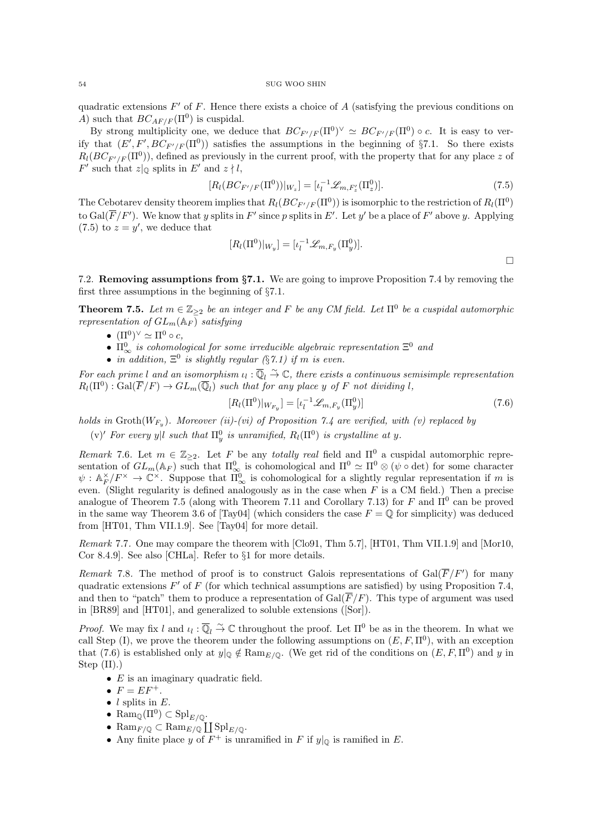quadratic extensions  $F'$  of  $F$ . Hence there exists a choice of  $A$  (satisfying the previous conditions on A) such that  $BC_{AF/F}(\Pi^0)$  is cuspidal.

By strong multiplicity one, we deduce that  $BC_{F'/F}(\Pi^0)^{\vee} \simeq BC_{F'/F}(\Pi^0) \circ c$ . It is easy to verify that  $(E', F', BC_{F'/F}(\Pi^0))$  satisfies the assumptions in the beginning of §7.1. So there exists  $R_l(BC_{F'/F}(\Pi^0))$ , defined as previously in the current proof, with the property that for any place z of  $F'$  such that  $z|_{\mathbb{Q}}$  splits in  $E'$  and  $z \nmid l$ ,

$$
[R_l(BC_{F'/F}(\Pi^0))|_{W_z}] = [\iota_l^{-1}\mathscr{L}_{m,F'_z}(\Pi_z^0)].\tag{7.5}
$$

The Cebotarev density theorem implies that  $R_l(BC_{F'/F}(\Pi^0))$  is isomorphic to the restriction of  $R_l(\Pi^0)$ to  $Gal(\overline{F}/F')$ . We know that y splits in F' since p splits in E'. Let y' be a place of F' above y. Applying  $(7.5)$  to  $z = y'$ , we deduce that

$$
[R_l(\Pi^0)|_{W_y}] = [\iota_l^{-1} \mathscr{L}_{m,F_y}(\Pi_y^0)].
$$

7.2. Removing assumptions from §7.1. We are going to improve Proposition 7.4 by removing the first three assumptions in the beginning of §7.1.

**Theorem 7.5.** Let  $m \in \mathbb{Z}_{\geq 2}$  be an integer and F be any CM field. Let  $\Pi^0$  be a cuspidal automorphic representation of  $GL_m(\mathbb{A}_F)$  satisfying

- $(\Pi^0)^\vee \simeq \Pi^0 \circ c$ ,
- $\Pi_{\infty}^{0}$  is cohomological for some irreducible algebraic representation  $\Xi^{0}$  and
- in addition,  $\Xi^0$  is slightly regular (§7.1) if m is even.

For each prime l and an isomorphism  $u_l : \overline{\mathbb{Q}}_l \overset{\sim}{\to} \mathbb{C}$ , there exists a continuous semisimple representation  $R_l(\Pi^0): \mathrm{Gal}(\overline{F}/F) \to GL_m(\overline{\mathbb{Q}}_l)$  such that for any place y of F not dividing l,

$$
[R_l(\Pi^0)|_{W_{F_y}}] = [\iota_l^{-1} \mathcal{L}_{m, F_y}(\Pi_y^0)] \tag{7.6}
$$

holds in  $\operatorname{Groth}(W_{F_y})$ . Moreover (ii)-(vi) of Proposition 7.4 are verified, with (v) replaced by

(v)' For every y|l such that  $\Pi_y^0$  is unramified,  $R_l(\Pi^0)$  is crystalline at y.

Remark 7.6. Let  $m \in \mathbb{Z}_{\geq 2}$ . Let F be any totally real field and  $\Pi^0$  a cuspidal automorphic representation of  $GL_m(\mathbb{A}_F)$  such that  $\Pi^0_{\infty}$  is cohomological and  $\Pi^0 \simeq \Pi^0 \otimes (\psi \circ \det)$  for some character  $\psi: \mathbb{A}_F^{\times}/F^{\times} \to \mathbb{C}^{\times}$ . Suppose that  $\Pi_{\infty}^0$  is cohomological for a slightly regular representation if m is even. (Slight regularity is defined analogously as in the case when  $F$  is a CM field.) Then a precise analogue of Theorem 7.5 (along with Theorem 7.11 and Corollary 7.13) for F and  $\Pi^0$  can be proved in the same way Theorem 3.6 of [Tay04] (which considers the case  $F = \mathbb{Q}$  for simplicity) was deduced from [HT01, Thm VII.1.9]. See [Tay04] for more detail.

Remark 7.7. One may compare the theorem with [Clo91, Thm 5.7], [HT01, Thm VII.1.9] and [Mor10, Cor 8.4.9]. See also [CHLa]. Refer to §1 for more details.

Remark 7.8. The method of proof is to construct Galois representations of  $Gal(\overline{F}/F')$  for many quadratic extensions  $F'$  of  $F$  (for which technical assumptions are satisfied) by using Proposition 7.4, and then to "patch" them to produce a representation of  $Gal(\overline{F}/F)$ . This type of argument was used in [BR89] and [HT01], and generalized to soluble extensions ([Sor]).

*Proof.* We may fix l and  $\iota_l : \overline{\mathbb{Q}}_l \overset{\sim}{\to} \mathbb{C}$  throughout the proof. Let  $\Pi^0$  be as in the theorem. In what we call Step (I), we prove the theorem under the following assumptions on  $(E, F, \Pi^0)$ , with an exception that (7.6) is established only at  $y|_{\mathbb{Q}} \notin \text{Ram}_{E/\mathbb{Q}}$ . (We get rid of the conditions on  $(E, F, \Pi^0)$  and y in Step (II).)

- $E$  is an imaginary quadratic field.
- $F = EF^+$ .
- $l$  splits in  $E$ .
- Ram $_{\mathbb{Q}}(\Pi^0) \subset \mathrm{Spl}_{E/\mathbb{Q}}$ .
- Ram $_{F/\mathbb{Q}} \subset \text{Ram}_{E/\mathbb{Q}} \coprod \text{Spl}_{E/\mathbb{Q}}.$
- Any finite place y of  $F^+$  is unramified in F if  $y|_{\mathbb{Q}}$  is ramified in E.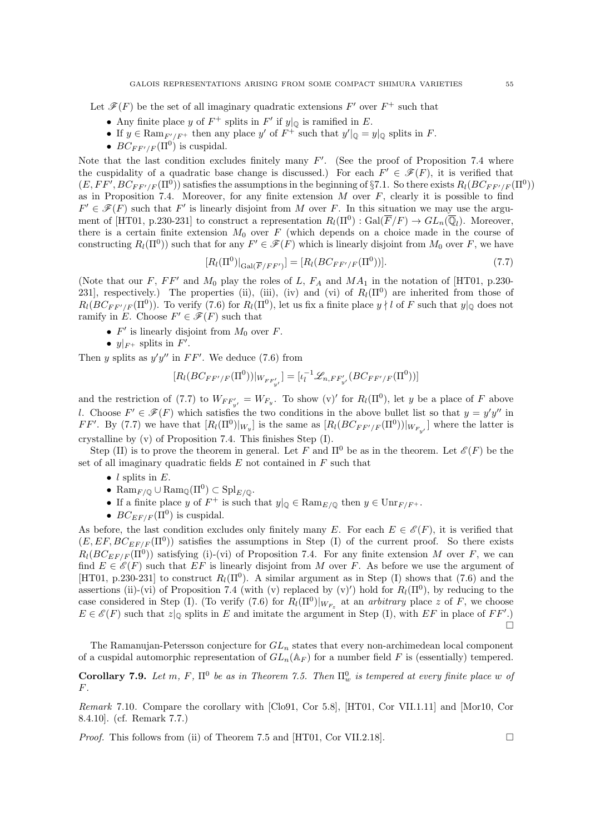Let  $\mathscr{F}(F)$  be the set of all imaginary quadratic extensions  $F'$  over  $F^+$  such that

- Any finite place y of  $F^+$  splits in  $F'$  if  $y|_{\mathbb{Q}}$  is ramified in E.
- If  $y \in \text{Ram}_{F'/F^+}$  then any place  $y'$  of  $F^+$  such that  $y'|_{\mathbb{Q}} = y|_{\mathbb{Q}}$  splits in  $F$ .
- $BC_{FF'/F}(\Pi^0)$  is cuspidal.

Note that the last condition excludes finitely many  $F'$ . (See the proof of Proposition 7.4 where the cuspidality of a quadratic base change is discussed.) For each  $F' \in \mathscr{F}(F)$ , it is verified that  $(E, FF', BC_{FF'/F}(\Pi^0))$  satisfies the assumptions in the beginning of §7.1. So there exists  $R_l(BC_{FF'/F}(\Pi^0))$ as in Proposition 7.4. Moreover, for any finite extension  $M$  over  $F$ , clearly it is possible to find  $F' \in \mathscr{F}(F)$  such that F' is linearly disjoint from M over F. In this situation we may use the argument of [HT01, p.230-231] to construct a representation  $R_l(\Pi^0)$ :  $Gal(\overline{F}/F) \to GL_n(\overline{\mathbb{Q}}_l)$ . Moreover, there is a certain finite extension  $M_0$  over F (which depends on a choice made in the course of constructing  $R_l(\Pi^0)$ ) such that for any  $F' \in \mathscr{F}(F)$  which is linearly disjoint from  $M_0$  over F, we have

$$
[R_l(\Pi^0)|_{\text{Gal}(\overline{F}/FF')}] = [R_l(BC_{FF'/F}(\Pi^0))]. \tag{7.7}
$$

(Note that our F, FF' and  $M_0$  play the roles of L,  $F_A$  and  $MA_1$  in the notation of [HT01, p.230-231], respectively.) The properties (ii), (iii), (iv) and (vi) of  $R_l(\Pi^0)$  are inherited from those of  $R_l(BC_{FF'/F}(\Pi^0))$ . To verify (7.6) for  $R_l(\Pi^0)$ , let us fix a finite place  $y \nmid l$  of F such that  $y|_{\mathbb{Q}}$  does not ramify in E. Choose  $F' \in \mathscr{F}(F)$  such that

- $F'$  is linearly disjoint from  $M_0$  over  $F$ .
- $y|_{F^+}$  splits in  $F'$ .

Then y splits as  $y'y''$  in  $FF'$ . We deduce (7.6) from

$$
[R_l(BC_{FF'/F}(\Pi^0))|_{W_{FF'_{y'}}}] = [ \iota_l^{-1} \mathcal{L}_{n,FF'_{y'}}(BC_{FF'/F}(\Pi^0))]
$$

and the restriction of (7.7) to  $W_{FF'_{y'}} = W_{F_{y'}}$ . To show (v)' for  $R_l(\Pi^0)$ , let y be a place of F above l. Choose  $F' \in \mathscr{F}(F)$  which satisfies the two conditions in the above bullet list so that  $y = y'y''$  in  $FF'$ . By (7.7) we have that  $[R_l(\Pi^0)|_{W_y}]$  is the same as  $[R_l(BC_{FF'/F}(\Pi^0))|_{W_{F_{y'}}}]$  where the latter is crystalline by (v) of Proposition 7.4. This finishes Step (I).

Step (II) is to prove the theorem in general. Let F and  $\Pi^0$  be as in the theorem. Let  $\mathscr{E}(F)$  be the set of all imaginary quadratic fields  $E$  not contained in  $F$  such that

- $l$  splits in  $E$ .
- Ram<sub>F/Q</sub>  $\cup$  Ram<sub>Q</sub>( $\Pi^0$ )  $\subset$  Spl<sub>E/Q</sub>.
- If a finite place y of  $F^+$  is such that  $y|_{\mathbb{Q}} \in \text{Ram}_{E/\mathbb{Q}}$  then  $y \in \text{Unr}_{F/F^+}$ .
- $BC_{EFF}(\Pi^0)$  is cuspidal.

As before, the last condition excludes only finitely many E. For each  $E \in \mathscr{E}(F)$ , it is verified that  $(E, EF, BC_{EF/F}(\Pi^0))$  satisfies the assumptions in Step (I) of the current proof. So there exists  $R_l(BC_{EF/F}(\Pi^0))$  satisfying (i)-(vi) of Proposition 7.4. For any finite extension M over F, we can find  $E \in \mathscr{E}(F)$  such that  $EF$  is linearly disjoint from M over F. As before we use the argument of [HT01, p.230-231] to construct  $R_l(\Pi^0)$ . A similar argument as in Step (I) shows that (7.6) and the assertions (ii)-(vi) of Proposition 7.4 (with (v) replaced by (v)') hold for  $R_l(\Pi^0)$ , by reducing to the case considered in Step (I). (To verify (7.6) for  $R_l(\Pi^0)|_{W_{F_z}}$  at an *arbitrary* place z of F, we choose  $E \in \mathscr{E}(F)$  such that  $z|_{\mathbb{Q}}$  splits in E and imitate the argument in Step (I), with EF in place of FF'.)  $\Box$ 

The Ramanujan-Petersson conjecture for  $GL_n$  states that every non-archimedean local component of a cuspidal automorphic representation of  $GL_n(\mathbb{A}_F)$  for a number field F is (essentially) tempered.

**Corollary 7.9.** Let m, F,  $\Pi^0$  be as in Theorem 7.5. Then  $\Pi^0_w$  is tempered at every finite place w of  $F$ .

Remark 7.10. Compare the corollary with [Clo91, Cor 5.8], [HT01, Cor VII.1.11] and [Mor10, Cor 8.4.10]. (cf. Remark 7.7.)

*Proof.* This follows from (ii) of Theorem 7.5 and [HT01, Cor VII.2.18].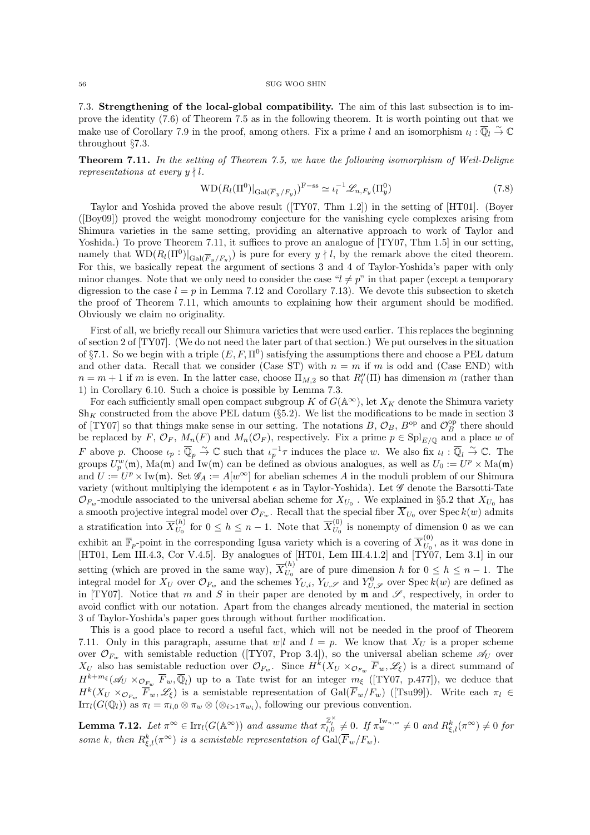7.3. Strengthening of the local-global compatibility. The aim of this last subsection is to improve the identity (7.6) of Theorem 7.5 as in the following theorem. It is worth pointing out that we make use of Corollary 7.9 in the proof, among others. Fix a prime l and an isomorphism  $\iota_l : \overline{\mathbb{Q}}_l \overset{\sim}{\to} \mathbb{C}$ throughout §7.3.

**Theorem 7.11.** In the setting of Theorem 7.5, we have the following isomorphism of Weil-Deligne representations at every  $y \nmid l$ .

$$
WD(R_l(\Pi^0)|_{Gal(\overline{F}_y/F_y)})^{F-ss} \simeq \iota_l^{-1}\mathscr{L}_{n,F_y}(\Pi_y^0)
$$
\n
$$
(7.8)
$$

Taylor and Yoshida proved the above result ([TY07, Thm 1.2]) in the setting of [HT01]. (Boyer ([Boy09]) proved the weight monodromy conjecture for the vanishing cycle complexes arising from Shimura varieties in the same setting, providing an alternative approach to work of Taylor and Yoshida.) To prove Theorem 7.11, it suffices to prove an analogue of [TY07, Thm 1.5] in our setting, namely that  $\overline{WD}(R_l(\Pi^0)|_{Gal(\overline{F}_y/F_y)})$  is pure for every  $y \nmid l$ , by the remark above the cited theorem. For this, we basically repeat the argument of sections 3 and 4 of Taylor-Yoshida's paper with only minor changes. Note that we only need to consider the case " $l \neq p$ " in that paper (except a temporary digression to the case  $l = p$  in Lemma 7.12 and Corollary 7.13). We devote this subsection to sketch the proof of Theorem 7.11, which amounts to explaining how their argument should be modified. Obviously we claim no originality.

First of all, we briefly recall our Shimura varieties that were used earlier. This replaces the beginning of section 2 of [TY07]. (We do not need the later part of that section.) We put ourselves in the situation of §7.1. So we begin with a triple  $(E, F, \Pi^0)$  satisfying the assumptions there and choose a PEL datum and other data. Recall that we consider (Case ST) with  $n = m$  if m is odd and (Case END) with  $n = m + 1$  if m is even. In the latter case, choose  $\Pi_{M,2}$  so that  $R_l''(\Pi)$  has dimension m (rather than 1) in Corollary 6.10. Such a choice is possible by Lemma 7.3.

For each sufficiently small open compact subgroup K of  $G(\mathbb{A}^{\infty})$ , let  $X_K$  denote the Shimura variety  $Sh_K$  constructed from the above PEL datum (§5.2). We list the modifications to be made in section 3 of [TY07] so that things make sense in our setting. The notations  $B, \mathcal{O}_B, B^{\text{op}}$  and  $\mathcal{O}_B^{\text{op}}$  there should be replaced by F,  $\mathcal{O}_F$ ,  $M_n(F)$  and  $M_n(\mathcal{O}_F)$ , respectively. Fix a prime  $p \in \mathrm{Spl}_{E/\mathbb{Q}}$  and a place w of F above p. Choose  $\iota_p : \overline{\mathbb{Q}}_p \overset{\sim}{\to} \mathbb{C}$  such that  $\iota_p^{-1}\tau$  induces the place w. We also fix  $\iota_l : \overline{\mathbb{Q}}_l \overset{\sim}{\to} \mathbb{C}$ . The groups  $U_p^w(\mathfrak{m})$ , Ma $(\mathfrak{m})$  and Iw $(\mathfrak{m})$  can be defined as obvious analogues, as well as  $U_0 := U^p \times \text{Ma}(\mathfrak{m})$ and  $U := U^p \times \text{Iw}(\mathfrak{m})$ . Set  $\mathscr{G}_A := A[w^\infty]$  for abelian schemes A in the moduli problem of our Shimura variety (without multiplying the idempotent  $\epsilon$  as in Taylor-Yoshida). Let  $\mathscr G$  denote the Barsotti-Tate  $\mathcal{O}_{F_w}$ -module associated to the universal abelian scheme for  $X_{U_0}$ . We explained in §5.2 that  $X_{U_0}$  has a smooth projective integral model over  $\mathcal{O}_{F_w}$ . Recall that the special fiber  $\overline{X}_{U_0}$  over  $\text{Spec } k(w)$  admits a stratification into  $\overline{X}_{U_0}^{(h)}$  $U_0^{(h)}$  for  $0 \le h \le n-1$ . Note that  $\overline{X}_{U_0}^{(0)}$  $U_0^{(0)}$  is nonempty of dimension 0 as we can exhibit an  $\overline{\mathbb{F}}_p$ -point in the corresponding Igusa variety which is a covering of  $\overline{X}_{U_0}^{(0)}$  $U_0^{(0)}$ , as it was done in [HT01, Lem III.4.3, Cor V.4.5]. By analogues of [HT01, Lem III.4.1.2] and [TY07, Lem 3.1] in our setting (which are proved in the same way),  $\overline{X}_{U_0}^{(h)}$  $U_0^{(n)}$  are of pure dimension h for  $0 \le h \le n-1$ . The integral model for  $X_U$  over  $\mathcal{O}_{F_w}$  and the schemes  $Y_{U,i}$ ,  $Y_{U,\mathscr{S}}$  and  $Y_{U,\mathscr{S}}^0$  over  $Spec k(w)$  are defined as in [TY07]. Notice that m and S in their paper are denoted by m and  $\mathscr{S}$ , respectively, in order to avoid conflict with our notation. Apart from the changes already mentioned, the material in section 3 of Taylor-Yoshida's paper goes through without further modification.

This is a good place to record a useful fact, which will not be needed in the proof of Theorem 7.11. Only in this paragraph, assume that  $w|l$  and  $l = p$ . We know that  $X_{U}$  is a proper scheme over  $\mathcal{O}_{F_w}$  with semistable reduction ([TY07, Prop 3.4]), so the universal abelian scheme  $\mathscr{A}_U$  over  $X_U$  also has semistable reduction over  $\mathcal{O}_{F_w}$ . Since  $H^k(X_U \times_{\mathcal{O}_{F_w}} \overline{F}_w, \mathscr{L}_\xi)$  is a direct summand of  $H^{k+m_{\xi}}(\mathscr{A}_{U}\times_{\mathcal{O}_{F_{w}}}\overline{F}_{w},\overline{\mathbb{Q}}_{l})$  up to a Tate twist for an integer  $m_{\xi}$  ([TY07, p.477]), we deduce that  $H^k(X_U \times_{\mathcal{O}_{F_w}} \overline{F}_w, \mathscr{L}_\xi)$  is a semistable representation of  $Gal(\overline{F}_w/F_w)$  ([Tsu99]). Write each  $\pi_l \in$  $\text{Irr}_l(G(\mathbb{Q}_l))$  as  $\pi_l = \pi_{l,0} \otimes \pi_w \otimes (\otimes_{i>1} \pi_{w_i}),$  following our previous convention.

**Lemma 7.12.** Let  $\pi^{\infty} \in \text{Irr}_l(G(\mathbb{A}^{\infty}))$  and assume that  $\pi_{l,0}^{\mathbb{Z}_l^{\times}} \neq 0$ . If  $\pi_w^{\text{Iw}_{n,w}} \neq 0$  and  $R_{\xi,l}^k(\pi^{\infty}) \neq 0$  for some k, then  $R_{\xi,l}^k(\pi^\infty)$  is a semistable representation of  $\text{Gal}(\overline{F}_w/F_w)$ .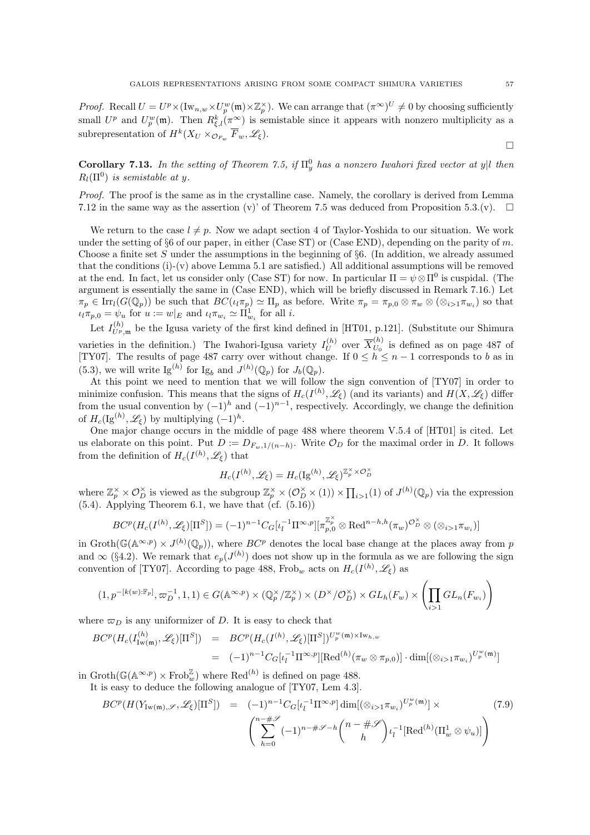*Proof.* Recall  $U = U^p \times (\mathrm{Iw}_{n,w} \times U_p^w(\mathfrak{m}) \times \mathbb{Z}_p^{\times})$ . We can arrange that  $(\pi^{\infty})^U \neq 0$  by choosing sufficiently small  $U^p$  and  $U^w_p(\mathfrak{m})$ . Then  $R^k_{\xi,l}(\pi^\infty)$  is semistable since it appears with nonzero multiplicity as a subrepresentation of  $H^k(X_U \times_{\mathcal{O}_{F_w}} \overline{F}_w, \mathscr{L}_\xi)$ .

**Corollary 7.13.** In the setting of Theorem 7.5, if  $\Pi_y^0$  has a nonzero Iwahori fixed vector at y|l then  $R_l(\Pi^0)$  is semistable at y.

Proof. The proof is the same as in the crystalline case. Namely, the corollary is derived from Lemma 7.12 in the same way as the assertion (v)' of Theorem 7.5 was deduced from Proposition 5.3.(v).  $\Box$ 

We return to the case  $l \neq p$ . Now we adapt section 4 of Taylor-Yoshida to our situation. We work under the setting of §6 of our paper, in either (Case ST) or (Case END), depending on the parity of m. Choose a finite set S under the assumptions in the beginning of  $\S6$ . (In addition, we already assumed that the conditions (i)-(v) above Lemma 5.1 are satisfied.) All additional assumptions will be removed at the end. In fact, let us consider only (Case ST) for now. In particular  $\Pi = \psi \otimes \Pi^0$  is cuspidal. (The argument is essentially the same in (Case END), which will be briefly discussed in Remark 7.16.) Let  $\pi_p \in \text{Irr}_l(G(\mathbb{Q}_p))$  be such that  $BC(i_l\pi_p) \simeq \Pi_p$  as before. Write  $\pi_p = \pi_{p,0} \otimes \pi_w \otimes (\otimes_{i>1} \pi_{w_i})$  so that  $\iota_l \pi_{p,0} = \psi_u$  for  $u := w|_E$  and  $\iota_l \pi_{w_i} \simeq \Pi_{w_i}^1$  for all  $i$ .

Let  $I_{U^p,\mathfrak{m}}^{(h)}$  be the Igusa variety of the first kind defined in [HT01, p.121]. (Substitute our Shimura varieties in the definition.) The Iwahori-Igusa variety  $I_U^{(h)}$  $\overline{U}^{(h)}$  over  $\overline{X}^{(h)}_{U_0}$  $U_0^{(h)}$  is defined as on page 487 of [TY07]. The results of page 487 carry over without change. If  $0 \leq h \leq n-1$  corresponds to b as in (5.3), we will write  $\text{Ig}^{(h)}$  for  $\text{Ig}_b$  and  $J^{(h)}(\mathbb{Q}_p)$  for  $J_b(\mathbb{Q}_p)$ .

At this point we need to mention that we will follow the sign convention of [TY07] in order to minimize confusion. This means that the signs of  $H_c(I^{(h)}, \mathscr{L}_\xi)$  (and its variants) and  $H(X, \mathscr{L}_\xi)$  differ from the usual convention by  $(-1)^h$  and  $(-1)^{n-1}$ , respectively. Accordingly, we change the definition of  $H_c(\mathrm{Ig}^{(h)}, \mathscr{L}_\xi)$  by multiplying  $(-1)^h$ .

One major change occurs in the middle of page 488 where theorem V.5.4 of [HT01] is cited. Let us elaborate on this point. Put  $D := D_{F_w,1/(n-h)}$ . Write  $\mathcal{O}_D$  for the maximal order in D. It follows from the definition of  $H_c(I^{(h)}, \mathscr{L}_\xi)$  that

$$
H_c(I^{(h)}, \mathscr{L}_\xi) = H_c(\mathrm{Ig}^{(h)}, \mathscr{L}_\xi)^{\mathbb{Z}_p^\times \times \mathcal{O}_D^\times}
$$

where  $\mathbb{Z}_p^{\times} \times \mathcal{O}_D^{\times}$  is viewed as the subgroup  $\mathbb{Z}_p^{\times} \times (\mathcal{O}_D^{\times} \times (1)) \times \prod_{i>1} (1)$  of  $J^{(h)}(\mathbb{Q}_p)$  via the expression  $(5.4)$ . Applying Theorem 6.1, we have that  $(cf. (5.16))$ 

$$
BC^{p}(H_c(I^{(h)}, \mathscr{L}_{\xi})[\Pi^S]) = (-1)^{n-1} C_G[\iota_l^{-1} \Pi^{\infty, p}][\pi^{\mathbb{Z}_p^{\times}}_{p,0} \otimes \text{Red}^{n-h,h}(\pi_w)^{\mathcal{O}_D^{\times}} \otimes (\otimes_{i>1} \pi_{w_i})]
$$

in Groth( $\mathbb{G}(\mathbb{A}^{\infty,p}) \times J^{(h)}(\mathbb{Q}_p)$ ), where  $BC^p$  denotes the local base change at the places away from p and  $\infty$  (§4.2). We remark that  $e_p(J^{(h)})$  does not show up in the formula as we are following the sign convention of [TY07]. According to page 488, Frob<sub>w</sub> acts on  $H_c(I^{(h)}, \mathscr{L}_{\xi})$  as

$$
(1, p^{-[k(w): \mathbb{F}_p]}, \varpi_D^{-1}, 1, 1) \in G(\mathbb{A}^{\infty, p}) \times (\mathbb{Q}_p^{\times}/\mathbb{Z}_p^{\times}) \times (D^{\times}/\mathcal{O}_D^{\times}) \times GL_h(F_w) \times \left(\prod_{i>1} GL_n(F_{w_i})\right)
$$

where  $\varpi_D$  is any uniformizer of D. It is easy to check that

$$
BC^{p}(H_{c}(I_{\text{Iw}(\mathfrak{m})}^{(h)},\mathscr{L}_{\xi})[\Pi^{S}]) = BC^{p}(H_{c}(I^{(h)},\mathscr{L}_{\xi})[\Pi^{S}])^{U_{p}^{w}(\mathfrak{m})\times\text{Iw}_{h,w}}
$$
  

$$
= (-1)^{n-1}C_{G}[\iota_{l}^{-1}\Pi^{\infty,p}][\text{Red}^{(h)}(\pi_{w}\otimes\pi_{p,0})]\cdot\dim[(\otimes_{i>1}\pi_{w_{i}})^{U_{p}^{w}(\mathfrak{m})}]
$$

in  $\text{Groth}(\mathbb{G}(\mathbb{A}^{\infty,p}) \times \text{Frob}_w^{\mathbb{Z}})$  where  $\text{Red}^{(h)}$  is defined on page 488.

It is easy to deduce the following analogue of [TY07, Lem 4.3].

$$
BC^{p}(H(Y_{\mathrm{Iw}(\mathfrak{m}),\mathscr{S}},\mathscr{L}_{\xi})[\Pi^{S}]) = (-1)^{n-1}C_{G}[\iota_{l}^{-1}\Pi^{\infty,p}] \dim[(\otimes_{i>1}\pi_{w_{i}})^{U_{p}^{w}(\mathfrak{m})}] \times
$$
\n
$$
\left(\sum_{h=0}^{n-\#\mathscr{S}} (-1)^{n-\#\mathscr{S}-h} \binom{n-\#\mathscr{S}}{h} \iota_{l}^{-1}[\text{Red}^{(h)}(\Pi_{w}^{1}\otimes\psi_{u})]\right)
$$
\n(7.9)

 $\Box$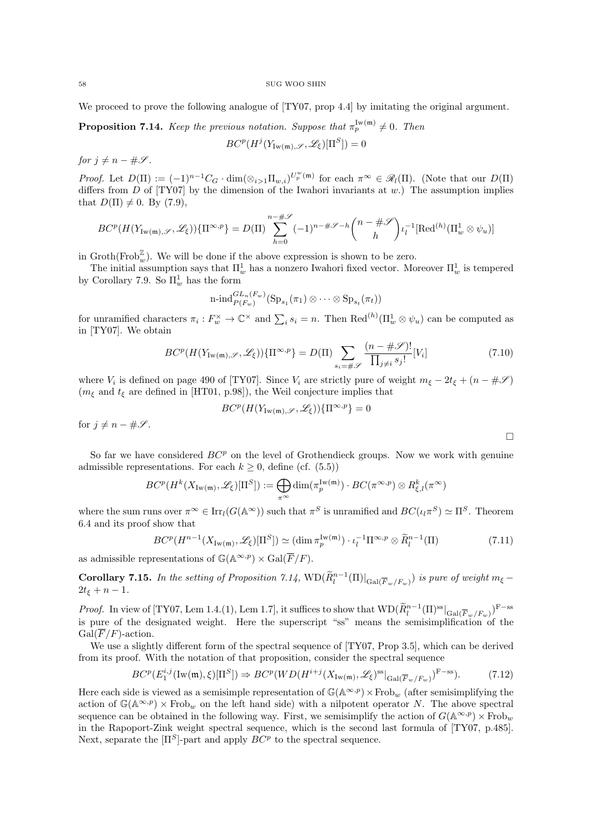We proceed to prove the following analogue of  $[TY07, prop 4.4]$  by imitating the original argument.

**Proposition 7.14.** Keep the previous notation. Suppose that  $\pi_p^{\text{Iw}(m)} \neq 0$ . Then  $BC^p(H^j(Y_{\text{Iw}(\mathfrak{m}),\mathscr{S}},\mathscr{L}_\xi)[\Pi^S])=0$ 

for  $j \neq n - \#\mathscr{S}$ .

*Proof.* Let  $D(\Pi) := (-1)^{n-1}C_G \cdot \dim(\otimes_{i>1} \Pi_{w,i})^{U_p^w(\mathfrak{m})}$  for each  $\pi^{\infty} \in \mathscr{R}_l(\Pi)$ . (Note that our  $D(\Pi)$ differs from  $D$  of  $[TY07]$  by the dimension of the Iwahori invariants at w.) The assumption implies that  $D(\Pi) \neq 0$ . By (7.9),

$$
BC^{p}(H(Y_{\mathrm{Iw}(\mathfrak{m}),\mathscr{S}},\mathscr{L}_{\xi}))\{\Pi^{\infty,p}\}=D(\Pi)\sum_{h=0}^{n-\#\mathscr{S}}(-1)^{n-\#\mathscr{S}-h}\binom{n-\#\mathscr{S}}{h}\iota_{l}^{-1}[\mathrm{Red}^{(h)}(\Pi_{w}^{1}\otimes\psi_{u})]
$$

in  $\text{Groth}(\text{Frob}_w^{\mathbb{Z}})$ . We will be done if the above expression is shown to be zero.

The initial assumption says that  $\Pi_w^1$  has a nonzero Iwahori fixed vector. Moreover  $\Pi_w^1$  is tempered by Corollary 7.9. So  $\Pi_w^1$  has the form

$$
\operatorname{n-ind}_{P(F_w)}^{GL_n(F_w)}(\operatorname{Sp}_{s_1}(\pi_1) \otimes \cdots \otimes \operatorname{Sp}_{s_t}(\pi_t))
$$

for unramified characters  $\pi_i : F_w^{\times} \to \mathbb{C}^{\times}$  and  $\sum_i s_i = n$ . Then  $\text{Red}^{(h)}(\Pi_w^1 \otimes \psi_u)$  can be computed as in [TY07]. We obtain

$$
BC^{p}(H(Y_{\mathrm{Iw}(\mathfrak{m}),\mathscr{S}},\mathscr{L}_{\xi}))\{\Pi^{\infty,p}\}=D(\Pi)\sum_{s_{i}=\#\mathscr{S}}\frac{(n-\#\mathscr{S})!}{\prod_{j\neq i}s_{j}!}[V_{i}]
$$
(7.10)

 $\Box$ 

where  $V_i$  is defined on page 490 of [TY07]. Since  $V_i$  are strictly pure of weight  $m_{\xi} - 2t_{\xi} + (n - \# \mathscr{S})$ ( $m_{\xi}$  and  $t_{\xi}$  are defined in [HT01, p.98]), the Weil conjecture implies that

$$
BC^p(H(Y_{\mathrm{Iw}(\mathfrak{m}),\mathscr{S}},\mathscr{L}_\xi))\{\Pi^{\infty,p}\}=0
$$

for  $j \neq n - \#\mathscr{S}$ .

So far we have considered  $BC<sup>p</sup>$  on the level of Grothendieck groups. Now we work with genuine admissible representations. For each  $k \geq 0$ , define (cf. (5.5))

$$
BC^p(H^k(X_{{\rm Iw}(\mathfrak{m})},\mathscr{L}_\xi)[\Pi^S]):=\bigoplus_{\pi^\infty}{\rm dim}(\pi_p^{{\rm Iw}(\mathfrak{m})})\cdot BC(\pi^{\infty,p})\otimes R_{\xi,l}^k(\pi^\infty)
$$

where the sum runs over  $\pi^{\infty} \in \text{Irr}_l(G(\mathbb{A}^{\infty}))$  such that  $\pi^S$  is unramified and  $BC(\iota_l\pi^S) \simeq \Pi^S$ . Theorem 6.4 and its proof show that

$$
BC^{p}(H^{n-1}(X_{\mathrm{Iw}(\mathfrak{m})}, \mathscr{L}_{\xi})[\Pi^{S}]) \simeq (\dim \pi_{p}^{\mathrm{Iw}(\mathfrak{m})}) \cdot \iota_{l}^{-1} \Pi^{\infty, p} \otimes \widetilde{R}_{l}^{n-1}(\Pi)
$$
(7.11)

as admissible representations of  $\mathbb{G}(\mathbb{A}^{\infty,p}) \times \text{Gal}(\overline{F}/F)$ .

**Corollary 7.15.** In the setting of Proposition 7.14,  $WD(\widetilde{R}_l^{n-1}(\Pi)|_{Gal(\overline{F}_w/F_w)})$  is pure of weight  $m_{\xi}$  –  $2t_{\xi} + n - 1.$ 

*Proof.* In view of [TY07, Lem 1.4.(1), Lem 1.7], it suffices to show that  $\text{WD}(\widetilde{R}_l^{n-1}(\Pi)^{\text{ss}}|_{\text{Gal}(\overline{F}_w/F_w)})^{\text{F-ss}}$ is pure of the designated weight. Here the superscript "ss" means the semisimplification of the  $Gal(\overline{F}/F)$ -action.

We use a slightly different form of the spectral sequence of [TY07, Prop 3.5], which can be derived from its proof. With the notation of that proposition, consider the spectral sequence

$$
BC^{p}(E_1^{i,j}(\text{Iw}(\mathfrak{m}),\xi)[\Pi^S]) \Rightarrow BC^{p}(WD(H^{i+j}(X_{\text{Iw}(\mathfrak{m})},\mathscr{L}_{\xi})^{\text{ss}}|_{\text{Gal}(\overline{F}_w/F_w)})^{\text{F-ss}}). \tag{7.12}
$$

Here each side is viewed as a semisimple representation of  $\mathbb{G}(\mathbb{A}^{\infty,p})\times \text{Frob}_w$  (after semisimplifying the action of  $\mathbb{G}(\mathbb{A}^{\infty,p})\times \text{Frob}_w$  on the left hand side) with a nilpotent operator N. The above spectral sequence can be obtained in the following way. First, we semisimplify the action of  $G(\mathbb{A}^{\infty,p})\times \text{Frob}_w$ in the Rapoport-Zink weight spectral sequence, which is the second last formula of [TY07, p.485]. Next, separate the  $[\Pi^S]$ -part and apply  $BC^p$  to the spectral sequence.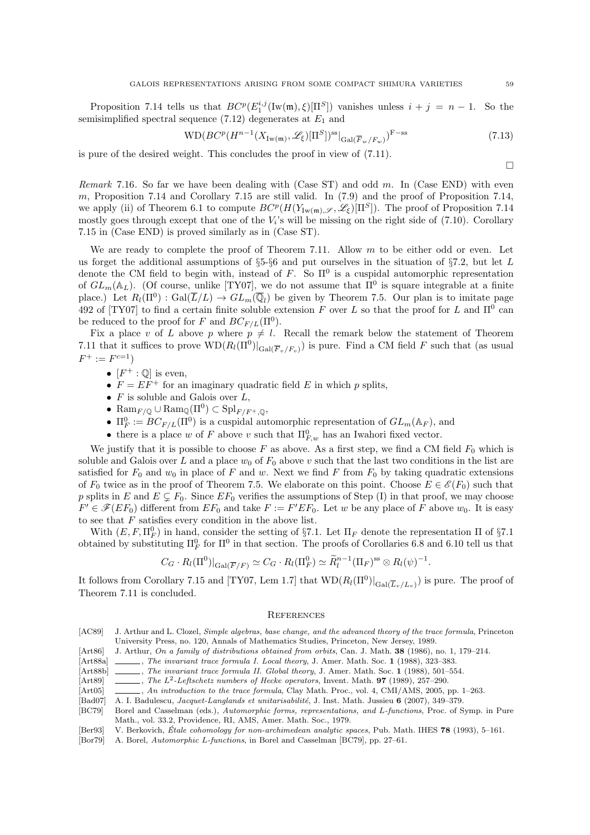Proposition 7.14 tells us that  $BC^p(E_1^{i,j}(\text{Iw}(\mathfrak{m}), \xi)[\Pi^S])$  vanishes unless  $i + j = n - 1$ . So the semisimplified spectral sequence (7.12) degenerates at  $E_1$  and

$$
WD(BC^p(H^{n-1}(X_{\mathrm{Iw}(\mathfrak{m})},\mathscr{L}_{\xi})[\Pi^S])^{ss}|_{\mathrm{Gal}(\overline{F}_w/F_w)})^{F-ss}
$$
\n(7.13)

is pure of the desired weight. This concludes the proof in view of (7.11).

Remark 7.16. So far we have been dealing with (Case ST) and odd  $m$ . In (Case END) with even m, Proposition 7.14 and Corollary 7.15 are still valid. In  $(7.9)$  and the proof of Proposition 7.14, we apply (ii) of Theorem 6.1 to compute  $BC^p(H(Y_{\text{Iw}(\mathfrak{m}),\mathscr{S}},\mathscr{L}_{\xi})[\Pi^S])$ . The proof of Proposition 7.14 mostly goes through except that one of the  $V_i$ 's will be missing on the right side of  $(7.10)$ . Corollary 7.15 in (Case END) is proved similarly as in (Case ST).

We are ready to complete the proof of Theorem 7.11. Allow  $m$  to be either odd or even. Let us forget the additional assumptions of  $\S5-§6$  and put ourselves in the situation of  $\S7.2$ , but let L denote the CM field to begin with, instead of F. So  $\Pi^0$  is a cuspidal automorphic representation of  $GL_m(\mathbb{A}_L)$ . (Of course, unlike [TY07], we do not assume that  $\Pi^0$  is square integrable at a finite place.) Let  $R_l(\Pi^0)$ :  $Gal(\overline{L}/L) \to GL_m(\overline{\mathbb{Q}}_l)$  be given by Theorem 7.5. Our plan is to imitate page 492 of [TY07] to find a certain finite soluble extension F over L so that the proof for L and  $\Pi^0$  can be reduced to the proof for F and  $BC_{F/L}(\Pi^0)$ .

Fix a place v of L above p where  $p \neq l$ . Recall the remark below the statement of Theorem 7.11 that it suffices to prove  $\text{WD}(R_l(\Pi^0)|_{\text{Gal}(\overline{F}_v/F_v)})$  is pure. Find a CM field F such that (as usual  $F^+ := F^{c=1})$ 

- $[F^+:\mathbb{Q}]$  is even,
- $F = EF^{+}$  for an imaginary quadratic field E in which p splits,
- $F$  is soluble and Galois over  $L$ ,
- Ram<sub>F/Q</sub>  $\cup$  Ram<sub>Q</sub>( $\Pi^0$ )  $\subset$  Spl<sub>F/F<sup>+</sup>, $\mathbb{Q}$ ,</sub>
- $\Pi_F^0 := BC_{F/L}(\Pi^0)$  is a cuspidal automorphic representation of  $GL_m(\mathbb{A}_F)$ , and
- there is a place w of F above v such that  $\Pi_{F,w}^0$  has an Iwahori fixed vector.

We justify that it is possible to choose  $F$  as above. As a first step, we find a CM field  $F_0$  which is soluble and Galois over L and a place  $w_0$  of  $F_0$  above v such that the last two conditions in the list are satisfied for  $F_0$  and  $w_0$  in place of F and w. Next we find F from  $F_0$  by taking quadratic extensions of  $F_0$  twice as in the proof of Theorem 7.5. We elaborate on this point. Choose  $E \in \mathscr{E}(F_0)$  such that p splits in E and  $E \subseteq F_0$ . Since  $EF_0$  verifies the assumptions of Step (I) in that proof, we may choose  $F' \in \mathscr{F}(EF_0)$  different from  $EF_0$  and take  $F := F'EF_0$ . Let w be any place of F above  $w_0$ . It is easy to see that  $F$  satisfies every condition in the above list.

With  $(E, F, \Pi_F^0)$  in hand, consider the setting of §7.1. Let  $\Pi_F$  denote the representation  $\Pi$  of §7.1 obtained by substituting  $\Pi_F^0$  for  $\Pi^0$  in that section. The proofs of Corollaries 6.8 and 6.10 tell us that

$$
C_G \cdot R_l(\Pi^0)|_{Gal(\overline{F}/F)} \simeq C_G \cdot R_l(\Pi_F^0) \simeq \widetilde{R}_l^{n-1}(\Pi_F)^{ss} \otimes R_l(\psi)^{-1}.
$$

It follows from Corollary 7.15 and [TY07, Lem 1.7] that  $\text{WD}(R_l(\Pi^0)|_{\text{Gal}(\overline{L}_v/L_v)})$  is pure. The proof of Theorem 7.11 is concluded.

## **REFERENCES**

- [AC89] J. Arthur and L. Clozel, Simple algebras, base change, and the advanced theory of the trace formula, Princeton University Press, no. 120, Annals of Mathematics Studies, Princeton, New Jersey, 1989.
- [Art86] J. Arthur, On a family of distributions obtained from orbits, Can. J. Math. 38 (1986), no. 1, 179–214.
- [Art88a] , The invariant trace formula I. Local theory, J. Amer. Math. Soc. 1 (1988), 323–383.
- [Art88b] , The invariant trace formula II. Global theory, J. Amer. Math. Soc. 1 (1988), 501–554.
- [Art89] , The  $L^2$ -Leftschetz numbers of Hecke operators, Invent. Math. **97** (1989), 257–290.
- [Art05] , An introduction to the trace formula, Clay Math. Proc., vol. 4, CMI/AMS, 2005, pp. 1–263.
- [Bad07] A. I. Badulescu, *Jacquet-Langlands et unitarisabilité*, J. Inst. Math. Jussieu 6 (2007), 349–379.
- [BC79] Borel and Casselman (eds.), Automorphic forms, representations, and L-functions, Proc. of Symp. in Pure Math., vol. 33.2, Providence, RI, AMS, Amer. Math. Soc., 1979.
- [Ber93] V. Berkovich, Étale cohomology for non-archimedean analytic spaces, Pub. Math. IHES 78 (1993), 5-161.
- [Bor79] A. Borel, Automorphic L-functions, in Borel and Casselman [BC79], pp. 27–61.

 $\Box$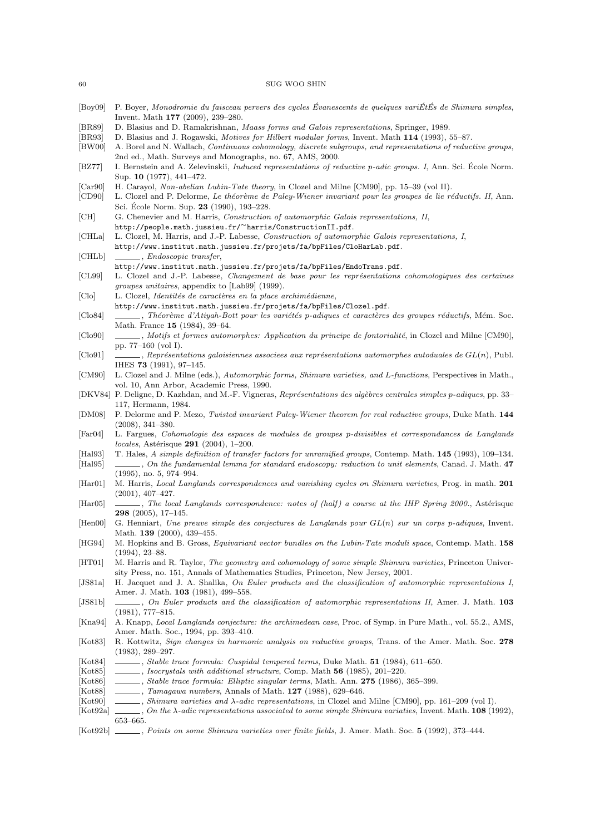- $[Boy09]$  P. Boyer, Monodromie du faisceau pervers des cycles Évanescents de quelques variÉtÉs de Shimura simples, Invent. Math 177 (2009), 239–280.
- [BR89] D. Blasius and D. Ramakrishnan, Maass forms and Galois representations, Springer, 1989.
- [BR93] D. Blasius and J. Rogawski, Motives for Hilbert modular forms, Invent. Math 114 (1993), 55–87.
- [BW00] A. Borel and N. Wallach, Continuous cohomology, discrete subgroups, and representations of reductive groups, 2nd ed., Math. Surveys and Monographs, no. 67, AMS, 2000.
- [BZ77] I. Bernstein and A. Zelevinskii, *Induced representations of reductive p-adic groups. I*, Ann. Sci. École Norm. Sup. 10 (1977), 441–472.
- [Car90] H. Carayol, Non-abelian Lubin-Tate theory, in Clozel and Milne [CM90], pp. 15–39 (vol II).
- [CD90] L. Clozel and P. Delorme, Le théorème de Paley-Wiener invariant pour les groupes de lie réductifs. II, Ann. Sci. École Norm. Sup. 23 (1990), 193-228.
- [CH] G. Chenevier and M. Harris, Construction of automorphic Galois representations, II, http://people.math.jussieu.fr/∼harris/ConstructionII.pdf.
- [CHLa] L. Clozel, M. Harris, and J.-P. Labesse, Construction of automorphic Galois representations, I,

http://www.institut.math.jussieu.fr/projets/fa/bpFiles/CloHarLab.pdf. [CHLb] , Endoscopic transfer,

- http://www.institut.math.jussieu.fr/projets/fa/bpFiles/EndoTrans.pdf.
- [CL99] L. Clozel and J.-P. Labesse, Changement de base pour les représentations cohomologiques des certaines groupes unitaires, appendix to [Lab99] (1999).
- [Clo] L. Clozel, *Identités de caractères en la place archimédienne*,
- http://www.institut.math.jussieu.fr/projets/fa/bpFiles/Clozel.pdf.
- [Clo84] , Théorème d'Atiyah-Bott pour les variétés p-adiques et caractères des groupes réductifs, Mém. Soc. Math. France 15 (1984), 39–64.
- [Clo90] , Motifs et formes automorphes: Application du principe de fontorialité, in Clozel and Milne [CM90], pp. 77–160 (vol I).
- $[Clog1] \quad \underline{\hspace{2cm}}$ , Représentations galoisiennes associees aux représentations automorphes autoduales de GL(n), Publ. IHES 73 (1991), 97–145.
- [CM90] L. Clozel and J. Milne (eds.), Automorphic forms, Shimura varieties, and L-functions, Perspectives in Math., vol. 10, Ann Arbor, Academic Press, 1990.
- [DKV84] P. Deligne, D. Kazhdan, and M.-F. Vigneras, Représentations des algèbres centrales simples p-adiques, pp. 33– 117, Hermann, 1984.
- [DM08] P. Delorme and P. Mezo, Twisted invariant Paley-Wiener theorem for real reductive groups, Duke Math. 144 (2008), 341–380.
- [Far04] L. Fargues, Cohomologie des espaces de modules de groupes p-divisibles et correspondances de Langlands locales, Astérisque 291 (2004), 1-200.
- [Hal93] T. Hales, A simple definition of transfer factors for unramified groups, Contemp. Math. 145 (1993), 109–134. [Hal95] , On the fundamental lemma for standard endoscopy: reduction to unit elements, Canad. J. Math. 47
- (1995), no. 5, 974–994. [Har01] M. Harris, Local Langlands correspondences and vanishing cycles on Shimura varieties, Prog. in math. 201
- (2001), 407–427. [Har05] , The local Langlands correspondence: notes of (half) a course at the IHP Spring 2000., Astérisque 298 (2005), 17–145.
- [Hen00] G. Henniart, Une preuve simple des conjectures de Langlands pour GL(n) sur un corps p-adiques, Invent. Math. 139 (2000), 439-455.
- [HG94] M. Hopkins and B. Gross, Equivariant vector bundles on the Lubin-Tate moduli space, Contemp. Math. 158 (1994), 23–88.
- [HT01] M. Harris and R. Taylor, *The geometry and cohomology of some simple Shimura varieties*, Princeton University Press, no. 151, Annals of Mathematics Studies, Princeton, New Jersey, 2001.
- [JS81a] H. Jacquet and J. A. Shalika, On Euler products and the classification of automorphic representations I, Amer. J. Math. 103 (1981), 499–558.
- [JS81b] , On Euler products and the classification of automorphic representations II, Amer. J. Math. 103 (1981), 777–815.
- [Kna94] A. Knapp, Local Langlands conjecture: the archimedean case, Proc. of Symp. in Pure Math., vol. 55.2., AMS, Amer. Math. Soc., 1994, pp. 393–410.
- [Kot83] R. Kottwitz, Sign changes in harmonic analysis on reductive groups, Trans. of the Amer. Math. Soc. 278 (1983), 289–297.
- [Kot84] , Stable trace formula: Cuspidal tempered terms, Duke Math. 51 (1984), 611–650.
- [Kot85] , Isocrystals with additional structure, Comp. Math 56 (1985), 201–220.
- [Kot86] , Stable trace formula: Elliptic singular terms, Math. Ann. 275 (1986), 365–399.
- [Kot88] , Tamagawa numbers, Annals of Math. 127 (1988), 629-646.
- [Kot90] , Shimura varieties and λ-adic representations, in Clozel and Milne [CM90], pp. 161–209 (vol I).
- [Kot92a] , On the  $\lambda$ -adic representations associated to some simple Shimura variaties, Invent. Math. 108 (1992), 653–665.
- [Kot92b] , Points on some Shimura varieties over finite fields, J. Amer. Math. Soc. 5 (1992), 373-444.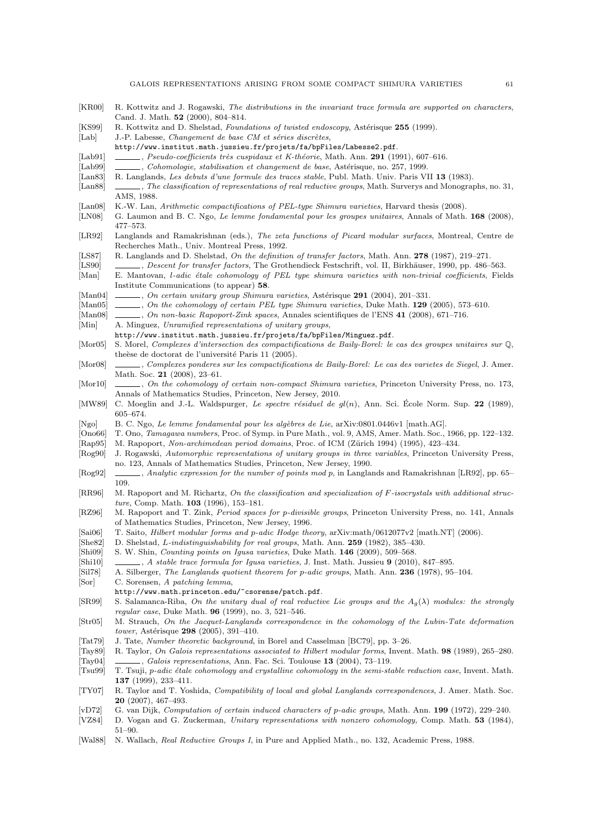| KRO0                           | R. Kottwitz and J. Rogawski, The distributions in the invariant trace formula are supported on characters.<br>Cand. J. Math. 52 (2000), 804-814.                                              |
|--------------------------------|-----------------------------------------------------------------------------------------------------------------------------------------------------------------------------------------------|
| KS99 <br>Lab                   | R. Kottwitz and D. Shelstad, Foundations of twisted endoscopy, Astérisque 255 (1999).<br>J.-P. Labesse, Changement de base CM et séries discrètes,                                            |
|                                | http://www.institut.math.jussieu.fr/projets/fa/bpFiles/Labesse2.pdf.                                                                                                                          |
| $ $ Lab $91 $                  |                                                                                                                                                                                               |
| $ {\rm Lab}99 $                |                                                                                                                                                                                               |
| $ $ Lan $ $ 83 $ $             | R. Langlands, Les debuts d'une formule des traces stable, Publ. Math. Univ. Paris VII 13 (1983).                                                                                              |
| $ $ Lan $ $ 8 $ $              | , The classification of representations of real reductive groups, Math. Surverys and Monographs, no. 31<br>AMS, 1988.                                                                         |
| $\vert$ Lan $\vert$ 08 $\vert$ | K.-W. Lan, Arithmetic compactifications of PEL-type Shimura varieties, Harvard thesis (2008).                                                                                                 |
| LN08                           | G. Laumon and B. C. Ngo, Le lemme fondamental pour les groupes unitaires, Annals of Math. 168 (2008).<br>477-573.                                                                             |
| LR92                           | Langlands and Ramakrishnan (eds.), The zeta functions of Picard modular surfaces, Montreal, Centre de<br>Recherches Math., Univ. Montreal Press, 1992.                                        |
| [LS87]                         | R. Langlands and D. Shelstad, On the definition of transfer factors, Math. Ann. 278 (1987), 219–271.                                                                                          |
| [LS90]                         |                                                                                                                                                                                               |
| $ \text{Man} $                 | E. Mantovan, <i>l-adic étale cohomology of PEL type shimura varieties with non-trivial coefficients</i> , Fields                                                                              |
|                                | Institute Communications (to appear) 58.                                                                                                                                                      |
| $ \text{Man04} $               | $\ldots$ , On certain unitary group Shimura varieties, Astérisque 291 (2004), 201–331.                                                                                                        |
| $ \text{Man05} $<br>[Man08]    | $\frac{1}{1000}$ , On the cohomology of certain PEL type Shimura varieties, Duke Math. 129 (2005), 573-610.                                                                                   |
| $ \text{Min} $                 | A. Minguez, Unramified representations of unitary groups,                                                                                                                                     |
|                                | http://www.institut.math.jussieu.fr/projets/fa/bpFiles/Minguez.pdf.                                                                                                                           |
| $[{\rm Mor}05]$                | S. Morel, Complexes d'intersection des compactifications de Baily-Borel: le cas des groupes unitaires sur $\mathbb{Q}$ ,                                                                      |
|                                | theèse de doctorat de l'université Paris 11 (2005).                                                                                                                                           |
| Mor08                          | . Complexes ponderes sur les compactifications de Baily-Borel: Le cas des varietes de Siegel, J. Amer.<br>Math. Soc. 21 (2008), 23-61.                                                        |
| Mor10                          | Annals of Mathematics Studies, Princeton, New Jersey, 2010.                                                                                                                                   |
| MW89                           | C. Moeglin and J.-L. Waldspurger, Le spectre résiduel de $gl(n)$ , Ann. Sci. École Norm. Sup. 22 (1989),                                                                                      |
|                                | $605 - 674.$                                                                                                                                                                                  |
| [Ngo]                          | B. C. Ngo, Le lemme fondamental pour les algèbres de Lie, arXiv:0801.0446v1 [math.AG].                                                                                                        |
| Ono66                          | T. Ono, Tamagawa numbers, Proc. of Symp. in Pure Math., vol. 9, AMS, Amer. Math. Soc., 1966, pp. 122-132.                                                                                     |
| $ {\rm Rap95} $                | M. Rapoport, Non-archimedean period domains, Proc. of ICM (Zürich 1994) (1995), 423–434.                                                                                                      |
| [Rog90]                        | J. Rogawski, Automorphic representations of unitary groups in three variables, Princeton University Press,<br>no. 123, Annals of Mathematics Studies, Princeton, New Jersey, 1990.            |
| [Rog92]                        | $\qquad \qquad$ , Analytic expression for the number of points mod p, in Langlands and Ramakrishnan [LR92], pp. 65–<br>109.                                                                   |
| [RR96]                         | M. Rapoport and M. Richartz, On the classification and specialization of F-isocrystals with additional struc-<br><i>ture</i> , Comp. Math. <b>103</b> (1996), 153-181.                        |
| RZ96                           | M. Rapoport and T. Zink, <i>Period spaces for p-divisible groups</i> , Princeton University Press, no. 141, Annals                                                                            |
|                                | of Mathematics Studies, Princeton, New Jersey, 1996.                                                                                                                                          |
| [Sia106]                       | T. Saito, Hilbert modular forms and p-adic Hodge theory, arXiv:math/0612077v2 [math.NT] (2006).                                                                                               |
| She82                          | D. Shelstad, <i>L-indistinguishability for real groups</i> , Math. Ann. 259 (1982), 385–430.                                                                                                  |
| $ \text{Shi09} $               | S. W. Shin, <i>Counting points on Igusa varieties</i> , Duke Math. <b>146</b> (2009), 509–568.                                                                                                |
| $\vert$ Shi10 $\vert$          | $\_\_\_\$ , A stable trace formula for Igusa varieties, J. Inst. Math. Jussieu 9 (2010), 847–895.                                                                                             |
| [Sil78]                        | A. Silberger, The Langlands quotient theorem for p-adic groups, Math. Ann. 236 (1978), 95–104.                                                                                                |
| Sor                            | C. Sorensen, A patching lemma,                                                                                                                                                                |
|                                | http://www.math.princeton.edu/~csorense/patch.pdf.                                                                                                                                            |
| [SR99]                         | S. Salamanca-Riba, On the unitary dual of real reductive Lie groups and the $A_g(\lambda)$ modules: the strongly<br><i>regular case</i> , Duke Math. <b>96</b> (1999), no. 3, 521-546.        |
| $\left[ \text{Str05}\right]$   | M. Strauch, On the Jacquet-Langlands correspondence in the cohomology of the Lubin-Tate deformation                                                                                           |
|                                | <i>tower</i> , Astérisque <b>298</b> (2005), 391–410.                                                                                                                                         |
| $\vert \text{Tot79} \vert$     | J. Tate, <i>Number theoretic background</i> , in Borel and Casselman [BC79], pp. 3–26.                                                                                                        |
| [Tay89]<br>$ {\rm Tay04} $     | R. Taylor, On Galois representations associated to Hilbert modular forms, Invent. Math. 98 (1989), 265–280.<br>$\_\_\_\$ , Galois representations, Ann. Fac. Sci. Toulouse 13 (2004), 73–119. |
| $ {\rm Tsu}99 $                | T. Tsuji, p-adic étale cohomology and crystalline cohomology in the semi-stable reduction case, Invent. Math.                                                                                 |
|                                | 137 (1999), $233-411$ .                                                                                                                                                                       |
| TY07                           | R. Taylor and T. Yoshida, <i>Compatibility of local and global Langlands correspondences</i> , J. Amer. Math. Soc.<br><b>20</b> (2007), 467–493.                                              |
| vD72                           | G. van Dijk, Computation of certain induced characters of p-adic groups, Math. Ann. 199 (1972), 229–240.                                                                                      |
| VZ84                           | D. Vogan and G. Zuckerman, Unitary representations with nonzero cohomology, Comp. Math. 53 (1984).                                                                                            |

[Wal88] N. Wallach, Real Reductive Groups I, in Pure and Applied Math., no. 132, Academic Press, 1988.

51–90.